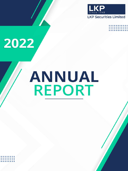

# 2022

# ANNUAL

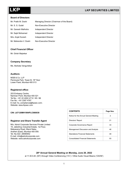#### **Board of Directors**

| Mr. Pratik M. Doshi   | Managing Director (Chairman of the Board) |
|-----------------------|-------------------------------------------|
| Mr. S. S. Gulati      | Non-Executive Director                    |
| Mr. Ganesh Malhotra   | Independent Director                      |
| Mr. Sajid Mohamed     | Independent Director                      |
| Mrs. Anjali Suresh    | Independent Director                      |
| Mr. Mahendra V. Doshi | Non-Executive Director                    |

#### **Chief Financial Officer**

Mr. Girish Majrekar

#### **Company Secretary**

Ms. Akshata Vengurlekar

#### **Auditors:**

MGB & Co. LLP Peninsula Park, Tower B, 19th floor Lower Parel, Mumbai 400 013

#### **Registered office:**

203 Embassy Centre, Nariman Point, Mumbai 400 021 Tel No.: +91 22 4002 4712 / 85 / 86 Fax No.: +91 2287 4787 E-mail: ho\_compliance@lkpsec.com; Website: www.lkpsec.com

#### **CIN: L67120MH1994PLC080039**

#### **Registrar and Share Transfer Agent**

M/s. Adroit Corporate Services Private Limited 19, Jafarbhoy Industrial Estate, 1st Floor, Makawana Road, Marol Naka, Andheri (East), Mumbai 400 059. Tel. No.022- 28590942 E-mail: info@adroitcorporate.com Website: www.adroitcorporate.com

| <b>CONTENTS</b>                          | Page Nos. |
|------------------------------------------|-----------|
| Notice for the Annual General Meeting    | 2         |
| Directors' Report                        | 21        |
| Corporate Governance Report              | 33        |
| Management Discussion and Analysis       | 46        |
| Standalone Financial Statements          | 49        |
| <b>Consolidated Financial Statements</b> | 93        |

#### **28th Annual General Meeting on Monday, June 20, 2022**

at 11:30 A.M. (IST) through Video Conferencing ('VC') / Other Audio Visual Means ('OAVM')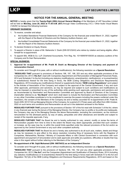# **NOTICE FOR THE ANNUAL GENERAL MEETING**

**NOTICE** is hereby given that the **Twenty-Eight (28th) Annual General Meeting** of the Members of LKP Securities Limited will be held on **Monday, June 20, 2022 at 11:30 A.M. (IST)** through Video Conferencing ('VC') / Other Audio Visual Means ('OAVM') to transact the following business:

#### **ORDINARY BUSINESS:**

- 1. To receive, consider and adopt;
	- a. the Audited Standalone Financial Statements of the Company for the financial year ended March 31, 2022, together with the Report of the Board of Directors and the Statutory Auditors thereon; and
	- b. the Audited Consolidated Financial Statements of the Company for the financial year ended March 31, 2022, together with the Report of the Statutory Auditors thereon.
- 2. To declare Dividend on Equity Shares.
- 3. To appoint a Director in place of Mr. Mahendra V. Doshi (DIN 00123243) who retires by rotation and being eligible, offers himself for re-appointment.
- 4. To appoint M/s. MGB & Co. LLP, Chartered Accountants, Firm Reg. No. 101169W/W100035 as statutory auditors of the Company and fix their Remuneration.

#### **SPECIAL BUSINESS:**

5. **Approval for re-appointment of Mr. Pratik M. Doshi as Managing Director of the Company and payment of remuneration thereof.**

To consider and if thought fit to pass, with or without modification(s), the following resolution as a **Special Resolution**:

**"RESOLVED THAT** pursuant to provisions of Sections 196, 197, 198, 203 and any other applicable provisions of the Companies Act, 2013 ("**the Act**") read with Companies (Appointment and Remuneration of Managerial Personnel) Rules, 2014 and Schedule V to the Act (including any statutory modification(s), amendment(s), clarification(s), or re-enactment(s) or substitution(s) thereof for the time being in force), the SEBI (Listing Obligations and Disclosure Requirements) Regulations, 2015 including any modification(s) thereof or supplements thereto ("**SEBI Listing Regulations**") and subject to the Articles of Association of the Company and subject to the approval of the Central Government, if any and such other approvals, permissions and sanctions, as may be required and subject to such conditions and modifications as may be imposed or prescribed by any of the authorities while granting such approvals, permissions and sanctions and as recommended by Nomination and Remuneration Committee and approved by Board of Directors of the Company (hereinafter referred to as "**the Board**" which term shall deem to include the Nomination and Remuneration Committee or any other Committee constituted or to be constituted to exercise the powers including the powers conferred under this resolution), the consent of the Members of the Company be and is hereby accorded for re-appointment of Mr. Pratik M. Doshi (DIN: 00131122) as Managing Director of the Company, for a period of 3 (Three) years with effect from 26th October, 2022 on such terms and conditions and Remuneration as set out in the statement annexed to this Notice.

**RESOLVED FURTHER THAT** pursuant to the provisions of Section 197 of the Act read with Schedule V of the Act, where in any financial year during the tenure of the Managing Director, the Company has no profits or its profits are inadequate, the Company may pay to the Managing Director the above Remuneration, excluding the commission, as the minimum remuneration for the aforesaid period, by way of salary, perquisites and other allowances and benefits and subject to receipt of the requisite approvals, if any.

**RESOLVED FURTHER THAT** the Board be and is hereby authorised to vary, amend, modify or revise the terms of Remuneration payable from time to time to the extent the Board may deem appropriate, provided that such variation or increase, as the case may be, is within the overall limits specified under the relevant provisions of the Act and/or as approved by the Central Government or any such other competent authority.

**RESOLVED FURTHER THAT** the Board be and is hereby also authorised to do all such acts, matters, deeds and things as may be necessary to give effect to the above resolution including filing of necessary forms with the Registrar of Companies, Maharashtra, Mumbai / Ministry of Corporate Affairs or with Central Government in connection with such appointment and payment of remuneration and to seek approvals and settle any questions, difficulties or doubts that may arise in this regard without further referring to the Members of the Company.**"**

#### 6. **Re-appointment of Mr. Sajid Mohamed (DIN: 06878433) as an Independent Director**

To consider and if thought fit to pass, with or without modification(s), the following resolution as a **Special Resolution**:

**"RESOLVED THAT** pursuant to the provisions of Sections 149, 150, 152 and any other applicable provisions of the Companies Act, 2013 ("**the Act**") and the Companies (Appointment and Qualification of Directors) Rules, 2014 (including any statutory modification(s) or re-enactment(s) thereof for the time being in force) read with Schedule IV to the Act and Regulation 16(1)(b) of the SEBI (Listing Obligations and Disclosure Requirements) Regulations, 2015 and based on the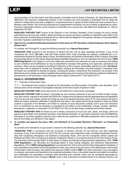recommendation of the Nomination and Remuneration Committee and the Board of Directors, Mr. Sajid Mohamed (DIN: 06878433), Non-Executive Independent Director of the Company who has submitted a declaration that he meets the criteria for independence and who is eligible for re-appointment and in respect of whom Notice has been received from a Member under Section 160 of the Act proposing his re-appointment as Director, be and is hereby re-appointed as a Non-Executive Independent Director of the Company to hold office for a second term with effect from September 27, 2022 to September 26, 2027.

**RESOLVED FURTHER THAT** anyone of the Directors or the Company Secretary of the Company be and is hereby authorised to do all such acts, matters, deeds and things as may be necessary, expedient or desirable to give effect to the above resolution including filing of necessary forms / returns with the Registrar of Companies / Ministry of Corporate Affairs and other regulatory authorities from time to time."

#### 7. **Approval for variation/modification/amendment of the terms of LKP Securities Limited Employee Stock Options Scheme 2017.**

To consider, and if thought fit, to pass the following resolution as a **Special Resolution:**

"**RESOLVED THAT** pursuant to the provisions of Section 62(1)(b) and all other applicable provisions, if any, of the Companies Act, 2013 ("**the Act**") read with Rules framed there under (including any statutory modification(s) or reenactment(s) thereof for the time being in force), the Memorandum and Articles of Association of the Company, Securities and Exchange Board of India (Share Based Employee Benefits) Regulations, 2014 as amended from time to time ("**SEBI SBEB Regulations**") and subject to such other approvals, permissions and sanctions as may be necessary and subject to such conditions and modifications as may be prescribed or imposed while granting such approvals, permissions and sanctions, which may be accepted by the Board of Directors of the Company (hereinafter referred to as the "**the Board**" which term shall be deemed to include any Committee, including the Nomination and Remuneration Committee which the Board has constituted to exercise its powers, including the powers, conferred by this resolution), the consent of the Members be and is hereby accorded to substitute the existing clause and carrying out the following variations/modifications/ amendments to LKP Securities Limited Employee Stock Options Scheme 2017 ("LKP ESOP 2017"):

#### **Clause 11 - ON EXERCISE PRICE**

11.1 - Exercise on Discounted Value

11.1.1 - The Exercise Price would be decided at the Nomination and Remuneration Committee's sole discretion. Such exercise price will be intimated to the eligible employees at the time of grant of options to them.

**RESOLVED FURTHER THAT** all the other terms of LKP ESOP 2017 shall remain unchanged;

**RESOLVED FURTHER THAT** the Board / Committee be and is hereby authorized at any time to further modify, change, vary, alter, amend, suspend or terminate LKP ESOP 2017 subject to the compliance with the applicable laws and regulations and to do all such acts, deeds, matters and things as may at its absolute discretion deem fit, for such purpose and also to settle any issues, questions, difficulties or doubts that may arise in this regard without being required to seek any further consent or approval of the Members and further to execute all such documents, writings and to give such directions and / or instructions as may be necessary or expedient to give effect to such modification, change, variation, alteration, amendment, suspension or termination of LKP ESOP 2017 and do all other things incidental and ancillary thereof;

**RESOLVED FURTHER THAT** the Board be and is hereby authorized to do all such acts, deeds, and things, which are required to give effect to the aforesaid resolution, at its absolute discretion, as may deem necessary, with the SEBI/Stock Exchange or any other regulatory authority and to settle all such questions or difficulties whatsoever which may arise and take all such steps and decisions in this regard."

#### 8. **To consider and approve the Issue, Offer and Allotment of Convertible Warrants ("Warrants") on Preferential Basis**

To consider and if deemed fit, to give assent or dissent to the following resolution as a **Special Resolution**:

**"RESOLVED THAT** in accordance with the provisions of Sections 23(1)(b), 42 and 62(1)(c) and other applicable provisions, if any, of the Companies Act, 2013 ("the Act") and the rules made there under, including amendments thereof, read with Companies (Prospectus and Allotment of Securities) Rules, 2014 and the Companies (Share Capital and Debentures) Rules, 2014 (including any statutory modification thereto or re-enactment thereof for the time being in force), The Securities and Exchange Board of India (Issue of Capital and Disclosure Requirements) Regulations, 2018 ("**SEBI ICDR Regulations**"), the Securities and Exchange Board of India (Listing Obligation and Disclosure Requirements) Regulations, 2015 ("**SEBI Listing Regulations**") as amended from time to time and the Rules/ Regulations/ Guidelines, if any, prescribed by Securities and Exchange Board of India, and in terms of the provisions of the Memorandum and Articles of Association of the Company and subject to the approval of BSE Limited ("**BSE**") and other authorities, if any, and subject to consents, permissions and sanctions of all concerned authorities, if any, to the extent required and subject to conditions and modifications as prescribed or imposed while according such consents, which may be considered appropriate by the Board of Directors of the Company ("**Board**") and/ or duly authorized committee thereof in its absolute direction, the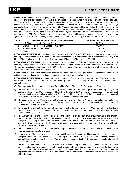consent of the members of the Company be and is hereby accorded to the Board of Directors of the Company to create, offer, issue and/or allot, on preferential basis to the proposed allottees as stated in the explanatory statement hereto, upto 59,88,023 (Fifty Nine Lakhs Eighty Eight Thousand and Twenty Three) Warrants convertible into one equity share each of face value of Rs. 2/- (Rupees Two Only) each, at an issue price of Rs. 16.70/- (Rupees Sixteen and Seventy Paise Only) per equity share [inclusive of a premium of Rs. 14.70/- (Rupees Fourteen and Seventy Paise Only)] at the option of the warrant holder within a period of 18 (Eighteen) months from the date of allotment to the proposed allotees as given in the table below on such term and conditions as may be decided by the Board including the terms of issues and to accept any modifications as SEBI, Stock Exchange or such other appropriate authorities may impose at the time of approvals and as agreed to by the Board without being required to seek any further consent or approval of the Members of the Company .

| Sr. No | Name and Category of the proposed allottee        | <b>Maximum number of Warrants</b> |
|--------|---------------------------------------------------|-----------------------------------|
|        | LKP Finance Limited - Promoter Group              | 29.94.011                         |
|        | Bhavana Holdings Private Limited - Promoter Group | 11.97.605                         |
| 3      | l Mahendra V. Doshi - Promoter                    | 17.96.407                         |
|        | Total                                             | 59,88,023                         |

**RESOLVED FURTHER THAT** in accordance with Regulation 161(a) of the SEBI ICDR Regulations, the 'relevant date' for the purpose of determination of the price for the preferential allotment of Warrants be and is hereby fixed as Friday, May 20, 2022 being 30 days prior to the date of Annual General Meeting i.e Monday, June 20, 2022.

**RESOLVED FURTHER THAT** in accordance with Regulation 169(2) of the SEBI ICDR Regulations, the Warrant Holders shall pay an amount equivalent to at least 25% of the price fixed per Warrant on or before the allotment of the Warrants. The Warrant exercise price equivalent to the 75% of the issue price of Warrants shall be payable by the warrant holders at the time of exercising conversion of Warrants;

**RESOLVED FURTHER THAT** allotment of Warrants be governed by applicable provisions of Regulations and Laws and subject to terms and conditions mentioned in the explanatory statement attached hereto.

**RESOLVED FURTHER THAT** without prejudice to the generality of the above resolution, the issue of the Warrants under the Preferential Allotment shall be subject to the following terms and conditions apart from others as prescribed under applicable laws:

- a) Each Warrants shall be converted into one fully paid-up Equity Shares of Rs.2/- each of the Company.
- b) The Warrants shall be allotted by the Company within a period of 15 (Fifteen) days from the date of passing of the special resolution by the Members, provided that where the allotment of Warrants is subject to receipt of any approval or permission from any regulatory authority or Government of India, the allotment shall be completed within a period of 15 (Fifteen) days from the date of receipt of last of such approvals or permissions.
- c) The option to convert the Warrants into equity shares may be exercised by the Warrant Holders at any time before the expiry of 18 (Eighteen) months from the date of allotment of the Warrants ("Tenure") as specified in the provisions of Chapter V of the SEBI ICDR Regulations.
- d) In the event the Warrant Holders do not exercise the option for conversion of the Warrants within 18 (Eighteen) months from the date of allotment of the Warrants, the option shall lapse and the amount paid on such Warrants shall stand forfeited by the Company;
- e) The Warrant Holders shall be entitled to exercise the option of exercising any or all of the Warrants in one or more tranches by way of a written notice to the Company, specifying the number of Warrants proposed to be exercised along with the aggregate amount thereon, without any further approval from the Shareholders of the Company prior to or at the time of conversion. The Company shall accordingly, issue and allot the corresponding number of Equity Shares to the Warrant holders;
- f) The price determined above shall be subject to appropriate adjustments as permitted under the rules, regulations and laws, as applicable from time to time.
- Upon exercise of the conversion option by the Warrant Holders, the Company shall issue and allot appropriate number of Equity Shares and perform such actions as are required to credit the Equity Shares to the depository account of Warrant Holders and entering the name of Warrant Holders in the records of the Company as the registered owner of such Equity Shares;

The Equity Shares to be so allotted on exercise of the conversion option shall be in dematerialized form and shall be fully paid up and rank pari-passu with the existing Equity Shares of the Company in all respects (including with respect to dividend and voting rights) from the date of allotment thereof, and be subject to the requirements of all applicable laws and shall be subject to the provisions of the Memorandum of Association and Articles of Association of the Company.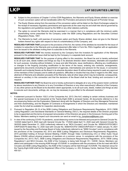- h) Subject to the provisions of Chapter V of the ICDR Regulations, the Warrants and Equity Shares allotted on exercise of such conversion option will be transferable within the Promoters and persons forming part of Promoter Group;
- i) The Equity Shares arising from the exercise of the conversion option will be listed on the Stock Exchanges subject to the receipt of necessary regulatory permissions and approvals as the case may be and shall inter alia be governed by the regulations and guidelines issued by the SEBI or any other statutory authority;
- j) The option to convert the Warrants shall be exercised in a manner that is in compliance with the minimum public shareholding norms prescribed for the Company under the SEBI Listing Regulations and the Securities Contract (Regulation) Rules, 1957;
- k) The Warrants by itself, until exercise of conversion option and Equity Shares allotted, does not give to the Warrant holders thereof any rights with respect to that of a shareholder(s) of the Company; and

**RESOLVED FURTHER THAT** pursuant to the provisions of the Act, the names of the allottees be recorded for the issue of invitation to subscribe to the Warrants and a private placement offer letter in Form No. PAS-4 together with an application form be issued to the allottees inviting them to subscribe to the Warrants.

**RESOLVED FURTHER THAT** the monies received by the Company from the Investors for application of the Warrants pursuant to this preferential issue shall be kept by the Company in a separate bank account.

**RESOLVED FURTHER THAT** for the purpose of giving effect to this resolution, the Board be and is hereby authorized to do all such acts, deeds matters and things as may in its absolute direction deem necessary, desirable and expedient for such purpose, including without limitation, to issue and allot Warrants, issue clarifications, effecting any modifications or changes to the forgoing (including modification to the terms of the issue), entering into contracts, arrangements, agreements documents (including for appointment of agencies, intermediaries and advisors for the issue), in connection therewith and incidental thereto as the Board in its absolute discretion deem fit without being required to seek any approval of the members of the Company and to settle all questions, difficulties or doubts that may arise in regard to the offer, issue allotment of Warrants and utilization proceeds of the Warrants, take all other steps which may be incidental, consequential, relevant or ancillary in this connection and that the decisions of the Board shall be final, binding and conclusive in all respects.

**RESOLVED FURTHER THAT** the Board be and is hereby authorized to delegate all or any of the powers herein conferred by above resolutions to any Director or to any Committee of Directors or any other executive(s)/ officer(s) of the Company or any other person as the Board at its discretion deem appropriate, to do all such acts, deeds, matters and things as also to execute such documents, writings, etc. as may be necessary to give effect to the aforesaid resolution."

#### **NOTES:**

- 1. A statement pursuant to Section 102(1) of the Companies Act, 2013 ('the Act') relating to certain ordinary business and the special businesses to be transacted at the Twenty-Eight AGM is annexed hereto. All documents referred to in the accompanying Notice and the Explanatory Statement along with the Register of Directors and Key Managerial Personnel and their shareholding, and the Register of Contracts or Arrangements in which the Directors are interested, maintained under the Act shall be available for inspection electronically.
- 2. Pursuant to Regulation 36 (3) of the SEBI (Listing Obligations and Disclosure Requirements) Regulations, 2015 ('SEBI Listing Regulation') and Secretarial Standards on General Meeting ('SS-2'), the required details of the Director proposed to be re-appointed and the terms of proposed remuneration of the Directors are given in the Annexure-I forming part of the Notice. Members seeking to inspect such documents can send an email to ho\_compliance@lkpsec.com.
- 3. In view of the continuing COVID-19 pandemic, social distancing norms to be followed and pursuant to General Circular No. 14/2020 dated April 8, 2020 read with General Circular No. 17/2020 dated April 13, 2020 read with General Circular No. 39/2020 dated December 31, 2020 (collectively referred to as "MCA Circulars") and Circular No. SEBI/HO/CFD/CMD1/ CIR/P/2020/79 dated May 12, 2020 read with Circular No. SEBI/HO/CFD/ CMD2/CIR/P/2021/11 dated January 15, 2021 issued by the Securities and Exchange Board of India (collectively referred to as "SEBI Circulars") and in compliance with the provisions of the Companies Act, 2013 and SEBI (Listing Obligations and Disclosure Requirements) Regulations, 2015 permitted holding of Annual General Meeting ("AGM") through Video Conferencing (VC) or Other Audio Visual Means (OAVM) without physical presence of members at a common venue. In compliance with the provisions of the Companies Act, 2013 ("Act"), SEBI (Listing Obligations and Disclosure Requirements) Regulations, 2015 ("SEBI Listing Regulations") and MCA Circulars, the AGM of the Company is being held through VC / OAVM. Hence, Members can attend and participate in the ensuing AGM through VC/OAVM. In compliance with the provisions of the Act read with MCA Circulars and SEBI Listing Regulations, the AGM of the Company will be held through VC/OAVM. The deemed venue for the Twenty-Eight AGM shall be the Registered Office of the Company *i.e.* 203, Embassy Centre, Nariman Point, Mumbai 400 021.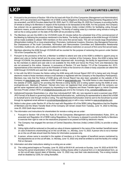- 4. Pursuant to the provisions of Section 108 of the Act read with Rule 20 of the Companies (Management and Administration) Rules, 2014 (as amended) and Regulation 44 of SEBI (Listing Obligations & Disclosure Requirements) Regulations 2015 (as amended), and MCA Circulars dated April 08, 2020, April 13, 2020 and May 05, 2020 the Company is providing facility of remote e-voting to its Members in respect of the business to be transacted at the AGM. For this purpose, the Company has entered into an agreement with Central Depository Services (India) Limited (CDSL) for facilitating voting through electronic means, as the authorized e-Voting's agency. The facility of casting votes by a member using remote e-voting as well as the e-voting system on the date of the AGM will be provided by CDSL.
- 5. The Members can join the AGM in the VC/OAVM mode 30 minutes before the scheduled time of the commencement of the Meeting by following the procedure mentioned in the Notice. The facility of participation at the AGM through VC/OAVM will be made available to atleast 1000 members on first come first served basis. This will not include large Shareholders (Shareholders holding 2% or more shareholding), Promoters, Institutional Investors, Directors, Key Managerial Personnel, the Chairpersons of the Audit Committee, Nomination and Remuneration Committee and Stakeholders Relationship Committee, Auditors etc. who are allowed to attend the AGM without restriction on account of first come first served basis.
- 6. Members attending the AGM through VC/OAVM will be counted for the purpose of reckoning the quorum under Section 103 of the Companies Act, 2013.
- 7. Pursuant to the provisions of the Act, a Member is entitled to attend and vote at the AGM is entitled to appoint proxy to attend and vote on his/her behalf and the proxy need not be a member of the Company. Since, this AGM is being held through VC/OAVM, the physical attendance has been dispensed with. Accordingly, the facility for appointment of proxies by the members to attend and cast vote is not available for this AGM and hence the Proxy Form and Attendance Slip are not annexed to this notice. However, in pursuance of Section 112 and Section 113 of the Companies Act, 2013, representatives of the members such as the President of India or the Governor of a State or body corporate can attend the AGM through VC/OAVM and cast their votes through e-voting.
- 8. In line with the MCA Circulars the Notice calling the AGM along with Annual Report 2021-22 is being sent only through electronic mode to those members whose e-mail address is registered with the Company or the Depository Participant(s). Members may note that the Notice of AGM along with Annual Report has also been uploaded on the website of the Company at www.lkpsec.com, websites of BSE Limited at www.bseindia.com. The AGM Notice is also disseminated on the website of CDSL (agency for providing the Remote e-voting facility and e-voting system during the AGM) at www. evotingindia.com. Members (Physical / Demat) who have not registered their email addresses with the company can get the same registered with the company by requesting to our Registrar and Share Transfer Agent i.e. Adroit Corporate Services Private Limited ('RTA') at info@adroitcorporate.com and to the Company at ho\_compliance@lkpsec.com.
- 9. Institutional/Corporate Shareholders (i.e. other than individuals/HUF, NRI, etc.) are required to send a scanned copy (PDF/ JPG Format) of its Board or governing body Resolution/Authorization etc., authorizing its representative to attend the e-AGM on its behalf and to vote through remote e-voting. The said Resolution/Authorization shall be sent to the Scrutinizer by email through its registered email address to scrutinizerlkpsec@gmail.com or with a copy marked to www.evotingindia.com.
- 10. Notice is also given under Section 91 of the Act read with Regulation 42 of the SEBI Listing Regulations that the Register of Members and the Share Transfer Book of the Company will remain closed from Tuesday, June 14, 2022 to Monday, June 20, 2022 (both days inclusive).
- 11. The information and instructions for shareholders for remote e-voting are as under:
	- I. Pursuant to Section 108 of the Act, Rule 20 of the Companies (Management and Administration) Rules, 2014, as amended and Regulation 44 of SEBI Listing Regulations, the Company is pleased to provide the facility to Members to exercise their right to vote on the resolutions proposed to be passed at AGM by electronic means.
	- II. The Company has engaged the services of Central Depository Services (India) Limited (CDSL) to provide e-voting facility.
	- III. Voting rights shall be reckoned on the paid-up value of shares registered in the name of the member/ beneficial owner (in case of electronic shareholding) as on the cut-off date, i.e., Monday, June 13, 2022. A person who is not a member as on the cut-off date should treat this Notice for information purposes only.
	- IV. A person, whose name is recorded in the register of members or in the register of beneficial owners maintained by the depositories as on the cut-off date, i.e. Monday, June 13, 2022 only shall be entitled to avail the facility of e-voting/ Poll on Demand.
- 12. Information and other instructions relating to e-voting are as under::
	- (i) The voting period begins on Thursday, June 16, 2022 at 09:00 A.M. and ends on Sunday, June 19, 2022 at 05:00 P.M. During this period shareholders' of the Company, holding shares either in physical form or in dematerialized form, as on the cut-off date (record date) of Monday, June 13, 2022 may cast their vote electronically. The e-voting module shall be disabled by CDSL for voting thereafter.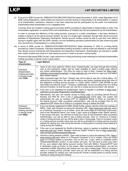(ii) Pursuant to SEBI Circular No. SEBI/HO/CFD/CMD/CIR/P/2020/242 dated December 9, 2020, under Regulation 44 of SEBI Listing Regulations, listed entities are required to provide remote e-voting facility to its shareholders, in respect of all shareholders' resolutions. However, it has been observed that the participation by the public non-institutional shareholders/retail shareholders is at a negligible level.

Currently, there are multiple e-voting service providers (ESPs) providing e-voting facility to listed entities in India. This necessitates registration on various ESPs and maintenance of multiple user IDs and passwords by the shareholders.

In order to increase the efficiency of the voting process, pursuant to a public consultation, it has been decided to enable e-voting to all the demat account holders, by way of a single login credential, through their demat accounts/ websites of Depositories/ Depository Participants. Demat account holders would be able to cast their vote without having to register again with the ESPs, thereby, not only facilitating seamless authentication but also enhancing ease and convenience of participating in e-voting process.

(iii) In terms of SEBI circular no. SEBI/HO/CFD/CMD/CIR/P/2020/242 dated December 9, 2020 on e-Voting facility provided by Listed Companies, Individual shareholders holding securities in demat mode are allowed to vote through their demat account maintained with Depositories and Depository Participants. Shareholders are advised to update their mobile number and email Id in their demat accounts in order to access e-Voting facility.

Pursuant to abovesaid SEBI Circular, Login method for e-Voting and joining virtual meetings for Individual shareholders holding securities in Demat mode is given below:

| Type of<br>shareholders                                                        | <b>Login Method</b>                                                                                                                                                                                                                                                                                                                                                                                                                                                                                                                                                                                                                                                                                                                                                                                                                                                                                    |
|--------------------------------------------------------------------------------|--------------------------------------------------------------------------------------------------------------------------------------------------------------------------------------------------------------------------------------------------------------------------------------------------------------------------------------------------------------------------------------------------------------------------------------------------------------------------------------------------------------------------------------------------------------------------------------------------------------------------------------------------------------------------------------------------------------------------------------------------------------------------------------------------------------------------------------------------------------------------------------------------------|
| Individual<br>Shareholders<br>holding securities<br>in Demat mode              | 1)<br>Users of who have opted for CDSL's Easi / Easiest facility, can login through their existing<br>user id and password. Option will be made available to reach e-Voting page without<br>any further authentication. The URLs for users to login to Easi / Easiest are https://web.<br>cdslindia.com/myeasi/home/login or www.cdslindia.com and click on Login icon and select<br>New System Myeasi.                                                                                                                                                                                                                                                                                                                                                                                                                                                                                                |
| with CDSL                                                                      | After successful login the Easi / Easiest user will be able to see the e-Voting Menu. On<br>2)<br>clicking the e-voting menu, the user will be able to see his/her holdings along with links of<br>the respective e-Voting service provider i.e. CDSL/ NSDL/ KARVY/ LINK INTIME as per<br>information provided by Issuer / Company. Additionally, we are providing links to e-Voting<br>Service Providers, so that the user can visit the e-Voting service providers' site directly.                                                                                                                                                                                                                                                                                                                                                                                                                   |
|                                                                                | If the user is not registered for Easi/Easiest, option to register is available at https://web.<br>3)<br>cdslindia.com/myeasi./Registration/ EasiRegistration                                                                                                                                                                                                                                                                                                                                                                                                                                                                                                                                                                                                                                                                                                                                          |
|                                                                                | Alternatively, the user can directly access e-Voting page by providing Demat Account<br>4)<br>Number and PAN No. from a link in www.cdslindia.com home page. The system will<br>authenticate the user by sending OTP on registered Mobile & Email as recorded in<br>the Demat Account. After successful authentication, user will be provided links for the<br>respective ESP where the e-Voting is in progress during or before the AGM.                                                                                                                                                                                                                                                                                                                                                                                                                                                              |
| Individual<br>Shareholders<br>holding securities<br>in demat mode<br>with NSDL | If you are already registered for NSDL IDeAS facility, please visit the e-Services website of<br>1)<br>NSDL. Open web browser by typing the following URL: https://eservices.nsdl.com either<br>on a Personal Computer or on a mobile. Once the home page of e-Services is launched,<br>click on the "Beneficial Owner" icon under "Login" which is available under 'IDeAS' section.<br>A new screen will open. You will have to enter your User ID and Password. After successful<br>authentication, you will be able to see e-Voting services. Click on "Access to e-Voting"<br>under e-Voting services and you will be able to see e-Voting page. Click on company name<br>or e-Voting service provider name and you will be re-directed to e-Voting service provider<br>website for casting your vote during the remote e-Voting period or joining virtual meeting &<br>voting during the meeting. |
|                                                                                | If the user is not registered for IDeAS e-Services, option to register is available at https://<br>2)<br>eservices.nsdl.com. Select "Register Online for IDeAS "Portal or click at https://eservices.<br>nsdl.com/SecureWeb/IdeasDirectReg.jsp                                                                                                                                                                                                                                                                                                                                                                                                                                                                                                                                                                                                                                                         |
|                                                                                | Visit the e-Voting website of NSDL. Open web browser by typing the following URL: https://<br>3)<br>www.evoting.nsdl.com/ either on a Personal Computer or on a mobile. Once the home<br>page of e-Voting system is launched, click on the icon "Login" which is available under<br>'Shareholder/Member' section. A new screen will open. You will have to enter your User<br>ID (i.e. your sixteen digit demat account number hold with NSDL), Password/OTP and<br>a Verification Code as shown on the screen. After successful authentication, you will be<br>redirected to NSDL Depository site wherein you can see e-Voting page. Click on company<br>name or e-Voting service provider name and you will be redirected to e-Voting service<br>provider website for casting your vote during the remote e-Voting period or joining virtual<br>meeting & voting during the meeting                  |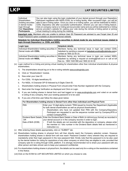Individual **Shareholders** (holding securities in demat mode) login through their **Depository Participants** You can also login using the login credentials of your demat account through your Depository Participant registered with NSDL/CDSL for e-Voting facility. After successful login, you will be able to see e-Voting option. Once you click on e-Voting option, you will be redirected to NSDL/ CDSL Depository site after successful authentication, wherein you can see e-Voting feature. Click on company name or e-Voting service provider name and you will be redirected to e-Voting service provider's website for casting your vote during the remote e-Voting period or joining virtual meeting & voting during the meeting.

**Important note:** Members who are unable to retrieve User ID/ Password are advised to use Forget User ID and Forget Password option available at abovementioned website.

#### **Helpdesk for Individual Shareholders holding securities in demat mode for any technical issues related to login through Depository i.e. CDSL and NSDL**

| Login type                  | <b>Helpdesk details</b>                                                                                      |
|-----------------------------|--------------------------------------------------------------------------------------------------------------|
|                             | Individual Shareholders holding securities in Members facing any technical issue in login can contact CDSL   |
| Demat mode with CDSL        | helpdesk by sending a request at helpdesk evoting@cdslindia.comor                                            |
|                             | contact at 1800 22 55 33.                                                                                    |
|                             | Individual Shareholders holding securities in   Members facing any technical issue in login can contact NSDL |
| Demat mode with <b>NSDL</b> | helpdesk by sending a request at evoting@nsdl.co.in or call at toll                                          |
|                             | free no.: 1800 1020 990 and 1800 22 44 30                                                                    |

(iv) Login method for e-Voting and joining virtual meeting for shareholders other than individual shareholders & physical shareholders.

- 1) The shareholders should log on to the e-voting website www.evotingindia.com.
- 2) Click on "Shareholders" module.
- 3) Now enter your User ID
- a. For CDSL: 16 digits beneficiary ID,
- b. For NSDL: 8 Character DP ID followed by 8 Digits Client ID,
- c. Shareholders holding shares in Physical Form should enter Folio Number registered with the Company.
- 4) Next enter the Image Verification as displayed and Click on Login.
- 5) If you are holding shares in demat form and had logged on to www.evotingindia.com and voted on an earlier e-voting of any company, then your existing password is to be used.
- 6) If you are a first-time user follow the steps given below:

| For Shareholders holding shares in Demat Form other than individual and Physical Form |                                                                                                                                                                                                                                                                                                                                                          |  |  |  |
|---------------------------------------------------------------------------------------|----------------------------------------------------------------------------------------------------------------------------------------------------------------------------------------------------------------------------------------------------------------------------------------------------------------------------------------------------------|--|--|--|
| <b>PAN</b>                                                                            | Enter your 10 digit alpha-numeric *PAN issued by Income Tax Department (Applicable<br>for both demat shareholders as well as physical shareholders)<br>Shareholders who have not updated their PAN with the Company/Depository<br>Participant are requested to use the sequence number sent by Company/RTA or<br>contact Company/RTA.                    |  |  |  |
| Dividend Bank Details  <br><b>OR</b><br>Date of Birth (DOB)                           | Enter the Dividend Bank Details or Date of Birth (in dd/mm/yyyy format) as recorded in<br>your demat account or in the company records in order to login.<br>If both the details are not recorded with the depository or company, please enter<br>the member id / folio number in the Dividend Bank details field as mentioned in<br>instruction $(v)$ . |  |  |  |

- (v) After entering these details appropriately, click on "SUBMIT" tab.
- (vi) Shareholders holding shares in physical form will then directly reach the Company selection screen. However, shareholders holding shares in demat form will now reach 'Password Creation' menu wherein they are required to mandatorily enter their login password in the new password field. Kindly note that this password is to be also used by the demat holders for voting for resolutions of any other company on which they are eligible to vote, provided that company opts for e-voting through CDSL platform. It is strongly recommended not to share your password with any other person and take utmost care to keep your password confidential.
- (vii) For shareholders holding shares in physical form, the details can be used only for e-voting on the resolutions contained in this Notice.
- (viii) Click on the EVSN for LKP SECURITIES LIMITED on which you choose to vote.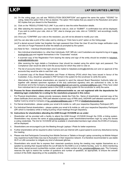- (ix) On the voting page, you will see "RESOLUTION DESCRIPTION" and against the same the option "YES/NO" for voting. Select the option YES or NO as desired. The option YES implies that you assent to the Resolution and option NO implies that you dissent to the Resolution.
- (x) Click on the "RESOLUTIONS FILE LINK" if you wish to view the entire Resolution details.
- (xi) After selecting the resolution, you have decided to vote on, click on "SUBMIT". A confirmation box will be displayed. If you wish to confirm your vote, click on "OK", else to change your vote, click on "CANCEL" and accordingly modify your vote.
- (xii) Once you "CONFIRM" your vote on the resolution, you will not be allowed to modify your vote.
- (xiii) You can also take a print of the votes cast by clicking on "Click here to print" option on the Voting page.
- (xiv)If a demat account holder has forgotten the login password then Enter the User ID and the image verification code and click on Forgot Password & enter the details as prompted by the system.
- (xv) Note for Non Individual Shareholders and Custodians
- Non-Individual shareholders (i.e. other than Individuals, HUF, NRI etc.) and Custodians are required to log on to www. evotingindia.com and register themselves in the "Corporates" module.
- A scanned copy of the Registration Form bearing the stamp and sign of the entity should be emailed to helpdesk. evoting@cdslindia.com.
- After receiving the login details a Compliance User should be created using the admin login and password. The Compliance User would be able to link the account(s) for which they wish to vote on.
- The list of accounts linked in the login should be mailed to helpdesk.evoting@cdslindia.com and on approval of the accounts they would be able to cast their vote.
- A scanned copy of the Board Resolution and Power of Attorney (POA) which they have issued in favour of the Custodian, if any, should be uploaded in PDF format in the system for the scrutinizer to verify the same.
- Alternatively Non Individual shareholders are required to send the relevant Board Resolution/ Authority letter etc. together with attested specimen signature of the duly authorized signatory who are authorized to vote, to the Scrutinizer and to the Company at scrutinizerlkpsec@gmail.com and ho\_compliance@lkpsec.com, if they have voted from individual tab & not uploaded same in the CDSL e-voting system for the scrutinizer to verify the same.

#### **13. Process for those shareholders whose email addresses/mobile no. are not registered with the depositories for obtaining login credentials for e-voting for the resolutions proposed in this notice:**

- i. For Physical shareholders please provide necessary details like Folio No., Name of shareholder, scanned copy of the share certificate (front and back), PAN (self attested scanned copy of PAN card), AADHAR (self attested scanned copy of Aadhar Card) by email to Company at ho compliance@lkpsec.com or RTA at info@adroitcorporate.com.
- ii. For Demat shareholders please update your email id & mobile no. with your respective Depository Participant (DP)
- iii. For Individual Demat shareholders please update your email id & mobile no. with your respective Depository Participant (DP) which is mandatory while e-Voting & joining virtual meetings through Depository.

#### **14. Instructions for shareholders attending the AGM through VC/OAVM are as under:**

- i. Shareholder will be provided with a facility to attend the AGM through VC/OAVM through the CDSL e-Voting system. Shareholders may access the same at www.evotingindia.com under shareholders/members login by using the remote e-voting credentials. The link for VC/OAVM will be available in shareholder/members login where the EVSN of Company will be displayed.
- ii. Shareholders are encouraged to join the Meeting through Laptops / IPads for better experience.
- iii. Further shareholders will be required to allow Camera and use Internet with a good speed to avoid any disturbance during the meeting.
- iv. Please note that Participants Connecting from Mobile Devices or Tablets or through Laptop connecting via Mobile Hotspot may experience Audio/Video loss due to fluctuation in their respective network. It is therefore recommended to use stable Wi-Fi or LAN connection to mitigate any kind of aforesaid glitches.
- v. Shareholders who would like to express their views/ask questions during the meeting may register themselves as a speaker by sending their request before the cut-off date for the AGM (i.e on or before Sunday, June 12, 2022) mentioning their name, demat account number/folio number, email id, mobile number at ho\_compliance@lkpsec.com. The Company reserves the right to restrict the number of questions and number of speakers, as appropriate, to ensure the smooth conduct of the AGM, depending on the availability of time.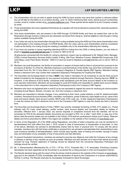- vi. The shareholders who do not wish to speak during the AGM but have queries may send their queries in advance before the cut-off date for the AGM (i.e on or before Sunday, June 12, 2022) mentioning their name, demat account number/folio number, email id, mobile number at ho\_compliance@lkpsec.com. These queries will be replied to by the Company suitably by email.
- vii. Those shareholders who have registered themselves as a speaker will only be allowed to express their views/ask questions during the AGM.
- viii. Only those shareholders, who are present in the AGM through VC/OAVM facility and have not casted their vote on the Resolutions through remote e-Voting and are otherwise not barred from doing so, shall be eligible to vote through e-Voting system available during the AGM.
- ix. If any Votes are cast by the shareholders through the e-voting available during the AGM and if the same shareholders have not participated in the meeting through VC/OAVM facility, then the votes cast by such shareholders shall be considered invalid as the facility of e-voting during the meeting is available only to the shareholders attending the meeting.
- 15. If you have any queries or issues regarding attending AGM & e-Voting from the CDSL e-Voting System, you can write an email to helpdesk.evoting@cdslindia.com or contact at 1800 22 55 33.

All grievances connected with the facility for voting by electronic means may be addressed to Mr. Rakesh Dalvi, Manager, (CDSL) Central Depository Services (India) Limited, A Wing, 25th Floor, Marathon Futurex, Mafatlal Mill Compounds, N M Joshi Marg, Lower Parel (East), Mumbai - 400013 or send an email to helpdesk.evoting@cdslindia.com or call on 1800 22 55 33.

- 16. Members can avail themselves, the facility of nomination in respect of shares held by them in physical form pursuant to the provisions of Section 72 of the Act. Members desiring to avail themselves of this facility may send their nominations in the prescribed Form No. SH-13 duly filled in to the Company's Registrar & Transfer Agents (R&T Agents). Members holding shares in electronic form may contact their respective Depository Participant(s) for availing this facility.
- 17. The Securities and Exchange Board of India ("**SEBI**") has made it mandatory for all companies to use the bank account details furnished by the Depositories for any payment (including dividend) through Electronic Clearing Service ("**ECS**") to investors. In the absence of ECS facility, companies shall mandatorily print the bank account details of the investors on such payment instruments. Members are encouraged to avail ECS facility and requested to update bank account details in the prescribed form to their respective Depository Participant(s) and/or the Company's R&T Agents.
- 18. Members who have not registered their e-mail ID so far are requested to register the same for receiving all communication including Annual Report, Notices, Circulars, etc. from the Company in electronic form.
- 19. Members are requested to intimate changes, if any, pertaining to their name, postal address, e-mail ID, telephone/mobile numbers, Permanent Account Number (PAN), mandates, nominations, power of attorney, bank details such as, name of the bank and branch details, bank account number, MICR code, IFSC code, etc., to their respective Depository Participant(s) in case the shares are held in electronic form and to the Company's R&T Agents in case the shares are held in physical form.
- 20. The Securities and Exchange Board of India ("SEBI") has recently mandated furnishing of PAN, KYC details (i.e., Postal Address with Pin Code, email address, mobile number, bank account details) and nomination details by holders of securities. Effective from 1 January 2022, any service requests or complaints received from the member, will not be processed by RTA till the aforesaid details/ documents are provided to RTA. On or after 1 April 2023, in case any of the above cited documents/ details are not available in the Folio(s), RTA shall be constrained to freeze such Folio(s). Relevant details and forms prescribed by SEBI in this regard are available on the website of the Company at www.lkpsec.com.
- 21. In terms of the Regulation 40 of the SEBI Listing Regulations, securities of listed companies can only be transferred in dematerialised form with effect from April 1, 2019, except in case of transmission or transposition of securities. In view of the above, Members are advised to dematerialise shares held by them in physical form. To comply with the above mandate, members who still hold share certificates in physical form are advised to dematerialise their shareholding to also avail numerous benefits of dematerialisation, which include easy liquidity, ease of trading and transfer, savings in stamp duty and elimination of any possibility of loss of documents and bad deliveries.
- 22. To prevent fraudulent transactions, members are advised to exercise due diligence and notify the Company of any change in address or demise of any member as soon as possible. Members are also advised not to leave their demat account(s) dormant for long. Periodic statement of holdings should be obtained from the concerned Depository Participant and holdings should be verified.
- 23. Mr. V. Ramachandran (Membership No. A-7731 / CP No. 4731), Proprietor M/s. V. R. Associates, Practicing Company Secretaries has been appointed as the Scrutiniser to scrutinise the e-voting process in a fair and transparent manner.
- 24. The Results declared along with the report of the Scrutiniser shall be placed on the website of the Company at www.lkpsec. com and on the website of CDSL immediately after the declaration of result by the Chairperson or a person authorised by him/her in writing. The Results shall also be immediately forwarded to Stock Exchanges.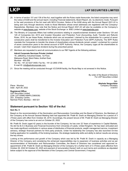- 25. In terms of section 101 and 136 of the Act, read together with the Rules made thereunder, the listed companies may send the notice of AGM and the annual report, including Financial statements, Board Report, etc. by electronic mode. Pursuant to the said provisions of the Act read with MCA Circulars, Notice of the AGM along with the Annual Report 2021-22 is being sent only through electronic mode to those Members whose email addresses are registered with the Company/ Depositories. Members may note that the Notice and Annual Report 2021-22 will also be available on the Company's website at www.lkpsec.com, website of the Stock Exchange i.e. BSE Limited at www.bseindia.com.
- 26. The Ministry of Corporate Affairs had notified provisions relating to unpaid/unclaimed dividend under Sections 124 and 125 of Companies Act, 2013 and Investor Education and Protection Fund (Accounting, Audit, Transfer and Refund) Rules, 2016. As per these Rules, dividends which are not encashed / claimed by the shareholder for a period of seven consecutive years shall be transferred to the Investor Education and Protection Fund (IEPF) Authority. The IEPF Rules mandate the Companies to transfer the shares of shareholders whose dividends remain unpaid / unclaimed for a period of seven consecutive years to the demat account of IEPF Authority. Hence, the Company urges all the shareholders to encash / claim their respective dividend during the prescribed period.
- 27. Members are requested to send all communications to our R&T Agents at the following address:

**Adroit Corporate Services Private Limited** 19, Jafferbhoy Industrial Estate, 1st Floor, Makwana Road, Marol Naka, Andheri East, Mumbai - 400 059 Tel. No.: +91 22 4227 0400; Fax No.: +91 22 2850 3748. E-mail ID: info@adroitcorporate.com

21. Since the meeting will be conducted through VC/OAVM facility, the Route Map is not annexed in this Notice.

By order of the Board of Directors For LKP Securities Limited

Place : Mumbai Date : April 29, 2022

#### **Registered Office:**

LKP Securities Limited (CIN: L67120MH1994PLC080039) 203 , Embassy Centre, Nariman Point, Mumbai – 400 021

#### **Statement pursuant to Section 102 of the Act**

#### **Item No. 5**

Based on the recommendation of the Nomination and Remuneration Committee and the Board of Directors, the Members of the Company at the Annual General Meeting held had appointed Mr. Pratik M. Doshi as Managing Director for a period of 3 (Three) years with effect from October 26, 2019. Accordingly, the present tenure of Mr. Pratik M. Doshi as Managing Director of the Company has come to an end on October 25, 2022.

Mr. Pratik M. Doshi (aged 42 years) is the founder of the Company; he has over 22 Years of experience in Capital Markets. He did his B.A in Business and Financial Economics from University of Leeds, United Kingdom. He has been entrusted and has made significant contribution in various areas of distribution of financial products, wealth management service, investment advisory, strategic financial partners for third party products. Under his leadership the Company has also launched On-line trading application for scalability of the broking business. His strategic leadership skills and ability to deliver results are among the key drivers.

Looking at the performance and growth of the Company which was led by Mr. Pratik M. Doshi in capacity as a Managing Director of the Company and considering the enhanced responsibilities due to expansion of business activities and as per recommendation of Nomination and Remuneration Committee, the Board of Directors has considered and approved reappointment of Mr. Pratik M. Doshi as Managing Director of the Company for a further term of 3 (Three) years effective from October 26, 2022 till October 25, 2025 and payment of remuneration thereof, both on such terms and conditions as stipulated below subject to the approval of the Members of the Company and Central Government, if required:

Sd/- **Akshata Vengurlekar** Company Secretary A 50701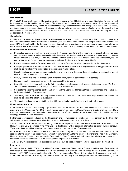

#### **Remuneration:**

Mr. Pratik M. Doshi shall be entitled to receive a minimum salary of Rs. 6,00,000 per month and is eligible for such annual increments, as may be decided by the Board of Directors of the Company on the recommendation of the Nomination and Remuneration Committee or any other Committee constituted by it from time to time. The base pay includes salary, allowances, reimbursements and retirement benefits. He would be allowed to fix various components of salary within the overall limit as stated in the act, and also to avail / encash the benefits in accordance with the schemes and rules of the Company for its staff as applicable from time to time.

#### **Commission:**

In addition, to the salary, Mr. Pratik M. Doshi shall be entitled to receive commission on net profit. The commission payable to him will be determined by the Board for each financial year. The overall remuneration including commission to him shall not exceed 5% of the net profit of the Company for each financial year or part thereof to be computed in the manner referred to under Section 197 of the Act and other applicable provisions thereof, or any statutory modification(s) or re-enactment thereof.

#### **Other Terms and Conditions:**

- a. Perquisites: Subject to overall ceiling as aforesaid, the Managing Director shall have liberty to opt for such other allowances, perquisites and incentive as he deems fit including house rent allowance, medical reimbursement, leave travel concession for self and family, club fees, use of Company cars and such other allowances, benefits, amenities and facilities, etc., as per the Company's Rules or as may be agreed to between the Board and the Managing Director.
- b. Reimbursement of Medical Expenses incurred by him for self and family subject to the ceiling of Rs.15,000/- p.a.
- c. Exempted perquisite: in addition to the perquisites referred above, he will also be eligible to the following perquisites, which shall not be included in the computation of the ceiling on remuneration.
- Contribution to provident fund, superannuation fund or annuity fund to the extent these either singly or put together are not taxable under the Income-tax Act, 1961;
- Gratuity payable at a rate not exceeding half a month's salary for each completed year of service;
- Reimbursement of expenses incurred for the business of the Company.
- d. Subject to the applicable provisions of the Act, perquisites and allowances shall be evaluated as per Income Tax Rules, 1962 wherever applicable and at cost, in the absence of any such Rule.
- e. Subject to the superintendence, control and direction of the Board, the Managing Director shall manage and conduct the business and affairs of the Company.
- f. The Managing Director of the Company shall be entitled to compensation for loss of office as provided under the Act and shall not be subject to retirement by rotation.
- g. The appointment can be terminated by giving 3 (Three) calendar months' notice in writing by either party.

#### **Minimum Remuneration:**

In the event of absence or inadequacy of profits calculated as per Section 198 read with Schedule V and other applicable provisions of the Companies Act, 2013 in any Financial Year(s) Mr. Pratik M. Doshi, Managing Director shall be entitled to a minimum remuneration comprising salary, perquisites and benefits as detailed above, except commission, subject to such other approvals as may be necessary

Furthermore, any recommendation by the Nomination and Remuneration Committee and consideration by the Board for subsequent revisions in the remuneration shall be within the limit and in accordance of the act.

A brief profile of Mr. Pratik M. Doshi, including nature of his expertise, as required under Regulation 36 of SEBI Listing Regulations and SS-2 is provided in the Annexure - I to this Notice. Further, additional information as required under Schedule V to the Act, is provided in the Annexure - II to this Notice and also forms part of the Statement.

Mr. Pratik M. Doshi, Mr. Mahendra V. Doshi and their relatives, if any, shall be deemed to be concerned or interested in the resolution to the extent of his appointment, payment of remuneration and to the extent of their shareholdings in the Company. None of the other Directors, Key Managerial Personnel(s) of the Company and their respective relatives are concerned or interested, financially or otherwise, in the passing of the proposed Resolution(s).

The Board of Directors recommends the resolution at Item No. 5 as Special Resolution for the approval by the Members.

#### **Item No. 6**

Mr. Sajid Mohamed (DIN: 06878433) is a Non-Executive Independent Director of the Company and Member of the Audit and Nomination & Remuneration Committee of the Board of Directors of the Company. He joined the Board of the Company on September 27, 2017. He was appointed as a Non-Executive Independent Director to hold office for five consecutive years for a term up to September 26, 2022, by the Shareholders of the Company in the Twenty-Fourth Annual General Meeting of the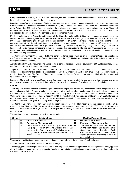Company held on August 24, 2018. Since, Mr. Mohamed, has completed one term as an Independent Director of the Company, he is eligible for re-appointment for the second term.

Based on the performance evaluation of Independent Directors and as per recommendation of Nomination and Remuneration Committee and in terms of the provisions of Sections 149, 150, 152 read with Schedule IV and any other applicable provisions of the Act and the SEBI Listing Regulations, given the background and experience and contribution made by Mr. Mohamed during his tenure, the Board considers that the continued association of Mr. Mohamed would be beneficial to the Company and it is desirable to continue to avail his services as an Independent Director.

Mr. Sajid Mohamed is an Advocate and Member of Bar Council of Maharashtra & Goa, he has extensive experience in the field of Law. He is the Managing Partner of Agrud Partners, Advocates & Solicitors (Erstwhile PDS & Associates). As a lawyer, Mr. Mohamed represents publicly and privately held companies, promoters and managements on growth, expansion and consolidation strategies through legal structuring of private equity, mergers and acquisitions, corporate and finance transactions. His practice also involves extensive experience in structuring, documenting and negotiating a broad range of corporate finance and capital raising transactions including corporate debt restructuring. He has both transactional and counseling background. Among his clients are technology and outsourcing model businesses, non-banking financial companies, biotech and manufacturing companies.

The Board confirms that Mr. Mohamed fulfils the conditions for re-appointment as an Independent Director as specified in the Companies Act, 2013, the rules framed thereunder and the SEBI Listing Regulations and that he is independent of the management of the Company.

A brief profile of Mr. Mohamed, including nature of his expertise, as required under Regulation 36 of SEBI Listing Regulations and SS-2 is provided in the Annexure - I to this Notice.

As per Section 149(10) of the Act, an Independent Director shall hold office for a term of five consecutive years and shall be eligible for re-appointment on passing a special resolution by the Company for another term of up to five consecutive years on the Board of a Company. The Board of Directors recommends the Special Resolution as set out in this Notice for the approval by the Members of the Company.

Except Mr. Mohamed, none of the Directors and Key Managerial Personnel(s) of the Company and their respective relatives are in anyway, concerned or interested, financially or otherwise, in the passing of the above proposed Resolution.

#### **Item No. 7**

The Company with the objective of rewarding and motivating employees for their long association and in recognition of their dedicated service to the Company and also to attract and retain the best talent, has been granting stock options pursuant to the approval of its members granted at the 23rd AGM held on May 24, 2017 which was further amended by the Members of the Company by way of postal ballot dated October 16, 2020, the result of which was declared on November 27, 2020. Rewarding employees with stock options aligns with the long term sustainable growth of the Company and ensures active participation by a team of motivated employees in ensuring its desired growth.

The Board of Directors of the Company upon the recommendations of the Nomination & Remuneration Committee at its meeting held on May 20, 2022 has approved variation/modification/amendment in terms of LKP ESOP 2017 in accordance with the provisions of the SEBI (Share Based Employee Benefits) Regulations, 2014 ("SEBI SBEB Regulations") and other applicable laws.

The details of the major variations in the Plan are as under:

| SI. No. | <b>Existing Clause</b> |                                                                                                        |      | <b>Modified/Amended Clause</b>             |
|---------|------------------------|--------------------------------------------------------------------------------------------------------|------|--------------------------------------------|
| 1.      | 11.                    | <b>ON EXERCISE PRICE</b>                                                                               | 11.  | <b>ON EXERCISE PRICE</b>                   |
|         | 11.1                   | <b>Exercise on Discounted Value</b>                                                                    | 11.1 | <b>Exercise on Discounted Value</b>        |
|         |                        | 11.1.1 The Exercise Price of the Vested Option shall be Rs. 11.1.1 The Exercise Price would be decided |      |                                            |
|         |                        | 7.00 (Rupees Seven only). The Exercise Price shall                                                     |      | at the Nomination and Remuneration         |
|         |                        | be paid to the Company in cash (including payment)                                                     |      | Committee's sole discretion.<br>Such       |
|         |                        | through normal banking channel) upon Exercise of the                                                   |      | exercise price will be intimated to the    |
|         |                        | Vested Options.                                                                                        |      | eligible employees at the time of grant of |
|         |                        |                                                                                                        |      | options to them.                           |

The variation/modification/amendment is not detrimental or prejudicial to the interests of the Employees.

All other terms of LKP ESOP 2017 shall remain unchanged.

Accordingly, pursuant to the provisions of the SEBI SBEB Regulation and other applicable rules and regulations, if any, approval of the Members is sought by way of a Special Resolution for variation/modification/amendment as specified herein above in the terms of LKP ESOP 2017.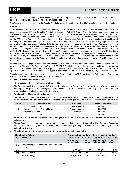None of the Directors, Key Managerial Personnel(s) of the Company and their respective relatives are concerned or interested, financially or otherwise, in the passing of the proposed Resolution.

The Board recommends passing of the Special Resolution as set forth at Item No. 7 of this Notice for approval of the Members.

#### **Item No. 8**

At the Meeting of the Board of Directors of the Company ("the Board") held on May 20, 2022, the Board had, pursuant to the provisions of Section 23(1)(b), 42 and 62 (1)(c) of the Companies Act, 2013 ("the Act") and the Rules framed there under, the Securities and Exchange Board of India (Issue of Capital and Disclosure Requirements) Regulations, 2018, ("SEBI ICDR Regulations"), the Securities and Exchange Board of India (Listing Obligation and Disclosure Requirements) Regulations, 2015 ("SEBI Listing Regulations") as amended, and the Rules/ Regulations/ Guidelines, if any, prescribed by Securities and Exchange Board of India and subject to the approval of members of the Company, BSE Limited ("BSE"), approved to issue and allot, on preferential basis, 59,88,023 (Fifty Nine Lakhs Eighty Eight Thousand and Twenty Three) Warrants, aggregating up to Rs. 10,00,00,000/- (Rupees Ten Crores only). Each warrant will be convertible into one equity share of face value of Rs. 2/-(Rupees Two only) each at an issue price of Rs. 16.70/- (Rupees Sixteen and Seventy Paise only) [inclusive of a premium of Rs. 14.70/- (Rupees Fourteen and Seventy Paise only)] at the option of the warrant holder within a period of 18 (Eighteen) months from the date of allotment on such term and conditions as may be decided by the Board including the terms of issues and to accept any modifications as SEBI, Stock Exchange or such other appropriate authorities may impose at the time of approvals and as agreed to by the Board without being required to seek any further consent or approval of the Members of the Company.

In terms of Section 23(1)(b), 62(1)(c) read with Section 42 of the Act and Rules made thereunder, and in accordance with the provisions of Chapter V "Preferential Issue" of the SEBI ICDR Regulations, and on the terms and conditions and formalities as stipulated in the Act and the SEBI ICDR Regulations, the Preferential Issue requires approval of the Members by way of a special resolution. The Board therefore, seeks approval of the Members as set out in the notice, by way of a special resolution.

The disclosures required to be made in accordance with Chapter V of the ICDR Regulations and Rule 13 of the Companies (Share Capital and Debenture) Rules, 2014, are set out below:

#### **1. Objects of the Preferential issue:**

The proceeds of the issue of Warrants will be used to:-

The Company shall utilise the proceeds from the preferential issue of Warrants to fund the long term capital requirement for the purpose of expansion, for working capital requirements, investment in technology and for general corporate purpose which shall enhance the business of the Company.

#### **2. Total number of Warrants to be issued:**

The Company proposes to issue and allot 59,88,023 (Fifty Nine Lakhs Eighty Eight Thousand and Twenty Three) Warrants to identified allottee's on a preferential basis in compliance with applicable provisions of SEBI ICDR Regulations as stated below:

| Sr. No. | <b>Name of Allottee</b>          | Category              | <b>Number of Warrants</b> |  |
|---------|----------------------------------|-----------------------|---------------------------|--|
|         | LKP Finance Limited              | <b>Promoter Group</b> | 29.94.011                 |  |
| ۷.      | Bhavana Holdings Private Limited | <b>Promoter Group</b> | 11.97.605                 |  |
|         | Mahendra V. Doshi                | Promoter              | 17.96.407                 |  |
|         | <b>TOTAL</b>                     |                       | 59,88,023                 |  |

#### **3. Intention of the promoters, directors or key managerial personnel of the Company to subscribe to the Preferential Allotment:**

The preferential issue of Warrants is being made to proposed Allottees as mentioned in Point No.(2) above. Except as mentioned at point No.(2), none of the Promoters, Directors or Key Managerial Personnel of the Company intend to subscribe to the Offer.

#### **4. The shareholding pattern before and after the preferential issue is given below:**

| <b>Shareholding Pattern</b> |                                             | <b>Pre Issue Shareholding</b>                 |                                | Post Issue shareholding*                      |                                |  |
|-----------------------------|---------------------------------------------|-----------------------------------------------|--------------------------------|-----------------------------------------------|--------------------------------|--|
| Sr.<br>no.                  | <b>Particulars</b>                          | No. of fully<br>paid up equity<br>shares held | % of total<br>no. of<br>shares | No. of fully<br>paid up equity<br>shares held | % of total<br>no. of<br>shares |  |
| (A)                         | Shareholding of Promoter and Promoter Group |                                               |                                |                                               |                                |  |
| 1)                          | Indian                                      |                                               |                                |                                               |                                |  |
| (a)                         | Individual                                  | 1,10,66,382                                   | 14.78                          | 1,28,62,789                                   | 15.91                          |  |
| (b)                         | <b>Bodies Corporate</b>                     | 4,13,57,688                                   | 55.26                          | 4,55,49,304                                   | 56.35                          |  |
|                             | Sub-Total (A)(1)                            | 5,24,24,070                                   | 70.04                          | 5,84,12,093                                   | 72.26                          |  |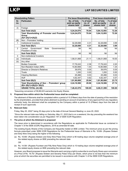|               | <b>Shareholding Pattern</b>                                                    | <b>Pre Issue Shareholding</b>                 |                                | Post Issue shareholding*                      |                                |  |
|---------------|--------------------------------------------------------------------------------|-----------------------------------------------|--------------------------------|-----------------------------------------------|--------------------------------|--|
| Sr.<br>no.    | <b>Particulars</b>                                                             | No. of fully<br>paid up equity<br>shares held | % of total<br>no. of<br>shares | No. of fully<br>paid up equity<br>shares held | % of total<br>no. of<br>shares |  |
| 2)            | Foreign                                                                        | Nil                                           | Nil                            | Nil                                           | Nil                            |  |
|               | Sub-Total (A)(2)                                                               | 5,24,24,070                                   | 70.04                          | 5,84,12,093                                   | 72.26                          |  |
|               | Total Shareholding of Promoter and Promoter<br>Group<br>$(A)=(A)(1)+(A)(2)$    | 5,24,24,070                                   | 70.04                          | 5,84,12,093                                   | 72.26                          |  |
| (B)           | Non - Promoters' holding                                                       |                                               |                                |                                               |                                |  |
| $\mathbf{1}$  | Institutional Investors                                                        | 32,28,698                                     | 4.31                           | 32,28,698                                     | 3.99                           |  |
|               | Sub-Total (B)(1)                                                               | 32,28,698                                     | 4.31                           | 32,28,698                                     | 3.99                           |  |
| $\mathcal{P}$ | Central<br>Government/<br><b>State</b><br>Government(s)/<br>President of India | Nil                                           | Nil                            | Nil                                           | Nil                            |  |
|               | Sub-Total (B)(2)                                                               | Nil                                           | Nil                            | Nil                                           | Nil                            |  |
| 3             | Non-institutional Investors                                                    |                                               |                                |                                               |                                |  |
| (a)           | Individuals                                                                    | 1,58,01,908                                   | 21.11                          | 1,58,01,908                                   | 19.55                          |  |
| (b)           | Any other                                                                      |                                               |                                |                                               |                                |  |
|               | <b>Bodies Corporate</b>                                                        | 17,79,243                                     | 2.38                           | 17,79,243                                     | 2.20                           |  |
|               | Non-Resident Indian (NRI)                                                      | 10,80,668                                     | 1.44                           | 10,80,668                                     | 1.34                           |  |
|               | Director or Director's Relatives                                               | 39,976                                        | 0.05                           | 39,976                                        | 0.05                           |  |
|               | <b>Trusts</b>                                                                  | 1.200                                         | 0.00                           | 1,200                                         | 0.00                           |  |
|               | <b>Clearing Members</b>                                                        | 25,466                                        | 0.03                           | 25,466                                        | 0.03                           |  |
|               | <b>HUF</b>                                                                     | 4,62,347                                      | 0.62                           | 4,62,347                                      | 0.57                           |  |
|               | Sub-Total (B)(3)                                                               | 1,91,90,808                                   | 25.64                          | 1,91,90,808                                   | 23.75                          |  |
|               | Total Shareholding of Non - Promoters' group<br>$(B)=(B)(1)+(B)(2)+(B)(3)$     | 2,24,19,506                                   | 29.96                          | 2,24,19,506                                   | 27.74                          |  |
|               | <b>GRAND TOTAL (A)+(B)</b>                                                     | 7,48,43,576                                   | 100.00                         | 8,08,31,599                                   | 100.00                         |  |

\*Assuming conversion of 59,88,023 warrants into Equity Shares.

#### **5. Proposed time within which the Preferential issue shall be completed:**

The allotment of Warrants shall be completed within a period of 15 (Fifteen) days from the date of passing of the resolution by the shareholders, provided that where allotment is pending on account of pendency of any approval from any regulatory authority/ body, the allotment shall be completed by the Company within a period of 15 (Fifteen) days from the date of receipt of such approvals.

#### **6. Relevant Date:**

Friday, May 20, 2022\* being 30 days prior to the date of Annual General Meeting i.e June 20, 2022.

*\*Since the relevant date was falling on Saturday, May 21, 2022 that is on a weekend, the day preceding the weekend has been taken into consideration as per Regulation 161 of SEBI ICDR Regulation.*

#### **7. The price at which the Allotment is proposed**

The issue price is determined in accordance with the Regulations as applicable for Preferential Issue as contained in Chapter V of the SEBI (ICDR) Regulations, 2018 as amended till date.

The existing Equity Shares of the Company are frequently traded on BSE Limited. The minimum price as per the pricing formula prescribed under SEBI ICDR Regulations for the Preferential Issue of Warrants is Rs. 16.69/- (Rupees Sixteen and Sixty Nine Only) being the higher of the following:

(a) Rs. 16.69/- (Rupees Sixteen and Sixty Nine Paise Only) which is 90 trading days volume weighted average price of the related equity shares on BSE preceding the relevant date

OR

(b) Rs. 14.59/- (Rupees Fourteen and Fifty Nine Paise Only) which is 10 trading days volume weighted average price of the related equity shares on BSE preceding the relevant date

However, your Board proposes to issue the Warrants each carrying a right to subscribe to one Equity Share upon conversion at a Price of Rs. 16.70/- (Rupees Sixteen and Seventy Paise Only) per Share, which price is not less than the minimum price at which the securities are permitted to be issued in accordance with Chapter V of the SEBI ICDR Regulations.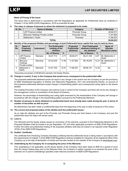#### **Basis of Pricing of the issue:**

The issue price is determined in accordance with the Regulations as applicable for Preferential Issue as contained in Chapter V of the SEBI (ICDR) Regulations, 2018 as amended till date.

#### **8. The class or classes of persons to whom the allotment is proposed to be made:**

| Sr. No. | <b>Name of Allottee</b>          | Category              | <b>Number of Warrants</b> |  |
|---------|----------------------------------|-----------------------|---------------------------|--|
|         | LKP Finance Limited              | <b>Promoter Group</b> | 29,94,011                 |  |
| 2.      | Bhavana Holdings Private Limited | <b>Promoter Group</b> | 11.97.605                 |  |
| ঽ       | Mahendra V. Doshi                | Promoter              | 17.96.407                 |  |
|         | <b>TOTAL</b>                     | 59,88,023             |                           |  |

#### **9. Identity of the proposed Allottee and percentage of post Preferential Issue capital that may be held by them:**

| Sr.                   | Name of                                              |                   | <b>Pre Preferential</b><br><b>Proposed</b> |       | <b>Post Preferential</b>         |                                        | Name of |                                            |
|-----------------------|------------------------------------------------------|-------------------|--------------------------------------------|-------|----------------------------------|----------------------------------------|---------|--------------------------------------------|
| <b>No</b>             | <b>Proposed</b><br>allottee(s)                       | <b>Instrument</b> | holding of the<br>allottees                |       | <b>Preferential</b><br>allotment | allotment holding of<br>the allottees* |         | <b>Ultimate</b><br><b>Beneficial owner</b> |
|                       |                                                      |                   | <b>No. of Shares</b>                       | $\%$  |                                  | <b>No. of Shares</b>                   | $\%$    |                                            |
| $\mathbf{1}$          | <b>LKP Finance</b><br>Limited                        | Warrants          | 35.27.714                                  | 4.71  | 29.94.011                        | 65,21,725                              | 8.07    | Mr. Mahendra V.<br>Doshi                   |
| $\mathcal{P}_{\cdot}$ | Bhavana<br><b>Holdings</b><br><b>Private Limited</b> | Warrants          | 87.22.030                                  | 11.65 | 11,97,605                        | 99,19,635                              | 12.27   | Mr. Mahendra V.<br>Doshi                   |
| 3.                    | Mahendra V.<br>Doshi                                 | Warrants          | 81,61,700                                  | 10.91 | 17,96,407                        | 99,58,107                              | 12.32   | <b>NA</b>                                  |

\*Assuming conversion of 59,88,023 warrants into Equity Shares.

#### **10. Change in control, if any, in the Company that would occur consequent to the preferential offer:**

The proposed preferential allotment would not result in any change in the control over the Company as per the provisions of SEBI (Substantial Acquisition of Shares and Takeovers) Regulations, 2011 and amendments thereto, on account of this proposed preferential allotment except change in shareholding pattern and consequential voting rights on the shares allotted.

The existing Promoters of the Company will continue to be in control of the Company and there will not be any change in the management control or constitution of the Board of Directors.

However, the percentage of shareholding and voting rights exercised by the shareholders of the Company will change in accordance with the change in the shareholding pattern pursuant to the Preferential Allotment.

#### **11. Number of persons to whom allotment on preferential basis have already been made during the year, in terms of number of securities as well as price:**

No allotment(s) has been made on preferential basis from the beginning of the year to date of issuance of this notice.

#### **12. The current and proposed status of the allottee post the preferential issues:-**

As on date the allottees are part of the Promoter and Promoter Group and hold shares in the Company and post the preferential issue the status will remain same.

#### **13. Lock in:**

The Warrants and the Equity shares issued on conversion of the warrants, pursuant to this Preferential Allotment to the Proposed Allottees shall be locked-in as per Regulation 167 and other applicable provisions of SEBI ICDR Regulations. Further the entire pre-preferential holding of the proposed allottees shall also be locked in as required under Regulation 167(6) of the SEBI ICDR Regulations.

#### **14. Auditor' Certificate:**

The certificate from Practicing Company Secretary certifying that the preferential issue is being made in accordance with the requirements of Chapter V of the SEBI ICDR Regulations shall be available for inspection at the registered office of the Company up to the date of declaration of results and has also hosted on the website of the Company at www.lkpsec.com.

#### **15. Undertaking by the Company for re-computing the price of the Warrants:**

This undertaking is not applicable, as the Equity Shares of the Company have been listed on BSE for a period of more than 90 (ninety) trading days prior to the Relevant Date, the Company is neither required to re-compute the price of the warrants nor to submit undertakings specified under relevant provisions of SEBI ICDR Regulations.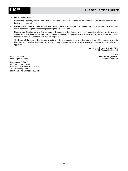#### **16. Other disclosures:**

- Neither the Company nor its Promoters or Directors have been declared as Willful Defaulter, fraudulent borrower or a fugitive economic offender.
- Neither the Proposed Allottees nor the persons belonging to the Promoter / Promoter group of the Company have sold any equity shares during the six months preceding the Relevant Date.

None of the Directors or any Key Managerial Personnel of the Company or their respective relatives are in anyway, concerned or interested, either directly or indirectly in passing of the said Resolution, save and except to the extent of their respective interest as shareholders of the Company.

The Board of Directors of the Company believe that the proposed issue is in the best interest of the Company and its Members and therefore recommends the Special Resolution as set out in Item No. 08 in the accompanying notice for your approval.

> By order of the Board of Directors For LKP Securities Limited

Place : Mumbai Date : April 29, 2022

Sd/- **Akshata Vengurlekar** Company Secretary

#### **Registered Office:** LKP Securities Limited

(CIN: L67120MH1994PLC080039) 203 , Embassy Centre, Nariman Point, Mumbai – 400 021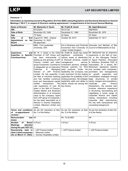#### **Annexure - I**

**Information as required pursuant to Regulation 36 of the SEBI Listing Regulations and Secretarial Standard on General Meetings ("SS-2"), in respect of Directors seeking appointment / re-appointment at the Annual General Meeting:**

| <b>Name of Director</b>                                        | Mr. Mahendra V. Doshi                                            | Mr. Pratik M. Doshi                                       | Mr. Sajid Mohamed                                              |
|----------------------------------------------------------------|------------------------------------------------------------------|-----------------------------------------------------------|----------------------------------------------------------------|
| <b>DIN</b>                                                     | 00123243                                                         | 00131122                                                  | 06878433                                                       |
| Date of Birth                                                  | November 29, 1949                                                | December 01, 1980                                         | November 09, 1979                                              |
| Age                                                            | 72 Years                                                         | 42 Years                                                  | 43 Years                                                       |
| <b>Date</b><br>οf<br>first                                     | August 03, 1994 - Original                                       | October 26, 2010                                          | September 27, 2017                                             |
| Appointment on the                                             | December 14, 2020 -                                              |                                                           |                                                                |
| <b>Board</b>                                                   | Re-appointed                                                     |                                                           |                                                                |
| Qualifications                                                 | MBA - Fort Lauderdale                                            | <b>B.A</b> in Business and Financial                      | Advocate and Member of Bar                                     |
|                                                                | University, USA                                                  | Economics from University of                              | Council of Maharashtra & Goa                                   |
|                                                                |                                                                  | Leeds, United Kingdom                                     |                                                                |
| <b>Experience</b><br>and l                                     | Mr. M. V. Doshi is the Chief                                     | Mr. Pratik M. Doshi has made                              | Mr. Mohamed has an extensive                                   |
| Expertise in Specific                                          | Promoter of LKP Group and                                        | significant<br>contribution<br>in.                        | experience in the field of Law.                                |
| <b>Functional Area</b>                                         | has been instrumental in                                         |                                                           | various areas of distribution $ He$ is the Managing Partner    |
|                                                                | setting-up and growing of LKP                                    | of financial products, wealth                             | of Agrud Partners, Advocates                                   |
|                                                                | Finance Limited and other                                        | management<br>service,                                    | & Solicitors (Erstwhile PDS &                                  |
|                                                                | group Companies. Currently he                                    | investment advisory, strategic                            | Associates). As a lawyer, Mr.                                  |
|                                                                | is designated as an Executive<br>&<br>Chairman<br>Managing       | financial partners for third<br>party products. Under his | Mohamed represents publicly<br>and privately held companies,   |
|                                                                | Director of LKP<br>Finance                                       | leadership the Company has                                | promoters and managements                                      |
|                                                                | Limited. He has expertise in                                     | also launched On-line trading                             | on growth, expansion and                                       |
|                                                                | the field of merchant banking                                    | application for scalability of the                        | consolidation strategies through                               |
|                                                                | and has handled numerous                                         | broking business. His strategic                           | legal structuring of private                                   |
|                                                                | local and International capital                                  | leadership skills and ability to                          | equity, mergers and acquisitions,                              |
|                                                                | market<br>transactions.<br>His                                   | deliver results are among the                             | corporate<br>and<br>finance                                    |
|                                                                | vast experience of over 46                                       | key drivers.                                              | transactions. His practice also                                |
|                                                                | years in the field of Finance,                                   |                                                           | involves extensive experience                                  |
|                                                                | Capital Market and Business                                      |                                                           | in structuring, documenting and                                |
|                                                                | Administration is of immense                                     |                                                           | negotiating a broad range of                                   |
|                                                                | value to the Company. Apart                                      |                                                           | corporate finance and capital                                  |
|                                                                | from LKP group of companies,                                     |                                                           | raising transactions including                                 |
|                                                                | he has been associated as a                                      |                                                           | corporate debt restructuring.<br>He has both transactional and |
|                                                                | Director in Graviss Hospitality<br>Limited, Nilkamal Limited and |                                                           | counseling background.                                         |
|                                                                | more.                                                            |                                                           |                                                                |
|                                                                | <b>Terms and conditions</b> As per the resolution at Item        | As per the resolution at Item                             | As per the resolution at Item No.                              |
| of re-appointment $/ $                                         | No. 3 of the Notice.                                             | No. 5 of the Notice.                                      | 6 of the Notice.                                               |
| revision                                                       |                                                                  |                                                           |                                                                |
| last   Nil<br><b>Remuneration</b>                              |                                                                  | Rs. 72,54,060/-                                           | Nil                                                            |
| drawn                                                          |                                                                  |                                                           |                                                                |
| <b>Number</b><br>of                                            | <b>Board</b> $4$ (Four)                                          | 4 (Four)                                                  | 4 (Four)                                                       |
| <b>Meetings</b><br>attended                                    |                                                                  |                                                           |                                                                |
| during the year 2021-22                                        |                                                                  |                                                           |                                                                |
| <b>Directorship</b> held $\text{in} \cdot$ LKP Finance limited |                                                                  | • LKP Finance limited                                     | • LKP Finance limited                                          |
| other Listed companies   • Nilkamal Limited                    |                                                                  |                                                           |                                                                |
|                                                                | (As on March 31, 2022)   Graviss Hospitality Limited             |                                                           |                                                                |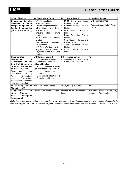| <b>KP</b>                                                                                                                                                                                                                                                                            |                                                                                                                                                                                                                                                                                                                                                                                                    |                                                                                                                                                                                                                                                                                                                              | <b>LKP SECURITIES LIMITE</b>                                         |
|--------------------------------------------------------------------------------------------------------------------------------------------------------------------------------------------------------------------------------------------------------------------------------------|----------------------------------------------------------------------------------------------------------------------------------------------------------------------------------------------------------------------------------------------------------------------------------------------------------------------------------------------------------------------------------------------------|------------------------------------------------------------------------------------------------------------------------------------------------------------------------------------------------------------------------------------------------------------------------------------------------------------------------------|----------------------------------------------------------------------|
| <b>Name of Director</b>                                                                                                                                                                                                                                                              | Mr. Mahendra V. Doshi                                                                                                                                                                                                                                                                                                                                                                              | Mr. Pratik M. Doshi                                                                                                                                                                                                                                                                                                          | Mr. Sajid Mohamed                                                    |
| Directorship in other   • LKP Finance Limited<br>Companies (excluding   • Nilkamal Limited<br>(As on March 31, 2022)                                                                                                                                                                 | <b>foreign</b> companies $\& \cdot \& \cdot$ Graviss Hospitality Limited<br>Section 8 companies) • MKM Share and Stock<br><b>Brokers Limited</b><br>• Bhavana Holdings Private<br>Limited<br>• Peak Plastonics<br>Private<br>Limited<br>• Sea Glimpse Investment<br><b>Private Limited</b><br>• LKP Wealth Advisory Limited  <br>• Raymond Apparel Limited<br>• Raymond Consumer Care<br>Limited   | MKM Share and Stock<br><b>Brokers Limited</b><br>Bhavana Holdings Private<br>$\bullet$<br>Limited<br><b>LKP</b><br>Wealth<br>Advisory<br>I imited<br>Peak Plastonics Private<br>Limited<br>Sea Glimpse Investment<br><b>Private Limited</b><br>Alpha Commodity Private<br>Limited<br>• Astro<br>Sports<br>Private<br>Limited | • LKP Finance limited<br>• Agrud Advisors (India) Private<br>Limited |
| Chairmanship<br>Membership<br><b>Committees</b><br>οf<br>the<br>Board of Directors of<br>on March 31, 2022)<br>[Membership<br>Chairmanship of only<br>Committees $\cdot$<br>Audit<br>Stakeholders'<br>and<br><b>Relationship Committees</b><br>have been included]<br>March 31, 2022 | <b>LKP Finance Limited</b><br>Stakeholders' Relationship<br>of ∣∙<br>Committee - Member.<br><b>Nilkamal Limited</b><br>other Companies $(As \,   \, \cdot \, \text{Audit Committee} - \text{Member})$<br><b>Graviss Hospitality Limited</b><br>Committee<br>and   • Audit<br>Chairman<br>Stakeholders' Relationship<br>Committee - Member.<br><b>Shareholding as on</b> $ 81,61,700$ Equity Shares | <b>LKP Finance Limited</b><br>Stakeholders' Relationship<br>Committee - Member<br>16,04,332 Equity Shares                                                                                                                                                                                                                    | Nil<br>Nil                                                           |
| Relationship<br>with $ $<br><b>Directors</b><br>other<br>$\prime$<br>Key<br><b>Managerial</b><br>Personnel(s)                                                                                                                                                                        | Related to Mr. Pratik M. Doshi.                                                                                                                                                                                                                                                                                                                                                                    | Related to Mr. Mahendra V.<br>Doshi.                                                                                                                                                                                                                                                                                         | Not related to any Director / Key<br>Managerial Personnel(s).        |

*Note: For further details related to remuneration drawn and proposed, directorship / committee membership, please refer to Directors' Report, Corporate Governance Report forming part of the Annual Report and the resolutions proposed in the Notice.*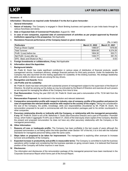#### **Annexure - II**

**Information / Disclosure as required under Schedule V to the Act is given hereunder:**

- **I. General Information**
- 1. **Nature of Industry:** The Company is engaged in Stock Broking business and operates on pan India basis through its various franchises and stores.
- 2. **Date or Expected Date of Commercial Production:** August 03, 1994
- 3. **In case of new companies, expected date of commencement of activities as per project approved by financial institutions appearing in the prospectus:** Not Applicable
- 4. **Standalone financial performance of the Company based on given indicators:**

|                                  |                       | (Rs. in lakh)         |
|----------------------------------|-----------------------|-----------------------|
| <b>Particulars</b>               | <b>March 31, 2022</b> | <b>March 31, 2021</b> |
| Paid-up Share Capital            | 1496.87               | 1478.69               |
| <b>Total Turnover</b>            | 9264.69               | 8,374.29              |
| Profit / (Loss) before tax       | 1804.30               | 553.71                |
| Net Profit / (Loss) after tax    | 1330.77               | 391.70                |
| EPS - Basic and Diluted (in Rs.) | 1.79                  | 0.53                  |

5. **Foreign Investments or collaborations, if any:** Not Applicable

#### **II. Information about the Appointee:**

#### 1. **Background details:**

Mr. Pratik M. Doshi has made significant contribution in various areas of distribution of financial products, wealth management service, investment advisory, strategic financial partners for third party products. Under his leadership the Company has also launched On-line trading application for scalability of the broking business. His strategic leadership skills and ability to deliver results are among the key drivers.

#### 2. **Recognition and Awards:** None

#### 3. **Job Profile and his suitability:**

Mr. Pratik M. Doshi has been entrusted with substantial powers of management subject to the supervision of the Board of Directors. He shall be carrying out his duties as may be entrusted by the Board of Directors and exercise all such powers as are required for managing the affairs of the Company from time to time.

- 4. **Past Remuneration:** During the year 2021-22, Mr. Pratik M. Doshi was paid a remuneration of Rs. 72.54 lakh from the Company
- 5. **Remuneration Proposed:** As mentioned in the resolution and relevant statement.
- 6. **Comparative remuneration profile with respect to industry, size of company, profile of the position and person (in case of expatriates the relevant details would be with respect to the country of his origin):** Taking into consideration the size of the Company, the profile, knowledge, skills and responsibilities shouldered by Mr. Pratik M. Doshi, the remuneration proposed to be paid is commensurate with the remuneration packages paid to his similar counterparts in other companies.
- 7. **Pecuniary relationship directly or indirectly with the Company, or relationship with the managerial personnel(s), if any:** Mr. Pratik M. Doshi is son of Mr. Mahendra V. Doshi (Non-Executive Director) and a part of Promoters / Promoter Group, which holds in aggregate 70.04% (as on March 31, 2022) of the total equity share capital of the Company. Besides the present and proposed remuneration he does not have any other pecuniary relationship with the Company or the managerial personnel(s).
- **III. Other Information:**
- 1. **Reasons of Loss or inadequate profits:** The Company has been profitable in the last couple of years although the proposed remuneration is not falling within the limits specified under Section 197 of the Act, it is in line with the Industrial Standards for managerial personnel falling under the same cadre.
- 2. **Steps taken or proposed to be taken for improvement:** The management is exploring other avenues to increase turnover and profitability of the Company.
- 3. **Expected increase in productivity and profits in measurable terms:** The Company is committed to build the business operations within budget and considering that the business operates on going concern basis, it is believed that financial position of the Company will further improve in near future.
- **IV. Disclosures:**

The information and disclosures of the remuneration package of the managerial personnel have been mentioned in the Corporate Governance Report which forms part of the Annual Report.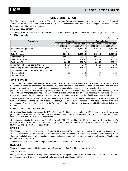$(D<sub>n</sub> - i<sub>n</sub> \mid n \neq s)$ 

# **DIRECTORS' REPORT**

Your Directors are pleased to present the Twenty-Eight Annual Report of the Company together with the Audited Financial Statements for the financial year ended March 31, 2022. The consolidated performance of the Company and its subsidiaries has been referred to wherever required.

#### **FINANCIAL HIGHLIGHTS**

A summary of the Consolidated and Standalone financial performance of your Company, for the financial year ended March 31, 2022, is as under:

|                                                   |                                  |                                  |                                  | (RS. III 1808)                   |  |
|---------------------------------------------------|----------------------------------|----------------------------------|----------------------------------|----------------------------------|--|
| <b>Particulars</b>                                | <b>Standalone</b>                |                                  | <b>Consolidated</b>              |                                  |  |
|                                                   | <b>Financial Year</b><br>2021-22 | <b>Financial Year</b><br>2020-21 | <b>Financial Year</b><br>2021-22 | <b>Financial Year</b><br>2020-21 |  |
| Revenue from Operations                           | 9264.69                          | 8,374.29                         | 9358.44                          | 8,452.90                         |  |
| Other Income                                      | 76.05                            | 65.16                            | 76.05                            | 65.16                            |  |
| <b>Total Revenue</b>                              | 9340.74                          | 8,439.45                         | 9434.49                          | 8,518.06                         |  |
| Profit before Tax                                 | 1804.30                          | 553.71                           | 1825.02                          | 561.56                           |  |
| Less: Tax expense                                 | 473.53                           | 162.01                           | 478.29                           | 164.44                           |  |
| <b>Profit after Tax</b>                           | 1330.77                          | 391.70                           | 1346.73                          | 397.12                           |  |
| Other Comprehensive loss for the year             | 27.94                            | 6.53                             | 27.96                            | 6.53                             |  |
| Total Comprehensive Income for the year           | 1358.71                          | 398.23                           | 1374.69                          | 403.66                           |  |
| Earnings per share on equity shares of Rs. 2 each |                                  |                                  |                                  |                                  |  |
| - Basic (in Rs.)                                  | 1.79                             | 0.53                             | 1.81                             | 0.54                             |  |
| - Diluted (in Rs.)                                | 1.79                             | 0.53                             | 1.81                             | 0.54                             |  |

#### **COVID-19 IMPACT**

The COVID-19 pandemic has emerged as a global challenge, creating disruption across the world. Global solutions are needed to overcome the challenges – businesses & business models have transformed to create a new work order. The swift transition to remote working was facilitated by the Company. As capital markets services were declared as essential services, your Company continued its operations by strictly adhering to the minimal staff strength requirement and maintaining social distancing and other precautions as per the Government directions. Physical and emotional wellbeing of employees continues to be a top priority for the Company, with several initiatives to support employees and their families during the pandemic.

The management has, at the time of approving the financial statements, assessed the potential impact of the Covid-19 on the Company. Barring any future Covid-19 related escalations, based on the current assessment, the management is of the view that impact of Covid-19 on the operations of the Company and the carrying value of its assets and liabilities is not likely to be material.

#### **STATE OF THE COMPANY'S AFFAIRS**

On a consolidated basis, the revenue for FY 2021-22 was Rs. 9358.44 lacs, higher by 10.71% percent over the previous year's revenue of Rs.8,452.90 lacs. The profit after tax (PAT) attributable to shareholders for FY 2021-22 and FY 2020-21 was Rs.1346.73 lacs and Rs.397.12 lacs, respectively.

On a standalone basis, the revenue for FY 2021-22 was Rs.9264.69 lacs, higher by 10.63% percent over the previous year's revenue of Rs.8,374.29 lacs. The profit after tax (PAT) attributable to shareholders for FY 2021-22 and FY 2020-21 was Rs.1330.77 and Rs.391.70 lacs, respectively.

#### **DIVIDEND**

Your Directors are pleased to recommend a Dividend of Rs. 0.30/- (15%) per equity share of Rs. 2/- each for the financial year 2021-22, which is subject to consideration and approval of the Shareholders at the ensuing Annual General Meeting of the Company, and shall be paid within the statutory period to those members whose names appear in the Register of Members as on the date of book closure.

The total outflow on account of the proposed dividend shall amount to Rs. 224.53 lakhs.

#### **RESERVES**

There is no amount proposed to be transferred to Reserves out of profits of the financial year 2021-22.

#### **SHARE CAPITAL**

During year under review, the Company has allotted 9,08,840 equity shares of Rs. 2/- each pursuant to exercise of stock options under the LKP Securities Limited's Employees' Stock Option Scheme 2017.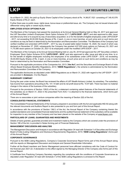As at March 31, 2022, the paid-up Equity Share Capital of the Company stood at Rs. 14,96,87,152/- consisting of 7,48,43,576 Equity Shares of Rs.2/- each.

Further there was no public issue, rights issue, bonus issue or preferential issue, etc. The Company has not issued shares with differential voting rights or sweat equity shares.

#### **EMPLOYEES STOCK OPTIONS PLAN**

The Members of the Company had passed the resolutions at its Annual General Meeting held on May 24, 2017 and approved the LKP Securities Limited's Employees' Stock Option Scheme 2017 ("**LKPS ESOP - 2017**") and also approved to offer, issue and allot at any time or to acquire by way of secondary acquisition, to or for the benefit of eligible employees under LKPS ESOP - 2017, not exceeding 50,00,000 Equity Shares of Rs. 2 each, in one or more tranches, at such price and on such terms and conditions as may be fixed or determined by the Nomination and Remuneration Committee. The Members of the Company had verified modified and amended LKPS ESOP – 2017 by way of postal ballot dated October 16, 2020, the result of which was declared on November 27, 2020, subsequently the Company has granted 4,67,000 stock options on February 03, 2021 and 11,75,580 stock options on October 25, 2021 to its employees under the modified LKPS ESOP – 2017 .

The Members of the Company at its Annual General Meeting held on July 05, 2019 had approved the LKP Securities Limited's Employees' Stock Option Scheme 2019 ("**LKPS ESOP - 2019**") and also approved to offer, issue and allot at any time, to or for the benefit of eligible employees including the employees of its subsidiaries under LKPS ESOP - 2019, not exceeding 35,00,000 Equity Shares of Rs. 2 each, in one or more tranches, at such price and on such terms and conditions as may be fixed or determined by the Nomination and Remuneration Committee.

Pursuant to the applicable provisions of the Companies Act, 2013 ("**the Act**") and the Securities and Exchange Board of India (Share Based Employee Benefits) Regulations, 2014 ("**SBEB Regulations**"), the scheme is administered by the Nomination and Remuneration Committee of the Company.

The applicable disclosures as stipulated under SBEB Regulations as on March 31, 2022 with regard to the LKP ESOP – 2017 are provided in **Annexure - I** to this Report.

#### **SUBSIDIARY COMPANY**

During the year under review, the Board has reviewed the affairs of LKP Wealth Advisory Limited, its subsidiary. The subsidiary has income from operations amounting to Rs. 141.14 lakh and its net profit stood at Rs. 15.97 lakh. There has been no material change in the nature of the business of the subsidiary.

Pursuant to the provisions of Section 129(3) of the Act, a statement containing salient features of the financial statements of the subsidiary as on March 31, 2022 in the prescribed Form AOC-1 is attached to the financial statements, which forms part of this Annual Report.

There are no associates or joint venture companies within the meaning of Section 2(6) of the Act.

#### **CONSOLIDATED FINANCIAL STATEMENTS**

The Consolidated Financial Statements of the Company prepared in accordance with the Act and applicable IND AS along with the relevant documents and Auditors Report is also presented to you and form part of this Annual Report.

In accordance with the provisions of Section 136(1) of the Act, the Annual Report of the Company containing therein the audited standalone and consolidated financial statements and the audited financial statement of the subsidiary will be available for inspection to any member of the Company and has been placed on the website of the Company at www.lkpsec.com.

#### **PARTICULARS OF LOANS, GUARANTEES AND INVESTMENTS**

Details of loans granted, guarantee provided and investment made by the Company which are covered under the provisions of Section 186 of the Act, is provided in Notes forming part of Financial Statements.

#### **MANAGEMENT DISCUSSION AND ANALYSIS**

The Management Discussion and Analysis in accordance with Regulation 34 read with Schedule V of Securities and Exchange Board of India (Listing Obligations and Disclosure Requirements) Regulations, 2015 ("**SEBI Listing Regulations**") forms part of this Annual Report.

#### **CORPORATE GOVERNANCE**

Pursuant to the SEBI Listing Regulations, Company's Corporate Governance Report forms part of this Annual Report along with the reports on Management Discussion and Analysis and General Shareholder Information.

Further all the Board members and Senior Management personnel have affirmed compliance with the Code of Conduct for the financial year 2021-22. A declaration to this effect signed by the Managing Director of the Company also forms part of this Annual Report.

A Certificate from Practicing Company Secretary regarding the compliance with the conditions of Corporate Governance as stipulated under Regulation 34 read with Schedule V of the SEBI Listing Regulations is annexed to this Report.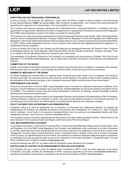#### **DIRECTORS AND KEY MANAGERIAL PERSONNEL(S)**

In terms of Section 152 of the Act, Mr. Mahendra V. Doshi (DIN: 00123243) is liable to retire by rotation at the forthcoming Annual General Meeting ("**AGM**") and being eligible, offers himself for re-appointment. Your Directors have recommended his appointment for approval of the shareholders, in the ensuing AGM of your Company.

The Company has received necessary disclosures and confirmations from concerned Director(s) in connection with their appointment / re-appointment. Additional information on appointment / re-appointment of Directors as required under Regulation 36 of SEBI Listing Regulations is given in the Notice convening the ensuing AGM.

The Company has received necessary declarations from all the Independent Directors under Section 149(7) of the Act that they meet the criteria of independence laid down in Section 149(6) of the Act, Regulation 16(1)(b) and Regulation 25 of SEBI Listing Regulations. None of the Independent Directors held any equity shares of your Company during the financial year ended March 31, 2022. Further, all the Independent Directors of your Company have confirmed their registration/renewal of registration, on Independent Directors' databank.

In terms of Section 203 of the Act, the Company has the following Key Managerial Personnel: Mr. Pratik M. Doshi, Chairman and Managing Director, Mr. Girish Majrekar, Chief Financial Officer and Ms. Akshata Vengurlekar, Company Secretary. There is no change in the Key Managerial Personnel during the year under review.

The composition of the Board of Directors of the Company is in accordance with the provisions of Section 149 of the Act and Regulation 17 of the SEBI Listing Regulations, with an appropriate combination of Executive, Non-Executive and Independent Directors.

#### **COMMITTEES OF THE BOARD**

Details of Committees of the Board of Directors of the Company along with their terms of reference, composition and meetings held during the year, are provided in the Corporate Governance Report, which forms part of this Annual Report.

#### **NUMBER OF MEETINGS OF THE BOARD**

The Board meetings are normally held on a quarterly basis, during the year under review, Four (4) meetings of the Board of Directors were held. The necessary quorum was present for all the meetings. The details of date of above meeting including the attendance of the Directors are given in the Corporate Governance Report that forms part of this Annual Report.

#### **PERFORMANCE EVALUATION**

Pursuant to the provisions of the Act, SEBI Listing Regulations and in line with the Corporate Governance Guidelines of the Company, Annual Performance Evaluation was conducted for all Board Members as well as the working of the Board and its Committees. The evaluation process *inter-alia* reviews participation of Directors at meetings, domain knowledge, business awareness and adherence to governance.

A formal annual evaluation had been made by the Independent Directors and the Board of the performance of the Committees, Individual Directors, Chairman and the Board as whole. The outcome of the Board Evaluation for the financial year 2021-22 was discussed by the Nomination and Remuneration Committee and the Board at their respective meetings.

#### **POLICY ON DIRECTORS' APPOINTMENT AND REMUNERATION**

Company's policy is to have an appropriate mix of executive, non-executive and independent directors to maintain the independence of the Board, and separate its functions of governance and management. As on March 31, 2022, the Board had six members, one of whom is an executive managing director, two non-executive non-independent director and three independent directors. One of whom is a woman independent director.

The Company's policy on Directors' appointment and remuneration and other matters provided in Section 178(3) of the Act, has been disclosed in the Corporate Governance Report, which forms part of this Annual Report.

#### **VIGIL MECHANISM/WHISTLE BLOWER**

In accordance with Section 177(9) of the Act read with Rule 7 of the Companies (Meetings of Board and its Powers) Rules, 2014 and Regulation 22 of the SEBI Listing Regulations, the Company has established a vigil mechanism to provide a framework to promote responsible and secure whistle blowing and to provide a channel to the employee(s) and Directors to report to the management, concerns about unethical behaviour, actual or suspected fraud or violation of the code of conduct or policy/ies of the Company, as adopted/framed from time to time. The mechanism provides for adequate safeguards against victimisation of employee(s) and also provides for direct access to the Chairperson of the Audit Committee in exceptional cases. The said Policy is placed on the Company's website at www.lkpsec.com.

During the financial year 2021-22, no cases under this mechanism were reported to the Company.

#### **PARTICULARS OF CONTRACTS OR ARRANGEMENTS WITH RELATED PARTIES**

The Company has put in place a policy for Related Party Transactions ('RPT'), which has been approved by the Board of Directors. The policy provides for identification of RPTs, necessary approvals by the Audit Committee/Board/Members, reporting and disclosure requirements in compliance with the Act and provisions of SEBI Listing Regulations.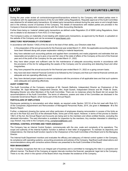During the year under review all contracts/arrangement/transactions entered by the Company with related parties were in compliance with the applicable provisions of the Act and SEBI Listing Regulations. Requisite approval of the Audit Committee was obtained for all related party transactions. All related party transactions entered during the year were on arm's length basis and in the ordinary course of business of the Company. The details of transactions with related parties are provided in the Company's financial statements in accordance with the Indian Accounting Standards.

Further there being no 'material' related party transactions as defined under Regulation 23 of SEBI Listing Regulations, there are no details to be disclosed in Form AOC-2 in that regard.

The Company's policy on materiality of and dealing with related party transactions, as approved by the Board, is uploaded on the website of the Company and can be accessed at www.lkpsec.com.

#### **DIRECTORS' RESPONSIBILITY STATEMENT**

In accordance with Section 134(5) of the Act and to the best of their ability, your Directors state that:

- i. in the preparation of the annual accounts for the financial year ended March 31, 2022, the applicable accounting standards have been followed along with proper explanation relating to material departures;
- ii. they have selected such accounting policies and applied them consistently and made judgments and estimates that are reasonable and prudent so as to give a true and fair view of the state of affairs of the Company at the end of the financial year and of the profit of the Company for the year ended March 31, 2022;
- iii. they have taken proper and sufficient care for the maintenance of adequate accounting records in accordance with the provisions of the Act for safeguarding the assets of the Company and for preventing and detecting fraud and other irregularities;
- iv. they have prepared the annual accounts for the financial year ended March 31, 2022 on a going concern basis;
- v. they have laid down Internal Financial Controls to be followed by the Company and that such internal financial controls are adequate and are operating effectively; and
- vi. they have devised proper systems to ensure compliance with the provisions of all applicable laws and that such systems were adequate and operating effectively.

#### **AUDIT COMMITTEE**

The Audit Committee of the Company comprises of Mr. Ganesh Malhotra, Independent Director as Chairperson of the Committee, Mr. Sajid Mohamed, Independent Director, Mrs. Anjali Suresh, Independent Director and Mr. Pratik M. Doshi, Managing Director are other Members of the Audit Committee. There are no instances where the Board did not accept the recommendations of the Audit Committee. The terms of reference, powers and roles of the Committee are disclosed in the Corporate Governance Report, which forms part of this Annual Report.

#### **PARTICULARS OF EMPLOYEES**

Disclosures pertaining to remuneration and other details, as required under Section 197(12) of the Act read with Rule 5(1) of the Companies (Appointment and Remuneration of Managerial Personnel) Rules, 2014, are given in **Annexure - II** to the Board's Report.

Further, a statement showing the names and other particulars of employees drawing remuneration in excess of the limits as set out in the Rule 5(2) and 5(3) of the aforesaid Rules, forms part of this report. However, in terms of first proviso to Section 136(1) of the Act, the Annual Report and Accounts are being sent to the members and others entitled thereto, excluding the aforesaid information. The said information is available for inspection by the members. Any member interested in obtaining a copy thereof, may write to the Company at ho\_compliance@lkpsec.com.

#### **INTERNAL CONTROL SYSTEMS AND THEIR ADEQUACY**

The Company has an Internal Control System, commensurate with the size, scale and complexity of its operations. The scope and authority of the Internal Auditors' function is defined in their letter of engagement. To maintain its objectivity and independence, the Internal Audit function reports to the Chairperson of the Audit Committee of the Board and to the Managing Director.

The Internal Audit Department monitors and evaluates the efficacy and adequacy of internal control system in the Company, its compliance with operating systems, accounting procedures and policies of the Company. Significant audit observations and recommendations along with corrective actions thereon are presented to the Audit Committee of the Board.

#### **RISK MANAGEMENT**

Your Company recognizes that risk is an integral part of business and is committed to managing the risks in a proactive and efficient manner. The Board of the Company at regular intervals monitors the financial, operational, legal risk to the Company. There is no risk, which in the opinion of the Board which may threaten the existence of the Company.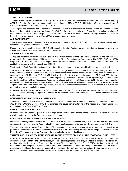#### **STATUTORY AUDITORS**

The term of the existing Statutory Auditors M/s MGB & Co. LLP, Chartered Accountants is coming to an end at the ensuing AGM. The Board of Directors have recommended re-appointment of M/s MGB & Co. LLP to hold office from the conclusion of this AGM till the conclusion of the Twenty-Nine AGM.

The Company has received a written confirmation from the Statutory Auditors confirming that their continued appointment shall be in accordance with the applicable provisions of the Act. The Statutory Auditors have confirmed that they satisfy the criteria of independence, as required under the provisions of the Companies Act, 2013 and that they are holding a valid certificate issued by the Peer Review Board of the Institute of Chartered Accountants of India.

#### **AUDITORS' REPORT**

There are no qualifications, reservations or adverse remarks made by M/s MGB & Co. LLP, Statutory Auditors, in their report for the financial year ended March 31, 2022.

Pursuant to provisions of the Section 143(12) of the Act, the Statutory Auditors have not reported any incident of fraud to the Audit Committee or the Board during the year under review.

#### **SECRETARIAL AUDITOR**

As required under provisions of Section 204 of the Act and read with Rule 9 of the Companies (Appointment and Remuneration of Managerial Personnel) Rules, 2014 made thereunder, Mr. V. Ramachandran (Membership No. A-7731 / CP No. 4731) Proprietor: V. R. Associates, Practicing Company Secretaries was appointed as Secretarial Auditor to conduct the Secretarial Audit of the Company for the financial year 2021-22.

The Secretarial Audit Report for the financial year 2021-22 is appended as **Annexure - III**, which forms part of this Report.

The Secretarial Audit Report states that LKP Finance Limited (Promoter) had acquired 4.77% of total equity shares in the Company through open market on 9th June, 2021. Further, there was an inter-se transfer (by gift) amongst the Promoters of the Company i.e from Mr. Mahendra V. Doshi to Mr. Pratik M. Doshi for 1.32% of total equity shares on 27th August, 2021, thereby crossing the gross acquisition limit of 5% for a financial year, as provided in the Explanation to Regulation 3(2) of the Securities and Exchange Board of India (Substantial Acquisition of Shares and Takeovers) Regulations, 2011, the said inter-se transfer need exemption report as required under regulation 10(6) and 10(7) of the Securities and Exchange Board of India (Substantial Acquisition of Shares and Takeovers) Regulations, 2011, to which the management states that it was missed due to oversight and inadvertence on behalf of the company.

In addition to the above and pursuant to SEBI circular dated February 08, 2019, a report on secretarial compliance by M/s. V. R. Associates, Practicing Company Secretaries for the financial year ended March 31, 2022 is being submitted to stock exchanges.

#### **COMPLIANCE WITH SECRETARIAL STANDARDS**

The Board of Directors states that the Company has complied with Secretarial Standards on meetings of the Board of Directors ("SS-1") and on General Meetings ("SS-2") as amended and issued from time to time by the Institute of Company Secretaries of India in terms of Section 118(10) of the Act.

#### **EXTRACT OF ANNUAL RETURN**

In accordance with Section 92(3) of the Act, a copy of the Annual Return for the financial year ended March 31, 2022 is available on the website of the Company at www.lkpsec.com.

#### **CORPORATE SOCIAL RESPONSIBILITY STATEMENT (CSR)**

During the financial year ended March 31, 2022 pursuant to the provisions of Section 135(1) of the Act, read with the Companies (Corporate Social Responsibility Policy) Rules 2014, no amount is required to be spent by the Company towards CSR.

The composition and terms of reference of the CSR Committee is provided in the Corporate Governance Report, which forms part of this Annual Report. Further in compliance with Rule 3 of the Companies (Corporate Social Responsibility Policy) Rules 2014, the CSR Report is given as **Annexure - IV** which also forms part of this Report.

#### **TRANSFER OF UNCLAIMED/UNPAID AMOUNTS TO THE INVESTOR EDUCATION AND PROTECTION FUND ('IEPF')**

In terms of the provisions of Section 124 of the Act, provisions of the Investor Education and Protection Fund Authority (Accounting, Audit, Transfer and Refund) Rules, 2016 and other applicable provisions, all unpaid or unclaimed dividends are required to be transferred by the Company to the Investor Education and Protection Fund ("**IEPF**") established by the Central Government, after completion of seven years from the date the dividend is transferred to unpaid/unclaimed account. Further, according to the Rules, the shares in respect of which dividend has not been paid or claimed by the members for seven consecutive years or more shall also be transferred to the demat account created by the IEPF Authority.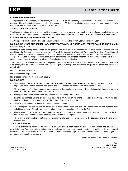#### **CONSERVATION OF ENERGY**

The operations of the Company are not energy intensive. However, the Company has taken various measures for conservation of energy, like switching from conventional lighting systems to LED lights etc. All efforts are made to use more natural lights in office premises to optimize the consumption of energy.

#### **TECHNOLOGY ABSORPTION**

The Company, primarily being a stock broking company and not involved in any industrial or manufacturing activities, has no particulars to report regarding technology absorption as required under Section 134 of the Act and Rules made thereunder.

#### **FOREIGN EXCHANGE EARNINGS AND OUTGO**

The Company did not enter into any foreign currency transactions in the current year and previous year.

#### **DISCLOSURE UNDER THE SEXUAL HARASSMENT OF WOMEN AT WORKPLACE (PREVENTION, PROHIBITION AND REDRESSAL) ACT, 2013**

Providing a safe working environment for all genders, free from sexual harassment and discrimination is among the key priorities of the Company. In compliance with the Sexual Harassment of Women at Workplace (Prevention, Prohibition and Redressal) Act, 2013, the Company has put in place a policy on Prevention of Sexual Harassment of Women at the workplace. The policy includes the scope, consequence of non-compliance and redressal mechanism along with contact details of the Committee members for raising any grievance/complaint under the said policy.

The Company has constituted Internal Complaints Committee under the Sexual Harassment of Women at Workplace (Prevention, Prohibition and Redressal) Act, 2013. Adequate workshops and awareness programs are conducted across the organization.

No. of complaints received: 0

No. of complaints disposed of: 0

No. of cases pending for more than 90 days: 0

#### **DISCLOSURES**

- The Company has not accepted any fixed deposits during the year under review and accordingly, no amount on account of principal or interest on deposits from public and/or Members were outstanding as at March 31, 2022.
- There are no significant and material orders passed by the regulators or courts or tribunals impacting the going concern status and the Company's operations in future.
- During the year under review, the Company has not issued any Debentures.
- No material changes have taken place that could have an impact on the financial position of the Company from the date of closure of financial year under review till the date of signing of Accounts.
- There is no change in the nature of business of the Company.
- The Managing Director, as per the terms of his appointment, does not draw any commission or remuneration from subsidiary company. Thereby, no disclosure is required under Section 197(14) of the Act.
- Maintenance of cost records and requirement of cost Audit as prescribed under the provisions of Section 148(1) of the Act are not applicable to the business activities carried out by the Company.
- There are no shares in the demat suspense account/ unclaimed suspense account at the beginning and at the end of the financial year.

#### **ACKNOWLEDGEMENT**

Your Board of Directors would like to express its gratitude and its appreciation for the continued support and co-operation provided to your Company by its Members, and in particular the customers, regulatory authorities and its banks and financial institutions. Your Directors would also like to place on record its sincere appreciation for the efforts put in by the Management and the employees of the Company.

For and on behalf of the Board of Directors

Place: Mumbai Date : April 29, 2022

Sd/- **Pratik M. Doshi**  Chairman & Managing Director DIN: 00131122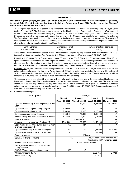#### **ANNEXURE - I**

**Disclosure regarding Employees Stock Option Plan pursuant to SEBI (Share Based Employees Benefits) Regulations, 2014 and Rule 12(9) of the Companies (Share Capital and Debentures) Rules, 2014 forming part of the Directors' Report for the year ended March 31, 2022**

A. The Company has issued stock options to its permanent employees in accordance with the Company's Employee Stock Option Scheme 2017. The Scheme is administered by the Nomination and Remuneration Committee (NRC) pursuant to SEBI (Share based employee benefits) Regulations, 2014. All the permanent employees of the Company, including Directors but excluding Promoters and Independent Director of the Company are eligible to participate in the Scheme. The Committee grants stock options to the employees at its discretion depending upon criteria such as role/designation of the employee, length of service with the Company, past performance record, future potential of the employee and/or such other criteria that may be determined by the Committee.

| ⊏⊃<br>eme               | approval <sup>*</sup><br>Members | of options<br>approved .<br>Nur<br>поег |
|-------------------------|----------------------------------|-----------------------------------------|
| דו∩ר<br>ES(<br>no.<br>⋯ | . 201 $^{\circ}$<br>ΟЛ.<br>Mav   | .000<br>00<br>50                        |

*\*Pursuant to Special Resolution passed by the Members of the Company by way of postal ballot dated October 16, 2020, the result of which were declared on November 27, 2020 have verified modified and amended ESOP – 2017.*

Phase I & II: 38,85,000 Stock Options were granted (Phase I: 37,00,000 & Phase II: 1,85,000) at a price of Rs. 7/- per option to the employees of the Company. As per the scheme, 33%, 33% and 34% of the total grant were vested at the end of every year from the original grant dates. The options vested were exercisable at any time within a period of one year from the date of vesting. Both the schemes have ended by way of exercise/lapse of option during the year.

Phase III & IV: 16,42,580 Stock Options were granted (Phase III: 4,67,000 & Phase IV: 11,75,580) at a price of Rs. 7/- per option to the employees of the Company. As per the grant, 50% of the option shall vest after the expiry of 12 months and 50% of the option shall vest after the expiry of 24 months from the original date of grant. The options vested would be exercisable at any time within a period of three year from the date of vesting.

The exercise price, in cash, is paid/ to be paid by the employee at the time of exercise of the stock option. No stock option is granted in lieu of cash. The lapsed option is available for being re-grant / re-issue at a future date. The stock option vested / shall be vest proportionately as may be decided by NRC committee at the time of grant. The maximum number of options that may be granted to any specific employee is upto 5,00,000 under LKP ESOP 2017. Every one stock option, if exercised, is allotted one equity shares of Rs. 2/- each.

B. Summary of stock options:

| <b>Total Options</b>                                                     | 50,00,000                                                                          |                |                  |                 |  |  |
|--------------------------------------------------------------------------|------------------------------------------------------------------------------------|----------------|------------------|-----------------|--|--|
|                                                                          | Phase I                                                                            | Phase II       | <b>Phase III</b> | <b>Phase IV</b> |  |  |
|                                                                          | March 31, 2022                                                                     | March 31, 2022 | March 31, 2022   | March 31, 2022  |  |  |
| Options outstanding at the beginning of the<br>year                      | 9,33,980                                                                           | 60,000         | 4,67,000         | 11,75,580*      |  |  |
| Options forfeited / lapsed during the year                               | 2,50,940                                                                           | 40,200         | Nil              | <b>NA</b>       |  |  |
| Options vested during the year                                           | 9,33,980                                                                           | 19,800         | 2,33,500         | <b>NA</b>       |  |  |
| Options exercised during the year                                        | 6,83,040                                                                           | 19,800         | 2,06,000         | <b>NA</b>       |  |  |
| Shares arising as a result of exercise of options                        | 6,83,040                                                                           | 19,800         | 2,06,000         | <b>NA</b>       |  |  |
| Source of shares                                                         | Fresh Issue                                                                        |                |                  | <b>NA</b>       |  |  |
| Money realized by exercise of options (Rs.)                              | 47,81,280                                                                          | 1,38,600       | 14,42,000        | <b>NA</b>       |  |  |
| Loan repaid by the trust during the year from<br>exercise price received | <b>NA</b>                                                                          | <b>NA</b>      | ΝA               | <b>NA</b>       |  |  |
| Options outstanding at the end of the year                               | Nil                                                                                | Nil            | 2,61,000         | 11,75,580       |  |  |
| Options exercisable at the end of the year                               | 0                                                                                  | 0              | 27,500           | <b>NA</b>       |  |  |
| Source of shares                                                         |                                                                                    |                | Primary          |                 |  |  |
| Variation in terms of options                                            | <b>NA</b><br>As per modifications approved by<br>Shareholders on November 27, 2020 |                |                  |                 |  |  |
| Method used to account for ESOS                                          | <b>Black Scholes Method</b>                                                        |                |                  |                 |  |  |
| Employee-wise details of options granted<br>during the year to           |                                                                                    |                |                  |                 |  |  |
| (i) KMP / Senior managerial personnel                                    | Nil                                                                                | Nil            |                  |                 |  |  |
| Alpesh Dangodra (SMP)                                                    |                                                                                    |                | 2,00,000         | 2,00,00         |  |  |
| Ketan Shah (SMP)                                                         |                                                                                    |                | 40,000           |                 |  |  |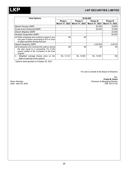# **LKP**

# **LKP SECURITIES LIMITED**

| <b>Total Options</b>                                                                                                                                 |                | 50,00,000       |                       |                 |  |  |  |
|------------------------------------------------------------------------------------------------------------------------------------------------------|----------------|-----------------|-----------------------|-----------------|--|--|--|
|                                                                                                                                                      | Phase I        | <b>Phase II</b> | <b>Phase III</b>      | <b>Phase IV</b> |  |  |  |
|                                                                                                                                                      | March 31, 2022 | March 31, 2022  | <b>March 31, 2022</b> | March 31, 2022  |  |  |  |
| Manish Pandya (SMP)                                                                                                                                  |                |                 | 40,000                | 19,800          |  |  |  |
| Sunita Anant Ambavkar (SMP)                                                                                                                          |                |                 | 50,000                | 16,500          |  |  |  |
| Dinesh Waghela (SMP)                                                                                                                                 |                |                 |                       | 33,000          |  |  |  |
| Akshata Vengurlekar (KMP)                                                                                                                            |                |                 |                       | 50,000          |  |  |  |
| (ii) Other employee who receives a grant in any<br>one year of option amounting to 5% or more<br>of option granted during that year                  | Nil            | Nil             |                       |                 |  |  |  |
| Alpesh Dangodra (SMP)                                                                                                                                |                |                 | 2,00,000              | 2,00,00         |  |  |  |
| (iii) Employees who received the options during<br>the year equal to or exceeding 1% of the<br>issued capital of the Company at the time<br>of grant | Nil            | Nil             | Nil                   | Nil             |  |  |  |
| C.<br>Weighted average shares price on the<br>date of exercise of the options                                                                        | Rs. 13.12/-    | Rs. 14.95/-     | Rs. 14.95/-           | NA.             |  |  |  |

\* Options were granted on October 25, 2021

For and on behalf of the Board of Directors

Place: Mumbai Date : April 29, 2022

Sd/- **Pratik M. Doshi**  Chairman & Managing Director DIN: 00131122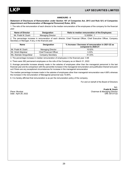#### **ANNEXURE - II**

**Statement of Disclosure of Remuneration under Section 197 of Companies Act, 2013 and Rule 5(1) of Companies (Appointment and Remuneration of Managerial Personnel) Rules, 2014.**

1. The ratio of the remuneration of each director to the median remuneration of the employees of the company for the financial year:

| Name of Director            | <b>Designation</b>   | Ratio to median remuneration of the Employees |
|-----------------------------|----------------------|-----------------------------------------------|
| Doshi<br>Mr.<br>∵ Pratik M… | Director<br>Managing |                                               |

2. The percentage increase in remuneration of each director, Chief Financial Officer, Chief Executive Officer, Company Secretary or Manager, if any, in the financial year:

| <b>Name</b>             | <b>Designation</b>             | % Increase / Decrease of remuneration in 2021-22 as<br>compared to 2020-21 |
|-------------------------|--------------------------------|----------------------------------------------------------------------------|
| l Mr. Pratik M. Doshi   | Managing Director              | 10.02%                                                                     |
| ∣ Mr. Girish Mairekar   | <b>Chief Financial Officer</b> | 3.33%                                                                      |
| Ms. Akshata Vengurlekar | Company Secretary              | 41.03%                                                                     |

3. The percentage increase in median remuneration of employees in the financial year: 4.68

4. There were 382 permanent employees on the rolls of the Company as on March 31, 2022.

5. Average percentile increase already made in the salaries of employees other than the managerial personnel in the last financial year and its comparison with the percentile increase in the managerial remuneration and justification thereof and point out if there are any exceptional circumstances for increase in the managerial remuneration

The median percentage increase made in the salaries of employees other than managerial remuneration was 4.68% whereas the increase in the remuneration of Managerial personnel was 10.84%.

6. It is hereby affirmed that remuneration is as per the remuneration policy of the company.

For and on behalf of the Board of Directors

Place: Mumbai Date : April 29, 2022

Sd/- **Pratik M. Doshi**  Chairman & Managing Director DIN: 00131122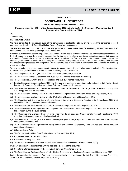#### **ANNEXURE - III**

#### **SECRETARIAL AUDIT REPORT**

**For the financial year ended March 31, 2022**

#### **[Pursuant to section 204(1) of the Companies Act, 2013 and rule No.9 of the Companies (Appointment and Remuneration Personnel) Rules, 2014]**

To,

The Members,

LKP Securities Limited.

We have conducted the secretarial audit of the compliance of applicable statutory provisions and the adherence to good corporate practices by LKP Securities Limited (hereinafter called the Company).

Secretarial Audit was conducted in a manner that provided us a reasonable basis for evaluating the corporate conducts/ statutory compliances and expressing my opinion thereon.

Based on our verification of the Company's books, papers, minute books, forms and returns filed and other records maintained by the Company and also the information provided by the Company, its officers, agents and authorized representatives during the conduct of secretarial audit\*, we hereby report that in my opinion, the Company has, during the audit period covering the financial year ended on 31st March, 2022 complied with the statutory provisions listed hereunder and also that the Company has proper Board-processes and compliance- mechanism in place to the extent, in the manner and subject to the reporting made hereinafter:

We have examined the books, papers, minute books, forms and returns filed and other records maintained\* by the Company for the financial year ended on 31st March, 2022 according to the provisions of:

- (i) The Companies Act, 2013 (the Act) and the rules made thereunder; except for
- (ii) The Securities Contracts (Regulation) Act, 1956 ('SCRA') and the rules made thereunder;
- (iii) The Depositories Act, 1996 and the Regulations and Bye-laws framed thereunder;
- (iv) Foreign Exchange Management Act, 1999 and the rules and regulations made thereunder to the extent of Foreign Direct Investment, Overseas Direct Investment and External Commercial Borrowings;
- (v) The following Regulations and Guidelines prescribed under the Securities and Exchange Board of India Act, 1992 ('SEBI Act') as applicable to the company:-
- (a) The Securities and Exchange Board of India (Substantial Acquisition of Shares and Takeovers) Regulations, 2011;
- (b) The Securities and Exchange Board of India (Prohibition of Insider Trading) Regulations, 2015;
- (c) The Securities and Exchange Board of India (Issue of Capital and Disclosure Requirements) Regulations, 2009; (not applicable to the company during the audit period)
- (d) The Securities and Exchange Board of India Share Based Employee Benefits) Regulations, 2014;
- (e) The Securities and Exchange Board of India (Issue and Listing of Debt Securities) Regulations, 2008; (not applicable to the company during the audit period)
- (f) The Securities and Exchange Board of India (Registrars to an Issue and Share Transfer Agents) Regulations, 1993 regarding the Companies Act and dealing with client;
- (g) The Securities and Exchange Board of India (Delisting of Equity Shares) Regulations, 2009; (not applicable to the company during the audit period) and
- (h) The Securities and Exchange Board of India (Buyback of Securities) Regulations, 1998; (not applicable to the company during the audit period)
- (vi) Other Applicable Acts;
- (a) The Employees Provident Fund & Miscellaneous Provisions Act, 1952;
- (b) Employees State Insurance Act, 1948;
- (c) Payment of Gratuity Act, 1972;
- (d) The Sexual Harassment of Women at Workplace (Prevention, Prohibition & Redressal) Act, 2013;

I/we have also examined compliance with the applicable clauses of the following:

(a) Secretarial Standards issued by The Institute of Company Secretaries of India.

(b) The Securities and Exchange Board of India (Listing Obligations and Disclosure Requirements) Regulations, 2015;

During the period under review the Company has complied with the provisions of the Act, Rules, Regulations, Guidelines, Standards, etc. mentioned above except for the following: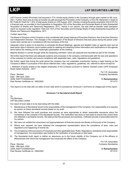LKP Finance Limited (Promoter) had acquired 4.77% of total equity shares in the Company through open market on 9th June, 2021. Further, there was an inter-se transfer (by gift) amongst the Promoters of the Company i.e from Mr. Mahendra V. Doshi to Mr. Pratik M. Doshi for 1.32% of total equity shares on 27th August, 2021, thereby crossing the gross acquisition limit of 5% for a financial year, as provided in the Explanation to Regulation 3(2) of the Securities and Exchange Board of India (Substantial Acquisition of Shares and Takeovers) Regulations, 2011. Hence in our opinion, the said inter-se transfer need exemption report as required under regulation 10(6) and 10(7) of the Securities and Exchange Board of India (Substantial Acquisition of Shares and Takeovers) Regulations, 2011.

I further report that

The Board of Directors of the Company is duly constituted with proper balance of Executive Directors, Non-Executive Directors and Independent Directors. The changes in the composition of the Board of Directors that took place during the period under review were carried out in compliance with the provisions of the Act.

Adequate notice is given to all directors to schedule the Board Meetings, agenda and detailed notes on agenda were sent at least seven days in advance, and a system exists for seeking and obtaining further information and clarifications on the agenda items before the meeting and for meaningful participation at the meeting.

Majority decision is carried through while the dissenting members' views are captured and recorded as part of the minutes.

We further report that there are adequate systems and processes in the company commensurate with the size and operations of the company to monitor and ensure compliance with applicable laws, rules, regulations and guidelines.

We further report that during the audit period the company has not undertaken event/action having a major bearing on the Company's affairs in pursuance of the above referred laws, rules, regulations, guidelines, etc. referred to above except for:

i. Allotment of equity shares to the eligible employees of the Company pursuant to Options Granted under LKPS Employee Stock Option Scheme – 2017.

> For V.R. Associates Company Secretaries

Place : Mumbai Date : 29th April, 2022 UDIN: A007731D000243241 Peer Review Certificate no. 1662/2022

#### **V. Ramachandran** CP 4731

This report is to be read with our letter of even date which is annexed as 'Annexure I' and forms an integral part of this report.

#### **'Annexure I' to Secretarial Audit Report**

To, The Members,

LKP Securities Limited.

Our report of even date is to be read along with this letter.

- 1) Maintenance of Secretarial record is the responsibility of the management of the Company. Our responsibility is to express as opinion on these secretarial records based on my audit.
- 2) We have followed the audit practices and process as were appropriate to obtain reasonable assurance about the correctness of the contents of the Secretarial records. The verification was done on test basis to ensure that correct facts are reflected in secretarial records. We believe that the processes and practices, I followed provide a reasonable basis for my opinion.
- 3) We have not verified the correctness and appropriateness of financial records and Books of Accounts of the Company.
- 4) Where ever required, we have obtained the management representation about the compliance of laws, rules and regulations and happening of events etc.
- 5) The compliance of the provisions of Corporate and other applicable laws, Rules, Regulations, standards is the responsibility of management. Our examination was limited to the verification of procedures on test basis.
- 6) The Secretarial Audit report is neither an assurance as to the future viability of the Company nor of the efficacy or effectiveness with which the management has conducted the affairs of the Company.

Place : Mumbai Date : 29th April, 2022 UDIN: A007731D000243241 Peer Review Certificate no. 1662/2022

For V.R. Associates Company Secretaries

> **V. Ramachandran** CP 4731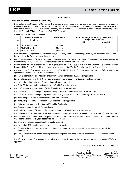#### **ANNEXURE - IV**

#### **A brief outline of the Company's CSR Policy:**

- 1. Brief outline of the Company's CSR policy: The Company is committed to create economic value in a responsible manner. It has put in place a policy on CSR to guide its CSR initiatives that contribute to inclusive growth and equitable development of its communities.The CSR Policy of the Company *inter-alia* includes CSR activities to be undertaken by the Company in line with Schedule VII of the Companies Act, 2013 ("the Act").
- 2. Composition of the CSR Committee

| SI.<br>No. | Name of Directors /<br><b>Members</b> | <b>Designation</b> | No. of meetings held during the tenure of<br>respective Members |                 |
|------------|---------------------------------------|--------------------|-----------------------------------------------------------------|-----------------|
|            |                                       |                    | Held                                                            | <b>Attended</b> |
|            | Mrs. Anjali Suresh                    | Chairperson        |                                                                 |                 |
|            | Mr. Pratik M. Doshi                   | Member             |                                                                 |                 |
|            | Mr. S. S. Gulati                      | Member             |                                                                 |                 |

- 3. Web-link where Composition of CSR committee, CSR Policy and CSR projects approved by the board are disclosed on the website of the Company: www.lkpsec.com.
- 4. Impact assessment of CSR projects carried out in pursuance of sub-rule (3) of rule 8 of the Companies (Corporate Social Responsibility Policy) Rules, 2014, if applicable (attach the report): Not Applicable
- 5. Details of the amount available for set off in pursuance of sub-rule (3) of rule 7 of the Companies (Corporate Social Responsibility Policy) Rules, 2014 and amount required for set off for the financial year, if any: Not Applicable
- 6. Average net profit of the Company as per section 135(5): Not Applicable. Since the Company does not fulfil the criteria as specified in Section 135(1) of the Companies Act, 2013.
- 7. (a) Two percent of average net profit of the Company as per section 135(5): Not Applicable
	- (b) Surplus arising out of the CSR projects or programmes or activities of the previous financial years: Nil
	- (c) Amount required to be set off for the financial year, if any: Nil
	- (d) Total CSR obligation for the financial year (7a+7b-7c): Not Applicable
- 8. (a) CSR amount spent or unspent for the financial year: Not Applicable.
	- (b) Details of CSR amount spent against ongoing projects for the financial year: Not Applicable
	- (c) Details of CSR amount spent against other than ongoing projects for the financial year: Not Applicable
	- (d) Amount spent in Administrative Overheads: Not Appliacble
	- (e) Amount spent on Impact Assessment, if applicable: Not Applicable
	- (f) Total amount spent for the Financial Year: Not Applicable
	- (g) Excess amount for set off: Not Applicable
- 9. (a) Details of Unspent CSR amount for the preceding three financial years: Not Applicable.
	- (b) Details of CSR amount spent in the financial year for ongoing projects of the preceding financial year(s): Not Applicable.
- 10. In case of creation or acquisition of capital asset, furnish the details relating to the asset so created or acquired through CSR spent in the financial year (asset-wise details) – None
	- (a) Date of creation or acquisition of the capital asset(s).
	- (b) Amount of CSR spent for creation or acquisition of capital asset.
	- (c) Details of the entity or public authority or beneficiary under whose name such capital asset is registered, their address etc.
	- (d) Provide details of the capital asset(s) created or acquired (including complete address and location of the capital asset).
- 11. Specify the reason(s), if the Company has failed to spend two Percent of the average net profit as per section 135(5). Not applicable

For and on behalf of the Board of Directors

Sd/- **Pratik M. Doshi**  Chairman & Managing Director Chairperson, CSR Committee DIN: 00131122 Sd/- **Anjali Suresh** DIN: 02545317

Place: Mumbai Date : April 29, 2022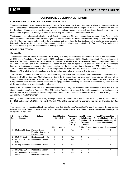#### **CORPORATE GOVERNANCE REPORT**

#### **COMPANY'S PHILOSOPHY ON CORPORATE GOVERNANCE**

The Company is committed to adopt the best Corporate Governance practices to manage the affairs of the Company in an ethical, accountable, transparent and fair way, with the blend of both legal and management practices, to implant the same in the decision making process of the Company, and to communicate the same accurately and timely, in such a way that both stakeholders' expectations and legal standards are not only met, but the Company surpasses them.

The Company has various policies in place which form the foundation of its strong corporate governance ethos. These include code of conduct for Directors and Senior Management, code of conduct for prevention of insider trading, whistle-blower policy, etc. The Company has a well-defined code of practices and procedures for fair disclosure of unpublished price sensitive information, based on the principles of transparency, timeliness, fairness and continuity of information. These policies are reviewed periodically and are implemented in a timely manner.

#### **BOARD OF DIRECTORS**

#### **Composition**

The composition of the Board of Directors ('**the Board'**) is in compliance with the requirement of the Act and Regulation 17 of SEBI Listing Regulations. As on March 31, 2022, the Board comprises of 6 (Six) Directors including 3 (Three) Independent Directors. The Board consists of a balanced combination of Executive Director, Non-executive Director, Independent Directors and Woman Director. None of the Director of the Company have attained the age of 75 (Seventy Five) years. All the Independent Directors of the Company serving in other companies is within the limit as specified in the Act and SEBI Listing Regulations. The Company has received a declaration from Independent Directors that they meet the criteria of independence as per Regulation 16 of SEBI Listing Regulations and the same has been taken on record by the Company.

The Chairman of the Board is an Executive Director and majority of the Board comprises Non-Executive Independent Directors. Except Mr. Pratik M. Doshi and Mr. Mahendra M. Doshi, the Directors do not have any relationship *inter-se* with each other. The Company has obtained Certificate from Practicing Company Secretary that none of the Directors on the Board of the Company have been debarred or disqualified from being appointed or continuing as Directors of companies by SEBI, Ministry of Corporate Affairs or any such statutory authority.

None of the Directors on the Board is a Member of more than 10 (Ten) Committees and/or Chairperson of more than 5 (Five) Committees (as specified in Regulation 26 of SEBI Listing Regulations), across all the public companies in which he/she is a Director. Further, the maximum tenures of Independent Directors are in line with provisions of Section 149 (10) and (11) of the Act and Rules made thereunder.

During the year under review, total 4 (Four) Meetings of Board of Directors were held on April 27, 2021, July 29, 2021, October 25, 2021 and January 31, 2022. The Twenty-Seventh AGM of the Members of the Company was held on Thursday, July 15, 2021.

The information on composition of the Board, category and their Directorships/Committee Membership across all the Companies in which they were Directors, as on March 31, 2022 along with their attendance of Directors at the above Board Meetings and at last AGM is as under:

| S.<br>No.        | Name of the<br><b>Director</b> | Category                                                            |      | <b>Board Meeting</b><br><b>Attended</b> | Attendance<br>at Last<br><b>AGM</b><br>(July 15,<br>2021) |                | No. of Director-<br>ship in Boards<br>(Including LKP)<br><b>Securities</b><br>Limited) |                   | No. of Chairmanship /<br><b>Membership in other Board</b><br><b>Committees (Including LKP</b><br><b>Securities Limited)</b> |
|------------------|--------------------------------|---------------------------------------------------------------------|------|-----------------------------------------|-----------------------------------------------------------|----------------|----------------------------------------------------------------------------------------|-------------------|-----------------------------------------------------------------------------------------------------------------------------|
|                  |                                |                                                                     | Held | <b>Attended</b>                         |                                                           | Public         | <b>Private</b>                                                                         | <b>Membership</b> | Chairmanship*                                                                                                               |
|                  | Mr. Pratik M. Doshi I          | Promoter Group,<br>Executive Chairman &<br><b>Managing Director</b> | 4    | 4                                       | Yes                                                       | 4              | 4                                                                                      | 3                 | 0                                                                                                                           |
| 2.               | Mr. S. S. Gulati               | Non-Executive Director                                              | 4    | 4                                       | Yes                                                       | 1              | 3                                                                                      |                   |                                                                                                                             |
| 3.               | Mr. Ganesh Mal-<br>hotra       | Independent Director                                                | 4    | 4                                       | Yes                                                       | 1              |                                                                                        | 2                 |                                                                                                                             |
| $\overline{4}$ . | Mr. Sajid Mohamed              | Independent Director                                                | 4    | 4                                       | Yes                                                       | $\overline{2}$ |                                                                                        |                   | $\Omega$                                                                                                                    |
| 5.               | Mrs. Anjali Suresh             | Independent Director                                                | 4    | 4                                       | No.                                                       | 2              |                                                                                        | 4                 |                                                                                                                             |
|                  | Mr. Mahendra V.<br>Doshi       | Promoter,<br>Non-Executive Director                                 | 4    | 4                                       | Yes                                                       | 8              | 3                                                                                      | 3                 |                                                                                                                             |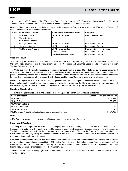Notes:

*\* In accordance with Regulation 26 of SEBI Listing Regulations, Memberships/Chairmanships of only Audit Committees and Stakeholders' Relationship Committees in all public limited companies have been considered.*

Details of Directorships held in other listed entities by the Directors of the Company as on March 31, 2022 and the Category of their Directorship are set out in the table below:

|    | S. No.   Name of the Director | Name of the other listed entity    | Category                     |
|----|-------------------------------|------------------------------------|------------------------------|
|    | Mr. Pratik M. Doshi           | <b>LKP Finance Limited</b>         | Non-Executive Director       |
| 2. | Mr. S. S. Gulati              | Nil                                |                              |
| 3. | Mr. Ganesh Malhotra           | Nil                                |                              |
| 4. | Mr. Sajid Mohamed             | <b>LKP Finance Limited</b>         | Independent Director         |
| 5. | Mrs. Anjali Suresh            | <b>LKP Finance Limited</b>         | Independent Director         |
| 6. | Mr. Mahendra V. Doshi         | <b>LKP Finance Limited</b>         | Promoter, Executive Director |
|    |                               | Nilkamal Limited                   | Independent Director         |
|    |                               | <b>Graviss Hospitality Limited</b> | Independent Director         |

#### **Code of Conduct**

Your Company has adopted a Code of Conduct to regulate, monitor and report trading by the Board, designated persons and their immediate relatives as per the requirements under the Securities and Exchange Board of India (Prohibition of Insider Trading) Regulations, 2015.

The Code lays down the standard procedure of business conduct which is expected to be followed by the Board, designated persons and their immediate relatives in their business dealings and in particular on matters relating to integrity in the work place, in business practices and in dealing with stakeholders. All the Board Members and the Senior Management personnel have confirmed compliance with the Code. This Code is available on the Company's website at www.lkpsec.com.

Pursuant to Regulation 26(5) of the SEBI Listing Regulations, the Senior Management has made periodical disclosures to the Board relating to all material financial and commercial transactions, where they had (or were deemed to have had) personal interest that might have been in potential conflict with the interest of the Company. The same was Nil.

#### **Directors' Shareholding**

The details of equity shares held by the Directors in the Company as on March 31, 2022 are as follows:

| <b>Name of Director</b>                                             | Number of Equity Shares held <sup>#</sup> |
|---------------------------------------------------------------------|-------------------------------------------|
| Mr. Pratik M. Doshi                                                 | 16,04,332                                 |
| Mr. S. S. Gulati                                                    | 39,976                                    |
| Mr. Ganesh Malhotra                                                 | Nil                                       |
| Mr. Sajid Mohamed                                                   | Nil                                       |
| Mrs. Anjali Suresh                                                  | Nil                                       |
| Mr. Mahendra V. Doshi (reflects shares held in individual capacity) | 81,61,700                                 |

Notes:

*# The Company has not issued any convertible instrument during the year under review.*

#### **Independent Directors**

A meeting of the Independent Directors of the Company was held on January 31, 2022 without the presence of Non-Independent Directors and the members of the Management, and all the Independent Directors were present at the meeting. The Independent Directors reviewed the performance of the Non-Independent Directors, the Board of Directors as a whole, the Chairman of the Company, taking into account the views of Non-Executive Directors and the flow of information between the management and the Board of Directors.

Evaluation of Independent Directors was done by the entire Board which included performance of the Directors and fulfilment of the criteria of independence as specified in SEBI Listing Regulations and their independence from the Management. The Board of Directors has confirmed that, in their opinion, the Independent Directors fulfil the conditions specified in the SEBI Listing Regulations and are independent of the management.

The details of the familiarization program of the Independent Directors is available on the website of the Company at the link www.lkpsec.com.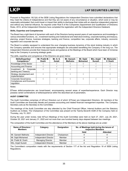Pursuant to Regulation 16(1)(b) of the SEBI Listing Regulations the Independent Directors have submitted declarations that they meet the criteria of independence and that they are not aware of any circumstance or situation, which exist or may be reasonably anticipated, that could impair or impact their ability to discharge their duties with an objective independent judgment and without any external influence. As required under Rule 6 of the Companies (Appointment and Qualification of Directors) Rules, 2014, all the Independent Directors have completed the registration with the Independent Directors Databank.

# **Skills, Expertise and Competencies**

The Board has a right blend of dynamism with each of the Directors having several years of vast experience and knowledge in various diversified functions, *viz.,* investment banking and institutional and retail stock broking, corporate banking and treasury, planning, project finance, business strategies, banking and finance, competition law, corporate affairs, industry, economic regulation and corporate law *etc.*

The Board is suitably equipped to understand the ever changing business dynamics of the stock broking industry in which the Company operates and ensures that appropriate strategies are articulated benefitting the Company in the long run. The Independent Directors provide their treasured inputs and guidance at the Meetings of the Board which have been of immense help to the Company in pursuing strategic goals.

| Skills/Expertise/<br>Competence <sup>\$</sup>                   | Mr. Pratik M.<br>Doshi | Mr. S. S.<br>Gulati | Mr. Ganesh<br><b>Malhotra</b> | Mr. Sajid<br><b>Mohamed</b> | Mrs. Anjali<br><b>Suresh</b> | Mr. Mahendra<br>V. Doshi |
|-----------------------------------------------------------------|------------------------|---------------------|-------------------------------|-----------------------------|------------------------------|--------------------------|
| Knowledge of the Sector                                         |                        |                     |                               |                             |                              |                          |
| Accounting and Finance                                          |                        |                     |                               |                             |                              |                          |
| Investment &<br>Corporate<br>banking and Treasury               |                        |                     |                               |                             |                              |                          |
| Strategy development and<br>implementation                      |                        |                     |                               |                             |                              |                          |
| Corporate Governance,<br>Compliances and Economic<br>regulation |                        |                     |                               |                             |                              |                          |

The skills, expertise and competence of the Directors are given below:

Notes:

\$These skills/competencies are broad-based, encompassing several areas of expertise/experience. Each Director may possess varied combinations of skills/experience within the described set of parameters.

# **AUDIT COMMITTEE**

The Audit Committee comprises of 4(Four) Directors out of which 3(Three) are Independent Directors. All members of the Audit Committee are financially literate and possess accounting and related financial management expertise. The Company Secretary acts as the Secretary to the Committee.

The meetings of the Audit Committee are also attended by the Chief Financial Officer, Internal Auditors and the Statutory Auditors as invitees. The Chairperson of the Committee was present at the Twenty-Seventh AGM of the Company held on Thursday, July 15, 2021.

During the year under review, total 4(Four) Meetings of the Audit Committee were held on April 27, 2021, July 29, 2021, October 25, 2021 and January 31, 2022 and not more than one hundred twenty days elapsed between two meetings.

The composition of the Audit Committee and the attendance of the Members at the above meetings are as under:

| Name of Directors /<br><b>Members</b> | Category                 | <b>Designation</b> | No. of Meetings held during the tenure of<br>respective Members |                 |
|---------------------------------------|--------------------------|--------------------|-----------------------------------------------------------------|-----------------|
|                                       |                          |                    | Held                                                            | <b>Attended</b> |
| Mr. Ganesh Malhotra                   | Independent Director     | Chairperson        |                                                                 |                 |
| Mr. Sajid Mohamed                     | Independent Director     | Member             |                                                                 |                 |
| Mr. Pratik M. Doshi                   | <b>Managing Director</b> | Member             |                                                                 |                 |
| Mrs. Anjali Suresh                    | Independent Director     | Member             |                                                                 |                 |

The Committee's composition meets with the requirements of Section 177 of the Act and Regulation 18 of SEBI Listing Regulations.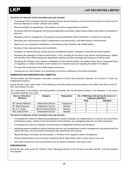# **The terms of reference of the Committee inter-alia includes:**

- Overseeing of the Company's financial reporting process and the disclosure of its financial information to ensure that the financial statement is correct, sufficient and credible;
- Recommendation for appointment, remuneration and terms of appointment of auditors;
- Reviewing, with the management, the financial statements and auditors' report thereon before submission to the Board for approval.
- Reviewing, with the management, the quarterly financial statements before submission to the Board for approval;
- Reviewing and monitoring the auditor's independence and performance, and effectiveness of audit process;
- Approval or any subsequent modification of transactions of the Company with related parties;
- Scrutiny of inter-corporate loans and investments;
- Evaluation of internal financial controls and risk management systems, adequacy of the internal control systems;
- Reviewing the adequacy of internal audit function, if any, including the structure of the internal audit department, staffing and seniority of the official heading the department, reporting structure coverage and frequency of internal audit;
- Reviewing the findings of any internal investigations by the internal auditors into matters where there is suspected fraud or irregularity or a failure of internal control systems of a material nature and reporting the matter to the Board;
- To review the functioning of the whistle blower mechanism;
- Carrying out any other function as is mentioned in the terms of reference of the Audit Committee.

# **NOMINATION AND REMUNERATION COMMITTEE**

The Nomination and Remuneration Committee comprises of 4 (Four) Non-Executive Directors, out of which 3 (Three) are Independent Directors.

During the year under review, total 2 (Two) Meetings of the Nomination and Remuneration Committee were held on April 27, 2021 and October 25, 2021.

The Composition of Nomination and Remuneration Committee and the attendance details of the Members at the above Committee meetings is as under:

| Name of Directors /<br><b>Members</b> | Category               | <b>Designation</b> | No. of Meetings held during the tenure of<br>respective Members |                 |
|---------------------------------------|------------------------|--------------------|-----------------------------------------------------------------|-----------------|
|                                       |                        |                    | Held                                                            | <b>Attended</b> |
| Mr. Ganesh Malhotra                   | Independent Director   | Chairperson        |                                                                 |                 |
| Mr. Sajid Mohamed                     | Independent Director   | Member             |                                                                 |                 |
| Mr. S. S. Gulati                      | Non-Executive Director | Member             |                                                                 |                 |
| Mrs. Anjali Suresh                    | Independent Director   | Member             |                                                                 |                 |

# **The terms of reference of the Committee inter-alia includes:**

- Formulating the criteria for determining qualifications, positive attributes and independence of a director and recommend to the Board a policy, relating to the remuneration for the directors, key managerial personnel and other employees;
- Formulating the criteria for evaluation of performance of Independent Directors and the Board;
- Identifying persons qualified to become directors and who may be appointed in senior management in accordance with the criteria laid down, and recommend to the Board their appointment and removal;
- Recommending to the Board, all remuneration, in whatever form, payable to senior management;
- Acting as Administrator of the Company's Employee Stock Option Plans drawn up from time to time; and
- Such other functions as may be entrusted to it by the Board of Directors, from time to time.

# **REMUNERATION**

During the year under review Mr. Pratik M. Doshi, Managing Director of the Company has been paid Rs. 72.54 lacs towards remuneration.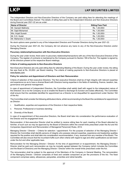The Independent Directors and Non-Executive Directors of the Company are paid sitting fees for attending the meetings of the Board and Committees thereof. The details of sitting fees paid to the Independent Directors and Non-Executive Directors during financial year 2021-22 are as under:

| <b>Name of Director</b>          | <b>Sitting Fees Paid</b> |
|----------------------------------|--------------------------|
| <sup>∣</sup> Mr. Ganesh Malhotra | Rs. 1.00.000/-           |
| Mr. Sajid Mohamed                | Rs. 1.00.000/-           |
| Mrs. Anjali Suresh               | Rs. 1.00.000/-           |
| Mr. S.S. Gulati                  | Rs. 1.00.000/-           |
| Mr. Mahendra V. Doshi            | Rs. 1.00.000/-           |

No stock options were granted to any of the Independent Directors and Promoter Directors during the year 2021-22.

During the financial year 2021-22, the Company did not advance any loans to any of the Non-Executive Directors and/or Managing Director.

# **Pecuniary relationship/transaction with Non-Executive Directors**

During the year under review, there were no pecuniary relationship/transactions with any of the Non-Executive Directors of the Company. The register of contracts is maintained by the Company pursuant to Section 189 of the Act. The register is signed by all the directors present at the respective Board meetings.

# **Criteria of making payments to Non-Executive Directors**

Non-Executive Directors are only paid sitting fees for attending Meeting of the Board. During the year under review, the sitting fee was fixed at Rs. 25,000/- per Board meeting. The criteria of making payments to Non-Executive Directors is placed at www.lkpsec.com.

# **Policy for selection and Appointment of Directors and their Remuneration**

Criteria of selection of Non-executive Directors: The Non-executive Directors shall be of high integrity with relevant expertise and experience so as to have a diverse Board with Directors having expertise in the fields of marketing, finance, taxation, law, governance and general management.

In case of appointment of Independent Directors, the Committee shall satisfy itself with regard to the independent nature of the Directors vis-a-vis the Company so as to enable the Board to discharge its function and duties effectively. The Committee shall ensure that the candidate identified for appointment as a Director is not disqualified for appointment under Section 164 of the Act.

The Committee shall consider the following attributes/criteria, whilst recommending to the Board the candidature for appointment as Director:

- i. Qualification, expertise and experience of the Directors in their respective fields;
- ii. Personal, Professional or business standing;
- iii. Diversity of the Board.

In case of re-appointment of Non-executive Directors, the Board shall take into consideration the performance evaluation of the Director and his engagement level.

Remuneration: A Non-executive Director shall be entitled to receive sitting fees for each meeting of the Board attended by him/her, of such sum as may be approved by the Board of Directors within the overall limits prescribed under the Act and the Companies (Appointment and Remuneration of Managerial Personnel) Rules, 2014.

Managing Director / Director – Criteria for selection / appointment: For the purpose of selection of the Managing Director / Director the Committee shall identify persons of integrity who possess relevant expertise, experience and leadership qualities required for the position and shall take into consideration recommendation, if any, received from any member of the Board. The Committee will also ensure that the incumbent fulfils such other criteria with regard to age and other qualifications as laid down under the Act and other applicable laws.

Remuneration for the Managing Director / Director: At the time of appointment or re-appointment, the Managing Director / Director shall be paid such remuneration as may be mutually agreed between the Company (which includes the Committee and the Board of Directors) and the Managing Director / Director within the overall limits prescribed under the Act.

The remuneration shall be subject to the approval of the Members of the Company in General Meeting. The remuneration of the Managing Director / Director comprises of fixed and variable component as per the provisions of the Act. The fixed component comprises salary, allowances, perquisites, amenities and retiral benefits.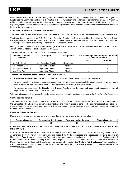Remuneration Policy for the Senior Management Employees: In determining the remuneration of the Senior Management Employees the Committee shall ensure the relationship of remuneration and performance benchmark is clear. The Chairman & Managing Director will carry out the individual performance review based on the respective defined objectives, qualification, expertise, experience and other factors whilst recommending the annual increment and performance incentive to the Committee for its review and approval.

# **STAKEHOLDERS' RELATIONSHIP COMMITTEE**

The Stakeholders' Relationship Committee comprises of 4 (Four) Directors, out of which 3 (Three) are Non-Executive Directors.

The Committee comprised of Mr. S. S. Gulati, Non-Executive Director as a Chairperson of the Committee, Mr. Pratik M. Doshi, Managing Director, Mr. Ganesh Malhotra and Mrs. Anjali Suresh, Independent Directors, as other Members of the Committee. The Company Secretary of the Company acts as the Compliance Officer.

During the year under review, total 4 (Four) Meetings of the Stakeholders' Relationship Committee were held on April 27, 2021, July 29, 2021, October 25, 2021 and January 31, 2022.

The attendance of the Members at the above meetings is as under:

| Name of Directors /<br><b>Members</b> | Category                 | <b>Designation</b> | No. of Meetings held during the tenure of<br>respective Members |                 |
|---------------------------------------|--------------------------|--------------------|-----------------------------------------------------------------|-----------------|
|                                       |                          |                    | Held                                                            | <b>Attended</b> |
| Mr. S. S. Gulati                      | Non-Executive Director   | Chairperson        |                                                                 |                 |
| Mr. Pratik M. Doshi                   | <b>Managing Director</b> | Member             |                                                                 |                 |
| Mr. Ganesh Malhotra                   | Independent Director     | Member             |                                                                 |                 |
| Mrs. Anjali Suresh                    | Independent Director     | Member             |                                                                 |                 |

# **The terms of reference of the Committee inter-alia includes:**

- Resolving the grievances of the security holders and to review the redressal of Investors' complaints.
- To act on behalf of the Board, in the matters connected with transfer/transmission of shares, non-receipt of annual report, non-receipt of declared dividends, issue of new/duplicate certificates, general meetings etc.;
- To oversee performance of the Registrar and Transfer Agents of the Company and recommend measures for overall improvement in the quality of investor services.

With a view to expedite the process of share transfers, necessary authority has been delegated to the Share Transfer Committee.

# **Share Transfer Committee**

The Share Transfer Committee comprises of Mr. Pratik M. Doshi as the Chairperson and Mr. S. S. Gulati as the Member of the Committee. The Share Transfer Committee meets as and when required to consider the transfer proposals and attend to Investors' grievances, transmission of shares, split, consolidation, issue of duplicate share certificate, dematerialisation and rematerialisation of shares.

# **Investors' Grievance Redressal**

Details of investor complaints received and resolved during the year under review are as follows:

| <b>Opening Balance</b> | Received during the year | Resolved during the year | Closing Balance |
|------------------------|--------------------------|--------------------------|-----------------|
| Nil                    | Nil                      | Nil                      |                 |

# **CODE OF PRACTICES AND PROCEDURES FOR FAIR DISCLOSURE OF UNPUBLISHED PRICE SENSITIVE INFORMATION**

In terms of the provisions of Securities and Exchange Board of India (Prohibition of Insider Trading Regulations), 2015, as amended from time to time, the Company had adopted the Code of Practices and Procedures for Fair Disclosure of Unpublished Price Sensitive Information. Pursuant to the requirements prescribed under Securities and Exchange Board of India (Prohibition of Insider Trading) (Amendment) Regulations, 2018, as amended, the revised Code of Practices and Procedures for Fair Disclosure of Unpublished Price Sensitive Information (the "**Code of Fair Disclosures**") was adopted by the Company which comes into effect from April 01, 2019. The Code of Fair Disclosure is posted on Company's website at the weblink www.lkpsec.com.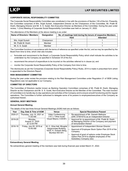# **CORPORATE SOCIAL RESPONSIBILITY COMMITTEE**

The Corporate Social Responsibility Committee was constituted in line with the provisions of Section 135 of the Act. Presently, the Committee comprises of Mrs. Anjali Suresh, Independent Director as the Chairperson of the Committee, Mr. Pratik M. Doshi, Managing Director and Mr. S. S. Gulati, Non-Executive Director as Members of the Committee. During the year under review, 1 (One) Meeting of Corporate Social Responsibility Committee was held on January 31, 2022.

| Name of Directors / Members | <b>Designation</b> | No. of meetings held during the tenure of respective Members |                 |  |
|-----------------------------|--------------------|--------------------------------------------------------------|-----------------|--|
|                             |                    | Held                                                         | <b>Attended</b> |  |
| Mrs. Anjali Suresh          | Chairperson        |                                                              |                 |  |
| Mr. Pratik M. Doshi         | Member             |                                                              |                 |  |
| Mr. S. S. Gulati            | Member             |                                                              |                 |  |

The attendance of the Members at the above meeting is as under:

The Committee functions in accordance with the terms of reference as specified under the Act, and as may be specified by the Board from time to time, which *inter-alia* includes:

- a) formulate and recommend to the Board, a Corporate Social Responsibility Policy which shall indicate the activities to be undertaken by the Company as specified in Schedule VII of the Act;
- b) recommend the amount of expenditure to be incurred on the activities referred to in clause (a); and
- $\circ$ ) monitor the Corporate Social Responsibility Policy of the Company from time to time.

The disclosures as per the Companies (Corporate Social Responsibility Policy) Rules, 2014 is made in prescribed form which is appended to the Directors Report.

# **RISK MANAGEMENT COMMITTEE**

During the year under review the provision relating to the Risk Management Committee under Regulation 21 of SEBI Listing Regulations was not applicable to our Company.

# **COMMITTEE OF DIRECTORS**

The Committee of Directors (earlier known as Banking Operation Committee) comprises of Mr. Pratik M. Doshi, Managing Director as the Chairperson and Mr. S. S. Gulati, Non-Executive Director as the Member of the Committee. The main function of Committee is to handle day-to-day operations and activities of the Company and to ensure smooth functioning and for regular operations. The Committee is further authorised to delegate some of its powers to employees/executives of the Company as authorised therein*.*

# **GENERAL BODY MEETINGS**

## **Annual General Meeting**

The details of the last three Annual General Meetings (AGM) held are as follows:

| Year    | Day, Date & Time of AGM                   | Venue                                                              | <b>Special Resolutions Passed</b>                                                                                                |
|---------|-------------------------------------------|--------------------------------------------------------------------|----------------------------------------------------------------------------------------------------------------------------------|
| 2020-21 | Thursday, July 15, 2021 at<br>11:00 AM    | Video Conferencing<br>('VC') / Other Audio                         | Re-appointment of Mr. Ganesh Malhotra<br>(DIN: 07581670) as an Independent Director                                              |
| 2019-20 | Monday,<br>August 31, 2020<br>at 12:00 PM | Visual Means ('OAVM')                                              | Approval for re-appointment of Mr. Pratik M. Doshi<br>as Managing Director of the Company and payment<br>of remuneration thereof |
| 2018-19 | Friday, July 05, 2019 at                  | M. C. Ghia Hall, Bhogilal                                          | Appointment of Independent Woman Director                                                                                        |
|         | 10:45 AM                                  | Hargovindas Building,<br>18/20, K. Dubash Marg,<br>Mumbai 400 001. | Approval of Employee Stock Option Plan 2019 of the<br>Company                                                                    |
|         |                                           |                                                                    | Approval of grant of options under Employee Stock<br>Option Plan 2019 to eligible employees of the<br>Subsidiary Company (ies)   |

# **Extraordinary General Meeting**

No extraordinary general meeting of the members was held during financial year ended March 31, 2022.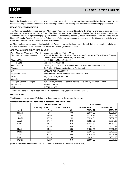# **Postal Ballot**

During the financial year 2021-22, no resolutions were required to be or passed through postal ballot. Further, none of the businesses proposed to be transacted at the ensuing AGM requires passing of a special resolution through postal ballot.

# **MEANS OF COMMUNICATION**

The Company regularly submits quarterly / half yearly / annual Financial Results to the Stock Exchange, as soon as these are taken on record/approved by the Board. The Financial Results are published in leading English and Marathi dailies, viz. "Financial Express" (English Newspaper) and "Mumbai Lakshwadeep dailies" (Marathi Newspaper). The Company's Annual Report, Financial Results, Shareholding Pattern and official news releases are displayed on the Company's website www. lkpsec.com and also posted by BSE at www.bseindia.com.

All filing, disclosures and communications to Stock Exchange are made electronically through their specific web portals in order to disseminate such information and make such information generally available.

# **GENERAL SHAREHOLDER INFORMATION**

| Date, Time and Venue of the Twenty-<br>Eight Annual General Meeting | Monday, June 20, 2022 at 11:30 AM.<br>AGM will be held through Video Conferencing/Other Audio Visual Means (Deemed<br>venue for the AGM will be the Registered Office) |
|---------------------------------------------------------------------|------------------------------------------------------------------------------------------------------------------------------------------------------------------------|
| <b>Financial Year</b>                                               | April 1, 2021 to March 31, 2022.                                                                                                                                       |
| <b>Record Date</b>                                                  | Monday, June 13, 2022                                                                                                                                                  |
| <b>Book Closure</b>                                                 | Tuesday, June 14, 2022 to Monday, June 20, 2022 (both days inclusive)                                                                                                  |
| Dividend                                                            | Rs. 0.30/- (15%) per equity share of Rs. 2/- each                                                                                                                      |
| <b>CIN</b>                                                          | L67120MH1994PLC080039                                                                                                                                                  |
| <b>Registered Office</b>                                            | 203 Embassy Centre, Nariman Point, Mumbai 400 021                                                                                                                      |
| Email                                                               | ho compliance@lkpsec.com                                                                                                                                               |
| Website                                                             | www.lkpsec.com                                                                                                                                                         |
| Listing on Stock Exchanges                                          | BSE Limited, Phiroze Jeejeebhoy Towers, Dalal Street, Mumbai - 400 001                                                                                                 |
| Stock Code:                                                         | 540192 / LKPSEC                                                                                                                                                        |
| <b>ISIN</b>                                                         | INE341H01023                                                                                                                                                           |

The Annual Listing fees have been paid to BSE for the financial year 2021-2022 & 2022-23.

# **Debt Securities**

The Company has not issued / allotted any debentures during the year under review.

## **Market Price Data and Performance in comparison to BSE Sensex**

|               | <b>LKP Securities Ltd</b> |                      | <b>BSE Sensex</b>  |                   |  |
|---------------|---------------------------|----------------------|--------------------|-------------------|--|
|               | <b>LKP High Price</b>     | <b>LKP Low Price</b> | <b>Sensex High</b> | <b>Sensex Low</b> |  |
| Apr-21        | 8.16                      | 6.31                 | 50375.77           | 47204.50          |  |
| $May-21$      | 8.64                      | 7.10                 | 52013.22           | 48028.07          |  |
| <b>Jun-21</b> | 13.50                     | 7.80                 | 53126.73           | 51450.58          |  |
| <b>Jul-21</b> | 17.70                     | 12.25                | 53290.81           | 51802.73          |  |
| Aug-21        | 17.50                     | 12.10                | 57625.26           | 52804.08          |  |
| Sep-21        | 14.48                     | 12.20                | 60412.32           | 57263.90          |  |
| $Oct-21$      | 15.80                     | 13.00                | 62245.43           | 58551.14          |  |
| <b>Nov-21</b> | 14.29                     | 10.65                | 61036.56           | 56382.93          |  |
| $Dec-21$      | 23.24                     | 11.50                | 59203.37           | 55132.68          |  |
| Jan-22        | 20.25                     | 16.50                | 61475.15           | 56409.63          |  |
| Feb-22        | 19.20                     | 12.40                | 59618.51           | 54383.20          |  |
| Mar-22        | 16.29                     | 13.40                | 58890.92           | 52260.82          |  |

[Source: This information is compiled from the data available from the websites of BSE]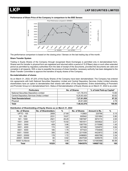# **Performance of Share Price of the Company in comparison to the BSE Sensex**



The performance comparison is based on the closing price / Sensex on the last trading day of the month.

# **Share Transfer System**

Trading in Equity Shares of the Company through recognised Stock Exchanges is permitted only in dematerialised form. Shares sent for transfer in physical form are registered and returned within a period of 15 (Fifteen) days or such other extended period as permitted by regulatory authorities from the date of receipt of the documents, provided the documents are valid and complete in all respects. With a view to expedite the process of share transfers, necessary authority has been delegated to the Share Transfer Committee to approve the transfers of equity shares of the Company.

## **De-materialisation of shares**

As on March 31, 2022, 97.22% of the Equity Shares of the Company have been dematerialised. The Company has entered into agreements with both National Securities Depository Limited and Central Depository Services (India) Limited whereby shareholders have an option to dematerialise their shares with either of the Depositories. Entire shareholding of Promoters and Promoter Group is in dematerialised form. Status of Dematerialisation of Equity Shares as on March 31, 2022 is as under:

| <b>Particulars</b>                            | No. of Shares | % of total Paid-up Capital* |
|-----------------------------------------------|---------------|-----------------------------|
| <b>National Securities Depository Limited</b> | 1,01,78,510   | 13.60                       |
| Central Depository Services (India) Limited   | 6,25,83,420   | 83.62                       |
| <b>Total Dematerialised</b>                   | 7,27,61,930   | 97.22                       |
| Physical                                      | 20.81.646     | 2.78                        |
| <b>Total</b>                                  | 7,48,43,576   | 100.00                      |

# **Distribution of Shareholding of Equity Shares as on March 31, 2022**

| <b>No. of Shares</b> | <b>No. of Shareholders</b> | %     | <b>No. of Shares</b> | Amount in Rs. | %     |
|----------------------|----------------------------|-------|----------------------|---------------|-------|
| <b>UPTO - 100</b>    | 2859                       | 27.69 | 112883               | 225766        | 0.15  |
| $101 - 500$          | 2031                       | 19.67 | 600942               | 1201884       | 0.80  |
| $501 - 1000$         | 2921                       | 28.29 | 1987087              | 3974174       | 2.65  |
| 1001 - 2000          | 1127                       | 10.92 | 1651811              | 3303622       | 2.21  |
| $2001 - 3000$        | 409                        | 3.96  | 1087793              | 2175586       | 1.45  |
| $3001 - 4000$        | 174                        | 1.69  | 627486               | 1254972       | 0.84  |
| 4001 - 5000          | 185                        | 1.79  | 877423               | 1754846       | 1.17  |
| 5001 - 10000         | 306                        | 2.96  | 2211936              | 4423872       | 2.96  |
| 10001 - 20000        | 178                        | 1.72  | 2496883              | 4993766       | 3.34  |
| 20001 - 50000        | 85                         | 0.82  | 2647538              | 5295076       | 3.54  |
| 50001 & Above        | 50                         | 0.48  | 60541794             | 121083588     | 80.89 |
| <b>Total</b>         | 10325                      | 100   | 74843576             | 149687152     | 100   |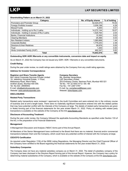# **Shareholding Pattern as on March 31, 2022**

| Category                                      | No. of Equity shares | % of holding |
|-----------------------------------------------|----------------------|--------------|
| Promoters and Promoter Group                  | 52,424,070           | 70.04        |
| Foreign Portfolio Investor                    | 3,209,198            | 4.29         |
| <b>Mutual Funds</b>                           | 4,200                | 0.01         |
| Individuals - holding up to Rs.2 Lakhs        | 14,272,144           | 19.07        |
| Individuals - holding in excess of Rs.2 Lakhs | 1,529,764            | 2.04         |
| <b>Banks, Financial Institutions</b>          | 15,300               | 0.02         |
| <b>Clearing Members</b>                       | 25.466               | 0.03         |
| Non Resident Indians                          | 1,080,668            | 1.44         |
| <b>Corporate Bodies</b>                       | 1,779,243            | 2.38         |
| Directors & their Relatives                   | 39.976               | 0.05         |
| Trust                                         | 1,200                | 0.00         |
| Hindu Undivided Family (HUF)                  | 462.347              | 0.62         |
| Total                                         | 74,843,576           | 100          |

# **Outstanding GDR /ADR /Warrants or any convertible instruments, conversion date and impact on equity.**

As on March 31, 2022 the Company has not issued any GDR / ADR / Warrants or any convertible instruments.

### **Credit Rating**

During the year under review, no credit ratings were obtained by the Company from any credit rating agencies.

## **Address for Investor Correspondence**

#### **Registrar and Share Transfer Agents**

M/s. Adroit Corporate Services Private Limited 19, Jafarbhoy Industrial Estate, 1<sup>st</sup> Floor, Makawana Road, Marol Naka, Andheri (East), Mumbai 400 059. Tel. No.022- 28590942 E-mail: info@adroitcorporate.com Website: www.adroitcorporate.com

#### **Company Secretary**

Ms. Akshata Vengurlekar, LKP Securities Limited 203 Embassy Centre, Nariman Point, Mumbai 400 021 Tel No.: +91 22 4002 4712 / 85 / 86 Fax No.: +91 2287 4787 E-mail: ho\_compliance@lkpsec.com; Website: www.lkpsec.com

## **DISCLOSURES**

### **Related Party Transactions**

Related party transactions were reviewed / approved by the Audit Committee and were entered into in the ordinary course of business and at arm's length basis. There were no materially significant transactions entered into with the related parties that may have potential conflict with the interests of the Company at large. The details of related party transactions are given in Notes forming part of the financial statements for the year ended March 31, 2022. Policy on dealing with related party transactions is available on the website of the Company at the link www.lkpsec.com.

## **Disclosure of Accounting Treatment**

During the year under review, the Company followed the applicable Accounting Standards as specified under Section 133 of the Act, in the preparation of its Financial Statements.

## **Management**

A Management Discussion and Analysis ("MDA") forms part of this Annual Report.

All Members of the Senior Management have confirmed to the Board that there are no material, financial and/or commercial transactions between them and the Company, which could have any potential conflict of interest with the Company at large.

## **CEO/CFO Certification**

As required under Regulation 17(8) of the SEBI Listing Regulations, the Managing Director and the Chief Financial Officer of the Company have certified to the Board regarding the financial statements for the year ended March 31, 2022.

## **Subsidiary Companies**

The Company does not have any material subsidiary company as on March 31, 2022. The detail of subsidiary company of the Company has been disclosed in the Directors Report forming part of this Annual Report. However, the Company has a policy for determining material subsidiaries of the Company, which is available on the website of the Company at the link www.lkpsec.com.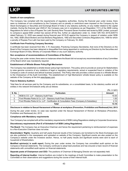# **Details of non-compliance**

The Company has complied with the requirements of regulatory authorities. During the financial year under review, there were no instances of non-compliance by the Company and no penalty or restrictions were imposed on the Company by the Stock Exchange(s) or Securities and Exchange Board of India or any statutory authority, on any matter related to the capital markets. During the financial year 2020-21 the Company was not in compliance as per Regulation 17(1) of the SEBI Listing Regulations for which a fine of Rupees Ten Lakh Seventy Nine Thousand Seven Hundred was levied by BSE Limited, pursuant to company's appeal BSE Limited has waived off the fine, further an adjudication order no. Order/ GR/ KG/ 2019-20/6773 dated February 12, 2020 was passed during financial year 2019-20 against the Company in respect of violation under SEBI Act, 1992, SEBI (Stock Brokers and Sub Brokers) Regulations, 1992 and Securities Contracts (Regulation) Act, 1956 for which a penalty of Rupees Five Lakh has been paid by the Company on February 18, 2020.

# **Certificate from Practicing Company Secretary**

A certificate has been received from M/s. V. R. Associates, Practicing Company Secretaries, that none of the Directors on the Board of the Company has been debarred or disqualified from being appointed or continuing as Directors by the Securities and Exchange Board of India, Ministry of Corporate Affairs or any such statutory authority.

# **Non acceptance of recommendations of Committees of the Board**

During the year under review, there were no instances where the Board did not accept any recommendations of any Committee of the Board which was mandatorily required.

# **Establishment of Whistle Blower Policy/Vigil Mechanism**

The Company has established a whistle blower policy/vigil mechanism. This policy aims to provide an avenue for Stakeholders to raise genuine concerns of any violations of legal or regulatory requirements, actual or suspected fraud or violation of the Company's code of conduct and ethical business practices. This Policy *inter-alia* provides a direct access to a Whistle Blower to the Chairperson of the Audit Committee. The establishment of Vigil Mechanism/ whistle blower policy is available on the website of the Company at the link www.lkpsec.com.

# **Fees to Statutory Auditors**

Total fees for all services paid by the Company and its subsidiaries, on a consolidated basis, to the statutory auditor and all entities in the network firm/network entity are as follows:

(Rs. in lakh)

|               |                                                                                        | .      |
|---------------|----------------------------------------------------------------------------------------|--------|
| <b>S. No.</b> | <b>Particulars</b>                                                                     | Amount |
|               | MGB & CO. LLP - Statutory Audit Fees                                                   | 10.00  |
|               | Ford Rhodes Parks & Co. LLP - Statutory Audit Fees (Subsidiary)                        | 1.00   |
| -3.           | Ford Rhodes Parks & Co. LLP - Certification & Consultation Fees (Company & Subsidiary) | 2.10   |
|               | Total                                                                                  | 13.10  |

# **Disclosure in relation to Sexual Harassment of Woman at workplace (Prevention, Prohibition and Redressal) Act, 2013**

During the year under review, no case was reported under the Sexual Harassment of Women at Workplace (Prevention, Prohibition and Redressal) Act, 2013.

# **Compliance with Mandatory requirements**

Your Company has complied with all the mandatory requirements of SEBI Listing Regulations relating to Corporate Governance.

# **Discretionary requirements (Part E of Schedule II of SEBI Listing Regulations)**

**The Board:** The Company has an Executive Chairman and hence the requirement pertaining to reimbursement of expenses to a Non-Executive Chairman does not arise.

**Shareholders' Rights:** Quarterly and half yearly financial results of the Company are furnished to the Stock Exchanges and are also published in the newspapers and uploaded on website of the Company. Significant events are also posted on the Company's website under the Investors section. Hence, no half yearly results and significant events were sent to each of household of Shareholders.

**Modified opinion(s) in audit report:** During the year under review, the Company has unmodified audit opinion on the Company's financial statements. The Company continues to adopt best practices and has ensured a track record of financial statements with unmodified audit opinion on financial statements.

**Separate posts of Chairperson and CEO:** The positions of Chairman & Managing Director are not separately held.

**Reporting of Internal Auditor**: Internal Auditors are invited to the meetings of Audit Committee to make presentation to the Committee on their observations and suggestions during the course of their Internal Audit.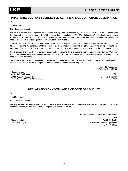# **PRACTISING COMPANY SECRETARIES' CERTIFICATE ON CORPORATE GOVERNANCE**

To,

The Members of

LKP Securities Limited

We have examined the compliance of conditions of Corporate Governance by LKP Securities Limited ("the Company") for the financial year ended on March 31, 2022 as stipulated in Regulations 17 to 27 and clauses (b) to (i) of sub-regulation (2) of regulation 46 and Para C, D and E of Schedule V of the Securities and Exchange Board of India (Listing Obligations and Disclosure Requirements) Regulations, 2015 ("Listing Regulations").

The compliance of conditions of Corporate Governance is the responsibility of the management. Our examination was limited to procedures and implementation thereof, adopted by the Company for ensuring the compliance of the provisions relating to Corporate Governance. It is neither an audit nor an expression of opinion on the financial statements of the Company.

In our opinion and to the best of our information and according to the explanations given to us, we certify that the Company has complied in all material aspects with the conditions of Corporate Governance as stipulated in the above-mentioned Listing Regulations as applicable.

We further state that such compliance is neither an assurance as to the future viability of the Company nor the efficiency or effectiveness with which the management has conducted the affairs of the Company.

> For V.R. Associates Company Secretaries

Place : Mumbai Date : 29th April, 2022 UDIN: A007731D000244231 Peer Review Certificate no. 1662/2022

Sd/- **V. Ramachandran** CP 4731

DIN: 00131122

# **DECLARATION ON COMPLIANCE OF CODE OF CONDUCT**

To,

The Members of

LKP Securities Limited

I hereby declare that the Directors and Senior Managerial Personnel of the Company have affirmed in writing, their compliances with the Company's Code of Conduct, during the year ended March 31, 2022.

For and on behalf of the Board of Directors Sd/- Place: Mumbai **Pratik M. Doshi**  Date : April 29, 2022 Chairman & Managing Director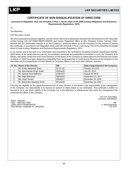# **CERTIFICATE OF NON-DISQUALIFICATION OF DIRECTORS**

*(pursuant to Regulation 34(3) and Schedule V Para C clause (10)(i) of the SEBI (Listing Obligations and Disclosure Requirements) Regulations, 2015***)**

To,

The Members,

LKP Securities Limited

We have examined the relevant registers, records, forms, returns and disclosures received from the Directors of LKP Securities Limited having CIN L67120MH1994PLC080039 and having Registered Office at 203, Embassy Centre, Nariman Point, Mumbai 400 021 (hereinafter referred to as 'the Company'), produced before us by the Company for the purpose of issuing this Certificate, in accordance with Regulation 34(3) read with Schedule V Para C sub clause 10(i) of the Securities Exchange Board of India (Listing Obligations and Disclosure Requirements) Regulations, 2015.

In our opinion and to the best of our information and according to the verifications (including Directors Identification Number (DIN) status at the portal www.mca.gov.in) as considered necessary and explanations furnished to us by the Company & its officers, we hereby certify that none of the Directors on the Board of the Company as stated below for the financial year ended on March 31, 2022 have been debarred or disqualified from being appointed or continuing as Directors of the Company by the Securities and Exchange Board of India, Ministry of Corporate Affairs or any such other statutory authority.

|    | Sr. No.   Name of the Director | <b>DIN</b> | Date of appointment in the Company |
|----|--------------------------------|------------|------------------------------------|
| 1. | Mr. Pratik Mahendra Doshi      | 00131122   | October 26, 2010                   |
| 2. | Mr. Satvinderpal Singh Gulati  | 02404230   | July 08, 2016                      |
| 3. | Mr. Ganesh Arun Malhotra       | 07581670   | August 03, 2016                    |
| 4. | Mr. Sajid Mohamed              | 06878433   | September 27, 2017                 |
| 5. | Ms. Anjali Suresh              | 02545317   | December 18, 2018                  |
| 6. | Mr. Mahendra Vasantrai Doshi   | 00123243   | December 14, 2020                  |

Ensuring the eligibility for the appointment/continuity of every Director on the Board is the responsibility of the management of the Company. Our responsibility is to express an opinion on these based on our verification. This certificate is neither an assurance as to the future viability of the Company nor of the efficiency or effectiveness with which the management has conducted the affairs of the Company.

> For V.R. Associates Company Secretaries

Place : Mumbai Date : 29th April, 2022 UDIN: A007731D000244220 Peer Review Certificate no. 1662/2022

Sd/- V. Ramachandran CP 4731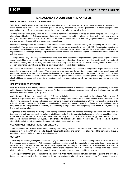# **MANAGEMENT DISCUSSION AND ANALYSIS**

# **INDUSTRY STRUCTURE AND DEVELOPMENTS**

With the successful rollout of vaccines this year started on an optimistic note for the global capital markets. Across the world, asset classes have witnessed unparalleled growth, driven by enhanced liquidity and prospects of a strong post-pandemic economic recovery. Retail investors are one of the primary drivers for this growth in liquidity.

Tackling several obstruction, such as the continuous northward movement of crude oil prices coupled with supplyside disruptions, which led to inflationary pressure that drove up commodity and food prices, relentless selling by foreign investors along with the emergence of new COVID variants, the hawkish stance of the US Fed and geopolitical conflict, Indian equity markets performed reasonably well during this financial year.

Despite the developments, the benchmark stock market indices in India – Sensex and Nifty 50 – surged by 18.3% and 18.9%, respectively. This performance was supported by strong corporate earnings, sharp rise in COVID-19 vaccination, opening up of business establishments across the country and, more importantly, explosive growth in the size of India's retail investor segment that is increasingly looking at equity investments as a viable and sustainable option to the sublime returns offered by risk free assets.

ADTO (Average Daily Turnover) has shown increasing trend since past months especially during the lockdown period, which was a result of buoyancy in equity markets and increasing retail participation. However, it would be key to watch how the trend behaves in coming months as margin requirement rises in step wise manner as per SEBI's new regulation. Robust client addition and market volatility are key factors for surging volumes largely led by options.

We believe the industry is moving towards fee for service model wherein a customer is charged fee as per services availed instead of a standard or fixed charge. With financial savings rising and lower interest rates, equity as an asset class will continue to remain attractive, Capital market businesses are currently in a sweet spot in the journey or transition of business model. While we expect discount brokers to continue with growth ahead, however revenue growth is largely dependent on client additions as scope for higher pricing remains difficult. Hence, earnings growth from pure brokerage income to remain limited.

# **OPPORTUNITIES AND THREATS**

With the increase in size and importance of India's financial sector relative to its overall economy, the equity broking industry is set for increased volumes over the next few years. Further, since equities are expected to do well over the longer term, we will likely see increased investor participation.

Ability to onboard clients and complete their KYC journey digitally has been a big boost for the industry. Extensive use of Artificial Intelligence and Machine Learning capabilities are imperative to create a vital differentiator across the entire value chain of the business. The digital brokerages today garner a dominant share in the industry with their service offerings to clients using digital trading platforms. Facilitated by seamless DIY registration, ease of transacting, offering an open architecture with integration of 3rd party products, the industry is experiencing a surge in retail investor participation, which, in turn, is boosting the overall trading volumes.

Acquainted of the situations the Company is making conscious efforts to increase investor participation and has plans to increase its overall market share by targeting profitable segments. The Company is also focusing on efficient use of technology to become a cost efficient performer in the market. The Company will continue to focus on technology, drive client acquisition, increase its business partner network, provide efficient trading tools and value added research advice to its clients. The overall strategic focus is to create product and service differentiators across all segments.

# **SEGMENT WISE / PRODUCT WISE PERFORMANCE**

The Company offers research based equity advisory and trading services to individuals, corporates and retail clients. With presence in more than 150 cities in India through network of branches and franchisees, it has helped the Company achieve a de-risked business model and a wide spread presence.

# **OUTLOOK**

The broking industry is growing immensely with negligible penetration in tier II, III and beyond geographies where about 60% of the country's population resides. With these geographies accessible largely through digital means, a significantly large market share will be up for grabs between the top 10 digital players. The Company is pushing hard to demonstrate its capabilities to harness this opportunity over the last few years. With its strong understanding of these markets supported by its best-in-class digital products, the Company will aggressively take a dominant market share amongst these players.

The Company's technology-based platforms play a key role in facilitating business from self-serviced segments, and provide a larger base for cross-selling financial products. Its strategy continues to be built on improving and fortifying research content,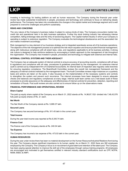investing in technology for trading platform as well as human resources. The Company during the financial year under review has made substantial investments in people, processes and technology and continues to focus on delivering steady performance. The Company has taken into consideration the changes in the capital market and brokerage segment and is well prepared to overcome challenges and perform sustainably.

# **RISKS AND CONCERNS**

The very nature of the Company's business makes it subject to various kinds of risks. The Company encounters market risk, credit risk and operational risks in its daily business operations. Further the stock broking industry has witnessing intense competition, falling brokerage rates and the entry of several big players. The Capital market industry in which your Company is operating is subject to extensive regulation. The Company evaluates the technological obsolescence and the associated risk and makes investment accordingly.

Risk management is a key element of our business strategy and is integrated seamlessly across all of its business operations. The objective of the risk management process is to optimize the risk-return equation and ensure prudent financial management; along with meticulous compliance with all extant laws, rules, and regulations applicable to all its business activities. A strong risk culture is designed to help reinforce resilience by encouraging a holistic approach to the management of risk throughout the organisation. The Company has invested in people, processes and technology to mitigate both external and internal risks.

# **INTERNAL CONTROL SYSTEMS AND THEIR ADEQUACY**

The Company has an adequate system of internal controls to ensure accuracy of accounting records, compliance with all laws & regulations and compliance with all rules, procedures & guidelines prescribed by the management. An extensive internal audit is carried out by independent firm of Chartered Accountants. An internal team of inspection also regularly visits branches for ensuring regulatory compliance. The Board/Audit Committee reviews the overall risk management framework and the adequacy of internal controls instituted by the management team. The Audit Committee reviews major instances on a quarterly basis and actions are taken on the same. It also focusses on the implementation of the necessary systems and controls to strengthen the system and prevent such recurrence. The internal processes have been designed to ensure adequate checks and balances and regulatory compliances at every stage. Internal audit team carries out a risk-based audit of these processes to provide assurance on the adequacy and effectiveness of internal controls for prevention, detection, reporting and remediation of frauds. Post audit reviews are also carried out to ensure follow up on the observations made.

# **FINANCIAL PERFORMANCE AND OPERATIONAL REVIEW**

# **Share Capital**

The paid up equity share capital of the Company as on March 31, 2022 stands at Rs. 14,96,87,152/- divided into 7,48,43,576 fully paid up equity shares of Rs. 2/- each.

# **Net Worth**

The Net Worth of the Company stands at Rs. 5,689.37 lakh.

# **Secured Loans**

The Company has secured borrowings of Rs. 911.45 lakh in the current year.

# **Total Income**

During the year total income was reported at Rs.9,340.74 lakh.

# **Finance Cost**

The finance cost of the Company stands at Rs. 240.04 lakh.

# **Tax Expense**

The Company has incurred a tax expense of Rs. 473.53 lakh in the current year.

# **HUMAN RESOURCES**

During the year under review there has been no material development on the Human Resource/Industrial Relations front during the year. The Company places significant importance to its human capital. As on March 31, 2022 there are 382 employees employed by the Company. The Company's focus is on recruitment of good talent and retention of the talent pool. The Company has been paying special attention to improve the skill set of the employees through various training programs. All employees are encouraged and motivated to get themselves certified in relevant industry standard certifications such as CFP, NCFM, NISM, BSEC & AMFI.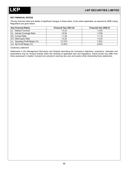# **KEY FINANCIAL RATIOS**

The key financial ratios and details of significant changes in these ratios, to the extent applicable, as required by SEBI Listing Regulations are given below:

| <b>Key Financial Ratios</b>        | <b>Financial Year 2021-22</b> | <b>Financial Year 2020-21</b> |
|------------------------------------|-------------------------------|-------------------------------|
| (i)<br><b>Debtors Turnover</b>     | 1:4.23                        | 1:3.63                        |
| (ii)<br>Interest Coverage Ratio    | 1:8.52                        | 1:5.66                        |
| (iii) Current Ratio                | 1:1.29                        | 1:1.19                        |
| (iv) Debt Equity Ratio             | 1:0.23                        | 1:0.23                        |
| Operating Profit Margin (%)<br>(v) | 21.07%                        | 7.20%                         |
| (vi) Net Profit Margin (%)         | 14.25%                        | 4.64%                         |

*Cautionary statement*

*Statements in this Management Discussion and Analysis describing the Company's objectives, projections, estimates and expectations may be 'forward looking' within the meaning of applicable laws and regulations. Actual results may differ from those expressed or implied. Investors are advised to exercise due care and caution while interpreting these statements.*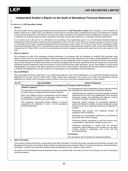# **Independent Auditor's Report on the Audit of Standalone Financial Statements**

### To

### The Members of **LKP Securities Limited**

#### 1. **Opinion**

 We have audited the accompanying standalone financial statements of **LKP Securities Limited** ("the Company"), which comprise the balance sheet as at 31 March 2022, the statement of profit and loss (including other comprehensive income), the statement of changes in equity and the statement of cash flows for the year then ended, and notes to the standalone financial statements including a summary of significant accounting policies and other explanatory information (herein after referred to as "standalone financial statements").

 In our opinion and to the best of our information and according to the explanations given to us, the aforesaid standalone financial statements give the information required by the Companies Act, 2013 ("the Act") in the manner so required and give a true and fair view in conformity with the Indian Accounting Standards (Ind AS) prescribed under section 133 of the Act read with the Companies (Indian Accounting Standards) Rules, 2015, as amended and other accounting principles generally accepted in India, of the state of affairs of the Company as at 31 March 2022, its profit, total comprehensive income, changes in equity and its cash flows for the year ended on that date.

#### 2. **Basis for Opinion**

 We conducted our audit of the standalone financial statements in accordance with the Standards on Auditing (SAs) specified under section 143(10) of the Act. Our responsibilities under those Standards are further described in the Auditor's Responsibilities for the Audit of the Standalone Financial Statements section of our report. We are independent of the Company in accordance with the Code of Ethics issued by the Institute of Chartered Accountants of India (ICAI) together with the ethical requirements that are relevant to our audit of the standalone financial statements under the provisions of the Act and the Rules made thereunder, and we have fulfilled our other ethical responsibilities in accordance with these requirements and the ICAI's Code of Ethics. We believe that the audit evidence obtained by us is sufficient and appropriate to provide a basis for our audit opinion on the standalone financial statements.

#### 3. **Key Audit Matters**

 Key audit matters are those matters that, in our professional judgment, were of most significance in our audit of the standalone financial statements for the year ended 31 March 2022. These matters were addressed in the context of our audit of the standalone financial statements as a whole, and in forming our opinion thereon, and we do not provide a separate opinion on these matters.

| Sr. No | <b>Key Audit Matter</b>                                                                                                                                                                                                                                                                                                                                                                                                                                                                                                 | <b>Auditor's Response</b>                                                                                                                                                                                                                                                                                                                                                                                                                                                                                                                                                                                                                                                                                                                                                                                                                                                                                                                                                                                                                                                                                                           |
|--------|-------------------------------------------------------------------------------------------------------------------------------------------------------------------------------------------------------------------------------------------------------------------------------------------------------------------------------------------------------------------------------------------------------------------------------------------------------------------------------------------------------------------------|-------------------------------------------------------------------------------------------------------------------------------------------------------------------------------------------------------------------------------------------------------------------------------------------------------------------------------------------------------------------------------------------------------------------------------------------------------------------------------------------------------------------------------------------------------------------------------------------------------------------------------------------------------------------------------------------------------------------------------------------------------------------------------------------------------------------------------------------------------------------------------------------------------------------------------------------------------------------------------------------------------------------------------------------------------------------------------------------------------------------------------------|
| 1.     | Accuracy and completeness of revenue recognized and<br>related IT systems<br>The application of revenue recognition accounting standards<br>involves revenue arrangements and relevant contracts.<br>Due to the different revenue arrangements and the degree<br>of complexity of IT systems and processes used, we have<br>considered this matter as a key audit matter.<br>The Company's accounting policies relating to revenue  -<br>recognition are presented in note 2 to the standalone<br>financial statements. | <b>Principal Audit Procedures</b><br>Our audit approach was a combination of test of internal controls<br>and substantive procedures which included the following:<br>Understanding the significant revenue processes including<br>performance of an end to end walkthrough of the revenue<br>assurance process and identifying the relevant controls<br>(including IT systems, interfaces and reports).<br>Reviewing sample contracts for accounting treatments<br>opted and testing the related revenues recognized during<br>the year and to have reasonable assurance of adequate IT<br>controls.<br>Performing data analysis and analytical reviews of<br>significant revenue streams;<br>Reviewing key reconciliations performed by the Revenue<br>Assurance team of the Company;<br>Performing specific procedures to test the accuracy and<br>completeness of adjustments relating revenue; and<br>Performing procedures to ensure that the revenue<br>$\overline{\phantom{a}}$<br>recognition criteria adopted by the Company for all major<br>revenue streams is appropriate and in line with the<br>accounting policies. |
|        |                                                                                                                                                                                                                                                                                                                                                                                                                                                                                                                         | Conclusion                                                                                                                                                                                                                                                                                                                                                                                                                                                                                                                                                                                                                                                                                                                                                                                                                                                                                                                                                                                                                                                                                                                          |
|        |                                                                                                                                                                                                                                                                                                                                                                                                                                                                                                                         | Our procedures did not identify any material exceptions.                                                                                                                                                                                                                                                                                                                                                                                                                                                                                                                                                                                                                                                                                                                                                                                                                                                                                                                                                                                                                                                                            |

#### 4. **Other Information**

The Company's Board of Directors is responsible for the other information. The other information comprises the information included in the Management Discussion and Analysis, Board's Report including Annexures to Board's Report, Corporate Governance and Shareholder's Information, but does not include the standalone financial statements and our auditor's report thereon.

 Our opinion on the standalone financial statements does not cover the other information and we do not express any form of assurance conclusion thereon.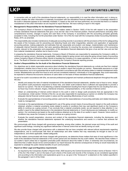In connection with our audit of the standalone financial statements, our responsibility is to read the other information and, in doing so, consider whether the other information is materially inconsistent with the standalone financial statements or our knowledge obtained in the audit or otherwise appears to be materially misstated. If, based on the work we have performed, we conclude that there is a material misstatement of this other information we are required to report that fact. We have nothing to report in this regard

#### 5. **Management's Responsibility for the Standalone Financial Statements**

The Company's Board of Directors is responsible for the matters stated in Section 134(5) of the Act with respect to the preparation of these standalone financial statements that give a true and fair view of the financial position, financial performance (including other comprehensive income), changes in equity and cash flows of the Company in accordance with the accounting principles generally accepted in India, including the Ind AS prescribed under Section 133 of the Act read with the Companies (Indian Accounting Standards) Rules, 2015, as amended.

This responsibility also includes maintenance of adequate accounting records in accordance with the provisions of the Act for safeguarding the assets of the Company and for preventing and detecting frauds and other irregularities; selection and application of appropriate accounting policies; making judgments and estimates that are reasonable and prudent; and design, implementation and maintenance of adequate internal financial controls, that were operating effectively for ensuring the accuracy and completeness of the accounting records, relevant to the preparation and presentation of the standalone financial statements that give a true and fair view and are free from material misstatement, whether due to fraud or error.

 In preparing the standalone financial statements, Company's Board of Directors are responsible for assessing the Company's ability to continue as a going concern, disclosing, as applicable, matters related to going concern and using the going concern basis of accounting unless Company's Board of Directors either intends to liquidate the Company or to cease operations, or has no realistic alternative but to do so. The Board of Directors are responsible for overseeing the Company's financial reporting process.

#### 6. **Auditor's Responsibilities for the Audit of the Standalone Financial Statements**

 Our objectives are to obtain reasonable assurance about whether the standalone financial statements as a whole are free from material misstatement, whether due to fraud or error, and to issue an auditor's report that includes our opinion. Reasonable assurance is a high level of assurance, but is not a guarantee that an audit conducted in accordance with SAs will always detect a material misstatement when it exists. Misstatements can arise from fraud or error and are considered material if, individually or in the aggregate, they could reasonably be expected to influence the economic decisions of users taken on the basis of these standalone financial statements.

 As part of an audit in accordance with SAs, we exercise professional judgment and maintain professional skepticism throughout the audit. We also:

- Identify and assess the risks of material misstatement of the standalone financial statements, whether due to fraud or error, design and perform audit procedures responsive to those risks, and obtain audit evidence that is sufficient and appropriate to provide a basis for our opinion. The risk of not detecting a material misstatement resulting from fraud is higher than for one resulting from error, as fraud may involve collusion, forgery, intentional omissions, misrepresentations, or the override of internal control.
- Obtain an understanding of internal control relevant to the audit in order to design audit procedures that are appropriate in the circumstances. Under section 143(3)(i) of the Act, we are also responsible for expressing our opinion on whether the Company has adequate internal financial controls system in place and the operating effectiveness of such controls.
- Evaluate the appropriateness of accounting policies used and the reasonableness of accounting estimates and related disclosures made by management.
- Conclude on the appropriateness of management's use of the going concern basis of accounting and, based on the audit evidence obtained, whether a material uncertainty exists related to events or conditions that may cast significant doubt on the Company's ability to continue as a going concern. If we conclude that a material uncertainty exists, we are required to draw attention in our auditor's report to the related disclosures in the standalone financial statements or, if such disclosures are inadequate, to modify our opinion. Our conclusions are based on the audit evidence obtained up to the date of our auditor's report. However, future events or conditions may cause the Company to cease to continue as a going concern.
- Evaluate the overall presentation, structure and content of the standalone financial statements, including the disclosures, and whether the standalone financial statements represent the underlying transactions and events in a manner that achieves fair presentation.

We communicate with those charged with governance regarding, among other matters, the planned scope and timing of the audit and significant audit findings, including any significant deficiencies in internal control that we identify during our audit.

We also provide those charged with governance with a statement that we have complied with relevant ethical requirements regarding independence, and to communicate with them all relationships and other matters that may reasonably be thought to bear on our independence, and where applicable, related safeguards.

 From the matters communicated with those charged with governance, we determine those matters that were of most significance in the audit of the standalone financial statements of the current period and are therefore the key audit matters. We describe these matters in our auditor's report unless law or regulation precludes public disclosure about the matter or when, in extremely rare circumstances, we determine that a matter should not be communicated in our report because the adverse consequences of doing so would reasonably be expected to outweigh the public interest benefits of such communication.

#### 7. **Report on Other Legal and Regulatory requirements**

I. As required by the Companies (Auditor's Report) Order, 2020 issued by the Central Government of India in terms of Section 143(11) of the Act ("the Order"), and on the basis of such checks of the books and records of the Company as we considered appropriate and according to the information and explanations given to us, we give in the "Annexure A" a statement on the matters specified in the paragraph 3 and 4 of the Order.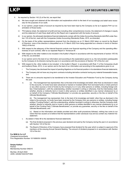- II. As required by Section 143 (3) of the Act, we report that:
	- a) We have sought and obtained all the information and explanations which to the best of our knowledge and belief were necessary for the purposes of our audit;
	- b) In our opinion, proper books of account as required by law have been kept by the Company so far as it appears from our examination of those books;
	- c) The balance sheet, the statement of profit and loss including other comprehensive income, the statement of changes in equity and the statement of cash flows dealt with by this Report are in agreement with the books of account;
	- d) In our opinion, the aforesaid standalone financial statements comply with the Indian Accounting Standards specified under Section 133 of the Act, read with the Companies (Indian Accounting Standards) Rules, 2015, as amended;
	- e) On the basis of the written representations received from the directors as on 31 March 2022 taken on record by the Board of Directors, none of the directors is disqualified as on 31 March 2022 from being appointed as a director in terms of Section 164(2) of the Act;
	- f) With respect to the adequacy of the internal financial controls over financial reporting of the Company and the operating effectiveness of such controls, refer to our separate Report in "Annexure B";
	- g) With respect to the other matters to be included in the Auditor's Report in accordance with the requirements of section 197(16) of the Act, as amended:

 In our opinion and to the best of our information and according to the explanations given to us, the remuneration paid/payable by the Company to its directors during the year is in accordance with the provisions of Section 197 of the Act; and

- h) With respect to the other matters to be included in the Auditor's Report in accordance with Rule 11 of the Companies (Audit and Auditors) Rules, 2014, in our opinion and to the best of our information and according to the explanations given to us:
	- i. The Company has disclosed the impact of pending litigations on its financial position in its standalone financial statements;
	- ii. The Company did not have any long-term contracts including derivative contracts having any material foreseeable losses; and
	- iii. There are no amounts required to be transferred to the Investor Education and Protection Fund by the Company during the year.
	- iv. (a) The management has represented, that, to the best of its knowledge and belief, other than as disclosed in notes to the accounts, no funds have been advanced or loaned or invested (either from borrowed funds or share premium or any other sources or kind of funds) by the Company to or in any other persons or entities, including foreign entities ("Intermediaries"), with the understanding, whether recorded in writing or otherwise, that the Intermediary shall, whether, directly or indirectly lend or invest in other persons or entities identified in any manner whatsoever by or on behalf of the Company ("Ultimate Beneficiaries") or provide any guarantee, security or the like on behalf of the Ultimate Beneficiaries

(b) The management has represented, that, to the best of its knowledge and belief, other than as disclosed in the notes to the accounts, no funds have been received by the Company from any persons or entities, including foreign entities ("Funding Parties"), with the understanding, whether recorded in writing or otherwise, that the Company shall, whether, directly or indirectly, lend or invest in other persons or entities identified in any manner whatsoever by or on behalf of the Funding Party ("Ultimate Beneficiaries") or provide any guarantee, security or the like on behalf of the Ultimate Beneficiaries; and

(c) Based on the information and details provided and other audit procedures followed, nothing has come to our notice that has caused us to believe that the representations under subclause iv(a) and (b) contain any material misstatement.

- v. As stated in Note 48 to the standalone financial statements
	- (a) The final dividend proposed in the previous year declared and paid by the Company during the year is in accordance with Section 123 of the Act.
	- (b) The Board of Directors of the Company have proposed final dividend for the year which is subject to approval of the members at the ensuing Annual General Meeting. The amount of dividend proposed is in accordance with Section 123 of the Act.

#### **For MGB & Co LLP**

Chartered Accountants Firm Registration Number 101169W/W-100035

**Sanjay Kothari** Partner Membership Number 048215

Mumbai, 29 April 2022 UDIN: 22048215AICICP1893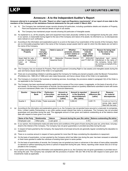# **Annexure - A to the Independent Auditor's Report**

**Annexure referred to in paragraph 7(I) under "Report on other Legal and Regulatory requirements" of our report of even date to the members of the Company on the standalone financial statements for the year ended 31 March 2022**

- **i.** (a) A) The Company has maintained proper records showing full particulars, including quantitative details and situation of Property, Plant and Equipment and relevant details of right of use assets.
	- B) The Company has maintained proper records showing full particulars of Intangible assets.
	- (b) As explained to us, all the property, plant and equipment have been physically verified by the management during the year, which in our opinion, is reasonable having regard to the size of the Company and nature of its assets. As informed to us, no discrepancies were noticed on such verification.
	- (c) According to the information and explanations given to us and on the basis of our examination of the records of the Company, there are no immovable properties held in the name of the Company except assets held for sale for which the title deeds are not held in the name of the Company.

| Description of<br><b>Property</b>                                                    | <b>Gross</b><br>Carrying<br>value (Rs./<br>Lakhs) |                                    | Held in name of   |                 | Whether<br>promoter, director,<br>or their relative or<br>employee                                                                                 | Period held-<br>indicate<br>range, where<br>appropriate | Reason for being held<br>in the name of the<br>Company |  |
|--------------------------------------------------------------------------------------|---------------------------------------------------|------------------------------------|-------------------|-----------------|----------------------------------------------------------------------------------------------------------------------------------------------------|---------------------------------------------------------|--------------------------------------------------------|--|
| Asset Held for sale-4<br>parcels of Agricultural<br>Land<br>Alibaug,<br>at<br>Raigad | 669.54                                            | Mahendra<br>Mr.<br>Vasantrai Doshi | Promoter/Director | 2020-2021<br>FY | Agricultural<br>land<br>cannot<br>and FY 2021-22 I transferred in the name of<br>the company, hence held<br>as nominee on behalf of the<br>Company |                                                         |                                                        |  |

- (d) The Company has not revalued its Property, Plant and Equipment (including Right to Use assets) and intangible assets during the year and hence clause 3(i)(d) of the Order is not applicable.
- (e) There are no proceedings initiated or pending against the Company for holding any benami property under the Benami Transactions (Prohibition) Act, 1988 (45 of 1988) and rules made thereunder, and hence clause 3(i)(e) of the Order is not applicable.
- **ii.** (a) The Company is involved in the business of rendering services. Accordingly, the provisions stated in paragraph 3(ii) of the Order is not applicable to the Company.
	- (b) The Company has been sanctioned working capital limits in excess of five crore rupees, in aggregate, on the basis of security of current assets. On the basis of examination of records, the discrepancies noticed on quarterly statements submitted to bank with books of account maintained (Refer note 14 to standalone financial statements).

| Quarter   | Name of the<br><b>Bank</b> | <b>Particulars</b><br>of Securities<br>provided | Amount as<br>per books of<br>accounts (Rs.<br>Lakhs) | Amount is reported<br>in the Quarterly<br>return/statement<br>(Rs. Lakhs) | Amount of<br>difference (Rs.<br>Lakhs) | <b>Reasons</b><br>for material<br>discrepancies             |
|-----------|----------------------------|-------------------------------------------------|------------------------------------------------------|---------------------------------------------------------------------------|----------------------------------------|-------------------------------------------------------------|
| Quarter 2 |                            | Bank of India   Trade receivable                | 7.366.16                                             | 3,084.43                                                                  | 4,281.73                               | Inadvertently<br>wrong date report<br>filled with the bank. |

iii (a) According to the information and explanations given to us, the Company has not granted loans secured or unsecured, to companies, firms, Limited Liability Partnerships or any other parties except interest free loans to employees. The Company has not provided guarantees and securities during the year. The aggregate amount of loan given and balance outstanding as at the balance sheet date with respect to loans given is as under

| Name of the Party   Relationship |             | <b>Nature</b> | Amount during the year (Rs.Lakhs)   Balance outstanding (Rs.lakhs) |      |
|----------------------------------|-------------|---------------|--------------------------------------------------------------------|------|
| Employee Loan                    | Other party | Loan given    | 3.10                                                               | 2.25 |

- (b) In our opinion, the investments made and other terms and conditions of the grant of loans during the year are, prima facie, not prejudicial to the interest of the Company. The Company has not given guarantees or provided securities during the year.
- (c) In respect of loans granted by the Company, the repayments of principal amounts are generally regular considering the stipulation to repayment.
- (d) There is no overdue amount in respect of loans granted for more than 90 days considering the stipulations to repayment.
- (e) On the basis of examination, no loan granted by the Company which has fallen due during the year, has been renewed or extended or fresh loans granted to settle the overdues of existing loans given to same parties.
- On the basis of examination of records, the Company has not granted any loans or advances in the nature of loans either repayable on demand or without specifying any terms or period of repayment during the year. Hence, reporting under clause 3(iii) (f) is not applicable to the Company.
- iv In our opinion and according to the information and explanations given to us, the Company has not given guarantees or provided securities during the year. The Company has complied with the provisions of section 185 and 186 of the Act with respect to loans given and investments made as applicable.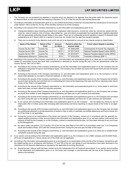- The Company has not accepted any deposits or amounts which are deemed to be deposits, from the public within the directives issued by Reserve Bank of India and within the meaning of Sections 73 to 76 of the Act and the rules framed thereunder.
- vi According to information and explanation given to us, the Central Government of India has not prescribed the maintenance of cost records under Section 148(1) of the Act, for any of the activities carried on by of the Company.
- vii According to the records of the Company examined by us and information and explanations given to us:
	- a) Undisputed statutory dues including provident fund, employees' state insurance, income tax, sales tax, service tax, goods and services tax , duty of customs, duty of excise, value added tax , cess and others as applicable have generally been regularly deposited with the appropriate authorities except delays in few cases. There are no undisputed amounts payable in respect of aforesaid dues outstanding as at 31 March 2022 for a period of more than six months from the date they became payable.
	- b) There are no amounts of any statutory dues which are yet to be deposited on account of any dispute except as stated below:

| Name of the Statute   | Nature of the<br><b>Dues</b> | Amount<br>(In lakhs) | Period to which the<br>amount relate | Forum where dispute is pending         |
|-----------------------|------------------------------|----------------------|--------------------------------------|----------------------------------------|
| Income Tax Act 1961   | Income Tax                   | 6.82                 | AY 2008-2009                         | Commissioner of Income Tax (Appeals)   |
| Income Tax Act 1961   | Income Tax                   | 146.21               | AY 2017-2018                         | National Faceless Appeal Center (NFAC) |
| Income Tax Act 1961   | Income Tax                   | 72.58                | AY 2016-2017                         | National Faceless Appeal Center (NFAC) |
| Maharashtra Stamp Act | Stamp duty                   | 50.51                | FY 2015-2016                         | Controller of Stamps (ENF-1)           |

- viii According to the records of the Company examined by us, and information and explanations given to us, there are no such transactions related to unrecorded income that have been surrendered or disclosed as income during the year in the tax assessments under the Income Tax Act, 1961 (43 of 1961).
- ix (a) According to the records of the Company examined by us and the information and explanations given to us, the Company has not defaulted in repayment of loans or borrowings to banks. The Company has not taken any loans from Government and has not issued any debentures.
	- (b) According to the records of the Company examined by us, and information and explanations given to us, the Company is not declared wilful defaulter by any bank or financial institution or other lender.
	- (c) According to the records of the Company examined by us, and information and explanations given to us, the Company has not taken any term loan during the year and there are no outstanding term loans at the beginning of the year and hence, reporting under clause 3(ix)(c) of the Order is not applicable.
	- (d) According to the records of the Company examined by us, and information and explanations given to us, funds raised on short term basis have been not been utilised for long term purposes.
	- (e) According to the records of the Company examined by us, and information and explanations given to us, the Company has not taken any funds from entities to meet obligations of its subsidiaries and there are no joint ventures and associates.
	- According to the records of the Company examined by us, and information and explanations given to us, the Company has not raised any loans during the year on the pledge of securities held in its subsidiaries and there are no joint ventures and associates.
- x (a) In our opinion and according to the information and explanations given to us, the Company has not raised any money by way of initial public offer or further public offer (including debt instruments) and hence reporting on clause 3(ix)(f) of the Order is not applicable.
	- (b) According to the records of the Company examined by us, and information and explanations given to us, the Company has not made any preferential allotment or private placement of shares or fully or partly or optionally convertible debentures and hence clause 3(x) (b) of the Order is not applicable.
- xi (a) During the course of our examination of the books and records of the Company, carried out in accordance with the generally accepted auditing practices in India, and according to the information and explanations given to us, we have neither come across any instance of fraud by the Company or on the Company, noticed or reported during the year, nor have been informed of any such case by the Management.
	- (b) No report under sub-section (12) of section 143 of the Act has been filed in Form ADT-4 as prescribed under rule 13 of Companies (Audit and Auditors) Rules, 2014 with the Central Government, during the year and upto the date of this report.
	- (c) According to the records of the Company examined by us, and information and explanations given to us, there are no whistle blower complaints received during the year.
- xii In our opinion and according to the information and explanations given to us, the Company is not a Nidhi company and the Nidhi Rules, 2014 are not applicable to it. Hence clause (xii) of the Order are not applicable.
- xiii According to the information and explanations given to us and based on our examination of the records of the Company, transactions with the related parties are in compliance with Sections 177 and 188 of the Act, and details of such transactions have been disclosed in the standalone Ind AS financial statements as required by the applicable Accounting Standards.
- xiv (a) During the year, Internal audit has been carried out by the Independent firm of Chartered accountants. In our opinion and according to the information and explanations given to us, the scope and coverage is commensurate with the size of the Company and the nature of its business.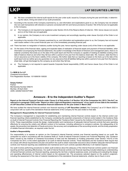- (b) We have considered the internal audit reports for the year under audit, issued by Company during the year and till date, in determining the nature, timing and extent of our audit procedures.
- xv According to the records of the Company examined by us, and information and explanations given to us, the Company has not entered into non-cash transactions with directors or persons connected with him and hence provisions of section 192 of the Act are not applicable to the Company.
- xvi a) The Company is not required to be registered under Section 45-IA of the Reserve Bank of India Act, 1934, hence clause (xvi) (a),(b) and (c) of the Order are not applicable
	- b) In our opinion, the Company is not a core investment company and accordingly reporting under clause 3(xvi)(d) of the Order is not applicable.
- xvii According to the records of the Company examined by us, and information and explanations given to us, the Company has not incurred cash losses neither in the current financial year nor in the immediately preceding financial year.
- xviii There has been no resignation of statutory auditor during the year, hence reporting under clause (xviii) of the Order is not applicable.
- xix On the basis of the financial ratios, ageing and expected dates of realisation of financial assets and payment of financial liabilities, other information accompanying the financial statements, the auditor's knowledge of the Board of Directors and management plans, there is no material uncertainty that exists as on the date of the audit report and that the Company is capable of meeting its liabilities existing at the date of balance sheet as and when they fall due within a period of one year from the balance sheet date. We, however, state that this is not an assurance as to the future viability of the company. We further state that our reporting is based on the facts up to the date of the audit report and we neither give any guarantee nor any assurance that all liabilities falling due within a period of one year from the balance sheet date, will get discharged by the company as and when they fall due.
- xx a) The Company is not required to spend towards Corporate Social responsibility (CSR) and hence clause 3(xx) of the Order is not applicable.

#### For **MGB & Co LLP** Chartered Accountants

Firm Registration Number: 101169W/W-100035

#### **Sanjay Kothari** Partner Membership Number 048215 Mumbai, 29 April 2022 UDIN: 22048215AICICP1893

# **Annexure - B to the Independent Auditor's Report**

**Report on the Internal Financial Controls under Clause (i) of Sub-section 3 of Section 143 of the Companies Act, 2013 ("the Act") as referred to in paragraph 7(II)(f) under "Report on other Legal and Regulatory requirements" of our report of even date to the members of LKP Securities Limited on the standalone financial statements for the year ended 31 March 2022**

We have audited the internal financial controls over financial reporting of **LKP Securities Limited** ("the Company") as of 31 March 2022 in conjunction with our audit of the standalone financial statements of the Company for the year ended on that date.

## **Management's Responsibility for Internal Financial Controls**

The Company's management is responsible for establishing and maintaining internal financial controls based on the internal control over financial reporting criteria established by the Company considering the essential components of internal control stated in the Guidance Note on Audit of Internal Financial Controls Over Financial Reporting (the "Guidance Note") issued by the Institute of Chartered Accountants of India (ICAI). These responsibilities include the design, implementation and maintenance of adequate internal financial controls that were operating effectively for ensuring the orderly and efficient conduct of its business, including adherence to company's policies, the safeguarding of its assets, the prevention and detection of frauds and errors, the accuracy and completeness of the accounting records, and the timely preparation of reliable financial information, as required under the Act.

#### **Auditor's Responsibility**

Our responsibility is to express an opinion on the Company's internal financial controls over financial reporting based on our audit. We conducted our audit in accordance with the Guidance Note on "Audit of Internal Financial Controls over Financial Reporting" (the "Guidance Note") issued by the Institute of Chartered Accountants of India and the Standards on Auditing prescribed under Section 143(10) of the Companies Act 2013, to the extent applicable to an audit of internal financial controls. Those Standards and the Guidance Note require that we comply with ethical requirements and plan and perform the audit to obtain reasonable assurance about whether adequate internal financial controls over financial reporting was established and maintained and if such controls operated effectively in all material respects.

Our audit involves performing procedures to obtain audit evidence about the adequacy of the internal financial controls system over financial reporting and their operating effectiveness. Our audit of internal financial controls over financial reporting included obtaining an understanding of internal financial controls over financial reporting, assessing the risk that a material weakness exists, and testing and evaluating the design and operating effectiveness of internal control based on the assessed risk. The procedures selected depend on the auditor's judgment, including the assessment of the risks of material misstatement of the standalone financial statements, whether due to fraud or error.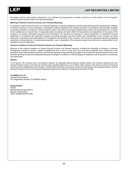We believe that the audit evidence obtained by us is sufficient and appropriate to provide a basis for our audit opinion on the Company's internal financial controls system over financial reporting.

## **Meaning of Internal Financial Controls over Financial Reporting**

A Company's internal financial control over financial reporting is a process designed to provide reasonable assurance regarding the reliability of financial reporting and the preparation of standalone financial statements for external purposes in accordance with generally accepted accounting principles. A company's internal financial control over financial reporting includes those policies and procedures that (1) pertain to the maintenance of records that, in reasonable detail, accurately and fairly reflect the transactions and dispositions of the assets of the company; (2) provide reasonable assurance that transactions are recorded as necessary to permit preparation of standalone financial statements in accordance with generally accepted accounting principles, and that receipts and expenditures of the company are being made only in accordance with authorisations of management and directors of the company; and (3) provide reasonable assurance regarding prevention or timely detection of unauthorised acquisition, use, or disposition of the company's assets that could have a material effect on the standalone financial statements.

## **Inherent Limitations of Internal Financial Controls over Financial Reporting**

Because of the inherent limitations of internal financial controls over financial reporting, including the possibility of collusion or improper management override of controls, material misstatements due to error or fraud may occur and not be detected. Also, projections of any evaluation of the internal financial controls over financial reporting to future periods are subject to the risk that the internal financial control over financial reporting may become inadequate because of changes in conditions, or that the degree of compliance with the policies or procedures may deteriorate.

#### **Opinion**

In our opinion, the Company has, in all material respects, an adequate internal financial controls system over financial reporting and such internal financial controls over financial reporting were operating effectively as at 31 March 2022, based on the internal control over financial reporting criteria established by the Company considering the essential components of internal control stated in the Guidance Note on Audit of Internal Financial Controls Over Financial Reporting issued by the Institute of Chartered Accountants of India.

## **For MGB & Co LLP**

Chartered Accountants Firm Registration Number 101169W/W-100035

## **Sanjay Kothari**

Partner Membership Number 048215 Mumbai, 29 April 2022 UDIN: 22048215AICICP1893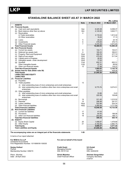# **STANDALONE BALANCE SHEET AS AT 31 MARCH 2022**

|     |                                                                                 |                |               | (Rs. Lakhs)   |
|-----|---------------------------------------------------------------------------------|----------------|---------------|---------------|
|     |                                                                                 | <b>Note</b>    | 31 March 2022 | 31 March 2021 |
|     | <b>ASSETS</b>                                                                   |                |               |               |
|     | (1) Financial Assets                                                            |                |               |               |
|     | (a) Cash and cash equivalents                                                   | 3(a)           | 8,325.38      | 6,058.37      |
|     | (b) Bank balance other than (a) above                                           | 3(b)           | 4,140.80      | 3,622.71      |
|     | (c) Receivables                                                                 | 4              |               |               |
|     | (i) Trade receivables                                                           |                | 2,118.24      | 1,813.42      |
|     | (ii) Other receivables                                                          |                | 18.20         | 17.13         |
|     |                                                                                 |                | 20.23         | 24.19         |
|     | (d) Loans                                                                       | 5              |               |               |
|     | (e) Investments                                                                 | 6              | 476.69        | 376.73        |
|     | <b>Other Financial assets</b><br>(f)                                            | $\overline{7}$ | 3,370.39      | 4,973.65      |
|     | <b>Total Financial Assets</b>                                                   |                | 18,469.93     | 16,886.20     |
| (2) | <b>Non-Financial Assets</b>                                                     |                |               |               |
|     | (a) Current tax assets                                                          | 8              | 154.71        | 154.01        |
|     | (b) Deferred tax assets (net)                                                   | 9              | 165.22        | 356.91        |
|     | (c) Property, Plant and Equipment                                               | 10(a)          | 289.76        | 277.72        |
|     | (d) Right-of-use assets                                                         | 10(b)          | 475.65        | 517.54        |
|     | (e) Capital work-in-Progress                                                    | 10(c)          | 26.50         |               |
|     | Intangible assets under development<br>(f)                                      | 10(d)          | 17.00         |               |
|     | (g) Goodwill                                                                    | 11(a)          | 652.31        | 652.31        |
|     | <b>Other Intangible Assets</b>                                                  | 11(b)          | 47.20         | 68.90         |
|     | (h) Other non-financial assets                                                  | 12             | 77.48         | 116.37        |
|     | <b>Total Non-Financial Assets</b>                                               |                | 1,905.83      | 2,143.76      |
|     | (3) Assets held for Sale (Refer note 50)                                        |                | 669.54        | 439.26        |
|     | <b>Total Assets</b>                                                             |                | 21,045.30     | 19,469.22     |
|     | <b>LIABILITIES AND EQUITY</b>                                                   |                |               |               |
|     | <b>LIABILITIES</b>                                                              |                |               |               |
|     | (1) Financial Liabilities                                                       |                |               |               |
|     | (a) Payables                                                                    |                |               |               |
|     | (I) Trade payables                                                              | 13             |               |               |
|     | (i) total outstanding dues of micro enterprises and small enterprises           |                |               |               |
|     | (ii) total outstanding dues of creditors other than micro enterprises and small |                | 9,775.76      | 9,074.51      |
|     |                                                                                 |                |               |               |
|     | enterprises                                                                     |                |               |               |
|     | (II) Other payables                                                             |                |               |               |
|     | (i) total outstanding dues of micro enterprises and small enterprises           |                | 33.86         | 0.43          |
|     | (ii) total outstanding dues of creditors other than micro enterprises and small |                | 220.58        | 109.68        |
|     | enterprises                                                                     |                |               |               |
|     | (b) Borrowings                                                                  | 14             | 911.45        | 1,015.52      |
|     | (c) Deposits                                                                    | 15             | 296.99        | 291.51        |
|     | (d) Lease Liabilities                                                           | 16(a)          | 522.88        | 524.24        |
|     | (e) Other financial liabilities                                                 | 16(b)          | 3,285.06      | 3,717.69      |
|     | <b>Total Financial Liabilities</b>                                              |                | 15,046.59     | 14,733.58     |
| (2) | <b>Non-Financial Liabilities</b>                                                |                |               |               |
|     | (a) Current tax liabilities                                                     | 17             | 41.04         |               |
|     | (b) Provisions                                                                  | 18             | 64.45         | 198.08        |
|     | (c) Other non-financial liabilities                                             | 19             | 203.85        | 166.11        |
|     | <b>Total Non-financial liabilities</b>                                          |                | 309.34        | 364.19        |
|     | (3) EQUITY                                                                      |                |               |               |
|     | (a) Equity Share Capital                                                        | 20             | 1,496.87      | 1,478.69      |
|     | (b) Other Equity                                                                | 21             | 4,192.50      | 2,892.75      |
|     | <b>Total Equity</b>                                                             |                | 5,689.37      | 4,371.44      |
|     | <b>Total Liabilities and Equity</b>                                             |                | 21,045.30     | 19,469.22     |
|     |                                                                                 |                |               |               |

**The accompanying notes are an integral part of the financials statements 1-59**

In terms of our report attached

**For MGB & Co.LLP For and on behalf of the board** Chartered Accountants Firm Registration Number: 101169W/W-100035

**Sanjay Kothari Pratik Doshi S.S Gulati**  Membership Number: 048215

Managing Director<br>DIN: 00131122

Chief Financial Officer

Place : Mumbai **Girish Majrekar Akshata Vengurlekar** A 50701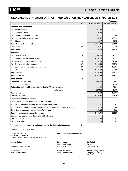# **STANDALONE STATEMENT OF PROFIT AND LOSS FOR THE YEAR ENDED 31 MARCH 2022**

|                                                                            |             |               | (Rs.Lakhs)    |
|----------------------------------------------------------------------------|-------------|---------------|---------------|
|                                                                            | <b>Note</b> | 31 March 2022 | 31 March 2021 |
| <b>Revenue from operations</b>                                             | 22          |               |               |
| Interest Income<br>(i)                                                     |             | 802.83        | 667.33        |
| Dividend Income<br>(ii)                                                    |             | 0.46          |               |
| Fees and Commission Income<br>(iii)                                        |             | 8,307.72      | 7,530.80      |
| Net gain on fair value changes<br>(iv)                                     |             | 93.51         | 138.14        |
| Others<br>(v)                                                              |             | 60.17         | 38.02         |
| <b>Total Revenue from operations</b>                                       |             | 9,264.69      | 8,374.29      |
| Other Income                                                               | 23          | 76.05         | 65.16         |
| <b>Total Income</b>                                                        |             | 9,340.74      | 8,439.45      |
| <b>Expenses</b>                                                            |             |               |               |
| <b>Finance Costs</b><br>(i)                                                | 24          | 240.04        | 118.77        |
| Fees and commission expense<br>(ii)                                        | 25          | 2,798.79      | 2,520.22      |
| Impairment on financial instruments<br>(iii)                               | 26          | 24.88         | 910.36        |
| Employee benefits expenses<br>(iv)                                         | 27          | 3,215.98      | 3,083.78      |
| Depreciation, amortisation and impairment<br>(v)                           | 28          | 208.67        | 163.61        |
| Other expenses<br>(vi)                                                     | 29          | 1,048.08      | 1,089.00      |
| <b>Total Expenses</b>                                                      |             | 7,536.44      | 7,885.74      |
| <b>Profit before tax</b>                                                   |             | 1,804.30      | 553.71        |
| <b>Tax expenses</b>                                                        | 30          |               |               |
| Current tax - current year                                                 |             | 446.80        | 59.85         |
| - earlier year                                                             |             |               | (0.76)        |
| Deferred tax including Minimum Alternate Tax (MAT) - current years         |             | 64.12         | 84.34         |
| - earlier years                                                            |             | (37.39)       | 18.58         |
| <b>Total tax expenses</b>                                                  |             | 473.53        | 162.01        |
| Profit for the year                                                        |             | 1,330.77      | 391.70        |
| <b>Other Comprehensive Income</b>                                          |             |               |               |
| Items that will not be reclassified to profit or loss                      |             |               |               |
| Remeasurement gains/(losses) on defined benefit plan                       |             | 22.17         | 0.45          |
| Fair value change on equity instruments through other comprehensive income |             | 5.79          | 6.08          |
| Other Comprehensive Income/ (loss) for the year                            |             | 27.94         | 6.53          |
| Total comprehensive Income for the year                                    |             | 1,358.71      | 398.23        |
| Earnings per equity share (face value of Rs. 2 each)                       | 41          |               |               |
| Basic EPS (in Rs.)                                                         |             | 1.79          | 0.53          |
| Diluted EPS (in Rs.)                                                       |             | 1.79          | 0.53          |
|                                                                            |             |               |               |

**The accompanying notes are an integral part of the financials statements 1-59**

In terms of our report attached

**For MGB & Co.LLP For and on behalf of the board** Chartered Accountants Firm Registration Number: 101169W/W-100035

**Sanjay Kothari Pratik Doshi S.S Gulati**  Membership Number: 048215

Partner Managing Director Director

Date : 29 April 2022 Chief Financial Officer Company Secretary

Place : Mumbai **Girish Majrekar Akshata Vengurlekar** A 50701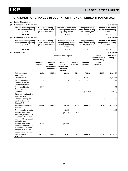# **STATEMENT OF CHANGES IN EQUITY FOR THE YEAR ENDED 31 MARCH 2022**

# **A. Equity Share Capital**

|  | (1) Balance as at 31 March 2022 |  |  |  |  |  |
|--|---------------------------------|--|--|--|--|--|
|--|---------------------------------|--|--|--|--|--|

| Balance as at 31 March 2022                                       |                                     |                                                                           |                                                                |                           |                                    |  |                                        | (Rs. Lakhs)                         |
|-------------------------------------------------------------------|-------------------------------------|---------------------------------------------------------------------------|----------------------------------------------------------------|---------------------------|------------------------------------|--|----------------------------------------|-------------------------------------|
| <b>Balance at the beginning</b>                                   |                                     | <b>Changes in Equity</b>                                                  | Restated balance at the                                        |                           | <b>Changes in equity</b>           |  | Balance at the end of                  |                                     |
| of the current reporting                                          |                                     | <b>Share Capital due to</b>                                               | beginning of the current                                       |                           | share capital during               |  | the current reporting                  |                                     |
| period                                                            |                                     | prior period errors                                                       | reporting period                                               |                           | the current year                   |  |                                        | period                              |
| 1,478.69                                                          |                                     |                                                                           | 1.478.69                                                       |                           | 18.18                              |  |                                        | 1,496.87                            |
| Balance as at 31 March 2021                                       |                                     |                                                                           |                                                                |                           |                                    |  |                                        | (Rs. Lakhs)                         |
| <b>Balance at the beginning</b>                                   |                                     | <b>Changes in Equity</b>                                                  | <b>Restated balance at</b>                                     |                           | <b>Changes in equity</b>           |  |                                        | Balance at the end of               |
| of the previous reporting                                         |                                     | <b>Share Capital due to</b>                                               | the beginning of the                                           |                           | share capital during               |  |                                        | the previous reporting              |
| period                                                            |                                     | prior period errors                                                       | previous reporting<br>period<br>1,478.69<br>٠                  |                           | the previous year                  |  |                                        | period                              |
| 1,478.69                                                          |                                     | $\blacksquare$                                                            |                                                                |                           |                                    |  |                                        | 1,478.69                            |
| <b>Other Equity</b>                                               |                                     |                                                                           |                                                                |                           |                                    |  |                                        | (Rs. Lakhs)                         |
|                                                                   |                                     |                                                                           | <b>Reserves and Surplus</b>                                    |                           |                                    |  | Other<br>Comprehensive<br>Income (OCI) | <b>Total other</b><br><b>Equity</b> |
|                                                                   | <b>Securities</b><br><b>Premium</b> | <b>Preference</b><br><b>Share</b><br><b>Redemption</b><br><b>Reserves</b> | Equity-<br><b>Settled</b><br>Share based<br>payment<br>reserve | General<br><b>Reserve</b> | <b>Retained</b><br><b>Earnings</b> |  | <b>Equity</b><br><b>Instruments</b>    |                                     |
| <b>Balance as at 31</b><br><b>March 2021</b>                      | 89.54                               | 1,960.39                                                                  | 86.28                                                          | 92.95                     | 795.31                             |  | $-131.71$                              | 2,892.75                            |
| Profit for the year                                               |                                     |                                                                           |                                                                |                           | 1,330.77                           |  |                                        | 1,330.77                            |
| Remeasurement of<br>defined benefit plan<br>(net of deferred tax) |                                     |                                                                           |                                                                |                           | 22.17                              |  |                                        | 22.17                               |
| Premium of Equity<br>Shares Issued                                | 45.44                               |                                                                           |                                                                |                           |                                    |  |                                        | 45.44                               |
| Dividend                                                          |                                     |                                                                           |                                                                |                           | (147.87)                           |  |                                        | (147.87)                            |

| Balance as at 31<br><b>March 2022</b>                                                                                          | 202.35 | 1,960.39 | 38.07   | 117.23 | 2,000.37 | (125.92) | 4,192.50 |
|--------------------------------------------------------------------------------------------------------------------------------|--------|----------|---------|--------|----------|----------|----------|
| <b>Transfer from Share</b><br>based payment reserve<br>to Securities Premium<br>on account of shares<br>issued during the year | 67.37  |          | (67.37) |        |          |          |          |
| <b>Transfer from Share</b><br>based payment reserve<br>to General Reserve on<br>account of Esop lapsed<br>during the year      |        |          | (24.29) | 24.29  |          |          |          |
| Share based payments                                                                                                           |        |          | 43.45   |        |          |          | 43.45    |
| <b>Total comprehensive</b><br>income                                                                                           | 134.98 | 1,960.39 | 86.29   | 92.95  | 2,000.37 | (125.92) | 4,149.05 |
| Fair value change on<br>equity instruments<br>through OCI                                                                      |        |          |         |        |          | 5.79     | 5.79     |
| Other comprehensive<br>income (OCI)                                                                                            |        |          |         |        |          |          |          |
| Dividend                                                                                                                       |        |          |         |        | (147.87) |          | (147.87) |
| Shares Issued                                                                                                                  |        |          |         |        |          |          |          |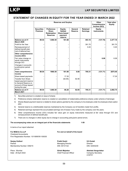# **STATEMENT OF CHANGES IN EQUITY FOR THE YEAR ENDED 31 MARCH 2022**

|                                                                                                                           |                                     |                                                                    | <b>Reserves and Surplus</b>                                                  | Other<br>Comprehensive<br>Income (OCI) | <b>Total other</b><br>Equity       |                                     |          |
|---------------------------------------------------------------------------------------------------------------------------|-------------------------------------|--------------------------------------------------------------------|------------------------------------------------------------------------------|----------------------------------------|------------------------------------|-------------------------------------|----------|
|                                                                                                                           | <b>Securities</b><br><b>Premium</b> | <b>Preference</b><br><b>Share</b><br>Redemption<br><b>Reserves</b> | <b>Equity-</b><br><b>Settled</b><br><b>Share based</b><br>payment<br>reserve | General<br><b>Reserve</b>              | <b>Retained</b><br><b>Earnings</b> | <b>Equity</b><br><b>Instruments</b> |          |
| Balance as at 31<br><b>March 2020</b>                                                                                     | 89.54                               | 1,960.39                                                           | 161.88                                                                       |                                        | 403.16                             | (137.79)                            | 2,477.18 |
| Profit for the Year                                                                                                       |                                     |                                                                    |                                                                              |                                        | 391.70                             |                                     | 391.70   |
| Remeasurement of<br>defined benefit plan<br>(net of deferred tax)                                                         |                                     |                                                                    |                                                                              |                                        | 0.45                               |                                     | 0.45     |
| Other comprehensive<br>income (OCI)                                                                                       |                                     |                                                                    |                                                                              |                                        |                                    |                                     |          |
| Fair value change on<br>equity instruments<br>through OCI                                                                 |                                     |                                                                    |                                                                              |                                        |                                    | 6.08                                | 6.08     |
| Changes in accountin<br>g policy/prior period<br>errors                                                                   |                                     |                                                                    |                                                                              |                                        |                                    |                                     |          |
| <b>Total comprehensive</b><br>income                                                                                      | 89.54                               | 1960.39                                                            | 161.88                                                                       | 0.00                                   | 795.31                             | (131.71)                            | 2875.40  |
| Share based payments                                                                                                      |                                     |                                                                    | 17.35                                                                        |                                        |                                    |                                     | 17.35    |
| <b>Transfer from Share</b><br>based payment reserve<br>to General Reserve on<br>account of Esop lapsed<br>during the year |                                     |                                                                    | (92.95)                                                                      | 92.95                                  |                                    |                                     |          |
| Balance as at 31<br><b>March 2021</b>                                                                                     | 89.54                               | 1,960.39                                                           | 86.28                                                                        | 92.95                                  | 795.31                             | (131.71)                            | 2,892.75 |

1) Securities premium is created on issue of shares

2) Preference shares redemption reserve is created on cancellation of redeemable preference shares under scheme of demerger.

3) Shares Based payment reserve is related to share options granted by the company to its employee under its employee share option plan.

4) General reserve is a distributable reserves maintained by the Company out of transfers made from profits.

5) Retained earnings represent the accumulated earnings net of losses if any made by the company over the years.

6) Other comprehensive income (OCI) includes fair value gain on equity instruments measured at fair value through OCI and remeasurement of defined benefit plan. 

7) There are no changes in other equity due to change in accounting policy/prior period errors.

**The accompanying notes are an integral part of the financials statements 1-59**

In terms of our report attached

**For MGB & Co.LLP For and on behalf of the board** Chartered Accountants Firm Registration Number: 101169W/W-100035

**Sanjay Kothari Pratik Doshi S.S Gulati**  Partner **Managing Director** Director **Director** Director Membership Number: 048215 DIN: 00131122 DIN: 02404230

Date : 29 April 2022 Chief Financial Officer Company Secretary

Place : Mumbai **Girish Majrekar Akshata Vengurlekar** A 50701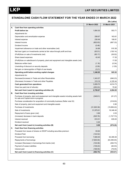# **STANDALONE CASH FLOW STATEMENT FOR THE YEAR ENDED 31 MARCH 2022**

| А. |                                                                                                                                 | 31 March 2022 | 31 March 2021 |
|----|---------------------------------------------------------------------------------------------------------------------------------|---------------|---------------|
|    |                                                                                                                                 |               |               |
|    | Cash flow from operating activities                                                                                             |               |               |
|    | <b>Profit before tax</b>                                                                                                        | 1,804.30      | 553.71        |
|    | Adjustments for:                                                                                                                |               |               |
|    | Depreciation and amortization expense                                                                                           | 208.67        | 163.61        |
|    | Interest expense                                                                                                                | 230.49        | 108.81        |
|    | Interest Income                                                                                                                 | (802.83)      | (667.33)      |
|    | Dividend Income                                                                                                                 | (0.46)        |               |
|    | Impairment allowance on trade and other receivables (net)                                                                       | 24.88         | 910.36        |
|    | Net loss/ (gain) on Investments carried at fair value through profit and loss                                                   | (93.51)       | (138.14)      |
|    | (Profit)/loss on sale of investments (net)                                                                                      | (60.17)       | (38.02)       |
|    | Share based expenses                                                                                                            | 43.45         | 17.35         |
|    | (Profit)/loss on sale/discard of property, plant and equipment and intangible assets (net)                                      |               | 17.05         |
|    | Balances written back                                                                                                           | (1.16)        | (0.34)        |
|    | Unwinding of discount on security deposits                                                                                      | (3.50)        | (1.55)        |
|    | Net gain on derecognition of Right of use Assets                                                                                | (3.21)        |               |
|    | Operating profit before working capital changes                                                                                 | 1,346.95      | 925.52        |
|    | Adjustments for:                                                                                                                |               |               |
|    | Decrease/(increase) in Trade and other Receivables                                                                              | 1,343.57      | (646.23)      |
|    | (Decrease) /increase in Trade and other Payables                                                                                | 319.18        | 4,335.44      |
|    | Cash generated from operations                                                                                                  | 3,009.70      | 4,614.73      |
|    | Direct tax paid (net of refunds)                                                                                                | (250.03)      | 79.92         |
|    | Net cash from/ (used in) operating activities (A)                                                                               | 2,759.67      | 4,694.65      |
| В. | Cash flow from investing activities                                                                                             |               |               |
|    | Purchase of property, plant and equipement and intangible assets including assets held<br>for sale and Capital work-in-progress | (348.61)      | (61.27)       |
|    | Purchase consideration for acquisition of commodity business (Refer note 53)                                                    |               | (318.00)      |
|    | Sale of property, plant and equipment and intangible assets                                                                     |               | 0.90          |
|    | Purchase of investments                                                                                                         | (31,920.38)   | (15, 856.22)  |
|    | Sale of investments                                                                                                             | 31,979.91     | 16,346.40     |
|    | Repayment of loans given (net)                                                                                                  | 3.96          | 2.03          |
|    | (Increase)/ decrease in bank deposits                                                                                           | (525.76)      | (1,727.73)    |
|    | Interest received                                                                                                               | 810.51        | 635.63        |
|    | Dividend received                                                                                                               | 0.46          |               |
|    | Net cash from/ (used in) investing activities (B)                                                                               | 0.09          | (978.26)      |
| C. | Cash flow from financing activities                                                                                             |               |               |
|    | Proceeds from issues of shares on ESOP including securities premium                                                             | 63.62         |               |
|    | <b>Dividend Paid</b>                                                                                                            | (144.52)      |               |
|    | Proceeds from borrowing                                                                                                         | 7,600.00      | 63,395.00     |
|    | Repayments of borrowings                                                                                                        | (7,600.00)    | (63, 395.00)  |
|    | Increase/ (Decrease) in borrowings from banks (net)                                                                             | (104.06)      | (494.73)      |
|    | Payment of Lease Liabilities                                                                                                    | (139.24)      | (82.03)       |
|    | Interest paid                                                                                                                   | (168.55)      | (78.05)       |
|    | Net cash from/ (used in) financing activities (C)                                                                               | (492.75)      | (654.81)      |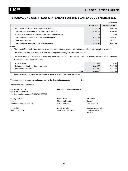# **STANDALONE CASH FLOW STATEMENT FOR THE YEAR ENDED 31 MARCH 2022**

|                                                               |               | (Rs Lakhs)    |
|---------------------------------------------------------------|---------------|---------------|
|                                                               | 31 March 2022 | 31 March 2021 |
| Net changes in cash and cash equivalents (A+B+C)              | 2,267.01      | 3,061.58      |
| Cash and cash equivalents at the beginning of the year        | 6,058.37      | 2,986.84      |
| Addition on acquisition of Commodity business (Refer note 53) |               | 9.95          |
| Cash and cash equivalents at the end of the year              | 8,325.38      | 6,058.37      |
| Other bank balances                                           | 4,140.80      | 3,622.71      |
| Cash and bank balances at the end of the year                 | 12,466.18     | 9,681.08      |

### **Notes:**

1. The impact of non-cash transactions have not been given in the above cash flow statement details of which are given in note 42

2. The disclosures relating to changes in liabilities arising from financing activities (Refer Note 42)

3. The above statements of the cash flow has been prepared under the "Indirect methods" set out in Ind-As 7 on 'Statement of Cash Flow'

4. Component of Cash and bank balances

| Cash in Hand                             | 0.31      | 0.47     |
|------------------------------------------|-----------|----------|
| Balances with bank - In Current accounts | 8,325.07  | 6,057.89 |
| Other Bank Balances                      | 4.140.80  | 3,622.71 |
| <b>Total</b>                             | 12,466.18 | 9,681.08 |

5. Previous year figures have been regrouped or recast wherever, considered necessary

| The accompanying notes are an integral part of the financials statements<br>1-59                                                 |                                                                  |                                                     |  |  |  |  |  |  |
|----------------------------------------------------------------------------------------------------------------------------------|------------------------------------------------------------------|-----------------------------------------------------|--|--|--|--|--|--|
| In terms of our report attached                                                                                                  |                                                                  |                                                     |  |  |  |  |  |  |
| For MGB & Co.LLP<br>For and on behalf of the board<br><b>Chartered Accountants</b><br>Firm Registration Number: 101169W/W-100035 |                                                                  |                                                     |  |  |  |  |  |  |
| Sanjay Kothari<br>Partner<br>Membership Number: 048215                                                                           | <b>Pratik Doshi</b><br><b>Managing Director</b><br>DIN: 00131122 | <b>S.S Gulati</b><br>Director<br>DIN: 02404230      |  |  |  |  |  |  |
| Place: Mumbai<br>Date: 29 April 2022                                                                                             | Girish Majrekar<br><b>Chief Financial Officer</b>                | Akshata Vengurlekar<br>Company Secretary<br>A 50701 |  |  |  |  |  |  |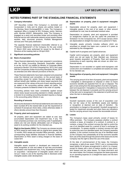# **NOTES FORMING PART OF THE STANDALONE FINANCIAL STATEMENTS**

#### **1 Company information**

LKP Securities Limited ("the Company') is domiciled and incorporated in India and its shares are publicly traded on the Bombay Stock Exchange(BSE) in India. The Company's registered office is located at 203, Embassy centre, Nariman point, Mumbai 400021, Maharashtra, India. The Company is engaged as a stock and securities broker and providing other financial service with nationwide network across assets classes equities, debt, structured products, Portfolio Management services and Third party distribution.

 The seperate financial statement (hereinafter referred to as "Financial Statements") of the Company for the year ended 31 March 2022 were authorised for issued by the Board of Directors at the meeting held on 29 April 2022.

#### **2 Significant accounting policies**

#### **(a) Basis of preparation**

 These financial statements have been prepared in accordance with the Indian Accounting Standards (hereinafter referred to as the 'Ind AS') as notified by Ministry of Corporate Affairs pursuant to Section 133 of the Companies Act, 2013 ('Act') read with the Companies (Indian Accounting Standards) Rules, 2015 as amended and other relevant provisions of the Act.

 These financial statements have been prepared and presented under the historical cost convention, on the accrual basis of accounting except for certain financial assets and liabilities defined benefit plan liabilites and share based payments that are measured at fair values at the end of each reporting period, as stated in the accounting policies stated out below. The Company presents its Balance sheet in the order of Liquidity.

 Accounting policies have been consistently applied except where newly issued accounting standard is initially adopted or a revision to an existing accounting standard requires a change in the accounting policy hitherto in use.

#### **Rounding of amounts**

 All amounts disclosed in the financial statements and notes have been rounded off to the nearest lakh as per the requirement of schedule III (except per share data), unless otherwise stated. 0 (Zero) denotes amount less than thousand.

#### **(b) Property, plant and equipment**

All property, plant and equipment are stated at cost, less accumulated depreciation and impairment loss, if any. The Cost comprises purchase cost, borrowing costs if capitalisation criteria are met and directly attributable cost of bringing the asset to its working condition for the intended use.

**Right to Use Assets ( ROU)**: The Company as a lessee records an ROU asset for each lease with an original term greater than 12 months. ROU assets are included Office premises , with the corresponding lease liabilities disclosed in financial liabilities. Depreciation on ROU asset is being charged on the basis of Lease term

#### **(c) Intangible assets**

Intangible assets acquired or developed are measured on initial recognition at cost and stated at cost less accumulated amortisation and impairment loss, if any. Expenditure incurred on acquisition / development of intangible assets which are not put / ready to use at the reporting date is disclosed under intangible assets under development.

- **(d) Depreciation on property, plant & equipment/ intangible assets**
- i) Depreciable amount for property, plant and equipment / intangible assets is the cost of an asset, or other amount substituted for cost, less its estimated residual value.

Depreciation on property, plant and equipment is provided on straight-line method as per the useful life prescribed in Schedule II to the Companies Act, 2013 except servers which are depreciated on straight line basis over a period of 3 Years.

- ii) Intangible assets primarily includes software which are amortised on straight line basis over a period of 3 years as estimated by the management.
- **(e)** Capital work-in-progress and Capital advances:

Capital work-in-progress are property, plant and equipment which are not yet ready for their intended use. Advances given towards acquisition of Property, Plant and equipment outstanding at each reporting date are shown as other nonfinancial assets.

Depreciation is not recorded on capital work-inprogress until construction and installation is completed and assets are ready for its intended use.

#### **(f) Derecognition of property, plant and equipment / intangible assets**

The carrying amount of an item of property, plant and equipment / intangibles is derecognised on disposal or when no future economic benefits are expected from its use or disposal. The gain or loss arising from the derecognition of an item of property, plant and equipment / intangibles is measured as the difference between the net disposal in proceeds and the carrying amount of the item and is recognised in the statement of profit and loss when the item is derecognised.

#### **(g) Goodwill**

 Goodwill represents excess of the cost of acquisition over the net fair value of the identifiable assets and liabilities or recognition at deemed cost on date of transition . No amortisation is charged on the goodwill. Goodwill recognized is tested for impairment annually and when there are indications that the carrying amount may exceed the recoverable amount.

#### **(h) Leases**

The Company's lease asset primarily consist of leases for Office premises . The Company assesses whether a contract contains a lease, at inception of a contract. A contract is, or contains, a lease if the contract conveys the right to control the use of an identified asset for a period of time in exchange for consideration. To assess whether a contract conveys the right to control the use of an identified asset, the Company assesses whether: (i) the contract involves the use of an identified asset (ii) the Company has substantially all of the economic benefits from use of the asset through the period of the lease and (iii) the Company has the right to direct the use of the asset.

At the date of commencement of the lease, the Company recognizes a right-of-use asset ("ROU") and a corresponding lease liability for all lease arrangements in which it is a lessee, except for leases with a term of twelve months or less (shortterm leases) and low value leases. For these short-term and low value leases, the Company recognizes the lease payments as an operating expense on a straight-line basis over the term of the lease.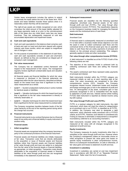Certain lease arrangements includes the options to extend or terminate the lease before the end of the lease term. ROU assets and lease liabilities includes these options when it is reasonably certain that they will be exercised.

The right-of-use assets are initially recognized at cost, which comprises the initial amount of the lease liability adjusted for any lease payments made at or prior to the commencement date of the lease plus any initial direct costs less any lease incentives. They are subsequently measured at cost less accumulated depreciation and impairment losses.

#### **(i) Cash and cash equivalents**

- Cash and cash equivalents in the balance sheet comprise cash at bank and cash on hand and short-term deposit with original maturity upto three months, which are subject to insignificant risk of changes in value.
- (ii) For the purpose of presentation in the statement of cash flows, cash and cash equivalents consists of cash and short-term deposit, as defined as they are considered as integral part of company's cash management.

#### **(j) Fair value measurement**

The Company has an established control framework with respect to the measurement of fair values. The management regularly reviews significant unobservable inputs and valuation adiustments.

 All financial assets and financial liabilities for which fair value is measured or disclosed in the financial statements are categorised within the fair value hierarchy, described as follows, based on the lowest level input that is significant to the fair value measurement as a whole:

- **Level 1** Quoted (unadjusted) market prices in active markets for identical assets or liabilities;
- **Level 2** Valuation techniques for which the lowest level input that is significant to the fair value measurement is directly or indirectly observable, or
- **Level 3** Valuation techniques for which the lowest level input that is significant to the fair value measurement is unobservable.

The Company recognises transfers between levels of the fair value hierarchy at the end of the reporting period during which the change has occurred.

#### **(I) Financial instruments**

 Financial instruments is any contract that gives rise to a financial asset of one entity and a financial liability or equity instrument of another entity.

#### **Financial assets**

#### **i Initial recognition**

Financial assets are recognized when the company becomes a party to the contractual provisions of the financial insturment.

 Financial assets and financial liabilities are initially measured at fair value. Transaction costs that are directly attributable to the acquisition or issue of financial assets and financial liabilities (other than financial assets and financial liabilities at fair value through profit and loss) are added to or deducted from the fair value of the financial assets or financial liabilities, as appropriate, on initial recognition. Transaction costs directly attributable to the acquisition of financial assets or financial liabilities at fair value through profit and loss are recognised immediately in the statement of profit and loss.

#### **ii Subsequent measurement**

 Financial assets are classified into the following specified categories: amortised cost, financial assets 'at fair value through profit and loss' (FVTPL), 'Fair value through other comprehensive income' (FVTOCI). The classification depends on the Company's business model for managing the financial assets and the contractual terms of cash flows.

## **Debt Instrument**

## Amortised Cost

 A financial asset is subsequently measured at amortised cost if it is held within a business model whose objective is to hold the asset in order to collect contractual cash flows and the contractual terms of the financial asset give rise on specified dates to cash flows that are solely payments of principal and interest on the principal amount outstanding. This category generally applies to trade and other receivables.

#### **Fair value through other comprehensive income (FVTOCI)**

 A 'debt instrument' is classified as at the FVTOCI if both of the following criteria are met:

- a. The objective of the business model is achieved both by collecting contractual cash flows and selling the financial assets.
- b. The asset's contractual cash flows represent solely payments of principal and interest.

Debt instruments included within the FVTOCI category are measured initially as well as at each reporting date at fair value. Fair value movements are recognized in the other comprehensive income (OCI). However, the Company recognizes interest income, impairment losses and reversals and foreign exchange gain or loss in the statement of profit and loss. On derecognition of the asset, cumulative gain or loss previously recognised in OCI is reclassified from the equity to statement of profit and loss. Interest earned whilst holding FVTOCI debt instrument is reported as interest income using the EIR method.

#### **Fair value through Profit and Loss (FVTPL)**

FVTPL is a residual category for debt instruments. Any debt instrument, which does not meet the criteria for categorization as at amortized cost or as FVTOCI, is classified as at FVTPL. In addition, the Company may elect to designate a debt instrument, which otherwise meets amortized cost or FVTOCI criteria, as at FVTPL. However, such election is considered only if doing so reduces or eliminates a measurement or recognition inconsistency (referred to as 'accounting mismatch').

Debt instruments included within the FVTPL category are measured at fair value with all changes recognized in the statement of profit and loss.

#### **Equity investments**

The Company measures its equity investments other than in subsidiary at fair value through profit and loss. However where the Company's management makes an irrevocable choice on initial recognition to present fair value gains and losses on specific equity investments in other comprehensive income, there is no subsequent reclassification, on sale or otherwise, of fair value gains and losses to statement of profit and loss.

#### **Investment in subsidiary**

Investment in subsidiary are carried at cost less impairment loss in accordance with IND AS 27 on "Separate Financial Statements". Refer note 6 for list of investments.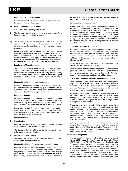### **Derivative financial instruments**

 Derivative financial instruments are classified and measured at fair value through profit and loss.

### **iii Derecognition of financial assets**

 A financial asset is derecognised only when

i) The Company has transferred the rights to receive cash flows from the asset or the rights have expired.

or

ii) The Company retains the contractual rights to receive the cash flows of the financial asset, but assumes a contractual obligation to pay the cash flows to one or more recipients in an arrangement.

Where the entity has transferred an asset, the Company evaluates whether it has transferred substantially all risks and rewards of ownership of the financial asset. In such cases, the financial asset is derecognised. Where the entity has not transferred substantially all risks and rewards of ownership of the financial asset, the financial asset is not derecognised.

## **Impairment of financial assets**

 The Company measures the expected credit loss associated with its assets based on historical trend, industry practices and the business enviornment in which the entity operates or any other appropriate basis. The impairment methodology applied depends on whether there has been a significant increase in credit risk.

### **Financial liabilities and equity instruments**

 Debt or equity instruments issued by the Company are classified as either financial liabilities or as equity in accordance with the substance of the contractual arrangements and the definitions of a financial liability and an equity instrument.

## **Equity instruments**

An equity instrument is any contract that evidences a residual interest in the assets of an entity after deducting all of its liabilities. Equity instruments issued by the Company are recognised at the proceeds received, net of direct issue costs.

 Repurchase of the Company's own equity instruments is recognised and deducted directly in equity. No gain or loss is recognised on the purchase, issue or cancellation of the Company's own equity instruments.

#### **Financial liabilities**

## **i Classification**

Financial liabilties are recognized when company becomes party to contractual provisions of the instrument.

 The Company classifies all financial liabilities at amortised cost or fair value through profit or loss.

#### **ii Subsequent measurement**

 The measurement of financial liabilities depends on their classification, as described below:

#### **Financial liabilities at fair value through profit or loss**

 Financial liabilities at fair value through profit or loss include financial liabilities held for trading and financial liabilities designated upon initial recognition as at fair value through profit or loss. Financial liabilities are classified as held for trading if they are incurred for the purpose of repurchasing in

the near term. Gains or losses on liabilities held for trading are recognised in the profit or loss.

## **iii De-recognition of financial liabilities**

 A financial liability is de-recognised when the obligation under the liability is discharged or cancelled or expires. When an existing financial liability is replaced by another from the same lender on substantially different terms, or the terms of an existing liability are substantially modified, such an exchange or modification is treated as the de-recognition of the original liability and the recognition of a new liability. The difference in the respective carrying amounts is recognised in the statement of profit or loss.

## **(k) Borrowings and Borrowing costs**

Borrowings are initially recognised at net of transaction costs incurred and measured at amortised cost. Any difference between the proceeds (net of transaction costs) and the redemption amount is recognised in the Statement of Profit and Loss over the period of the borrowings using the Effective Interest rate (EIR)

Preference shares, which are mandatorily redeemable on a specific date are classified as liabilities.

Borrowing costs attributable to the acquisition or construction of qualifying assets till the time such assets are ready for intended use are capitalised as part of cost of the assets. All other borrowing costs are expensed in the period they occur.

### **(l) Provisions, contingent liabilities and contingent assets**

The Company recognizes provisions when a present obligation (legal or constructive) as a result of a past event exists and it is probable that an outflow of resources embodying economic benefits will be required to settle such obligation and the amount of such obligation can be reliably estimated.

 If the effect of time value of money is material, provisions are discounted using a current pre-tax rate that reflects, when appropriate, the risks specific to the liability. When discounting is used, the increase in the provision due to the passage of time is recognized as a finance cost.

A disclosure for a contingent liability is made when there is a possible obligation or a present obligation that may, but probably will not require an outflow of resources embodying economic benefits or the amount of such obligation cannot be measured reliably. When there is a possible obligation or a present obligation in respect of which likelihood of outflow of resources embodying economic benefits is remote, no provision or disclosure is made.

 Contingent assets are notrecognised in the financial statements, however they are disclosed where the inflow of economic benefits is probable. When the realisation of income is virtually certain, then the related asset is no longer a contingent asset and is recognised as an asset.

## **(m) Revenue recognition**

The Companies (Indian Accounting Standards) Amendment Rules, 2018 issued by the Ministry of Corporate Affairs (MCA) notified Ind AS 115 "Revenue from Contracts with Customers" related to revenue recognition which replaces all existing revenue recognition standards and provide a single, comprehensive model for all contracts with customers. The revised standard contains principles to determine the measurement of revenue and timing of when it is recognized. The amendment also requires additional disclosure about the nature, amount, timing and uncertainty of revenue and cash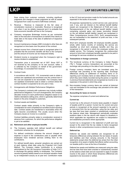flows arising from customer contracts, including significant judgments and changes in those judgments as well as assets recognized from costs incurred to fulfill these contracts.

- A. Revenue Revenue is measured at the fair value of consideration received or receivable. Revenue is recognised only when it can be reliably measured and it is probable that future economic benefits will flow to the Company.
- a) Company recognizes Brokerage income as per contracted rates on the execution of transactions on behalf of the clients on trade date on the basis of the date of settlement of respective exchanges.
- b) Account maintenance charges (AMC) included in other fees are recognized on time basis over the period of the contract.
- c) Interest income from a financial asset is recognised when it is probable that the economic benefits will flow to the Company and the amount of income can be measured reliably.
- d) Dividend income is recognised when the Company's right to receive dividend is established.

 Transaction price is accounted net of GST. Since GST is not received by the company on its own account, rather, it is collected by the Company on behalf of the government. Accordingly, it is excluded from revenue.

B. Contract Costs

In accordance with Ind AS - 115, incremental costs to obtain a contract are capitalized and amortized over the contract term if the cost are expected to be recoverable. The Company does not capitalize incremental costs to obtain a contract where the contract duration is expected to be one year or less.

C. Arrangements with Multiple Performance Obligations

The Company's contracts with customers may include multiple performance obligations. For such arrangements, the Company allocates revenue to each performance obligation based on its relative standalone selling price, which is generally determined based on the price charged to customers.

D. Contract assets and liabilities

Contract assets relate primarily to the Company's rights to consideration for work completed but not billed at each reporting date. Contract assets are transferred to receivables when the rights become unconditional. This usually occurs when the Company issues an invoice to a customer.

Contract liabilities primarily relate to consideration received in advance from customers, for which the performance obligation is yet to be satisfied.

## **(n) Retirement and other employee benefits**

(i) The Company operates both defined benefit and defined contribution schemes for its employees.

 For defined contribution schemes the amount charged as expense is equal to the contributions paid or payable when employees have rendered services entitling them to the contributions.

 For defined benefit plans, actuarial valuations are carried out at each balance sheet date using the Projected Unit Credit Method. The Company makes contribution to a scheme administered by the Life Insurance Corporation of India ("LIC") to discharge the gratuity liability to employees. The Company records its gratuity liability based on an actuarial valuation made by an independent actuary as at year end. Contribution made

to the LIC fund and provision made for the funded amounts are expensed in the books of accounts.

 All expenses represented by current service cost, past service cost, if any, and net interest on the defined benefit liability/ (asset) are recognized in the Statement of Profit and Loss. Remeasurements of the net defined benefit liability/ (asset) comprising actuarial gains and losses (excluding interest on the net defined benefit liability/ (asset)) are recognised in Other Comprehensive Income (OCI). Such remeasurements are not reclassified to the statement of profit and loss, in the subsequent periods.

(ii) Short term employee benefits: All employee benefits payable wholly within twelve months of rendering the service are classified as short term employee benefits and they are recognized in the period in which the employee renders the related service. The Company recognizes the undiscounted amount of short term employee benefits expected to be paid in exchange for services rendered as a liability.

### **(o) Transactions in foreign currencies**

- (i) The functional currency of the Company is Indian Rupees ("Rs."). Foreign currency transactions are accounted at the exchange rate prevailing on the date of such transactions.
- (ii) Foreign currency monetary items are translated using the exchange rate prevailing at the reporting date. Exchange differences arising on settlement of monetary items or on reporting such monetary items at rates different from those at which they were initially recorded during the period, or reported in previous financial statements are recognised as income or as expenses in the period in which they arise.
- (iii) Non-monetary foreign currency items are carried at historical cost and translated at the exchange rate prevelant at the date of the transaction.

## **(p) Accounting for taxes on income**

 Tax expense comprises of current and deferred tax.

## **Current tax**

 Current tax is the amount of income taxes payable in respect of taxable profit for a period. Current tax for current and prior periods is recognized at the amount expected to be paid to or recovered from the tax authorities, using the tax rates and tax laws that have been enacted or substantively enacted at the balance sheet date. Management periodically evaluates positions taken in the tax returns with respect to situations in which applicable tax regulations are subject to interpretation and establishes provisions where appropriate.

 Current tax is recognized in the statement of profit and loss except to the extent that the tax relates to items recognized directly in other comprehensive income or directly in equity.

#### **Deferred tax**

 Deferred tax assets and liabilities are recognized for all temporary differences arising between the tax bases of assets and liabilities and their carrying amounts in the financial statements except when the deferred tax arises from the initial recognition of an asset or liability that effects neither accounting nor taxable profit or loss at the time of transition.

 Deferred tax assets and liabilities are measured using tax rates and tax laws that have been enacted or substantively enacted at the balance sheet date and are expected to apply to taxable income in the years in which those temporary differences are expected to be recovered or settled.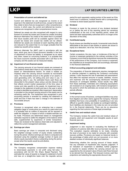#### **Presentation of current and deferred tax**

 Current and deferred tax are recognized as income or an expense in the statement of profit and loss, except to the extent they relate to items that are recognized in other comprehensive income, in which case, the current and deferred tax income / expense are recognised in other comprehensive income.

 Deferred tax assets are also recognised with respect to carry forward of unused tax losses and unused tax credits (including Minimum Alternative Tax credit) to the extent that it is probable that future taxable profit will be available against which the unused tax losses and unused tax credits can be utilised. Deferred tax assets are reviewed at each reporting date and are reduced to the extent that it is no longer probable that the related tax benefit will be realized.

 Minimum Alternate Tax (MAT) paid in accordance with tax laws, which give rise to future economic benefits in the form of adjustment of future tax liability, is recognised as an asset only when, based on convincing evidence, it is probable that the future economic benefits associated with it will flow to the company and the assets can be measured reliably.

#### **(q) Impairment of non-financial assets**

 The carrying amounts of non financial assets are reviewed at each balance sheet date if there is any indication of impairment based on internal/external factors. An asset is treated as impaired when the carrying amount exceeds its recoverable value. The recoverable amount is the greater of an asset's or cash generating unit's, net selling price and value in use. In assessing value in use, the estimated future cash flows are discounted to the present value using a pre-tax discount rate that reflects current market assessment of the time value of money and risks specific to the assets. An impairment loss is charged to the statement of profit and loss in the year in which an asset is identified as impaired.After impairment, depreciation is provided on the revised carrying amount of the asset over its remaining useful life. The impairment loss recognized in prior accounting periods is reversed by crediting the statement of profit and loss if there has been a change in the estimate of recoverable amount.

### **(r) Provisions**

Provision is recognised when an enterprise has a present obligation (legal or constructive) as a result of a past event and it is probable that an outflow of resources will be required to settle the obligation, in respect of which a reliable estimate can be made. Provisions are determined based on management estimates required to settle the obligation at the balance sheet date, supplemented by experience of similar transactions. These are reviewed at the balance sheet date and adjusted to reflect the current management estimates.

#### **(s) Earnings per share**

Basic earnings per share is computed and disclosed using the weighted average number of equity shares outstanding during the period. Dilutive earnings per share is computed and disclosed using the weighted average number of equity and dilutive equity equivalent shares outstanding during the period, except when the results would be anti-dilutive.

#### **(t) Share based payments**

 The Company recognizes compensation expense relating to share-based payments in net profit using fair-value in accordance with Ind AS 102, Share- Based Payment. The estimated fair value of awards is charged to statement of profit and loss on a straight-line basis over the requisite service

period for each separately vesting portion of the award as if the award was in substance, multiple awards with a corresponding increase to share based payment reserves.

#### **(u) Dividend**

Provision is made for the amount of any dividend declared on or before the end of the reporting period but remaining undistributed at the end of the reporting period, where the same has been appropriately authorised and is no longer at the discretion of the entity.

### **(v) Contributed equity**

 Equity shares are classified as equity. Incremental costs directly attributable to the issue of new shares or options are shown in equity as a deduction, net of tax, from the proceeds.

#### **(w) Exceptional items**

Certain occassions, the size, type, or incidences of the item of income or expenses pertaining to the ordinary activities of the Company is such that its disclosure improves the understanding of the performance of the Company, such income or expenses are classified as an exceptional item and accordingly, disclosed in the financial statements.

#### **Critical accounting judgment and estimates**

 The preparation of financial statements requires management to exercise judgment in applying the Company's accounting policies. It also requires the use of estimates and assumptions that affect the reported amounts of assets, liabilities, income and expenses and the accompanying disclosures including disclosure of contingent liabilities. Actual results may differ from these estimates. Estimates and underlying assumptions are reviewed on an ongoing basis, with revisions recognised in the period in which the estimates are revised and in any future periods affected.

#### **a Contingencies**

In the normal course of business, contingent liabilities may arise from litigation and other claims against the Company. Potential liabilities that have a low probability of crystallising or are very difficult to quantify reliably, are treated as contingent liabilities. Such liabilities are disclosed in the notes but are not provided for in the financial statements. There can be no assurance regarding the final outcome of these legal proceedings.

#### **b Useful lives and residual values**

The Company reviews the useful lives and residual values of property, plant and equipment and intangible assets at each financial year end.

#### **c Impairment testing**

Judgement is also required in evaluating the likelihood of collection of customer debt after revenue has been recognised. This evaluation requires estimates to be made, including the level of provision to be made for amounts with uncertain recovery profiles. Provisions are based on historical trends in the percentage of debts which are not recovered, or on more detailed reviews of individually significant balances.

Determining whether the carrying amount of these assets has any indication of impairment also requires judgment. If an indication of impairment is identified, further judgment is required to assess whether the carrying amount can be supported by the net present value of future cash flows forecast to be derived from the asset. This forecast involves cash flow projections and selecting the appropriate discount rate.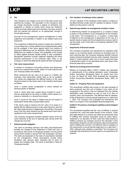## **d Tax**

 The Company's tax charge is the sum of the total current and deferred tax charges. The calculation of the Company's total tax charge necessarily involves a degree of estimation and judgement in respect of certain items whose tax treatment cannot be finally determined until resolution has been reached with the relevant tax authority or, as appropriate, through a formal legal process.

 Accruals for tax contingencies require management to make judgments and estimates in relation to tax related issues and exposures.

 The recognition of deferred tax assets is based upon whether it is more likely than not that sufficient and suitable taxable profits will be available in the future against which the reversal of temporary differences can be deducted. Where the temporary differences are related to losses, the availability of the losses to offset against forecast taxable profits is also considered. Recognition therefore involves judgment regarding the future financial performance of the particular legal entity or tax Company in which the deferred tax asset has been recognized.

#### **e Fair value measurement**

A number of Company's accounting policies and disclosures require the measurement of fair values, for both financial and non- financial assets and liabilities.

When measuring the fair value of an asset or a liability, the Company uses observable market data as far as possible. Fair values are categorized into different levels in a fair value hierarchy based on the inputs used in the valuation techniques as follows:

- Level 1: quoted prices (unadjusted) in active markets for identical assets or liabilities.
- Level 2: inputs other than quoted prices included in Level 1 that are observable for the asset or liability, either directly (i.e. prices) or indirectly (i.e. derived from prices).
- Level 3: inputs for the asset or liability that are not based on observable market data (unobservable inputs).

If the inputs used to measure the fair value of an asset or a liability fall into different levels of a fair value hierarchy, then the fair value measurement is categorized in its entirety in the same level of the fair value hierarchy as the lowest level input that is significant to the entire measurement.

The Company recognizes transfers between levels of the fair value hierarchy at the end of reporting year during which the change has occurred.

#### **f Defined benefit obligation**

The costs of providing pensions and other post-employment benefits are charged to the Statement of Profit and Loss in accordance with Ind AS 19 'Employee benefits' over the period during which benefit is derived from the employees' services. The costs are assessed on the basis of assumptions selected by the management. These assumptions include salary escalation rate, discount rates, expected rate of return on assets and mortality rates. The same is disclosed in Note 39, 'Employee benefits'.

### **g Fair valuation of employee share options**

The fair valuation of the employee share options is based on the Black-Scholes model used for valuation of options. Further details are discussed in note 20

#### **h Determining whether an arrangement contains a lease**

In determining whether an arrangement is, or contains a lease is based on the substance of the arrangement at the inception of the lease. The arrangement is, or contains, a lease date if fulfilment of the arrangement is dependent on the use of a specific asset or assets and the arrangement conveys a right to use the asset, even if that right is not explicitly specified in the arrangement

#### **i Impairment of financial assets**

 The Company recognizes loss allowances for expected credit losses on its financial assets measured at amortized cost. At each reporting date, the Company assesses whether financial assets carried at amortized cost are credit- impaired. A financial asset is 'credit impaired' when one or more events that have a detrimental impact on the estimated future cash flows of the financial asset have occurred.

#### **g Recent accounting pronouncements**

 Ministry of Corporate Affairs ("MCA") notifies new standards or amendments to the existing standards under Companies (Indian Accounting Standards) Rules as issued from time to time. On March 23, 2022, MCA amended the Companies (Indian Accounting Standards) Amendment Rules, 2022, as below.

#### **IndAS 16 – Property Plant and equipment-**

 The amendment clarifies that excess of net sale proceeds of items produced over the cost of testing, if any, shall not be recognised in the profit or loss but deducted from the directly attributable costs considered as part of cost of an item of property, plant, and equipment. The effective date for adoption of this amendment is annual periods beginning on or after April 1, 2022. The Company has evaluated the amendment and there is no impact on its consolidated financial statements.

#### **IndAS 37–Provisions, Contingent Liabilities and Contingent Assets –**

 The amendment specifies that the 'cost of fulfilling' a contract comprises the 'costs that relate directly to the contract'. Costs that relate directly to a contract can either be incremental costs of fulfilling that contract (examples would be direct labour, materials) or an allocation of other costs that relate directly to fulfilling contracts (an example would be the allocation of the depreciation charge for an item of property, plant and equipment used in fulfilling the contract). The effective date for adoption of this amendment is annual periods beginning on or after April 1, 2022, although early adoption is permitted. The Company has evaluated the amendment and the impact is not expected to be material.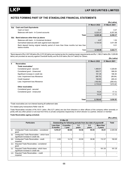**(Rs.Lakhs)**

# **NOTES FORMING PART OF THE STANDALONE FINANCIAL STATEMENTS**

|      |                                                                                                       |               | (Rs.Lakhs)    |
|------|-------------------------------------------------------------------------------------------------------|---------------|---------------|
|      |                                                                                                       | 31 March 2022 | 31 March 2021 |
| 3(a) | <b>Cash and Cash Equivalents</b>                                                                      |               |               |
|      | Cash on hand                                                                                          | 0.31          | 0.47          |
|      | Balances with bank - In Current accounts                                                              | 8,325.07      | 6,057.89      |
|      | Total                                                                                                 | 8.325.38      | 6,058.37      |
| 3(b) | Bank balances other than (a) above                                                                    |               |               |
|      | Balances with bank - In Unclaimed dividend                                                            | 4.87          | 1.52          |
|      | Earmarked balances with bank against bank deposits*                                                   | 4,135.93      | 3.611.88      |
|      | Bank deposit having original maturity period of more than three months but less than<br>twelve months |               | 9.31          |
|      | Total                                                                                                 | 4,140.80      | 3,622.71      |
|      |                                                                                                       |               |               |

\*Bank deposit of Rs.2,937.89 lakhs (Rs.2,572.62 lakhs) are marked as lien for meeting margin requirements and Rs.1,188.21 lakhs (Rs.1,029.85 lakhs) are provided as security against Overdraft facility and Rs.9.83 lakhs (Rs.9.41 lakhs) for Others. **(Rs.Lakhs)**

|   |                                     | 31 March 2022 | 31 March 2021 |
|---|-------------------------------------|---------------|---------------|
| 4 | <b>Receivables</b>                  |               |               |
|   | Trade receivables*                  |               |               |
|   | Considered good - secured           | 1,469.81      | 1,328.69      |
|   | Considered good - Unsecured         | 555.77        | 388.29        |
|   | Significant increase in credit risk | 181.35        | 186.38        |
|   | Less: Impairment loss Allowance     | (88.70)       | (89.94)       |
|   | Credit Impaired                     | 192.65        | 265.43        |
|   | Less: Impairment loss Allowance     | (192.65)      | (265.43)      |
|   |                                     | 2,118.24      | 1,813.42      |
|   | Other receivables                   |               |               |
|   | Considered good - secured           |               |               |
|   | Considered good - Unsecured         | 18.20         | 17.13         |
|   |                                     | 18.20         | 17.13         |
|   |                                     |               |               |
|   | Total                               | 2,136.43      | 1,830.55      |
|   |                                     |               |               |

\*Trade receivables are non-interest bearing till settlement date

For related party transactions Refer note 40

Trade Receivables includes of Rs.19.51 Lakhs. (Rs.0.27 Lakhs) are due from directors or other officers of the company either severally or jointly with any other person or are due from firms or private companies respectively in which director is a partner, director or member

#### **Trade Receivables ageing schedule**

|       | 31-Mar-22                                                                        |                                                             |                        |                  |                  |                      |          |  |
|-------|----------------------------------------------------------------------------------|-------------------------------------------------------------|------------------------|------------------|------------------|----------------------|----------|--|
|       | <b>Particulars</b>                                                               | Outstanding for following periods from due date of payment# | <b>Total</b>           |                  |                  |                      |          |  |
|       |                                                                                  | Less than<br>6 months                                       | $6$ months -<br>1 year | $1 - 2$<br>vears | $2 - 3$<br>vears | More than<br>3 years |          |  |
| (i)   | Undisputed Trade receivables - considered<br>qood                                | 1,818.47                                                    | 60.80                  | 54.56            | 55.95            | 35.81                | 2,025.58 |  |
| (ii)  | Undisputed Trade Receivables - which have<br>significant increase in credit risk |                                                             |                        |                  |                  |                      |          |  |
| (iii) | Undisputed Trade Receivables - credit<br>impaired                                | 2.63                                                        | 14.18                  | 23.50            | 39.96            | 112.37               | 192.65   |  |
| (iv)  | Disputed Trade Receivables-considered<br>qood                                    |                                                             |                        |                  |                  |                      |          |  |
| (v)   | Disputed Trade Receivables- which have<br>significant increase in credit risk    |                                                             |                        |                  |                  | 181.35               | 181.35   |  |
| (vi)  | Disputed Trade Receivables - credit<br>impaired                                  |                                                             |                        |                  |                  |                      |          |  |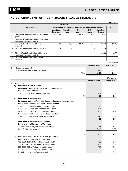# **NOTES FORMING PART OF THE STANDALONE FINANCIAL STATEMENTS**

|       | <b>Particulars</b>                                                                                            |                       | 31-Mar-21                                                   |                  |                  |                      |        |               |
|-------|---------------------------------------------------------------------------------------------------------------|-----------------------|-------------------------------------------------------------|------------------|------------------|----------------------|--------|---------------|
|       |                                                                                                               |                       | Outstanding for following periods from due date of payment# |                  |                  |                      |        | <b>Total</b>  |
|       |                                                                                                               | Less than<br>6 months | 6 months -<br>1 year                                        | $1 - 2$<br>years | $2 - 3$<br>years | More than<br>3 years |        |               |
| (i)   | Undisputed Trade receivables - considered<br>good                                                             | 1,533.23              | 73.90                                                       | 77.36            | 6.33             | 26.17                |        | 1,716.99      |
| (ii)  | Undisputed Trade Receivables - which have<br>significant increase in credit risk                              |                       |                                                             |                  |                  |                      |        |               |
| (iii) | Undisputed Trade Receivables - credit<br>impaired                                                             | 7.24                  | 6.36                                                        | 44.40            | 9.34             |                      | 198.10 | 265.43        |
| (iv)  | Disputed Trade Receivables- considered<br>good                                                                |                       |                                                             |                  |                  |                      |        |               |
| (v)   | Disputed Trade Receivables- which have<br>significant increase in credit risk                                 |                       |                                                             | ٠                |                  |                      | 186.38 | 186.38        |
| (vi)  | Disputed Trade Receivables - credit<br>impaired                                                               |                       |                                                             | -                |                  |                      |        |               |
|       |                                                                                                               |                       |                                                             |                  |                  |                      |        | (Rs.Lakhs)    |
|       |                                                                                                               |                       |                                                             |                  | 31 March 2022    |                      |        | 31 March 2021 |
| 5     | Loans (Unsecured)                                                                                             |                       |                                                             |                  |                  |                      |        |               |
|       | Loans to employees - Considred Good                                                                           |                       |                                                             |                  |                  | 20.23                |        | 24.19         |
|       |                                                                                                               |                       |                                                             | <b>Total</b>     |                  | 20.23                |        | 24.19         |
|       |                                                                                                               |                       |                                                             |                  |                  |                      |        |               |
|       |                                                                                                               |                       |                                                             |                  |                  |                      |        | (Rs. Lakhs)   |
|       | Investments                                                                                                   |                       |                                                             |                  | 31 March 2022    |                      |        | 31 March 2021 |
| 6     | <b>Investment in Mutual Funds</b>                                                                             |                       |                                                             |                  |                  |                      |        |               |
|       | (A)                                                                                                           |                       |                                                             |                  |                  |                      |        |               |
|       | Investment carried at Fair value through profit and loss<br>face value of Rs 100 each                         |                       |                                                             |                  |                  |                      |        |               |
|       | 1.024 (2021:0.976) liquidbees of NIP ETF                                                                      |                       |                                                             |                  |                  | 0.01                 |        | 0.01          |
|       |                                                                                                               |                       |                                                             | (A)              |                  | 0.01                 |        | 0.01          |
|       | Investment in equity shares<br>(B)                                                                            |                       |                                                             |                  |                  |                      |        |               |
|       | Investment carried at Fair value through other comprehensive income<br>(i)                                    |                       |                                                             |                  |                  |                      |        |               |
|       | Equity shares of face value of Rs 10 each (quoted)                                                            |                       |                                                             |                  |                  |                      |        |               |
|       | 8,900 (2021 : 8,900) of Roopa Industries Limited                                                              |                       |                                                             |                  |                  | 2.23                 |        | 0.83          |
|       | 17,440 (2021 : 17,440) of Reliance Power Limited                                                              |                       |                                                             |                  |                  | 2.35                 |        | 0.76          |
|       | 74,500 (2021 : 74,500) of Infra Industries Limited                                                            |                       |                                                             |                  |                  | 5.38                 |        | 4.84          |
|       | Equity shares of face value of Rs 2 each (quoted)                                                             |                       |                                                             |                  |                  |                      |        |               |
|       | 5,000 (2021: 5,000) of TV 18 Broadcast Limited                                                                |                       |                                                             |                  |                  | 3.70                 |        | 1.44          |
|       |                                                                                                               |                       |                                                             |                  |                  | 13.66                |        | 7.87          |
|       | Investment in equity shares (unquoted)                                                                        |                       |                                                             |                  |                  |                      |        |               |
|       | Equity shares of face value of Rs 10 each                                                                     |                       |                                                             |                  |                  |                      |        |               |
|       | 11,200(2021: 11,200) of Gobind Sugar Limited                                                                  |                       |                                                             |                  |                  | 8.85                 |        | 8.85          |
|       | Less: Provision for Impairment                                                                                |                       |                                                             |                  |                  | (8.85)               |        | (8.85)        |
|       |                                                                                                               |                       |                                                             |                  |                  |                      |        |               |
|       |                                                                                                               |                       |                                                             | (i)              |                  | 13.66                |        | 7.87          |
|       | Investment carried at Fair value through profit and loss<br>(ii)<br>Equity shares of face value of Rs 10 each |                       |                                                             |                  |                  |                      |        |               |
|       | 100 (2021:100) of Alacrity Electronics Limited#                                                               |                       |                                                             |                  |                  | 0.00                 |        | 0.01          |
|       | 41(2021: 41) of Norben Tea & Exports Limited#                                                                 |                       |                                                             |                  |                  | 0.00                 |        | 0.00          |
|       | 658 (2021: 658) of Reliance Industries Limited                                                                |                       |                                                             |                  |                  | 17.33                |        | 13.18         |
|       |                                                                                                               |                       |                                                             |                  |                  |                      |        | 0.01          |
|       | Nil (2021:51) of Simplex Mills Company Limited                                                                |                       |                                                             |                  |                  |                      |        |               |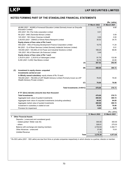# **NOTES FORMING PART OF THE STANDALONE FINANCIAL STATEMENTS**

|     |                                                                                                                     |               | (Rs. Lakhs)   |
|-----|---------------------------------------------------------------------------------------------------------------------|---------------|---------------|
|     |                                                                                                                     | 31 March 2022 | 31 March 2021 |
|     | 48,890 (2021 : 48,890) of Ironwood Education Limited (formerly known as Greycells<br>Education Limited)             | 16.13         | 9.80          |
|     | 200 (2021: Nil) Pan India corporation Limited                                                                       | 0.01          |               |
|     | Nil (2021: 3480 )Techindia Nirman Limited                                                                           |               | 0.09          |
|     | 145 (2021: 165 ) Vision Cinemas Limited#                                                                            | 0.00          | 0.00          |
|     | 2,08,403 (2021: 208403) of Shree Rama Newsprint Limited                                                             | 35.53         | 34.70         |
|     | Equity shares of face value of Rs 2 each                                                                            |               |               |
|     | 450 (2021 : 450) of Housing Development Finance Corporation Limited                                                 | 10.75         | 11.24         |
|     | Nil (2021: 5) of Dhani Services Limited (formerly Indiabulls Ventures Limited)                                      |               | 0.01          |
|     | 100,000 (2021: 100,000) of CG Power and Industrial Solutions Limited                                                | 189.25        | 66.85         |
|     | 106 (2021: Nil) of Glenmark Life Sciences Limited                                                                   | 0.49          |               |
|     | Equity shares of face value of Re 1 each                                                                            |               |               |
|     | 2,35,610 (2021 : 2,35,610) of Vakrangee Limited                                                                     | 81.76         | 132.06        |
|     | 8,250 (2021: 8,250) Tata Motors Limited                                                                             | 35.76         | 24.90         |
|     | (ii)                                                                                                                | 387.02        | 292.85        |
|     |                                                                                                                     |               |               |
|     | (B)                                                                                                                 | 400.68        | 300.72        |
| (C) | Investment in equity shares -unquoted                                                                               |               |               |
|     | Investments carried at cost                                                                                         |               |               |
|     | In Wholly owned subsidiary- equity shares of Rs 10 each                                                             |               |               |
|     | 760,000 (2021 : 760,000) of LKP Wealth Advisory Limited (Formerly known as LKP<br>Wealth Advisory Private Limited.) | 76.00         | 76.00         |
|     | (C)                                                                                                                 | 76.00         | 76.00         |
|     | Total Investments (A+B+C)                                                                                           | 476.69        | 376.73        |
|     | # "0" (Zero) denotes amounts less than thousand                                                                     |               |               |
|     | <b>Total Investments</b>                                                                                            | 476.69        | 376.73        |
|     | Aggregate book value of quoted investments                                                                          | 400.68        | 300.72        |
|     | Aggregate book value of unquoted investments (including subsidiary)                                                 | 84.85         | 84.85         |
|     | Aggregate market value of quoted investments                                                                        | 400.68        | 300.72        |
|     | Investment in subsidiary is stated at cost                                                                          | 76.00         | 76.00         |
|     | Provision for impairment                                                                                            | 8.85          | 8.85          |
|     |                                                                                                                     |               | (Rs. Lakhs)   |
|     |                                                                                                                     | 31 March 2022 | 31 March 2021 |
| 7   | <b>Other Financial Assets</b>                                                                                       |               |               |
|     | Deposits- (unsecured and considered good)                                                                           |               |               |
|     | - related parties* (Refer note 40)                                                                                  | 300.00        | 300.00        |
|     | - others                                                                                                            | 326.81        | 275.03        |
|     | Balance with exchange and clearing members                                                                          | 2,702.63      | 4,382.71      |
|     | Other Advances - unsecured                                                                                          | 37.80         | 15.91         |
|     | <b>Unbilled Revenue</b>                                                                                             | 3.15          |               |
|     | Total                                                                                                               | 3,370.39      | 4,973.65      |

\* Rs.300 Lakhs (2021 : 300 Lakhs) are due from firms or private companies respectively in which director is a partner, director or member.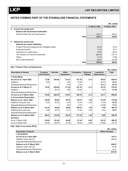|   |                                                    |               | (Rs. Lakhs)   |
|---|----------------------------------------------------|---------------|---------------|
|   |                                                    | 31 March 2022 | 31 March 2021 |
| 8 | <b>Current Tax assets (net)</b>                    |               |               |
|   | <b>Balance with Government Authorities</b>         |               |               |
|   | Advance Direct Tax (net of provisions)             | 154.71        | 154.01        |
|   | <b>Total</b>                                       | 154.71        | 154.01        |
| 9 | Defered tax assets (net)                           |               |               |
|   | Deferred tax assets/ (liabilities)                 |               |               |
|   | Property Plant and equipment and intangible assets | 22.44         | 27.43         |
|   | Employee benefits                                  | 17.93         | 55.11         |
|   | Allowances for credit losses                       | 78.27         | 98.87         |
|   | Fair valuation of Financial Instruments            | (62.07)       | (37.17)       |
|   | Others                                             | 13.14         | (1.86)        |
|   | <b>MAT Credit Entitlement</b>                      | 95.51         | 214.54        |
|   | Total                                              | 165.22        | 356.91        |
|   |                                                    |               |               |

### **10(a) Property, Plant and Equipments**

|                                 |                  |                 |               |                  |                   |             | (Rs. Lakhs)  |
|---------------------------------|------------------|-----------------|---------------|------------------|-------------------|-------------|--------------|
| <b>Description of Assets</b>    | <b>Furniture</b> | <b>Vehicles</b> | <b>Office</b> | <b>Computers</b> | <b>Electrical</b> | Leasehold   | <b>Total</b> |
|                                 | and Fixtures     |                 | Equipment     |                  | <b>Fittings</b>   | Improvement |              |
| <b>I. Gross Block</b>           |                  |                 |               |                  |                   |             |              |
| At cost as at 1 April 2020      | 77.66            | 220.06          | 112.27        | 127.78           | 2.13              | 89.53       | 629.43       |
| Additions                       | 0.59             |                 | 4.46          | 13.48            | $\blacksquare$    | 25.74       | 44.27        |
| Disposals/Adjustment/Deductions |                  |                 | 5.49          | 0.16             |                   | 89.53       | 95.18        |
| At cost as at 31 March 21       | 78.25            | 220.06          | 111.25        | 141.10           | 2.13              | 25.74       | 578.52       |
| Additions                       |                  | 26.70           | 3.66          | 28.00            |                   | 9.04        | 67.40        |
| Disposals/Adjustment/Deductions |                  |                 |               |                  |                   |             |              |
| At cost as at 31 March 2022     | 78.25            | 246.76          | 114.91        | 169.10           | 2.13              | 34.77       | 645.92       |
| II. Accumulated Depreciation    |                  |                 |               |                  |                   |             |              |
| Balance as at 1 April, 2020     | 38.06            | 69.62           | 56.74         | 88.37            | 1.24              | 61.45       | 315.48       |
| Additions during the year       | 5.26             | 25.04           | 8.26          | 12.25            | 0.04              | 11.69       | 62.53        |
| Disposals/Adjustment/Deductions |                  |                 | 5.00          | 0.15             |                   | 72.06       | 77.21        |
| Balance as at 31 March 2021     | 43.32            | 94.66           | 59.99         | 100.47           | 1.28              | 1.08        | 300.79       |
| Additions during the year       | 5.09             | 24.70           | 8.71          | 11.30            | 0.03              | 5.54        | 55.37        |
| Disposals/Adjustment/Deductions |                  |                 |               |                  |                   |             |              |
| Balance as at 31 March 2022     | 48.41            | 119.36          | 68.70         | 111.76           | 1.30              | 6.62        | 356.16       |
| Net block                       |                  |                 |               |                  |                   |             |              |
| As at 31 March 2022             | 29.84            | 127.40          | 46.20         | 57.34            | 0.83              | 28.15       | 289.76       |
| As at 31 March 2021             | 34.93            | 125.40          | 51.26         | 40.63            | 0.85              | 24.66       | 277.72       |

### **10(b) Right of use assets (ROU)**

|                                 | (Rs. Lakhs)            |
|---------------------------------|------------------------|
| <b>Description of Assets</b>    | <b>Office Premises</b> |
| <b>I. Gross Block</b>           |                        |
| At cost as at 1 April 2020      | 110.73                 |
| Additions (refer note 32)       | 490.24                 |
| Disposals/Adjustment/Deductions |                        |
| Balance as at 31 March 2021     | 600.97                 |
| Additions (refer note 32)       | 91.95                  |
| Disposals/Adjustment/Deductions | 18.17                  |
| Balance as at 31 March 2022     | 674.76                 |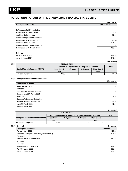|                                 | (Rs. Lakhs)            |
|---------------------------------|------------------------|
| <b>Description of Assets</b>    | <b>Office Premises</b> |
|                                 |                        |
| II. Accumulated Depreciation    |                        |
| Balance as at 1 April, 2020     | 15.99                  |
| Additions during the year       | 67.44                  |
| Disposals/Adjustment/Deductions |                        |
| Balance as at 31 March 2021     | 83.44                  |
| Additions during the year       | 124.17                 |
| Disposals/Adjustment/Deductions | 8.50                   |
| Balance as at 31 March 2022     | 199.10                 |
| Net block                       |                        |
| As at 31 March 2022             | 475.65                 |
| As at 31 March 2021             | 517.54                 |

**(Rs. Lakhs)**

| 10(c) | 31 March 2022                   |                                                 |              |           |             |       |  |
|-------|---------------------------------|-------------------------------------------------|--------------|-----------|-------------|-------|--|
|       |                                 | Amount in Capital Work in Progress for a period | <b>Total</b> |           |             |       |  |
|       | Capital-Work-in Progress (CWIP) | Less than 1                                     | 1-2 vears    | 2-3 years | More than 3 |       |  |
|       |                                 | vear                                            |              |           | vears       |       |  |
|       | Projects in progress            | 26.50                                           |              |           |             | 26.50 |  |

### **10(d) Intangible assets under development**

|                                 | (Rs. Lakhs) |
|---------------------------------|-------------|
| <b>Description of Assets</b>    |             |
| As on 1 April 2020              | 15.30       |
| Additions                       |             |
| Disposals/Adjustment/Deductions | 15.30       |
| Balance as at 31 March 2021     |             |
| Additions                       | 17.00       |
| Disposals/Adjustment/Deductions |             |
| Balance as at 31 March 2022     | 17.00       |
| As at 31 March 2022             | 17.00       |
| As at 31 March 2021             |             |

|                                     |                                                            |           |           |             | (Rs. Lakhs)  |  |  |
|-------------------------------------|------------------------------------------------------------|-----------|-----------|-------------|--------------|--|--|
| <b>31 March 2022</b>                |                                                            |           |           |             |              |  |  |
|                                     | Amount in Intangible Assets under development for a period |           |           |             | <b>Total</b> |  |  |
| Intangible assets under development | Less than 1                                                | 1-2 years | 2-3 years | More than 3 |              |  |  |
|                                     | vear                                                       |           |           | years       |              |  |  |
| <b>Projects in progress</b>         | 17.00                                                      |           |           |             | 17.00        |  |  |

| 11(a)<br>Goodwill                                | (Rs Lakhs)               |
|--------------------------------------------------|--------------------------|
| <b>Description of Assets</b>                     | Goodwill                 |
| As on 1 April 2020                               | 125.59                   |
| Additions arising on acquisition (Refer note 53) | 526.72                   |
| <b>Disposals</b>                                 |                          |
| Balance as at 31 March 2021                      | 652.31                   |
| Additions                                        |                          |
| <b>Disposals</b>                                 | $\overline{\phantom{0}}$ |
| Balance as at 31 March 2022                      | 652.31                   |
| As at 31 March 2022                              | 652.31                   |
| As at 31 March 2021                              | 652.31                   |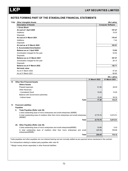| <b>Other Intangible Assets</b><br>11(b) | (Rs Lakhs)               |
|-----------------------------------------|--------------------------|
| <b>Description of Assets</b>            | <b>Computer Software</b> |
| I. Gross Block                          |                          |
| At cost at 1 April 2020                 | 157.27                   |
| Additions                               | 19.20                    |
| Disposals                               |                          |
| At cost at 31 March 2021                | 176.47                   |
| Additions                               | 7.44                     |
| <b>Disposals</b>                        |                          |
| At cost as at 31 March 2022             | 183.91                   |
| <b>II. Accumulated Amortization</b>     |                          |
| Balance as on 1 April 2020              | 73.93                    |
| Amortization charged for the year       | 33.64                    |
| Disposals                               |                          |
| Balance as on 31 March 2021             | 107.57                   |
| Amortization charged for the year       | 29.14                    |
| <b>Disposals</b>                        |                          |
| Balance as at 31 March 2022             | 136.71                   |
| Net book value                          |                          |
| As at 31 March 2022                     | 47.20                    |
| As at 31 March 2021                     | 68.90                    |

|               | ບບ.ວບ         |
|---------------|---------------|
|               | (Rs. Lakhs)   |
| 31 March 2022 | 31 March 2021 |
|               |               |
|               |               |
| 51.94         | 48.00         |
|               |               |
| 10.05         | 10.05         |

|    |      | Prepaid expenses                                                                                         | 51.94    | 48.00    |
|----|------|----------------------------------------------------------------------------------------------------------|----------|----------|
|    |      | <b>Other Advances</b>                                                                                    |          |          |
|    |      | - Considered Good                                                                                        | 10.05    | 10.05    |
|    |      | <b>Balance with Government authorities</b>                                                               |          |          |
|    |      | - Indirect taxes                                                                                         | 15.49    | 58.32    |
|    |      | Total                                                                                                    | 77.48    | 116.37   |
| 13 |      | <b>Financial Liabilities</b>                                                                             |          |          |
|    |      | <b>Payables</b>                                                                                          |          |          |
|    | I)   | Trade Payables (Refer note 36)                                                                           |          |          |
|    |      | i) total outstanding dues of micro enterprises and small enterprises (MSME)                              |          |          |
|    |      | ii) total outstanding dues of creditors other than micro enterprises and small enterprises<br>$(MSME)^*$ | 9,775.76 | 9,074.51 |
|    |      | Total                                                                                                    | 9,775.76 | 9,074.51 |
|    |      |                                                                                                          |          |          |
|    | (II) | Other Payables (Refer note 36)                                                                           |          |          |
|    |      | i) total outstanding dues of micro enterprises and small enterprises (MSME)                              | 33.86    | 0.43     |
|    |      | ii) total outstanding dues of creditors other than micro enterprises and small<br>enterprises(MSME)      | 220.58   | 109.68   |
|    |      | Total                                                                                                    | 254.44   | 110.12   |
|    |      |                                                                                                          |          |          |

Trade payables and other payables are non-interest bearing and are normally settled as per payment terms mentioned in the contract.

For transactions relating to related party payables refer note 40.

\* Margin money shown seperately in other financial liabilities

**12 Other Non-Financial Assets Others Assets**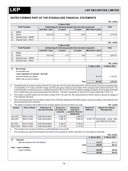|       |                        |                  |                                                            |           |                   | (Rs. Lakhs)  |
|-------|------------------------|------------------|------------------------------------------------------------|-----------|-------------------|--------------|
|       |                        |                  | 31 March 2022                                              |           |                   |              |
|       | <b>Trade Payables</b>  |                  | Outstanding for following periods from due date of payment |           |                   | <b>Total</b> |
|       |                        | Less than 1 year | 1-2 years                                                  | 2-3 years | More than 3 years |              |
|       | <b>MSME</b>            |                  |                                                            |           |                   |              |
| (ii)  | Others                 | 9,673.39         | 75.34                                                      | 18.04     | 8.99              | 9,775.76     |
| (iii) | Disputed dues - MSME   |                  |                                                            |           |                   |              |
| (iv)  | Disputed dues - Others |                  |                                                            |           |                   |              |
|       |                        |                  |                                                            |           |                   | (Rs. Lakhs)  |

|       | 31 March 2021                                                                       |                  |           |           |                   |              |  |  |
|-------|-------------------------------------------------------------------------------------|------------------|-----------|-----------|-------------------|--------------|--|--|
|       | Outstanding for following periods from due date of payment<br><b>Trade Payables</b> |                  |           |           |                   | <b>Total</b> |  |  |
|       |                                                                                     | Less than 1 year | 1-2 years | 2-3 years | More than 3 years |              |  |  |
|       | <b>MSME</b>                                                                         |                  |           |           |                   |              |  |  |
| (ii)  | Others                                                                              | 9.017.54         | 11.41     | 9.82      | 35.75             | 9.074.51     |  |  |
| (iii) | Disputed dues - MSME                                                                |                  |           |           |                   |              |  |  |
| (iv)  | Disputed dues - Others                                                              |                  |           |           |                   |              |  |  |
|       |                                                                                     |                  |           |           |                   | (Rs. Lakhs)  |  |  |

|    |                                     |               | ,,,,,,,,,,,,,,, |
|----|-------------------------------------|---------------|-----------------|
|    |                                     | 31 March 2022 | 31 March 2021   |
| 14 | <b>Borrowings:</b>                  |               |                 |
|    | At amortised cost                   |               |                 |
|    | Loans repayable on demand - Secured |               |                 |
|    | Overdraft facility from Banks       | 911.45        | 1.015.52        |
|    | (Refer note (a) and (b) below)      |               |                 |
|    | <b>Total</b>                        | 911.45        | 1,015.52        |
|    |                                     |               |                 |

a. Overdraft facility from Bank of India of Rs.910.45 Lakhs (Rs.1015.52 Lakhs) [Sanctioned Rs.1016.00 Lakhs] is secured by hypothecation of receivables of T+3 days with 50% margin and first pari passu charge on book debts of the Company both present and future. The overdraft facility is further secured by a collateral security of 50% in form of TDR, equitable mortgage of property and corporate guarantee from a related party and personal guarantee from directors . The loan is repayable on demand and carries interest @ 11.90%. p.a.

b. Fund based Overdraft facility from Axis Bank Limited of Rs.1.00 Lakh (Rs. NIL) [Sanctioned Rs.100.00 Lakhs] is secured by pledge of Fixed deposits with bank.

c. Non Fund based facility from Axis Bank Limited of Rs 2,000 lakhs [Sanctioned Rs.2000 Lakhs] is secured by pledge of fixed deposits and personal guarantee from directors.

d. The details of quarterly returns filled by the company against security provided is as under

| Quarter          | Name of Bank  | <b>Particulars of</b><br><b>Security Provided</b> | Amount as<br>per books of<br>accounts | <b>Amount as</b><br>reported in<br>quarterly Returns/<br><b>Statements</b> | <b>Amount of</b><br><b>Diffrence</b> | <b>Reason for material</b><br><b>Discrepencies</b>          |
|------------------|---------------|---------------------------------------------------|---------------------------------------|----------------------------------------------------------------------------|--------------------------------------|-------------------------------------------------------------|
| <b>June 2021</b> | Bank of India | <b>Trade Receivables</b>                          | 3,928.35                              | 3,928.35                                                                   |                                      |                                                             |
| Sept 2021        | Bank of India | <b>Trade Receivables</b>                          | 7.366.16                              | 3.084.43                                                                   | (4,281.73)                           | Inadvertently<br>wrong date<br>report filled with the bank. |
| Dec 2021         | Bank of India | <b>Trade Receivables</b>                          | 4,198.47                              | 4,198.47                                                                   |                                      |                                                             |
| March 2022       | Bank of India | <b>Trade Receivables</b>                          | 4,113.32                              | 4.113.32                                                                   | $\overline{\phantom{0}}$             |                                                             |

e. The Company has not been declared as a wilfull defaulter by any lender

f. The Company has used the borrowings from banks for the purpose for which it was taken as at the balance sheet date

|       |                                    |               | (Rs. Lakhs)   |
|-------|------------------------------------|---------------|---------------|
|       |                                    | 31 March 2022 | 31 March 2021 |
| 15    | <b>Deposits</b>                    |               |               |
|       | Security Deposits from Sub Brokers | 296.99        | 291.51        |
|       | <b>Total</b>                       | 296.99        | 291.51        |
| 16(a) | <b>Lease Liabilities</b>           |               |               |
|       | Lease Liabilities                  | 522.88        | 524.24        |
|       | Total                              | 522.88        | 524.24        |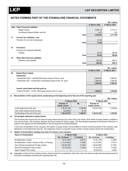**(Rs. Lakhs)** 

# **NOTES FORMING PART OF THE STANDALONE FINANCIAL STATEMENTS**

|       |                                                                  |               | (Rs. Lakhs)   |
|-------|------------------------------------------------------------------|---------------|---------------|
|       |                                                                  | 31 March 2022 | 31 March 2021 |
| 16(b) | <b>Other Financial Liabilities</b>                               |               |               |
|       | Margin money                                                     | 3,280.19      | 3,716.17      |
|       | Unclaimed dividend (Refer note 44)                               | 4.87          | 1.52          |
|       | <b>Total</b>                                                     | 3,285.06      | 3,717.69      |
| 17    | <b>Current Tax Liabilities (net)</b>                             |               |               |
|       | Provision for tax (net of advances)                              | 41.04         |               |
|       | <b>Total</b>                                                     | 41.04         |               |
|       |                                                                  |               |               |
| 18    | <b>Provisions</b>                                                |               |               |
|       | Provision for Employee Benefits                                  |               |               |
|       | Gratuity                                                         | 64.45         | 198.08        |
|       | <b>Total</b>                                                     | 64.45         | 198.08        |
| 19    | <b>Other Non-Financial Liabilities</b>                           |               |               |
|       | Statutory dues payable                                           | 203.85        | 166.11        |
|       | <b>Total</b>                                                     | 203.85        | 166.11        |
|       |                                                                  |               |               |
|       |                                                                  |               | (Rs. Lakhs)   |
|       |                                                                  | 31 March 2022 | 31 March 2021 |
| 20    | <b>Equity Share Capital</b>                                      |               |               |
|       | <b>Authorised</b>                                                |               |               |
|       | 125,000,000 (2021: 125,000,000) Equity shares of Rs.2/- each     | 2,500.00      | 2,500.00      |
|       | 10,000,000(2021: 10,000,000) Unclassified shares of Rs 10/- each | 1,000.00      | 1,000.00      |
|       |                                                                  | 3,500.00      | 3,500.00      |
|       |                                                                  |               |               |

### **Issued, subscribed and fully paid up**

74,843,576 (2021: 73,934,736) Equity shares of Rs.2/- each **1,496.87 1,478.69** 

#### **a) Reconciliation of the equity shares outstanding at the beginning and at the end of the reporting year**

|                                    |                                   |          |                                   | (ING. LANIIS) |
|------------------------------------|-----------------------------------|----------|-----------------------------------|---------------|
|                                    | <b>31 March 2022</b>              |          | 31 March 2021                     |               |
|                                    | Number of<br><b>Equity shares</b> | Rs.      | Number of<br><b>Equity shares</b> | Rs.           |
| At the beginning of the year       | 7,39,34,736                       | 1,478.69 | 7,39,34,736                       | 1.478.69      |
| Add: Share issued during the year  | 9.08.840                          | 18.18    |                                   |               |
| Outstanding at the end of the year | 7,48,43,576                       | 1,496.87 | 7,39,34,736                       | 1.478.69      |

### **b) Terms/rights attached to equity shares**

The Company has issued only one class of equity shares having a par value of Rs.2 per share. Each holder of equity shares is entitled to one vote per share. The Company declares and pays dividend in Indian rupees. The final dividend proposed by the Board of Directors is subject to the approval of the shareholders in the ensuing Annual General Meeting.

In the event of liquidation of the company, the holders of equity shares will be entitled to receive remaining assets of the company, after distribution of all preferential amounts. The distribution will be in proportion to the number of equity shares held by the shareholders.

#### **c) Details of shareholders holding more than 5% shares in the company:**

| Name of shareholders                           | 31 March 2022 |           | 31 March 2021 |           |  |
|------------------------------------------------|---------------|-----------|---------------|-----------|--|
|                                                | No. of shares | % Holding | No. of shares | % Holding |  |
| Mr Mahendra V Doshi                            | 81,61,700     | 10.91%    | 91,61,700     | 12.39%    |  |
| Mr Mahendra V Doshi- Partner in M/s L K Panday | 1,31,67,854   | 17.59%    | 1,31,67,854   | 17.81%    |  |
| Sea Glimpse Investments Private Limited        | 1,59,40,090   | 21.30%    | 1,59,40,090   | 21.56%    |  |
| Bhavana Holdings Private Limited               | 87,22,030     | 11.65%    | 87,22,030     | 11.80%    |  |
| <b>Agrud Capital PTE Limited</b>               |               |           | 43,64,934     | 5.90%     |  |

**d)** Aggregate number of bonus shares issued, shares issued for consideration other than cash and shares bought back during the period of five years immediately preceding the reporting date: NIL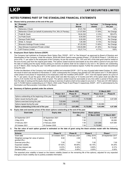### **e) Shares held by promoters at the end of the year**

| Sr.<br><b>No</b> | Promoter<br>name                                                  | No. of<br><b>Shares</b> | %of total<br>shares | % Change during<br>the year |
|------------------|-------------------------------------------------------------------|-------------------------|---------------------|-----------------------------|
|                  | Mahendra V.Doshi                                                  | 81,61,700               | 10.91%              | $-12%$                      |
| 2                | Mahendra. V. Doshi (on behalf of pratnership Firm, M/s LK Panday) | 1,31,67,854             | 17.59%              | No Change                   |
| 3                | Pratik.M. Doshi                                                   | 16,04,332               | 2.14%               | 165.47%                     |
| 4                | Ira Pratik Doshi                                                  | 6,00,000                | 0.81%               | No Change                   |
| 5                | Samaya Pratik Doshi                                               | 6,00,000                | 0.81%               | No Change                   |
| 6                | Shital A. Sonpal                                                  | 1,00,350                | 0.13%               | No Change                   |
|                  | Bhavana Holdings Private Limited                                  | 87,22,030               | 11.65%              | No Change                   |
| 8                | Sea Glimpse Investment Private Limited                            | 1,59,40,090             | 21.30%              | No Change                   |
| 9                | <b>LKP Finance Limited</b>                                        | 35,27,714               | 4.71%               | 100%                        |

### **f) Employees Stock Option Scheme (ESOP)**

The Company had instituted an Employee Stock Option Plan ("ESOP - 2017 or "the Scheme") as approved by Board of Directors and Shareholders of the Company. Under the scheme, 38,85,000 Stock Options were granted (Phase I: 37,00,000 & Phase II: 1,85,000) at a price of Rs. 7/- per option to the employees of the Company. As per the scheme, 33%, 33% and 34% of the total grant shall be vested at the end of every year from the original grant dates. The options vested would be exercisable at any time within a period of one year from the date of vesting and the equity shares arising on exercise of options shall not be subject to any lock in. No options are outstanding as at 31 March, 2022. During the year 7,02,840 options were excersied and balance lapsed. Further the scheme has been discontinued duing the year.

 Further the Members of the Company had verified modified and amended ESOP – 2017 by way of postal ballot dated October 16, 2020, the result of which was declared on November 27, 2020, subsequently the Company has granted 4,67,000 options and 11,75,580 options under phase III and phase IV respectively to its employees under the modified LKPS ESOP – 2017, from the lapsed options at a price of Rs. 7/- per option. As per the grant, 50% of the option shall vest after the expiry of 12 months and 50% of the option shall vest after the expiry of 24 months from the original date of grant. The options vested would be exercisable at any time within a period of three years from the date of vesting and the equity shares arising on exercise of options shall not be subject to any lock in. There are 2,61,000 Options and 11,75,580 Options outstanding as at 31 March, 2022 under Phase III and Phase IV respectively. ESOP – 2017 is administered by the Nomination and Remuneration Committee of the Board.

#### **g) Summary of Options granted under the scheme**

|                                                  | 31 March 2022 |                  |                 | 31 March 2021 |                  |  |
|--------------------------------------------------|---------------|------------------|-----------------|---------------|------------------|--|
|                                                  | Phase I & II  | <b>Phase III</b> | <b>Phase IV</b> | Phase I & II  | <b>Phase III</b> |  |
| Options outstanding at the beginning of the year | 9.93.980      | 4,67,000         |                 | 21,86,960     |                  |  |
| Option issued during the year                    |               |                  | 11,75,580       |               | 4,67,000         |  |
| Options exercised during the year                | 7.02.840      | 2,06,000         |                 |               |                  |  |
| Options lapsed during the year                   | 2,91,140      |                  |                 | 11.92.980     |                  |  |
| Option outstanding at the end of the year        |               | 2,61,000         | 11,75,580       | 9,93,980      | 4,67,000         |  |

### **h) Expiry date and exercise prices of the share options outstanding at the end of the year:**

| <b>Grant date</b> | <b>Expiry date</b> | <b>Exercise price</b> | <b>Share options</b> |               |
|-------------------|--------------------|-----------------------|----------------------|---------------|
|                   |                    | (Rs.)                 | 31 March 2022        | 31 March 2021 |
| 29 September 2017 | 28 September 2021  | 7.00                  |                      | 9,33,980      |
| 2 May 2019        | 1 May 2023         | 7.00                  |                      | 60,000        |
| 3 February 2021   | 2 February 2024    | 7.00                  | 2,61,000             | 4.67.000      |
| 25 October 2021   | 25 October 2025    | 7.00                  | 11,75,580            |               |

#### **i) The fair value of each option granted is estimated on the date of grant using the black scholes model with the following assumptions**

| <b>Scheme</b>                                           | <b>Phase IV</b> | <b>Phase III</b> | <b>Phase II</b> | Phase I           |
|---------------------------------------------------------|-----------------|------------------|-----------------|-------------------|
| Grant date                                              | 25 October 2021 | 3 February 2021  | 2 May 2019      | 29 September 2017 |
| Weighted average fair value of options<br>granted (Rs.) | 8.82            | 2.90             | 5.76            | 8.21              |
| Exercise price (Rs.)                                    | 7.00            | 7.00             | 7.00            | 7.00              |
| Expected volatility                                     | 67.52%          | 65.60%           | 62.15%          | 54.20%            |
| Risk free interest rate                                 | 6.23%           | 6.45%            | 6.90%           | 6.31%             |
| Dividend yield                                          | $0.00\%$        | $0.00\%$         | $0.00\%$        | $0.00\%$          |

 The expected price volatility is based on the historic volatility (based on the remaining life of the options), adjusted for any expected changes to future volatility due to publicly available information.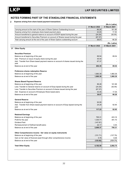### **j) Expense arising from share based payment transactions**

|                                                                                               |                   | (Rs in Lakhs) |
|-----------------------------------------------------------------------------------------------|-------------------|---------------|
|                                                                                               | 31 March 2022     | 31 March 2021 |
| Carrying amount at the start of the year of Share Options Outstanding Account                 | 86.28             | 161.88        |
| Expense arising from employee share based payment plans                                       | 43.45             | 17.35         |
| Amount transferred to general reserve on account of ESOP lapsed during the year               | (24.29)           | (92.95)       |
| Amount transferred to Securities Premiuim on account of Shares issued during the year         | (67.37)           |               |
| Total carrying amount at the end of the year of Share Options outstanding account             | 38.07             | 86.28         |
|                                                                                               |                   | (Rs. Lakhs)   |
|                                                                                               | 31 March 2022     | 31 March 2021 |
| <b>Other Equity</b><br>21                                                                     |                   |               |
| <b>Securities Premium</b>                                                                     |                   |               |
| Balance as at beginning of the year                                                           | 89.54             | 89.54         |
| Add : Premium on issue of equity share during the year                                        | 45.44             |               |
| Add: Transfer from Share based payment reserve on account of shares issued during the<br>year | 67.37             |               |
| Balance as at end of the year                                                                 | 202.35            | 89.54         |
| Preference shares redemption Reserve                                                          |                   |               |
| Balance as at beginning of the year                                                           | 1,960.39          | 1,960.39      |
| Balance as at end of the year                                                                 | 1,960.39          | 1,960.39      |
| <b>Shares Based Payment Reserve</b>                                                           |                   |               |
| Balance as at beginning of the year                                                           | 86.28             | 161.88        |
| Less: Transfer to General reserve on account of Esop lapsed during the year                   | (24.29)           | (92.95)       |
| Less: Transfer to Securities Premium on account of shares issued during the year              | (67.37)           |               |
| Add: Expense on account of Employee Share based plans                                         | 43.45             | 17.35         |
| Balance as at end of the year                                                                 | 38.07             | 86.28         |
| <b>General Reserve</b>                                                                        |                   |               |
| Balance as at beginning of the year                                                           | 92.95             |               |
| Add : Transfer from Share based payment reserve on account of Esop lapsed during the<br>year  | 24.29             | 92.95         |
| Balance as at end of the year                                                                 | 117.23            | 92.95         |
| <b>Retained Earnings</b>                                                                      |                   |               |
| Balance as at beginning of the year                                                           | 795.31            | 403.16        |
| Profit for the year                                                                           | 1,330.77          | 391.70        |
| Dividend Paid                                                                                 |                   |               |
|                                                                                               | (147.87)<br>22.17 | 0.45          |
| Remeasurement of Defined benefit plans                                                        | 2,000.37          | 795.31        |
| Balance as at end of the year                                                                 |                   |               |
| Other Comprehensive income - fair value on equity instruments                                 |                   |               |
| Balance as at beginning of the year                                                           | (131.71)          | (137.79)      |
| Gain on fair value of financial asset through other comprehensive income                      | 5.79              | 6.08          |
| Balance as at end of the year                                                                 | (125.92)          | (131.71)      |
| <b>Total Other Equity</b>                                                                     | 4,192.50          | 2,892.75      |
|                                                                                               |                   |               |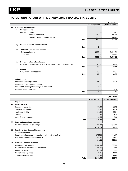|    |                 |                                                                         |              |               | (Rs. Lakhs)   |
|----|-----------------|-------------------------------------------------------------------------|--------------|---------------|---------------|
|    |                 |                                                                         |              | 31 March 2022 | 31 March 2021 |
| 22 |                 | <b>Revenue from Operations</b>                                          |              |               |               |
|    | (i)             | <b>Interest Income</b>                                                  |              |               |               |
|    |                 | Interest - Loans                                                        |              | 0.03          | 0.70          |
|    |                 | - deposits with banks                                                   |              | 249.63        | 206.14        |
|    |                 | - others (including broking activities)                                 |              | 553.18        | 460.49        |
|    |                 |                                                                         | <b>Total</b> | 802.83        | 667.33        |
|    |                 |                                                                         |              |               |               |
|    | (ii)            | Dividend Income on Investments                                          |              | 0.46          |               |
|    |                 |                                                                         | <b>Total</b> | 0.46          |               |
|    | (iii)           | <b>Fees and Commission Income</b>                                       |              |               |               |
|    |                 | Brokerage Income                                                        |              | 8,093.65      | 7,244.94      |
|    |                 | Other fees                                                              |              | 214.08        | 285.86        |
|    |                 |                                                                         | <b>Total</b> | 8,307.72      | 7,530.80      |
|    | (iv)            | Net gain on fair value changes                                          |              |               |               |
|    |                 | Net gain on financial instruments at fair value through profit and loss |              | 93.51         | 138.14        |
|    |                 |                                                                         | <b>Total</b> | 93.51         | 138.14        |
|    | (v)             | <b>Others</b>                                                           |              |               |               |
|    |                 | Net gain on sale of securities                                          |              | 60.17         | 38.02         |
|    |                 |                                                                         | <b>Total</b> | 60.17         | 38.02         |
|    |                 |                                                                         |              |               |               |
| 23 |                 | <b>Other Income</b>                                                     |              |               |               |
|    |                 | Other non operating income                                              |              | 68.18         | 63.27         |
|    |                 | Unwinding of discounting of deposits                                    |              | 3.50          | 1.55          |
|    |                 | Net gain on derecognition of Right of use Assets                        |              | 3.21          |               |
|    |                 | Balances written back (net)                                             |              | 1.16          | 0.34          |
|    |                 |                                                                         | <b>Total</b> | 76.05         | 65.16         |
|    |                 |                                                                         |              |               |               |
|    |                 |                                                                         |              |               | (Rs. Lakhs)   |
|    |                 |                                                                         |              | 31 March 2022 | 31 March 2021 |
|    | <b>Expenses</b> |                                                                         |              |               |               |
| 24 |                 | <b>Finance Costs</b>                                                    |              |               |               |
|    |                 | Interest on borrowings                                                  |              | 156.30        | 53.32         |
|    |                 | on retirement benefits                                                  |              | 9.32          | 13.38         |
|    |                 | on leased liability                                                     |              | 61.94         | 38.94         |
|    | others          |                                                                         |              | 2.94          | 3.18          |
|    |                 | Other financial charges                                                 |              | 9.55          | 9.96          |
|    |                 |                                                                         | <b>Total</b> | 240.04        | 118.77        |
| 25 |                 | Fees and commision expense                                              |              |               |               |
|    |                 | Commission and sub-brokerage                                            |              | 2,798.79      | 2,520.22      |
|    |                 |                                                                         |              | 2,798.79      | 2,520.22      |
| 26 |                 | Impairment on financial instruments                                     |              |               |               |
|    |                 | At amortised cost                                                       |              |               |               |
|    |                 | Impairment allowances/(reversal) on trade receivables (Net)             |              | (74.03)       | (114.47)      |
|    |                 | Bad debts written off (refer Note 50)                                   |              | 98.91         | 1,024.83      |
|    |                 |                                                                         |              | 24.88         | 910.36        |
| 27 |                 | <b>Employee benefits expense</b>                                        |              |               |               |
|    |                 | Salaries and allowances                                                 |              | 2,988.99      | 2,899.29      |
|    |                 | Contribution to provident and other funds                               |              | 100.71        | 96.58         |
|    |                 | Gratuity expense                                                        |              | 63.19         | 57.92         |
|    |                 | Share based expenses                                                    |              | 43.45         | 17.35         |
|    |                 | Staff welfare expenses                                                  |              | 19.64         | 12.65         |
|    |                 |                                                                         |              |               |               |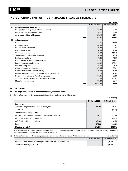|                                                            |               | (Rs. Lakhs)   |
|------------------------------------------------------------|---------------|---------------|
|                                                            | 31 March 2022 | 31 March 2021 |
| 28<br>Depreciation and amortisation                        |               |               |
| Depreciation on property, plant and equipments             | 55.37         | 62.53         |
| Depreciation on Right of use assets                        | 124.17        | 67.44         |
| Amortisation of intangible assets                          | 29.14         | 33.64         |
| <b>Total</b>                                               | 208.67        | 163.61        |
| 29<br><b>Other expenses</b>                                |               |               |
| Rent                                                       | 81.07         | 117.60        |
| Rates and taxes                                            | 38.03         | 30.01         |
| Repairs and maintenance                                    | 40.30         | 29.82         |
| Electricity expenses                                       | 34.34         | 27.04         |
| Communication expenses                                     | 116.48        | 117.43        |
| Travelling and Conveyance expenses                         | 36.83         | 28.26         |
| Printing and stationery                                    | 17.04         | 11.57         |
| Computer and Software usage Charges                        | 182.07        | 214.81        |
| Legal and professional charges                             | 190.92        | 188.41        |
| Directors sitting fees                                     | 5.00          | 3.35          |
| Subscription and Membership fees                           | 37.65         | 32.21         |
| Payments to auditors (Refer Note 35)                       | 10.00         | 10.00         |
| Loss on sale/discard of Property plant and equipment (net) |               | 17.05         |
| <b>Business Promotion and Marketing expenses</b>           | 107.05        | 99.29         |
| Stock Exchange, Clearing and Depository expenses           | 112.50        | 130.05        |
| Miscellaneous expenses                                     | 38.80         | 32.11         |
| <b>Total</b>                                               | 1,048.08      | 1,089.00      |

### **30 Tax Expense**

### **(a) The major components of income tax for the year are as under:**

i) Income tax related to items recognised directly in the statement of profit and loss

|                                                               |               | (Rs. Lakhs)   |
|---------------------------------------------------------------|---------------|---------------|
|                                                               | 31 March 2022 | 31 March 2021 |
| <b>Current tax</b>                                            |               |               |
| Current tax on profits for the year- current year             | 446.80        | 59.85         |
| - earlier year                                                |               | (0.76)        |
| Deferred tax (Credit) / Charge                                |               |               |
| Relating to origination and reversal of temporary differences | 64.12         | 92.39         |
| MAT Credit entitlement - current year                         |               | (8.05)        |
| MAT Credit entitlement - earlier years                        | (37.39)       | 18.58         |
| <b>Total</b>                                                  | 473.53        | 162.01        |
| <b>Effective tax rate #</b>                                   | 26.24%        | 29.26%        |

 # A reconciliation of income tax expense applicable to profit before income tax at statutory rate to the income tax expense at Company's effective income tax rate for the year ended 31 March 2022

| ii) | Deferred tax related to items recognised in the other comprehensive income (OCI) during the year |               | (Rs. Lakhs)   |
|-----|--------------------------------------------------------------------------------------------------|---------------|---------------|
|     |                                                                                                  | 31 March 2022 | 31 March 2021 |
|     | Deferred tax on remeasurement (gains)/losses on defined benefit plan                             |               | (0.17)        |
|     | Deferred tax charged to OCI                                                                      |               | (0.17)        |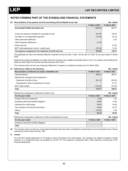| Reconciliation of tax expense and the accounting profit multiplied by tax rate: |               | (Rs. Lakhs)   |
|---------------------------------------------------------------------------------|---------------|---------------|
|                                                                                 | 31 March 2022 | 31 March 2021 |
| <b>Accounting Profit/(Loss) before tax</b>                                      | 1,804.30      | 553.71        |
|                                                                                 |               |               |
| Income tax expense calculated at corporate tax rate                             | 501.96        | 154.04        |
| Tax effect on non-deductible expenses                                           | (12.68)       | (6.12)        |
| Other permanent difference                                                      |               | 4.32          |
| Other temporary differences                                                     | 21.65         |               |
| Earlier year tax                                                                |               | (0.76)        |
| MAT Credit adjustment (current + earlier year)                                  | (37.39)       | 10.54         |
| Tax expense recognized in the statement of profit and loss                      | 473.53        | 162.01        |

 The applicable tax rate is the standard effective corporate income tax rate in India. The tax rate is 27.82% for the year ended 31 March 2022.

 Deferred tax assets and liabilities are offset where the Company has a legally enforceable right to do so. For analysis of the deferred tax balances (after offset) for financial reporting purposes refer note 9.

 The Company does not have any temporary differences in respect of unutilized tax losses as at 31 March 2022.

| Deferred tax relates to the following:                                       |               | (Rs. Lakhs)                  |
|------------------------------------------------------------------------------|---------------|------------------------------|
| Reconciliation of deferred tax assets / (liabilities) net:                   | 31 March 2022 | 31 March 2021                |
| Opening balance                                                              | 356.91        | 460.01                       |
| Deferred tax (charge)/credit recognised in                                   |               |                              |
| - Statement of profit and loss                                               | (64.12)       | (92.39)                      |
| - Recognised in other comprehensive income                                   |               | (0.17)                       |
| <b>MAT Credit availed</b>                                                    | (119.03)      | (10.54)                      |
| Total                                                                        | 173.77        | 356.91                       |
| Deferred tax recognized in statement of profit or loss<br>For the year ended | 31 March 2022 | (Rs. Lakhs)<br>31 March 2021 |
| Property Plant and equipment                                                 | 4.99          | 1.04                         |
| Employee retirement benefits obligation                                      | 28.64         | 14.85                        |
| Allowance for credit losses                                                  | 20.59         | 34.90                        |
| Fare valuation of Financial Instruments                                      | 24.90         | 39.73                        |
| <b>Others</b>                                                                | (15.00)       | 1.86                         |
| Total                                                                        | 64.12         | 92.39                        |
| Deferred tax recognized in statement of Other Comprehensive Income           |               | (Rs. Lakhs)                  |
| For the year ended                                                           | 31 March 2022 | 31 March 2021                |

**(d)**  The Company does not have any unrecorded transactions that have been surrenderred or disclosed as income during the year in the tax assessment under Income Tax Act, 1961.

**Total - -** 

#### **31 Leases**

Employee retirement benefits obligation

For short-term leases (lease term of 12 months or less) and leases of low-value assets , the Company has opted to recognise a lease expense on a straight-line basis as permitted by Ind AS 116. This expense is presented within 'other expenses' forming part of the Financial Statements.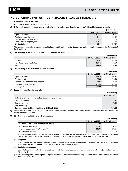### **32 Disclosure under IND AS 116**

**Right of Use Asset- Office premises (ROU)**

#### **a) ROU asset' comprises leased assets of office/branch premises that do not meet the definition of investment property.**

|                                |               | (Rs in Lakhs) |
|--------------------------------|---------------|---------------|
|                                | 31 March 2022 | 31 March 2021 |
| <b>Opening Balance</b>         | 517.54        | 94.74         |
| Additions during the year      | 91.95         | 490.24        |
| Deletion during the year (Net) | 9.67          |               |
| Depreciation during the year   | 124.17        | 67.44         |
| Closing Balance                | 475.65        | 517.54        |

 The aggregate depreciation expense on right-of-use asset is included under depreciation and amortisation expense in the Statement of Profit and Loss.

#### **b) The following is the break-up of current and non-current lease liabilities**

|                               |               | (Rs in Lakhs) |
|-------------------------------|---------------|---------------|
|                               | 31 March 2022 | 31 March 2021 |
| Current                       | 115.41        | 82.66         |
| Non Current Lease Liabilities | 407.47        | 441.57        |
| Total                         | 522.88        | 524.24        |

#### **c) The following is the movement in lease liabilities**

|                                       |               | (Rs in Lakhs) |
|---------------------------------------|---------------|---------------|
|                                       | 31 March 2022 | 31 March 2021 |
| <b>Opening Balance</b>                | 524.24        | 95.81         |
| Additions (Net)                       | 75.95         | 471.53        |
| Finance Cost incurred during the year | 61.94         | 38.94         |
| Payment of lease liabilities          | 139.24        | 82.03         |
| <b>Closing Balance</b>                | 522.88        | 524.24        |

#### **d) Lease liabilities Maturity Analysis**

| (Rs in Lakhs)                                           |               |
|---------------------------------------------------------|---------------|
|                                                         | 31 March 2022 |
| Maturity analysis - contractual undiscounted cash flows |               |
| Less than one year                                      | 137.11        |
| One to five years                                       | 617.84        |
| More than five years                                    |               |
| Total undiscounted lease liabilities at 31 March 2022   | 754.95        |

**e)** Lease rentals of Rs.81.07 lakhs (2021- Rs.117.60 Lakhs) pertaining to short term leases and low value asset has been charged to statement of profit and loss

#### **33** (i) **Contingent Liabilities and other Litigations**

|                                            |               | (Rs. Lakhs)   |
|--------------------------------------------|---------------|---------------|
|                                            | 31 March 2022 | 31 March 2021 |
| a) Bank Guarantee with exchanges as margin | 2,000.00      |               |
| b) Disputed Direct Taxes                   | 225.61        | 6.82          |
| c) Legal cases against the Company#        | 148.31        | 126.51        |
| d) Disputed stamp duty                     | 50.71         |               |

 # The amount represents the best possible estimates arrived at on the basis of available information. The Company has engaged reputed advocates to protect its interests and has been advised that it has strong legal positions against such disputes.`

(ii) **Litigation**

 The Company has filed various cases for recovery of dues and suits are pending in various courts. The company has engaged advocates to protect the interest of the company and expects favourable decision.

#### (iii) **Capital Commitments**

 Estimated amount of contracts remaining to be executed on capital account not provided for (net of advances) is Rs. 55.00 Lakhs (2021 : Rs.Nil)

(iv) No proceedings are initiated or pending against the company for holding benami property under the Benami Transactions (Prohibition) Act, 1988 (45 of 1988)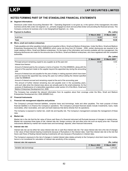**(Rs .Lakhs)**

# **NOTES FORMING PART OF THE STANDALONE FINANCIAL STATEMENTS**

#### **34 Segment Informations**

Disclosure under Indian Accounting Standard 108 – 'Operating Segments' is not given as, in the opinion of the management, the entire business activity falls under one segment, viz. ,primarily engaged as stock and securities broker and providing the financial services. The Company conducts its business only in one Geographical Segment, viz., India.

#### **35 Payment to Auditors (Rs .Lakhs)**

|              | 31 March 2022 | 31 March 2021 |
|--------------|---------------|---------------|
| Audit fees   | 10.00         | 10.00         |
| <b>Total</b> | 10.00         | 10.00         |

#### **36 Micro, small and medium enterprises**

Trade payables and other payables include amount payable to Micro, Small and Medium Enterprises. Under the Micro, Small and Medium Enterprises Development Act, 2006, (MSMEDA) which came into force from 02 October , 2006, certain disclosures are required to be made relating to Micro, Small and Medium enterprises. On the basis of the information and records available with the management, the following disclosures are made for the amounts due to the Micro, Small and Medium enterprises, who have registered with the competent authorities.

|                                                                                                                                                                                                                                                                                                                                        | 31 March 2022 | 31 March 2021 |
|----------------------------------------------------------------------------------------------------------------------------------------------------------------------------------------------------------------------------------------------------------------------------------------------------------------------------------------|---------------|---------------|
| Principal amount remaining unpaid to any supplier as at the year end                                                                                                                                                                                                                                                                   | 33.86         | 0.43          |
| Interest due thereon                                                                                                                                                                                                                                                                                                                   |               |               |
| Amount of interest paid by the company in terms of section 16 of the MSMEDA, along with the<br>amount of the payment made to the supplier beyond the appointed day during the accounting<br>year                                                                                                                                       |               |               |
| Amount of interest due and payable for the year of delay in making payment (which have been<br>paid but beyond the appointed day during the year) but without adding the interest specified<br>under the MSMEDA                                                                                                                        |               |               |
| Amount of interest accrued and remaining unpaid at the end of the accounting year                                                                                                                                                                                                                                                      |               |               |
| The amount of further interest remaining due and payable even in the succeeding years,<br>until such date when the interest dues above are actually paid to the small enterprise, for the<br>purpose of disallowance of a deductible expenditure under section 23 of the Micro, Small and<br>Medium Enterprises Development Act, 2006. |               |               |

The Company has compiled the relevent information from its suppliers about their coverage under the Mico, Small and Medium Enterperises Development Act, 2006 (MSMED Act).

#### **37 Financial Instruments**

#### **i) Financial risk management objective and policies**

 The Company's principal financial liabilities, comprise loans and borrowings, trade and other payables. The main purpose of these financial liabilities is to finance the Company's operations. The Company's principal financial assets include investments, loans, trade receivables, other receivables, and cash and bank balances that derive directly from its operations.

 The Company is exposed to market risk, credit risk and liquidity risk. The Company's management oversees the management of these risks.

#### **a) Market risk:**

 Market risk is the risk that the fair value of future cash flows of a financial instrument will fluctuate because of changes in market prices. Market risk comprises three types of risk: interest rate risk, foreign currency risk and other price risk such as equity price risk. Financial instruments affected by market risk include loans and borrowings, deposits, other financial instruments.

#### **1) Interest rate risk:**

 Interest rate risk can be either fair value interest rate risk or cash flow interest rate risk. Fair value interest rate risk is the risk of changes in fair value of fixed interest bearing investments because of fluctuations in the interest rates. Cash flow interest rate risk is the risk that future cash flows of floating interest bearing investments will vary because of fluctuations in interest rates.

 The Company's exposure to the risk of changes in market interest rates relates primarily to the Company's short-term loans from banks, hence is not considered for calculation of interest rate sensitivity of the company.

| Interest rate risk exposure |                      | (Rs Lakhs)    |
|-----------------------------|----------------------|---------------|
|                             | <b>31 March 2022</b> | 31 March 2021 |
| Variable rate borrowings    | 911.45               | 1.015.52      |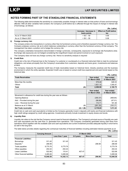The following table demonstrates the sensitivity to a reasonably possible change in interest rates on that portion of loans and borrowings affected. With all other variables held constant, the Company's profit before tax is affected through the impact of change in interest rate of borrowings, as follows:

|                     |                                        | (Rs. Lakhs)                           |
|---------------------|----------------------------------------|---------------------------------------|
|                     | Increase / decrease in<br>basis points | <b>Effect on Profit before</b><br>tax |
| As on 31 March 2022 | $+50/ -50$                             | 4.56                                  |
| As on 31 March 2021 | $+50/ -50$                             | 5.08                                  |

#### **2) Foreign currency risk:**

 The company enters into transactions in currency other than its functional currency and is therefore exposed to foreign currency risk. The Company analyses currency risk as to which balances outstanding in currency other than the functional currency of that company. The management has taken a position not to hedge this currency risk.

 The company undertakes transactions denominated in foreign currencies, consequently, exposures to exchange rate fluctuations arise. Exchange rate exposures are not hedged considering the insignificant impact and period involved on such exposure.

The Company does not have any foreign currency risk. Hence no sensitivity analysis is required

#### **3) Credit Risk:**

 Credit risk is the risk of financial loss to the Company if a customer or counterparty to a financial instrument fails to meet its contractual obligations, and arises principally from the Company's receivables from customers, deposits and loans given, investments and balances at bank.

 The Company measures the expected credit loss of trade receivables based on historical trend, industry practices and the business environment in which the entity operates. Expected Credit Loss is based on actual credit loss experienced and past trends based on the historical data.

|                                                                        |             |                             | Rs. Lakhs)                  |
|------------------------------------------------------------------------|-------------|-----------------------------|-----------------------------|
| <b>Trade Receivables</b>                                               |             | Year ended<br>31 March 2022 | Year ended<br>31 March 2021 |
| More than Six months                                                   |             | 578.48                      | 628.33                      |
| Others                                                                 |             | 1,821.10                    | 1,540.47                    |
| Total                                                                  | (A)         | 2,399.58                    | 2,168.79                    |
|                                                                        |             | Year ended<br>31 March 2022 | Year ended<br>31 March 2021 |
| Movement in allowance for credit loss during the year was as follows : |             |                             |                             |
| <b>Opening Balance</b>                                                 |             | (355.37)                    | (469.84)                    |
| Add :- Provided during the year                                        |             | (98.68)                     | (67.01)                     |
| Less :- Reversal during the year                                       |             | 172.71                      | 181.48                      |
| Balance as at 31 March                                                 | (B)         | (281.35)                    | (355.37)                    |
| Net Trade receivable                                                   | $(A) + (B)$ | 2,118.24                    | 1,813.42                    |

 Credit risk on cash and cash equivalents is limited as the Company generally invest in deposits with banks and financial institutions with high credit ratings assigned by credit rating agencies. Investments primarily include investment in equity shares and bonds.

#### **b) Liquidity Risk:**

 Liquidity risk refers to the risk that the Company cannot meet its financial obligations. The Company's principal source of liquidity are cash and cash equivalents and the cash flow i.e. generated from operations. The Company consistently generated strong cash flows from operations which together with the available cash and cash equivalents and current investment provides adequate liquidity in short terms as well in the long term.

 The table below provides details regarding the contractual maturities of financial liabilities including estimated interest payments as at: **(Rs .Lakhs)**

|                               | <b>Carrying Amount</b> | 31 March 2022    |           |                   |              |
|-------------------------------|------------------------|------------------|-----------|-------------------|--------------|
|                               |                        | Less than 1 year | 2-5 years | More than 5 years | <b>Total</b> |
| <b>Financial Liabilities:</b> |                        |                  |           |                   |              |
| <b>Borrowings</b>             | 911.45                 | 911.45           |           |                   | 911.45       |
| Deposits *                    | 296.99                 |                  |           | 296.99            | 296.99       |
| Trade payables                | 9,775.76               | 9,775.76         |           |                   | 9,775.76     |
| Other payables                | 254.44                 | 254.44           |           |                   | 254.44       |
| Lease Liabilities             | 522.88                 | 115.41           | 407.47    |                   | 522.88       |
| Other financial liabilities   | 3,285.06               | 3,285.06         |           |                   | 3,285.06     |
|                               | 15,046.59              | 14,342.13        | 407.47    | 296.99            | 15,046.59    |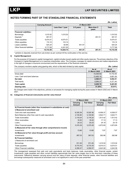|                               |                        |                  |           |                          | (Rs .Lakhs)  |
|-------------------------------|------------------------|------------------|-----------|--------------------------|--------------|
|                               | <b>Carrying Amount</b> | 31 March 2021    |           |                          |              |
|                               |                        | Less than 1 year | 2-5 years | More than 5<br>years     | <b>Total</b> |
| <b>Financial Liabilities:</b> |                        |                  |           |                          |              |
| <b>Borrowings</b>             | 1,015.52               | 1,015.52         |           |                          | 1,015.52     |
| Deposits *                    | 291.51                 |                  |           | 291.51                   | 291.51       |
| Trade payables                | 9,074.51               | 9,074.51         |           | -                        | 9,074.51     |
| Other payables                | 110.12                 | 110.12           |           |                          | 110.12       |
| Lease Liabilities             | 524.24                 | 82.66            | 441.57    | $\overline{\phantom{0}}$ | 524.24       |
| Other financial liabilities   | 3,717.69               | 4,241.93         |           |                          | 3,717.69     |
|                               | 14,733.59              | 14.524.74        | 441.57    | 291.51                   | 14,733.59    |

\* pertains to deposits received from sub-broker as per contract till the continuation of the service.

#### **ii) Capital Management**

 For the purpose of Company's capital management, capital includes issued capital and other equity reserves. The primary objective of the Company's Capital Management is to maximize shareholder value. The Company manages its capital structure and makes adjustments in the light of changes in economic environment and the requirements of the financial covenants.

The company monitors capital using gearing ratio, which is Net debt divided by total capital. **(Rs .Lakhs)** (Rs .Lakhs)

**(Rs Lakhs)**

|                              | As at<br>31 March 2022 | As at<br>31 March 2021 |
|------------------------------|------------------------|------------------------|
| Gross debt                   | 15,046.59              | 14,733.59              |
| Less: Cash and bank balances | 12,466.18              | 9,681.08               |
| Net debt                     | 2,580.41               | 5,052.51               |
| Total equity                 | 5,689.37               | 4,371.44               |
| <b>Total capital</b>         | 8,269.78               | 9,423.95               |
| Gearing ratio                | 31.20%                 | 53.61%                 |

No changes were made in the objectives, policies or processes for managing capital during the years ended 31 March 2022 and 31 March 2021.

#### **iii) Categories of financial instruments and fair value thereof**

|                                                                      |                    |                   |                    | $(0.5$ Lanis)     |  |
|----------------------------------------------------------------------|--------------------|-------------------|--------------------|-------------------|--|
|                                                                      | 31 March 2022      |                   | 31 March 2021      |                   |  |
|                                                                      | Carrying<br>Amount | <b>Fair Value</b> | Carrying<br>Amount | <b>Fair Value</b> |  |
| A) Financial Assets (other than investment in subsidiaries at cost): |                    |                   |                    |                   |  |
| i) Measured at amortised cost                                        |                    |                   |                    |                   |  |
| Cash and cash equivalents                                            | 8,325.38           | 8,325.38          | 6,058.37           | 6,058.37          |  |
| Bank Balances other than cash & cash equivalents                     | 4,140.80           | 4,140.80          | 3,622.71           | 3,622.71          |  |
| Trade receivables                                                    | 2,118.24           | 2,118.24          | 1,813.42           | 1,813.42          |  |
| Other receivables                                                    | 18.20              | 18.20             | 17.13              | 17.13             |  |
| Loans                                                                | 20.23              | 20.23             | 24.19              | 24.19             |  |
| Other Financial assets                                               | 3,370.39           | 3,370.39          | 4,973.65           | 4,973.65          |  |
| ii) Measured at Fair value through other comprehensive income        |                    |                   |                    |                   |  |
| Investments                                                          | 13.66              | 13.66             | 7.87               | 7.87              |  |
| iii) Measured at Fair value through profit and loss account          |                    |                   |                    |                   |  |
| Investments                                                          | 387.03             | 387.03            | 292.86             | 292.86            |  |
| <b>B) Financial liabilities</b>                                      |                    |                   |                    |                   |  |
| i) Measured at amortised cost                                        |                    |                   |                    |                   |  |
| <b>Borrowings</b>                                                    | 911.45             | 911.45            | 1,015.52           | 1,015.52          |  |
| Trade payables                                                       | 9,775.76           | 9,775.76          | 9,074.51           | 9,074.51          |  |
| <b>Other Financial Liabilities</b>                                   | 4,359.37           | 4,359.37          | 4,643.56           | 4,643.56          |  |

 The management assessed that cash and cash equivalents and bank balances, trade receivables, other financial assets, certain investments, trade payables and other current liabilities approximate their fair value largely due to the short-term maturities of these instruments. Difference between carrying amount and fair value of bank deposits, other financial assets, other financial liabilities and borrowings subsequently measured at amortised cost is not significant in each of the year presented.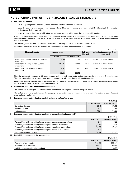### **38 Fair Value Hierarchy :**

- Level 1: quoted prices (unadjusted) in active markets for identical assets or liabilities.
- Level 2: inputs other than quoted prices included in Level 1 that are observable for the asset or liability, either directly (i.e. prices) or indirectly (i.e. derived from prices).
- Level 3: inputs for the asset or liability that are not based on observable market data (unobservable inputs).

 If the inputs used to measure the fair value of an asset or a liability fall into different levels of a fair value hierarchy, then the fair value measurement is categorized in its entirety in the same level of the fair value hierarchy as the lowest level input that is significant to the entire measurement.

The Following table provides the fair value measurement hierarchy of the Company's assets and liabilities.

Quantitative disclosures of fair value measurement hierarchy for assets and liabilities as at 31 March 2022

#### **(Rs. Lakhs) Financial Assets Assets Assets** as at **Fair Value Hierarchy Valuation technique(s) & key inputs used 31 March 2022 31 March 2021** Investments in equity shares- Non-current Investments 13.66 7.87 Level 1 Quoted in an active market Investments in equity shares- Current Investments 387.01 292.85 Level 1 Quoted in an active market Investments in Mutual Fund- Current Investments 0.01 0.01 Level 1 Quoted in an active market  **400.68 300.72**

 Financial assets not measured at fair value includes cash and cash equivalents, trade receivables, loans and other financial assets. These are financial assets whose carrying amounts approximate fair value, due to their short-term nature

 Additionally, financial liabilities such as trade payables and other financial liabilities are not measured at FVTPL, whose carrying amounts approximate fair value, because of their short-term nature.

#### **39 Gratuity and other post employment benefit plans**

 The disclosures of employee benefits as defined in the Ind AS 19 "Employee Benefits" are given below:

The gratuity plan is a funded plan and the company makes contributions to recognised funds in india. The details of post retirement gratuity plan are as follows:

#### I. **Expenses recognised during the year in the statement of profit and loss**

|                      |               | (Rs Lakhs)    |
|----------------------|---------------|---------------|
|                      | 31 March 2022 | 31 March 2021 |
| Current service cost | 63.19         | 57.92         |
| Interest cost (net)  | 9.32          | 13.38         |
| Net expenses         | 72.51         | 71.30         |

#### II **Expenses recognised during the year in other comprehensive income (OCI)**

|                                                                           |                      | (Rs Lakhs)    |
|---------------------------------------------------------------------------|----------------------|---------------|
|                                                                           | <b>31 March 2022</b> | 31 March 2021 |
| Actuarial (gains)/ losses arising from changes in demographic assumptions | 0.63                 | 5.85          |
| Actuarial (gains)/ losses arising from changes in financial assumptions   | (21.82)              | 42.96         |
| Actuarial (gains)/ losses arising from changes in experience assumptions  | (25.50)              | (49.43)       |
| Actuarial (gains)/ losses arising from changes in Return on Plan assets   | 15.97                |               |
| Recognised during the year                                                | (30.71)              | (0.62)        |

#### III **Net liability recognised in the balance sheet**

|                                       |               | (Rs Lakhs)    |
|---------------------------------------|---------------|---------------|
|                                       | 31 March 2022 | 31 March 2021 |
| Fair value of plan assets             | (485.32)      | (367.68)      |
| Present value of obligation           | 549.76        | 565.76        |
| Liability recognized in balance sheet | 64.45         | 198.08        |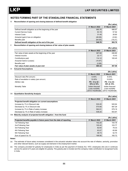### **NOTES FORMING PART OF THE STANDALONE FINANCIAL STATEMENTS** IV **Reconciliation of opening and closing balances of defined benefit obligation (Rs Lakhs) 31 March 2022 31 March 2021** Defined benefit obligation as at the beginning of the year 565.76 565.76 565.76 Current Service Costs 63.19 **63.19** 57.92 Interest Costs 31.49 28.80 Actuarial (gain)/ loss on obligation (0.62) (0.62) (0.62) Benefits paid (64.00) (19.21) **Defined benefit obligation at the end of the year 549.76 <b>565.76** 565.76 V **Reconciliation of opening and closing balance of fair value of plan assets (Rs Lakhs) 31 March 2022 31 March 2021** Fair value of plan assets at the beginning of the year 367.68 367.68 246.80 Interest income  $22.17$  15.43 Contributions paid 105.45 Actuarial Gains/ (Losses) (15.97) - Benefits paid the contract of the contract of the contract of the contract of the contract of the contract of the contract of the contract of the contract of the contract of the contract of the contract of the contract of **Fair value of plan assets at year end 485.32 367.68**  VI **Actuarial Assumptions (Rs Lakhs) 31 March 2022 31 March 2021** Discount rate (Per annum) 6.45% 6.03% Rate of escalation in salary (per annum) 10.00% 10.00% 10.00% 10.00% Attrition rate **PS : 0 to 42 : PS : 0 to 42 : 35% & 10% PS : 0 to 42 : 36% & 10%**  Mortality Table **Indian Assured** Indian Assured Lives mortality (2012-14)Ultimate Indian Assured Lives mortality (2012-14)Ultimate VII **Quantitative Sensitivity Analysis (Rs Lakhs) 31 March 2022 31 March 2021 Projected benefit obligation on current assumptions** Increase by 1% in Discount rate  $530.20$   $545.64$ Decrease by 1% in Discount rate 687.29 and 587.29 and 587.29 and 587.29 becrease by 1% in Discount rate Increase by 1% in Rate of salary increase for the state of salary increase for the state of salary increase for Decrease by 1% in Rate of salary increase Fig. All the control of the control of the control of the control of the control of the control of the control of the control of the control of the control of the control of the co VIII **Maturity analysis of projected benefit obligation : from the fund (Rs Lakhs) Projected benefits payable in future years from the date of reporting 31 March 2022 31 March 2021** 1st Following Year 154.78 (1999) 154.78 (1999) 154.78 (1999) 154.78 (1999) 154.78 (1999) 154.78 (1999) 154.78 2nd Following Year 100.42 103.77 3rd Following Year 82.64 79.33 4th Following Year 65.89 (1999) 65.89 (1999) 65.89 (1999) 665.89 (1999) 665.89 (1999) 65.89 (1999) 65.89 (1999) 5th Following Year 48.73 52.70 5th Following Year 48.73 52.70 Sum of years 6 to 10 165.72 **Notes:** (a) The estimate of future salary increases considered in the actuarial valuation takes into account the rate of inflation, seniority, promotion and other relevant factors, such as supply and demand in the employment market.

(b) The company provided for gratuity for employees in India as per the payment of Gratuity Act, 1972. employees who are in continues service for peroid of 5 years are eligible for gratuity. The gratuity plan is funded and the company make contribution to recognised funds in India.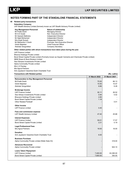### **40 Related party transactions**

#### **Subsidiary Company**

LKP Wealth Advisory Limited (formerly known as LKP Wealth Advisory Private Limited)

| <b>Key Management Personnel</b> | Nature of relationship           |
|---------------------------------|----------------------------------|
| Mr Pratik Doshi                 | <b>Managing Director</b>         |
| Mr S S Gulati                   | Non-Executive Director           |
| Mr Ganesh Malhotra              | Independent Director             |
| Mr Sajid Mohamed                | Independent Director             |
| Mrs Anjali Suresh               | Independent Director             |
| Mr Mahendra V Doshi             | Promoter, Non-Executive Director |
| Girish Majrekar                 | <b>Chief Financial Officer</b>   |
| Akshata Vengurlekar             | Company Secretary                |

### **Other related parties with whom transactions have taken place during the year.**

#### LKP Finance Limited

Bhavna Holdings Private Limited Bond Street Capital Private Limited (Formerly known as Gayatri Cements and Chemicals Private Limited) MKM Share & Stock Brokers Limited Sea Glimpse Investments Private Limited Alpha Commodity Private Limited M/s L K Panday M/s Agrud Partners Smt Jayalaxmi Vasantrai Doshi Charitable Trust

#### **Transactions with Related parties: (Rs. Lakhs)**

|                                                 | 31 March 2022 | 31 March 2021 |
|-------------------------------------------------|---------------|---------------|
| <b>Remuneration to Key Management Personnel</b> |               |               |
| Mr.Pratik Doshi                                 | 75.00         | 66.13         |
| Girish Majrekar                                 | 15.50         | 15.57         |
| Akshata Vengurlekar                             | 8.86          | 6.28          |
| <b>Brokerage Income</b>                         |               |               |
| <b>LKP Finance Limited</b>                      | 82.11         | 26.52         |
| Sea Glimps Investments Private Limited          | 0.94          | 0.02          |
| Bhavana Holdings Private Limited                | 2.85          |               |
| <b>Bond Street Capital Private Limited</b>      | 1.18          |               |
| Other Related Parties#                          |               | 0.01          |
| <b>Other Income</b>                             |               |               |
| <b>LKP Finance Limited</b>                      | 0.45          |               |
| Fees and commission expense                     |               |               |
| <b>LKP Wealth Advisory Limited</b>              | 47.40         | 25.88         |
|                                                 |               |               |
| <b>Interest Expenses</b>                        |               |               |
| <b>LKP Finance Limited</b>                      | 59.51         | 17.57         |
| <b>Bond Street Capital Private Limited</b>      | 2.21          | 0.19          |
| <b>Legal Professional Fees</b>                  |               |               |
| M/s Agrud Partners                              | 18.00         | 18.00         |
| <b>Donation</b>                                 |               |               |
| Smt Jayalaxmi Vasantrai Doshi Charitable Trust  | 6.00          |               |
|                                                 |               |               |
| <b>Business Purchase</b>                        |               |               |
| Alpha Commodity Private Limited (Refer Note 53) |               | 318.00        |
| <b>Advances Recovered</b>                       |               |               |
| Alpha Commodity Private Limited                 | -             | 924.10        |
| Loans Taken/ Repayment                          |               |               |
| <b>LKP Finance Limited</b>                      | 7,400.00      | 63,395.00     |
| <b>Bond Street Capital Private Limited</b>      | 7,800.00      | 350.00        |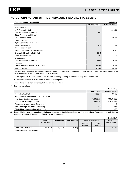# **LKP SECURITIES LIMITED**

# **NOTES FORMING PART OF THE STANDALONE FINANCIAL STATEMENTS**

| Balances as at 31 March 2022            |               | (Rs Lakhs)    |
|-----------------------------------------|---------------|---------------|
|                                         | 31 March 2022 | 31 March 2021 |
| Trade Payables*                         |               |               |
| <b>LKP Finance Limited</b>              |               | 284.39        |
| <b>LKP Wealth Advisory Limited</b>      | 4.01          |               |
| <b>Other Financial Liabilities**</b>    |               |               |
| <b>LKP Finance Limited</b>              |               | 80.14         |
| <b>Other Payables</b>                   |               |               |
| Alpha Commodity Private Limited         |               | 74.55         |
| M/s Agrud Partners                      | 1.39          | 1.39          |
| Trade Receivables*                      |               |               |
| MKM Share & Stock Brokers Limited       |               | 0.27          |
| Bhavna Holdings Private Limited         | 19.49         |               |
| Other Related Parties#                  | 0.02          |               |
| <b>Investments</b>                      |               |               |
| <b>LKP Wealth Advisory Limited</b>      | 76.00         | 76.00         |
| <b>Deposits</b>                         |               |               |
| Sea Glimpse Investments Private Limited | 140.00        | 140.00        |
| M/s L K Panday                          | 160.00        | 160.00        |

\* Closing balance of trade payable and trade receivable includes transaction pertaining to purchase and sale of securities as broker on behalf of related parties in the ordinary course of business

\*\* Closing balance of Other Financial Liabilities includes Margin money held in the ordinary course of business

# Transaction below 10% in value shown as other related parties

Transactions effected on exchange platforms are not considered

#### **41 Earnings per share**

|                                          |               | (Rs. Lakhs)   |
|------------------------------------------|---------------|---------------|
|                                          | 31 March 2022 | 31 March 2021 |
| Profit after tax (Rs.)                   | 1,330.77      | 391.70        |
| Weighted average number of equity shares |               |               |
| - for Basic Earnings per share           | 7,43,73,205   | 7,39,34,736   |
| - for Diluted Earnings per share         | 7,45,53,021   | 7,39,34,736   |
| Face value of equity share (Rs/ share)   |               | 2             |
| Basic earnings per share (Rs/share)      | 1.79          | 0.53          |
| Diluted Earnings per share (Rs/share)    | 1.79          | 0.53          |

**42 Reconciliation between opening and closing balances in the balance sheet for liabilities arising from financing activities as required by Ind AS 7 "Statement of Cash Flows" is as under:**

**(Rs. Lakhs)**

|                                 | As at 31          | <b>Cash Inflows</b> | <b>Cash outflows</b> | <b>Non Cash Changes</b>           |                                | As at 31          |
|---------------------------------|-------------------|---------------------|----------------------|-----------------------------------|--------------------------------|-------------------|
|                                 | <b>March 2021</b> |                     |                      | <b>Interest</b><br><b>Accrued</b> | <b>Other</b><br><b>Charges</b> | <b>March 2022</b> |
| <b>Short Term Borrowings</b>    | 1.015.52          | 8.511.45            | (8,615.52)           |                                   |                                | 911.45            |
| (Overdraft facility from banks) |                   |                     |                      |                                   |                                |                   |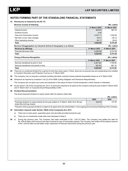**(Rs. Lakhs)**

# **NOTES FORMING PART OF THE STANDALONE FINANCIAL STATEMENTS**

### **43 Disclosures as required by Ind AS 115**

|  | <b>Revenue Consist of following</b> |  |
|--|-------------------------------------|--|

| <b>Revenue Consist of following</b>                                     |               | (Rs. Lakhs)     |
|-------------------------------------------------------------------------|---------------|-----------------|
|                                                                         | 31 March 2022 | 31 March 2021   |
| Interest Income                                                         | 802.83        | 667.33          |
| Dividend Income                                                         | 0.46          |                 |
| Fees and Commission Income                                              | 8,307.71      | 7,530.80        |
| Net Gain on fair value changes                                          | 93.51         | 138.14          |
| Other operating revenue                                                 | 60.17         | 38.02           |
| <b>Total</b>                                                            | 9,264.69      | 8,374.29        |
| Revenue Disaggregation by Industrial Vertical & Geography is as follows |               | (Rs. Lakhs)     |
| <b>Revenue by offerings</b>                                             | 31 March 2022 | 31 March 2021   |
| Financial Services/ India                                               | 9.264.69      | 8.374.29        |
| <b>Total</b>                                                            | 9,264.69      | 8.374.29        |
| <b>Timing of Revenue Recognition</b>                                    |               | $(Re$ $l$ akhe) |

|                                          |               | ,             |
|------------------------------------------|---------------|---------------|
|                                          | 31 March 2022 | 31 March 2021 |
| Services transferred at point in time    | 8.461.86      | 7.706.96      |
| Services transferred over period in time | 802.83        | 667.33        |
| <b>Total</b>                             | 9.264.69      | 8.374.29      |

**44** There are no unclaimed dividend for a period of more than seven years. Further, there are no amounts due and outstanding to be credited to Investor's Education and Protection Fund as on 31 March 2022

**45** The Company, has no long-term contracts including derivative contracts having material foreseeable losses as at 31 March 2022.

**46** Disclosure as required by schedule V (A) (2) of the SEBI (Listing Obligation and Disclosure Requirements)

 The Company has not given any Loans and advances in the nature of loans to firms/companies in which director is interested .

**47** As per section 135 of the Companies Act, 2013, no amount is required to be spent by the company during the year ended 31 March 2022 and 31 March 2021 on Corporate Social Responsibility (CSR).

#### **48 Dividend Recommendation:**

The board proposed dividend on equity shares after the balance sheet date

|                                                                                                                     |        | $\cdots$ |
|---------------------------------------------------------------------------------------------------------------------|--------|----------|
|                                                                                                                     | 2022   | 2021     |
| Proposed dividend on equity shares for the year ended on 31 March, 2022: Rs.0.30/-per<br>share (Rs.0.20/-per share) | 224.53 | 147.87   |
|                                                                                                                     |        |          |

 \* Payment of the proposed dividend is subject to its approval by the sahreholders, in the ongoing Annual General Meeting of the Company.

#### **49 Information required under Section 186(4) of the Companies Act, 2013**

- a) There are no loans given, guarantee given and securities provided during the year
- b) There are no investments made other than disclosed in Note 6.
- **50** a) During the previous year, The Company had trade receivable of Rs. 1,451.23 lakhs. The Company had settled the debt for Rs. 426.40 lakhs which amount has been received by way of immovable property. The Company has written off the balance amount of Rs.1,024.83 lakhs as bad debts under impairment of financial instruments during the previous year .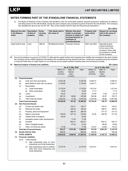b) The Board of Directors of the Company had decided to sell, the Immovable property acquired pursuant to settlement as stated in note 50(a) above for Rs.439.26 lakhs, During the year Company has purchased a parcel of land for Rs.230.28 lakhs. The Company has classified the land as per Ind AS 105 " Non-current Assets Held for Sale and Discontinued Operations ".

|                                                      |                                              |                                   |                                    |                                                                                                                                  |                                             | (Rs Lakhs)                                                                                                                    |
|------------------------------------------------------|----------------------------------------------|-----------------------------------|------------------------------------|----------------------------------------------------------------------------------------------------------------------------------|---------------------------------------------|-------------------------------------------------------------------------------------------------------------------------------|
| <b>Relevant line item</b><br>in the Balance<br>sheet | <b>Description</b><br>of item of<br>property | <b>Gross</b><br>carrying<br>value | Title deeds held in<br>the name of | Whether title deed<br>holder is promoter,<br>director or relative of<br>promoter/director or<br>employee of<br>promoter/director | <b>Property held</b><br>since which<br>date | Reason for not being<br>held in the name of<br>the company                                                                    |
| Asset held for sale                                  | Land                                         | 669.54                            | Mr.Mahendra Doshi                  | Promoter/Director                                                                                                                | 2021 and 2022                               | Agricultural land<br>cannot transfered<br>in the name of the<br>company, hence held<br>as nominee on behalf<br>of the Company |

**51** Due to the lockdown on account of COVID-19, although the capital market were impacted and volatility has increased in the stock market; the Company being a SEBI registered intermediary and considered among essential services, continued to operate during the lockdown in India and there was no major impact on our business as the capital markets remained open and functioned normally.

#### **52 Maturity Analysis of Assets and Liabilities (Rs Lakhs)**

|     |                                   |                                                                                              | As at 31 Mar 2022                |                                                |              | As at 31 Mar 2021                |                                                |           |
|-----|-----------------------------------|----------------------------------------------------------------------------------------------|----------------------------------|------------------------------------------------|--------------|----------------------------------|------------------------------------------------|-----------|
|     |                                   |                                                                                              | Within 12<br>months<br>(Current) | After 12<br><b>Months</b><br>(Non-<br>Current) | <b>Total</b> | Within 12<br>months<br>(Current) | After 12<br><b>Months</b><br>(Non-<br>Current) | Total     |
| (1) | <b>Financial Assets</b>           |                                                                                              |                                  |                                                |              |                                  |                                                |           |
|     | (a)                               | Cash and cash equivalents                                                                    | 8,325.38                         |                                                | 8,325.38     | 6,058.37                         |                                                | 6,058.37  |
|     | (b)                               | Bank Balance other than (a) above                                                            | 4,140.80                         |                                                | 4,140.80     | 3,622.71                         |                                                | 3,622.71  |
|     | (c)<br>Receivables                |                                                                                              |                                  |                                                |              |                                  |                                                |           |
|     | (i)                               | Trade receivables                                                                            | 2,118.24                         |                                                | 2,118.24     | 1,813.42                         |                                                | 1,813.42  |
|     | (ii)                              | Other receivables                                                                            | 18.20                            |                                                | 18.20        | 17.13                            |                                                | 17.13     |
|     | (d)<br>Loans                      |                                                                                              | 20.23                            |                                                | 20.23        | 23.94                            | 0.25                                           | 24.19     |
|     | (e)<br>Investments                |                                                                                              | 387.03                           | 89.66                                          | 476.69       | 292.86                           | 83.87                                          | 376.73    |
|     | Other financial assets<br>(f)     |                                                                                              | 3,293.03                         | 77.36                                          | 3,370.39     | 4,916.99                         | 56.66                                          | 4,973.65  |
|     | <b>Total Financial Assets</b>     |                                                                                              | 18,302.90                        | 167.02                                         | 18,469.92    | 16,745.42                        | 140.78                                         | 16,886.20 |
| (2) | <b>Non-Financial Assets</b>       |                                                                                              |                                  |                                                |              |                                  |                                                |           |
|     | (a)                               | Current tax assets (net)                                                                     |                                  | 154.71                                         | 154.71       |                                  | 154.01                                         | 154.01    |
|     | Deferred Tax Asset<br>(b)         |                                                                                              |                                  | 165.22                                         | 165.22       |                                  | 356.91                                         | 356.91    |
|     | (c)                               | Property, plant and Equipment                                                                |                                  | 289.76                                         | 289.76       |                                  | 277.72                                         | 277.72    |
|     | (d)<br><b>Right to Use Asset</b>  |                                                                                              | 128.50                           | 347.16                                         | 475.65       | 25.46                            | 492.08                                         | 517.54    |
|     | (e)                               | Capital Work-in-progress                                                                     | 26.50                            |                                                | 26.50        |                                  |                                                |           |
|     | (f)                               | Intangible assets under development                                                          |                                  | 17.00                                          | 17.00        |                                  |                                                |           |
|     | Goodwill<br>(g)                   |                                                                                              |                                  | 652.31                                         | 652.31       |                                  | 652.31                                         | 652.31    |
|     | (h)                               | Other Intangible Assets                                                                      |                                  | 47.20                                          | 47.20        |                                  | 68.90                                          | 68.90     |
|     | (i)                               | Other non-financial assets                                                                   | 77.48                            |                                                | 77.48        | 116.37                           | (0.00)                                         | 116.37    |
|     | <b>Total Non-Financial Assets</b> |                                                                                              | 232.47                           | 1,673.36                                       | 1,905.84     | 141.83                           | 2,001.93                                       | 2,143.76  |
| (3) | <b>Assets Held for Sale</b>       |                                                                                              | 669.54                           |                                                | 669.54       | 439.26                           |                                                | 439.26    |
|     | <b>TOTAL ASSETS</b>               |                                                                                              | 19,204.92                        | 1,840.39                                       | 21,045.30    | 17,326.50                        | 2,142.72                                       | 19,469.22 |
| (1) | <b>Financial Liabilities</b>      |                                                                                              |                                  |                                                |              |                                  |                                                |           |
|     | $(a)$ $(l)$<br>Trade payable      |                                                                                              |                                  |                                                |              |                                  |                                                |           |
|     | (i)                               | total outstanding dues of micro<br>enterprises and small enterprises                         |                                  |                                                |              |                                  |                                                |           |
|     | (ii)                              | total outstanding dues of creditors<br>other than micro enterprises and<br>small enterprises | 9,775.76                         |                                                | 9,775.76     | 9,074.51                         |                                                | 9,074.51  |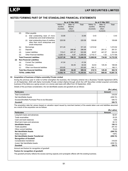|     |      |                                                                                                      |                                  | As at 31 Mar 2022<br>As at 31 Mar 2021         |           |                                  |                                                |           |
|-----|------|------------------------------------------------------------------------------------------------------|----------------------------------|------------------------------------------------|-----------|----------------------------------|------------------------------------------------|-----------|
|     |      |                                                                                                      | Within 12<br>months<br>(Current) | After 12<br><b>Months</b><br>(Non-<br>Current) | Total     | Within 12<br>months<br>(Current) | After 12<br><b>Months</b><br>(Non-<br>Current) | Total     |
|     | (II) | Other payable                                                                                        |                                  |                                                |           |                                  |                                                |           |
|     |      | total outstanding dues of micro<br>(i)<br>enterprises and small enterprises                          | 33.86                            |                                                | 33.86     | 0.43                             |                                                | 0.43      |
|     |      | total outstanding dues of creditors<br>(ii)<br>other than micro enterprises and<br>small enterprises | 220.58                           |                                                | 220.58    | 109.68                           |                                                | 109.68    |
|     | (b)  | <b>Borrowings</b>                                                                                    | 911.45                           |                                                | 911.45    | 1,015.52                         |                                                | 1,015.52  |
|     | (c)  | Deposits                                                                                             |                                  | 296.99                                         | 296.99    |                                  | 291.51                                         | 291.51    |
|     | (d)  | Lease Liabilities                                                                                    | 115.41                           | 407.47                                         | 522.88    | 82.67                            | 441.57                                         | 524.24    |
|     | (e)  | Other financial liabilities                                                                          | 3,280.19                         | 4.87                                           | 3,285.06  | 3,716.17                         | 1.52                                           | 3,717.69  |
|     |      | <b>Total Financial Liabilities</b>                                                                   | 14,337.26                        | 709.33                                         | 15,046.59 | 13,998.98                        | 734.60                                         | 14,733.59 |
| (2) |      | <b>Non-Financial Liabilities</b>                                                                     |                                  |                                                |           |                                  |                                                |           |
|     | (a)  | <b>Current Tax Liabilities</b>                                                                       | 41.04                            |                                                | 41.04     |                                  |                                                |           |
|     | (b)  | <b>Provisions</b>                                                                                    |                                  | 64.45                                          | 64.45     | 52.63                            | 145.45                                         | 198.08    |
|     | (c)  | Other non-financial liabilities                                                                      | 203.85                           |                                                | 203.85    | 166.11                           | $\overline{\phantom{a}}$                       | 166.11    |
|     |      | <b>Total Non-financial liabilities</b>                                                               | 244.90                           | 64.45                                          | 309.34    | 218.74                           | 145.45                                         | 364.19    |
|     |      | <b>TOTAL LIABILITIES</b>                                                                             | 14,582.16                        | 773.77                                         | 15,355.93 | 14,217.72                        | 880.05                                         | 15,097.78 |

### **53 Acquisition of business of Alpha commidity Private Limited**

During the previous year In order to further strengthen the business, the Company entered into a Business Transfer Agreement (BTA) on 26 September, 2020 with Alpha Commodity Private Limited (Alpha) through which the LKP Securities Limited acquired commodity business of the Alpha as a going concern on a slump sale basis with effect from 30 September, 2020.

 Details of the purchase consideration, the net identifiable assets and goodwill are as follows:

|                                                   | (Rs Lakhs) |
|---------------------------------------------------|------------|
| <b>Particulars</b>                                | Amount     |
| <b>Total Consideration</b>                        | 318.00     |
| Net Identifiable Assets                           | (208.72)   |
| Excess/(Shortfall) Purchase Price to be Allocated | 526.72     |
| Goodwill                                          | 526.72     |

The acquisition date fair values (based on valuation report issued by merchant banker) of the assets taken over and liabilities assumed as a result of the acquisition are as follows:

|                                     | (Rs Lakhs) |
|-------------------------------------|------------|
| <b>Particulars</b>                  | Amount     |
| Long-term loans and advances        | 62.81      |
| Trade receivables                   | 25.25      |
| Cash and bank balances              | 9.95       |
| Short-term loans and advances       | 60.12      |
| <b>Identifiable Assets</b>          | 158.13     |
| Trade payables                      | 291.42     |
| Other current liabilities           | 75.43      |
| <b>Net Identifiable Assets</b>      | (208.72)   |
| <b>Stake Acquired</b>               | 100%       |
| Net Identifiable Assets Transferred | (208.72)   |
| <b>Recognition of Goodwill</b>      |            |
| Consideration transferred           | 318.00     |
| (Less): Net Identifiable Assets     | (208.72)   |
| Goodwill                            | 526.72     |

Amount and factors for recognition of goodwill

**Factors for recognition of goodwill:**

 The goodwill primarily reflects the excess earning capacity and synergistic effects with the existing business.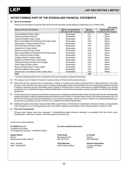### **54 Struck of companies**

 There are no transactions during the year with struck off companies except balances outstanding as at 31 March 2022

|                                                      |                               |                | (Rs Lakhs)               |
|------------------------------------------------------|-------------------------------|----------------|--------------------------|
| Name of struck off Company                           | <b>Nature of transactions</b> | <b>Balance</b> | <b>Relationship with</b> |
|                                                      | with struck-off Company       | outstanding*   | the Struck off company   |
| <b>Tiwary Holdings Private Limited</b>               | <b>Receivables</b>            | 0.01           | <b>Others</b>            |
| Desai Consulting Private Ltd                         | <b>Receivables</b>            | 0.01           | <b>Others</b>            |
| Virgo Merchantile Private Limited                    | <b>Receivables</b>            | 0.01           | <b>Others</b>            |
| Black Horse Media And Entertainment Private Limited  | <b>Receivables</b>            | 0.02           | <b>Others</b>            |
| Margdarshan Trading Company Pvt.Ltd                  | <b>Receivables</b>            | 0.00           | <b>Others</b>            |
| Mmb International Private Limited.                   | <b>Receivables</b>            | 0.00           | <b>Others</b>            |
| Upright Exim Private Limited.                        | <b>Receivables</b>            | 0.02           | <b>Others</b>            |
| Desai Consulting Private Limited.                    | Receivables                   | 0.02           | <b>Others</b>            |
| Black Horse Media And Entertainment Private Limited. | <b>Receivables</b>            | 0.02           | <b>Others</b>            |
| Glory Tradecom Private Limited.                      | <b>Receivables</b>            | 0.02           | <b>Others</b>            |
| Goldstar Dealcom Private Limited.                    | <b>Receivables</b>            | 0.02           | <b>Others</b>            |
| Redhill Iron & Steel Private Limited Rispl           | <b>Receivables</b>            | 0.02           | <b>Others</b>            |
| Abhishek Building Promoters (P) Ltd Abppl            | <b>Receivables</b>            | 0.02           | <b>Others</b>            |
| Dhiriti Traders Private Limited.                     | <b>Receivables</b>            | 0.01           | <b>Others</b>            |
| Bhatia Worldwide Team Private Limited.               | <b>Receivables</b>            | 0.01           | <b>Others</b>            |
| Mili Commodities Private Limited.                    | <b>Receivables</b>            | 0.02           | <b>Others</b>            |
| Shree Suvarn Consultants Private Limited. Sscpl      | <b>Receivables</b>            | 0.02           | <b>Others</b>            |
| Total                                                |                               | 0.27           |                          |

\* The total outstanding with struck of companies have been provdied as impairment allowance

- 55 The company has not traded or invested in crypto currency or Virtual currency during the year
- 56 During the year the company has not advanced or loaned or invested funds (either borrowed funds or share premium or any other sources or kind of funds) to any other person or entity incuding foreign entities (intermediaries) with the understanding (whether recorded in writing or otherwise) that the intermediary shall (i) directly or indirectly lend or invest in other person or entities identified in any manner whatsoever by or on behalf of company (ultimate beneficaries) or (ii) provide any guarantee, security or the like to or behalf of the ultimate beneficaries.
- 57 The Company has not received any fund from any person(s) or entity(ies) including foreign entities (funding party) with the understanding (ehether recorded in writing or otherwise) that the Compnay shall (i) directly or indirectly lendor invest in any manner whatsoever by or on behalf of the funding party (ultimate beneficaries) or (ii) provide any gurantee, security or the to or behalf of the (ultimate beneficaries) or (iii) provide any gurantee, security or the like to or on behlaf of the ultimate beneficaries.
- 58 Additional regulatory information required under (WB) (xvi) of Division III of Schedule III amendment, disclosure of ratios, is not applicable to the Company as it is in broking business and not an NBFC registered under Section 45-IA of Reserve Bank of India Act, 1934.

#### 59 **Prior Year Comparatives**

Previous year's figures have been regrouped / reclassified/rearranged wherever necessary to correspond with the current year's classifications / disclosures. Figures in brackets pertain to previous year

In terms of our report attached

**For MGB & Co.LLP For and on behalf of the board** Chartered Accountants Firm Registration Number: 101169W/W-100035

**Sanjay Kothari Pratik Doshi S.S Gulati**  Partner Managing Director Nanaging Director Membership Number: 048215 DIN: 00131122 DIN: 02404230

Date : 29 April 2022 Chief Financial Officer Company Secretary

Place : Mumbai **Girish Majrekar Akshata Vengurlekar** A 50701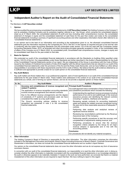## **Independent Auditor's Report on the Audit of Consolidated Financial Statements**

### To

### The Members of **LKP Securities Limited**

#### 1. **Opinion**

 We have audited the accompanying consolidated financial statements of **LKP Securities Limited** ("the Holding Company or the Company") and its subsidiary (Holding Company and its subsidiary together referred to as " the Group), which comprise the consolidated balance sheet as at 31 March 2022, the consolidated statement of profit and loss (including other comprehensive income), the consolidated statement of changes in equity and the consolidated statement of cash flows for the year then ended, and notes to the consolidated financial statements including a summary of significant accounting policies and other explanatory information (herein after referred to as "consolidated financial statements").

 In our opinion and to the best of our information and according to the explanations given to us, the aforesaid consolidated financial statements give the information required by the Companies Act, 2013 ("the Act") in the manner so required and give a true and fair view in conformity with the Indian Accounting Standards (Ind AS) prescribed under section 133 of the Act read with the Companies (Indian Accounting Standards) Rules, 2015, as amended and other accounting principles generally accepted in India, of the consolidated state of affairs of the Company as at 31 March 2022, its consolidated profit, consolidated total comprehensive income, changes in equity and its consolidated cash flows for the year ended on that date.

#### 2. **Basis for Opinion**

 We conducted our audit of the consolidated financial statements in accordance with the Standards on Auditing (SAs) specified under section 143(10) of the Act. Our responsibilities under those Standards are further described in the Auditor's Responsibilities for the Audit of the Consolidated Financial Statements section of our report. We are independent of the Group in accordance with the Code of Ethics issued by the Institute of Chartered Accountants of India (ICAI) together with the ethical requirements that are relevant to our audit of the consolidated financial statements under the provisions of the Act and the Rules made thereunder, and we have fulfilled our other ethical responsibilities in accordance with these requirements and the ICAI's Code of Ethics. We believe that the audit evidence obtained by us is sufficient and appropriate to provide a basis for our audit opinion on the consolidated financial statements.

#### 3. **Key Audit Matters**

 Key audit matters are those matters that, in our professional judgment, were of most significance in our audit of the consolidated financial statements for the year ended 31 March 2022. These matters were addressed in the context of our audit of the consolidated financial statements as a whole, and in forming our opinion thereon, and we do not provide a separate opinion on these matters.

| Sr. No | <b>Key Audit Matter</b>                                                                                                                                              | <b>Auditor's Response</b>                                                                                                                                                                  |
|--------|----------------------------------------------------------------------------------------------------------------------------------------------------------------------|--------------------------------------------------------------------------------------------------------------------------------------------------------------------------------------------|
| 1.     | Accuracy and completeness of revenue recognized and                                                                                                                  | <b>Principal Audit Procedures</b>                                                                                                                                                          |
|        | related IT systems<br>The application of revenue recognition accounting standards                                                                                    | Our audit approach was a combination of test of internal controls<br>and substantive procedures which included the following:                                                              |
|        | involves revenue arrangements and relevant contracts.                                                                                                                | Understanding the significant revenue processes including                                                                                                                                  |
|        | Due to the different revenue arrangements and the degree<br>of complexity of IT systems and processes used, we have<br>considered this matter as a key audit matter. | performance of an end to end walkthrough of the revenue<br>assurance process and identifying the relevant controls<br>(including IT systems, interfaces and reports).                      |
|        | The Group's accounting policies relating to revenue -<br>recognition are presented in note 2 to the consolidated<br>financial statements.                            | Reviewing sample contracts for accounting treatments<br>opted and testing the related revenues recognized during<br>the year and to have reasonable assurance of adequate IT<br>controls.  |
|        |                                                                                                                                                                      | Performing data analysis and analytical reviews of<br>significant revenue streams;                                                                                                         |
|        |                                                                                                                                                                      | Reviewing key reconciliations performed by the Revenue<br>Assurance team of the Company;                                                                                                   |
|        |                                                                                                                                                                      | Performing specific procedures to test the accuracy and<br>completeness of adjustments relating revenue; and                                                                               |
|        |                                                                                                                                                                      | Performing procedures to ensure that the revenue<br>recognition criteria adopted by the Group for all major<br>revenue streams is appropriate and in line with the<br>accounting policies. |
|        |                                                                                                                                                                      | Conclusion                                                                                                                                                                                 |
|        |                                                                                                                                                                      | Our procedures did not identify any material exceptions.                                                                                                                                   |

#### 4. **Other Information**

The Holding Company's Board of Directors is responsible for the other information. The other information comprises the information included in the Management Discussion and Analysis, Board's Report including Annexures to Board's Report, Corporate Governance and Shareholder's Information, but does not include the consolidated financial statements and our auditor's report thereon.

 Our opinion on the consolidated financial statements does not cover the other information and we do not express any form of assurance conclusion thereon.

 In connection with our audit of the consolidated financial statements, our responsibility is to read the other information and, in doing so, consider whether the other information is materially inconsistent with the consolidated financial statements or our knowledge obtained in the audit or otherwise appears to be materially misstated. If, based on the work we have performed, we conclude that there is a material misstatement of this other information we are required to report that fact. We have nothing to report in this regard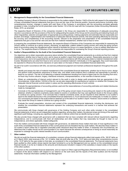#### 5. **Management's Responsibility for the Consolidated Financial Statements**

The Holding Company's Board of Directors is responsible for the matters stated in Section 134(5) of the Act with respect to the preparation of these consolidated financial statements that give a true and fair view of the financial position, financial performance (including other comprehensive income), changes in equity and cash flows of the Company in accordance with the accounting principles generally accepted in India, including the Ind AS prescribed under Section 133 of the Act read with the Companies (Indian Accounting Standards) Rules, 2015, as amended.

The respective Board of Directors of the companies included in the Group are responsible for maintenance of adequate accounting records in accordance with the provisions of the Act for safeguarding the assets of the Group and for preventing and detecting frauds and other irregularities; selection and application of appropriate accounting policies; making judgments and estimates that are reasonable and prudent; and design, implementation and maintenance of adequate internal financial controls, that were operating effectively for ensuring the accuracy and completeness of the accounting records, relevant to the preparation and presentation of the consolidated financial statements that give a true and fair view and are free from material misstatement, whether due to fraud or error.

 In preparing the consolidated financial statements, the respective Board of Directors of the Companies are responsible for assessing the Group's ability to continue as a going concern, disclosing, as applicable, matters related to going concern and using the going concern basis of accounting unless the management either intends to liquidate the Group or to cease operations, or has no realistic alternative but to do so. The respective Board of Directors of the companies are responsible for overseeing the Group's financial reporting process.

#### 6. **Auditor's Responsibilities for the Audit of the Consolidated Financial Statements**

 Our objectives are to obtain reasonable assurance about whether the consolidated financial statements as a whole are free from material misstatement, whether due to fraud or error, and to issue an auditor's report that includes our opinion. Reasonable assurance is a high level of assurance, but is not a guarantee that an audit conducted in accordance with SAs will always detect a material misstatement when it exists. Misstatements can arise from fraud or error and are considered material if, individually or in the aggregate, they could reasonably be expected to influence the economic decisions of users taken on the basis of these consolidated financial statements.

 As part of an audit in accordance with SAs, we exercise professional judgment and maintain professional skepticism throughout the audit. We also:

- Identify and assess the risks of material misstatement of the consolidated financial statements, whether due to fraud or error, design and perform audit procedures responsive to those risks, and obtain audit evidence that is sufficient and appropriate to provide a basis for our opinion. The risk of not detecting a material misstatement resulting from fraud is higher than for one resulting from error, as fraud may involve collusion, forgery, intentional omissions, misrepresentations, or the override of internal control.
- Obtain an understanding of internal control relevant to the audit in order to design audit procedures that are appropriate in the circumstances. Under section 143(3)(i) of the Act, we are also responsible for expressing our opinion on whether the Company has adequate internal financial controls system in place and the operating effectiveness of such controls.
- Evaluate the appropriateness of accounting policies used and the reasonableness of accounting estimates and related disclosures made by management.
- Conclude on the appropriateness of management's use of the going concern basis of accounting and, based on the audit evidence obtained, whether a material uncertainty exists related to events or conditions that may cast significant doubt on the Group's ability to continue as a going concern. If we conclude that a material uncertainty exists, we are required to draw attention in our auditor's report to the related disclosures in the consolidated financial statements or, if such disclosures are inadequate, to modify our opinion. Our conclusions are based on the audit evidence obtained up to the date of our auditor's report. However, future events or conditions may cause the Group to cease to continue as a going concern.
- Evaluate the overall presentation, structure and content of the consolidated financial statements, including the disclosures, and whether the consolidated financial statements represent the underlying transactions and events in a manner that achieves fair presentation.

We communicate with those charged with governance of the Holding Company and such other entity included in the consolidated financial statements of which we are independent auditors regarding, among other matters, the planned scope and timing of the audit and significant audit findings, including any significant deficiencies in internal control that we identify during our audit.

We also provide those charged with governance with a statement that we have complied with relevant ethical requirements regarding independence, and to communicate with them all relationships and other matters that may reasonably be thought to bear on our independence, and where applicable, related safeguards.

 From the matters communicated with those charged with governance, we determine those matters that were of most significance in the audit of the consolidated financial statements of the current period and are therefore the key audit matters. We describe these matters in our auditor's report unless law or regulation precludes public disclosure about the matter or when, in extremely rare circumstances, we determine that a matter should not be communicated in our report because the adverse consequences of doing so would reasonably be expected to outweigh the public interest benefits of such communication.

#### 7. **Other matters**

We did not audit the financial statements of a subsidiary company whose financial statements reflect total assets of Rs. 182.87 lakhs as at 31 March 2022, total revenues of Rs. 141.14 lakhs, total net profit after tax of Rs. 15.97 lakhs and total other comprehensive income of Rs. 15.97 lakhs for the year ended on that date, as considered in the consolidated financial statements. The financial statements have been audited by other auditor whose reports has been furnished to us by the Management and our opinion on the consolidated annual financial results, in so far as it relates to the amounts and disclosures included in respect of the subsidiary is based solely on the reports of the other auditors

 Our opinion on the consolidated financial statements, and our report on Other Legal and Regulatory Requirements below, is not modified in respect of the above matters with respect to our reliance on the work done and the reports of the other auditors and the financial statements / financial information certified by the Management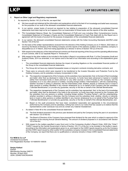### 8. **Report on Other Legal and Regulatory requirements**

- As required by Section 143 (3) of the Act, we report that:
	- a) We have sought and obtained all the information and explanations which to the best of our knowledge and belief were necessary for the purposes of our audit of the aforesaid consolidated financial statements.
	- b) In our opinion, proper books of account as required by law relating to preparation of the aforesaid consolidated financial statements have been kept so far as it appears from our examination of those books and the reports of the other auditors.
	- c) The Consolidated Balance Sheet, the Consolidated Statement of Profit and Loss including Other Comprehensive Income, Consolidated Statement of Changes in Equity and the Consolidated Statement of Cash Flow dealt with by this Report are in agreement with the books of account for the purpose of preparation of the consolidated financial statements.
	- d) In our opinion, the aforesaid consolidated financial statements comply with the Indian Accounting Standards specified under Section 133 of the Act.
	- On the basis of the written representations received from the directors of the Holding Company as on 31 March, 2022 taken on record by the Board of Directors of the Holding Company and the reports of the statutory auditors of its subsidiary company is disqualified as on 31 March, 2022 from being appointed as a director in terms of Section 164 (2) of the Act.
	- f) With respect to the adequacy of the internal financial controls over financial reporting of the Group and the operating effectiveness of such controls, refer to our separate Report in "Annexure A".
	- g) With respect to the other matters to be included in the Auditor's Report in accordance with Rule 11 of the Companies (Audit and Auditors) Rules, 2014 as amended, in our opinion and to the best of our information and according to the explanations given to us:
		- i. The consolidated financial statements disclose the impact of pending litigations on the consolidated financial position of the Group to the consolidated financial statements.
		- ii. The Group did not have any material foreseeable losses on long-term contracts including derivative contracts; and
		- iii. There were no amounts which were required to be transferred to the Investor Education and Protection Fund by the Holding Company, and its subsidiary company incorporated in India
		- iv. (a) The respective managements of the Company and its subsidiary have represented, that, to the best of their knowledge and belief, other than as disclosed in notes to the accounts, no funds have been advanced or loaned or invested (either from borrowed funds or share premium or any other sources or kind of funds) by the Company and the subsidiary to or in any other persons or entities, including foreign entities ("Intermediaries"), with the understanding, whether recorded in writing or otherwise, that the Intermediary shall, whether, directly or indirectly lend or invest in other persons or entities identified in any manner whatsoever by or on behalf of the Company and the subsidiary ("Ultimate Beneficiaries") or provide any guarantee, security or the like on behalf of the Ultimate Beneficiaries
			- (b) The respective managements of the Company and its subsidiary has represented, that, to the best of its knowledge and belief, other than as disclosed in the notes to the accounts, no funds have been received by the Company and the subsidiary from any persons or entities, including foreign entities ("Funding Parties"), with the understanding, whether recorded in writing or otherwise, that the Company and the subsidiary shall, whether, directly or indirectly, lend or invest in other persons or entities identified in any manner whatsoever by or on behalf of the Funding Party ("Ultimate Beneficiaries") or provide any guarantee, security or the like on behalf of the Ultimate Beneficiaries; and
			- (c) Based on the audit procedures that have been considered reasonable and appropriate in the circumstances performed by the Company and its subsidiary, nothing has come to our notice that has caused us to believe that the representations under subclause iv(a) and (b) contain any material misstatement.
		- v. As stated in Note 48 to the consolidated financial statements
			- (a) The final dividend proposed in the previous year declared and paid by the Company during the year is in accordance with Section 123 of the Act.
			- (b) The Board of Directors of the Company have proposed final dividend for the year which is subject to approval of the members at the ensuing Annual General Meeting. The amount of dividend proposed is in accordance with Section 123 of the Act.
		- vi With respect to the matters specified in para 3(xxi) and 4 of the Companies (Auditor's Report) Order, 2020 (the "Order"/ "CARO") issued by the Central Government in terms of Section 143 (11) of the Act, to be included in the Auditor's report, according to the information and explanations given to us, and based on the CARO reports issued by us for the Company and the CARO report issued by other auditor for the subsidiary company included in the Consolidated financial statements of the Company, we report that there are no qualifications or adverse remarks in these CARO reports

**For MGB & Co LLP** Chartered Accountants Firm Registration Number 101169W/W-100035

**Sanjay Kothari**

Partner Membership Number 048215 Mumbai, 29 April 2022 UDIN: 22048215AICIKA4049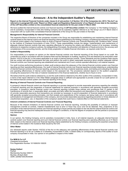### **Annexure - A to the Independent Auditor's Report**

**Report on the Internal Financial Controls under clause (i) of sub-section 3 of Section 143 of the Companies Act, 2013 ("the Act") as referred to in paragraph 8(f) under 'Report on Other Legal and Regulatory Requirements' of our Report of even date to the members of the LKP Securities Limited on the consolidated financial statements for the year ended 31 March 2022**

We have audited the internal financial controls over financial reporting of **LKP Securities Limited** ("the Company" or "the Holding Company"), and its subsidiary, incorporated in India (the Holding Company and its subsidiary together referred to as "the Group") as of 31 March 2022 in conjunction with our audit of the consolidated financial statements of the Group for the year ended on that date.

#### **Management's Responsibility for Internal Financial Controls**

The respective Board of Directors of the companies included in the Group are responsible for establishing and maintaining internal financial controls based on the internal control over financial reporting criteria established by the Holding Company considering the essential components of internal control stated in the Guidance Note on Audit of Internal Financial Controls over Financial Reporting (the "Guidance Note") issued by the Institute of Chartered Accountants of India ("ICAI'). These responsibilities include the design, implementation and maintenance of adequate internal financial controls that were operating effectively for ensuring the orderly and efficient conduct of its business, including adherence to respective company's policies, the safeguarding of its assets, the prevention and detection of frauds and errors, the accuracy and completeness of the accounting records, and the timely preparation of reliable financial information, as required under the Act.

#### **Auditor's Responsibility**

Our responsibility is to express an opinion on the internal financial controls over financial reporting of the Group based on our audit. We conducted our audit in accordance with the Guidance Note and the Standards on Auditing, issued by ICAI and deemed to be prescribed under Section 143(10) of the Act, to the extent applicable to an audit of internal financial controls. Those Standards and the Guidance Note require that we comply with ethical requirements and plan and perform the audit to obtain reasonable assurance about whether adequate internal financial controls over financial reporting was established and maintained and if such controls operated effectively in all material respects.

Our audit involves performing procedures to obtain audit evidence about the adequacy of the internal financial controls system over financial reporting and their operating effectiveness. Our audit of internal financial controls over financial reporting included obtaining an understanding of internal financial controls over financial reporting, assessing the risk that a material weakness exists, and testing and evaluating the design and operating effectiveness of internal control based on the assessed risk. The procedures selected depend on the auditor's judgment, including the assessment of the risks of material misstatement of the financial statements, whether due to fraud or error.

We believe that the audit evidence obtained by us and the audit evidence obtained by the other auditor of the subsidiary, incorporated in India, in terms of the report referred to in the Other Matter paragraph below is sufficient and appropriate to provide a basis for our audit opinion on the internal financial controls system over financial reporting of the Group.

#### **Meaning of Internal Financial Controls over Financial Reporting**

A company's internal financial control over financial reporting is a process designed to provide reasonable assurance regarding the reliability of financial reporting and the preparation of financial statements for external purposes in accordance with generally accepted accounting principles. A company's internal financial control over financial reporting includes those policies and procedures that (1) pertain to the maintenance of records that, in reasonable detail, accurately and fairly reflect the transactions and dispositions of the assets of the company; (2) provide reasonable assurance that transactions are recorded as necessary to permit preparation of financial statements in accordance with generally accepted accounting principles, and that receipts and expenditures of the company are being made only in accordance with authorisations of management and directors of the company; and (3) provide reasonable assurance regarding prevention or timely detection of unauthorised acquisition, use, or disposition of the company's assets that could have a material effect on the financial statements.

#### **Inherent Limitations of Internal Financial Controls over Financial Reporting**

Because of the inherent limitations of internal financial controls over financial reporting, including the possibility of collusion or improper management override of controls, material misstatements due to error or fraud may occur and not be detected. Also, projections of any evaluation of the internal financial controls over financial reporting to future periods are subject to the risk that the internal financial control over financial reporting may become inadequate because of changes in conditions, or that the degree of compliance with the policies or procedures may deteriorate.

#### **Opinion**

In our opinion, the Holding Company, and its subsidiary incorporated in India, have, in all material respects, an adequate internal financial controls system over financial reporting and such internal financial controls over financial reporting were operating effectively as at 31 March 2022, based on the internal control over financial reporting criteria established by the Holding Company considering the essential components of internal control stated in the Guidance Note issued by the ICAI.

#### **Other Matter**

Our aforesaid reports under Section 143(3)(i) of the Act on the adequacy and operating effectiveness of the internal financial controls over financial reporting in so far as it relates to a subsidiary incorporated in India, is based solely on corresponding reports of the auditor of such company incorporated in India. Our opinion is not qualified in respect of this matter.

### **For MGB & Co LLP**

Chartered Accountants Firm Registration Number 101169W/W-100035

#### **Sanjay Kothari**

**Partner** Membership Number 048215 Mumbai, 29 April 2022 UDIN: 22048215AICIKA4049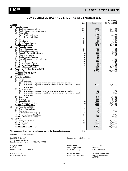### **LKP SECURITIES LIMITED**

# **CONSOLIDATED BALANCE SHEET AS AT 31 MARCH 2022**

|               |                                                                                    |             |                    | (Rs. Lakhs)        |
|---------------|------------------------------------------------------------------------------------|-------------|--------------------|--------------------|
|               |                                                                                    | <b>Note</b> | 31 March 2022      | 31 March 2021      |
| <b>ASSETS</b> |                                                                                    |             |                    |                    |
| (1)           | <b>Financial Assets</b>                                                            |             |                    |                    |
|               | Cash and cash equivalents<br>(a)                                                   | 3(a)        | 8,392.23           | 6,110.94           |
|               | (b)<br>Bank balance other than (a) above                                           | 3(b)        | 4,140.80           | 3,622.71           |
|               | Receivables<br>(c)                                                                 | 4           |                    |                    |
|               | Trade receivables<br>(i)                                                           |             | 2,132.93           | 1,832.30           |
|               | (ii)<br>Other receivables                                                          |             | 18.20              | 17.13              |
|               | (d)<br>Loans                                                                       | 5           | 20.23              | 24.19              |
|               | (e)<br>Investments                                                                 | 6           | 468.10             | 365.97             |
|               | <b>Other Financial assets</b><br>(f)                                               | 7           | 3,374.22           | 4,978.66           |
|               | <b>Total Financial Assets</b>                                                      |             | 18,546.71          | 16,951.91          |
| (2)           | <b>Non-Financial Assets</b>                                                        |             |                    |                    |
|               | (a)<br>Current tax assets (net)                                                    | 8           | 162.15             | 158.31             |
|               | Deferred tax assets (net)<br>(b)                                                   | 9           | 165.23             | 356.91             |
|               | Property, Plant and Equipment<br>(c)                                               | 10(a)       | 289.76             | 277.72             |
|               | Right-of-use assets<br>(d)                                                         | 10(b)       | 475.65             | 517.54             |
|               | Capital work-in-Progress<br>(e)                                                    | 10(c)       | 26.50              |                    |
|               | Intangible assets under development<br>(f)                                         | 10(d)       | 17.00              | 9.92               |
|               | Goodwill                                                                           | 11(a)       | 652.31             | 652.31             |
|               | (g)<br>Other Intangible Assets<br>(h)                                              | 11(b)       | 65.82              | 70.10              |
|               | Other non-financial assets<br>(i)                                                  | 12          | 77.48              |                    |
|               | <b>Total Non-Financial Assets</b>                                                  |             |                    | 118.91             |
|               |                                                                                    |             | 1,931.90<br>669.54 | 2,161.72<br>439.26 |
| (3)           | Assets held for Sale (Refer note 51)                                               |             |                    |                    |
|               | <b>Total Assets</b><br><b>LIABILITIES AND EQUITY</b>                               |             | 21,148.15          | 19,552.89          |
|               |                                                                                    |             |                    |                    |
|               | <b>LIABILITIES</b>                                                                 |             |                    |                    |
| (1)           | <b>Financial Liabilities</b>                                                       |             |                    |                    |
|               | Payables<br>(a)                                                                    |             |                    |                    |
|               | (1)<br>Trade payables                                                              | 13          |                    |                    |
|               | total outstanding dues of micro enterprises and small enterprises<br>(i)           |             |                    |                    |
|               | total outstanding dues of creditors other than micro enterprises and small<br>(ii) |             | 9,778.57           | 9,074.50           |
|               | enterprises                                                                        |             |                    |                    |
|               | Other payables<br>(II)                                                             |             |                    |                    |
|               | total outstanding dues of micro enterprises and small enterprises<br>(i)           |             | 33.86              | 0.43               |
|               | (ii)<br>total outstanding dues of creditors other than micro enterprises and small |             | 231.67             | 122.52             |
|               | enterprises                                                                        |             |                    |                    |
|               | <b>Borrowings</b><br>(b)                                                           | 14          | 911.45             | 1,015.52           |
|               | Deposits<br>(c)                                                                    | 15          | 296.99             | 291.51             |
|               | Lease Liabilities<br>(d)                                                           | 16(a)       | 522.88             | 524.24             |
|               | Other financial liabilities<br>(e)                                                 | 16(b)       | 3,285.06           | 3,717.69           |
|               | <b>Total Financial Liabilities</b>                                                 |             | 15,060.48          | 14,746.42          |
| (2)           | <b>Non-Financial Liabilities</b>                                                   |             |                    |                    |
|               | (a)<br><b>Current tax liabilities</b>                                              | 17          | 41.03              |                    |
|               | Provisions<br>(b)                                                                  | 18          | 64.45              | 198.08             |
|               | Deferred tax liabilities (net)<br>(c)                                              | 19          | 1.18               |                    |
|               | Other non-financial liabilities<br>(d)                                             | 20          | 208.17             | 169.42             |
|               | <b>Total Non-financial liabilities</b>                                             |             | 314.83             | 367.50             |
| (3)           | <b>EQUITY</b>                                                                      |             |                    |                    |
|               | <b>Equity Share Capital</b><br>(a)                                                 | 21          | 1,496.87           | 1,478.69           |
|               | <b>Other Equity</b><br>(b)                                                         | 22          | 4,275.97           | 2,960.29           |
|               | <b>Total Equity</b>                                                                |             | 5,772.84           | 4,438.98           |
|               | <b>Total Liabilities and Equity</b>                                                |             | 21,148.15          | 19,552.89          |
|               |                                                                                    |             |                    |                    |

### **The accompanying notes are an integral part of the financials statements 1-61**

In terms of our report attached

### For **MGB & Co. LLP**

Chartered Accountants Firm Registration Number 101169W/W-100035

### **Sanjay Kothari**

Partner Membership Number 048215

Place : Mumbai Date : April 29, 2022 For and on behalf of the board

**Pratik Doshi**  Managing Director (DIN: 00131122)

**Girish Majrekar**  Chief Financial Officer **S. S. Gulati**  Director (DIN: 02404230)

**Akshata Vengurlekar** Company Secretary A 50701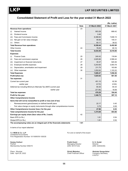# **Consolidated Statement of Profit and Loss for the year ended 31 March 2022**

|                                                                            |             |               | (Rs. Lakhs)   |
|----------------------------------------------------------------------------|-------------|---------------|---------------|
|                                                                            | <b>Note</b> | 31 March 2022 | 31 March 2021 |
| <b>Revenue from operations</b>                                             | 23          |               |               |
| Interest Income<br>(i)                                                     |             | 803.28        | 668.42        |
| Dividend Income<br>(ii)                                                    |             | 0.46          |               |
| (iii) Fees and Commission Income                                           |             | 8,398.84      | 7,606.15      |
| Net gain on fair value changes<br>(iv)                                     |             | 95.69         | 140.31        |
| <b>Others</b><br>(v)                                                       |             | 60.17         | 38.02         |
| <b>Total Revenue from operations</b>                                       |             | 9,358.44      | 8,452.90      |
| Other Income                                                               | 24          | 76.05         | 65.16         |
| <b>Total Income</b>                                                        |             | 9,434.49      | 8,518.06      |
| <b>Expenses</b>                                                            |             |               |               |
| <b>Finance Costs</b><br>(i)                                                | 25          | 240.42        | 118.84        |
| Fees and commission expense<br>(ii)                                        | 26          | 2,825.66      | 2,566.44      |
| Impairment on financial instruments<br>(iii)                               | 27          | 35.37         | 920.46        |
| (iv) Employee benefits expenses                                            | 28          | 3,243.65      | 3,083.78      |
| Depreciation, amortisation and impairment<br>(V)                           | 29          | 211.75        | 163.66        |
| Other expenses<br>(vi)                                                     | 30          | 1,052.62      | 1,103.32      |
| <b>Total Expenses</b>                                                      |             | 7,609.47      | 7,956.50      |
| <b>Profit before tax</b>                                                   |             | 1,825.02      | 561.56        |
| <b>Tax expenses</b>                                                        | 31          |               |               |
| Current tax-current year                                                   |             | 451.10        | 62.36         |
| -earlier year                                                              |             | (0.72)        | (0.84)        |
| Deferred tax including Minimum Alternate Tax (MAT)-current year            |             | 65.30         | 84.34         |
| -earlier year                                                              |             | (37.39)       | 18.58         |
| <b>Total tax expenses</b>                                                  |             | 478.29        | 164.44        |
| Profit for the year                                                        |             | 1,346.73      | 397.12        |
| <b>Other Comprehensive Income</b>                                          |             |               |               |
| Items that will not be reclassified to profit or loss (net of tax)         |             |               |               |
| Remeasurement gains/(losses) on defined benefit plans                      |             | 22.17         | 0.45          |
| Fair value change on equity instruments through other comprehensive income |             | 5.79          | 6.08          |
| Other Comprehensive Income/ (loss) for the year                            |             | 27.96         | 6.53          |
| Total comprehensive Income for the year                                    |             | 1,374.69      | 403.66        |
| Earnings per equity share (face value of Rs. 2 each)                       | 42          |               |               |
| Basic EPS (in Rs.)                                                         |             | 1.81          | 0.54          |
| Diluted EPS (in Rs.)                                                       |             | 1.81          | 0.54          |
| The accompanying notes are an integral part of the financials statements   | $1 - 61$    |               |               |

For **MGB & Co. LLP** Chartered Accountants Firm Registration Number 101169W/W-100035

**Sanjay Kothari** Partner Membership Number 048215

Place : Mumbai Date : April 29, 2022 For and on behalf of the board

**Pratik Doshi**  Managing Director (DIN: 00131122)

**Girish Majrekar**  Chief Financial Officer **S. S. Gulati**  Director (DIN: 02404230)

**Akshata Vengurlekar** Company Secretary A 50701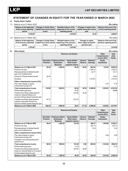# **STATEMENT OF CHANGES IN EQUITY FOR THE YEAR ENDED 31 MARCH 2022**

### **A. Equity Share Capital**

| Balance at the beginning<br>Restated balance at the<br><b>Changes in Equity Share</b><br>Changes in equity share  | Balance at the end of the |
|-------------------------------------------------------------------------------------------------------------------|---------------------------|
| Capital due to prior period<br>capital during the current<br>of the current reporting<br>beginning of the current | current reporting period  |
| reporting period<br>period<br>errors<br>vear                                                                      |                           |
| 18.18<br>1.478.69<br>1.478.69                                                                                     | 1.496.87                  |

| (2) | Balance as at 31 March 2021                                     |                                                                                                   |                                             |                                                                       | (Rs Lakhs)                                               |
|-----|-----------------------------------------------------------------|---------------------------------------------------------------------------------------------------|---------------------------------------------|-----------------------------------------------------------------------|----------------------------------------------------------|
|     | Balance at the beginning<br>of the previous reporting<br>period | <b>Changes in Equity Share</b><br>Capital due to prior period beginning of the previous<br>errors | Restated balance at the<br>reporting period | <b>Changes in equity</b><br>share capital during the<br>previous year | Balance at the end of the  <br>previous reporting period |
|     | l.478.69 l                                                      |                                                                                                   | 1,478.69                                    |                                                                       | 1.478.69丨                                                |

| В. | <b>Other Equity</b>                                                                                               |                              |                                                                 |                                                         |                           |                             |                                     | (Rs Lakhs)                      |
|----|-------------------------------------------------------------------------------------------------------------------|------------------------------|-----------------------------------------------------------------|---------------------------------------------------------|---------------------------|-----------------------------|-------------------------------------|---------------------------------|
|    |                                                                                                                   |                              | <b>Reserves and Surplus</b>                                     |                                                         |                           |                             |                                     | Total<br>other<br><b>Equity</b> |
|    |                                                                                                                   | <b>Securities</b><br>Premium | <b>Preference Share</b><br><b>Redemption</b><br><b>Reserves</b> | <b>Equity-Settled</b><br>Share based<br>payment reserve | General<br><b>Reserve</b> | <b>Retained</b><br>Earnings | <b>Equity</b><br><b>Instruments</b> |                                 |
|    | Balance as at 31 March 2021                                                                                       | 89.54                        | 1,960.39                                                        | 86.28                                                   | 92.95                     | 865.94                      | $-134.82$                           | 2,960.28                        |
|    | Profit for the year                                                                                               |                              |                                                                 |                                                         |                           | 1,346.72                    |                                     | 1,346.72                        |
|    | Remeasurement of defined benefit<br>plan (net of deferred tax)                                                    |                              |                                                                 |                                                         |                           | 22.17                       |                                     | 22.17                           |
|    | Premium of Equity Shares Issued                                                                                   | 45.44                        |                                                                 |                                                         |                           |                             |                                     | 45.44                           |
|    | Dividend                                                                                                          |                              |                                                                 |                                                         |                           | (147.87)                    |                                     | (147.87)                        |
|    | Other comprehensive income (OCI)                                                                                  |                              |                                                                 |                                                         |                           |                             |                                     |                                 |
|    | Fair value change on equity<br>instruments through OCI                                                            |                              |                                                                 |                                                         |                           |                             | 5.79                                | 5.79                            |
|    | Total comprehensive income                                                                                        | 134.98                       | 1,960.39                                                        | 86.28                                                   | 92.95                     | 2,086.96                    | (129.03)                            | 4,232.52                        |
|    | Share based payments                                                                                              |                              |                                                                 | 43.45                                                   |                           |                             |                                     | 43.45                           |
|    | Transfer from Share based payment<br>reserve to General Reserve on<br>account of Esop lapsed during the year      |                              |                                                                 | (24.29)                                                 | 24.29                     |                             |                                     |                                 |
|    | Transfer from Share based payment<br>reserve to Securities Premium on<br>account of shares issued during the year | 67.37                        |                                                                 | (67.37)                                                 |                           |                             |                                     |                                 |
|    | Balance as at 31 March 2022                                                                                       | 202.35                       | 1,960.39                                                        | 38.07                                                   | 117.23                    | 2,086.96                    | (129.03)                            | 4,275.97                        |

|                                                                         | <b>Reserves and Surplus</b>         |                                                          |                                                         |                           | Other<br>Comprehensive<br>Income (OCI) | <b>Total</b><br>other<br><b>Equity</b> |          |
|-------------------------------------------------------------------------|-------------------------------------|----------------------------------------------------------|---------------------------------------------------------|---------------------------|----------------------------------------|----------------------------------------|----------|
|                                                                         | <b>Securities</b><br><b>Premium</b> | <b>Preference Share</b><br>Redemption<br><b>Reserves</b> | <b>Equity-Settled</b><br>Share based<br>payment reserve | General<br><b>Reserve</b> | <b>Retained</b><br><b>Earnings</b>     | <b>Equity</b><br><b>Instruments</b>    |          |
| Balance as at 31 March 2020                                             | 89.54                               | 1,960.39                                                 | 161.88                                                  |                           | 468.37                                 | (140.90)                               | 2,539.27 |
| Profit for the Year                                                     |                                     |                                                          |                                                         |                           | 397.13                                 |                                        | 397.13   |
| Remeasurement of defined benefit<br>plan (net of deferred tax)          |                                     |                                                          |                                                         |                           | 0.45                                   |                                        | 0.45     |
| Other comprehensive income (OCI)                                        |                                     |                                                          |                                                         |                           |                                        |                                        |          |
| Fair value change on equity<br>instruments through OCI                  |                                     |                                                          |                                                         |                           |                                        | 6.08                                   | 6.08     |
| Changes in accounting policy/prior<br>period errors                     |                                     |                                                          |                                                         |                           |                                        |                                        |          |
| Total comprehensive income                                              | 89.54                               | 1960.39                                                  | 161.88                                                  | 0.00                      | 865.94                                 | (134.82)                               | 2942.93  |
| Share based payments                                                    |                                     |                                                          | 17.35                                                   |                           |                                        |                                        | 17.35    |
| Transfer from Share based payment                                       |                                     |                                                          | (92.95)                                                 | 92.95                     |                                        |                                        |          |
| reserve to General Reserve on account<br>of Esop lapsed during the year |                                     |                                                          |                                                         |                           |                                        |                                        |          |
| Balance as at 31 March 2021                                             | 89.54                               | 1,960.39                                                 | 86.28                                                   | 92.95                     | 865.94                                 | (134.82)                               | 2,960.29 |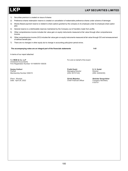# **LKP SECURITIES LIMITED**

- 1) Securities premium is created on issue of shares
- 2) Preference shares redemption reserve is created on cancellation of redeemable preference shares under scheme of demerger.
- 3) Shares Based payment reserve is related to share options granted by the company to its employee under its employee share option plan.
- 4) General reserve is a distributable reserves maintained by the Company out of transfers made from profits.
- 5) Other comprehensive income includes fair value gain on equity instruments measured at fair value through other comprehensive income.
- 6) Other comprehensive income (OCI) includes fair value gain on equity instruments measured at fair value through OCI and remeasurement of defined benefit plan.
- 7) There are no changes in other equity dut to change in accounting policy/prior period errors.

### **The accompanying notes are an integral part of the financials statements 1-61**

In terms of our report attached

For **MGB & Co. LLP** Chartered Accountants Firm Registration Number 101169W/W-100035

**Sanjay Kothari** Partner Membership Number 048215

Place : Mumbai Date : April 29, 2022

For and on behalf of the board

**Pratik Doshi**  Managing Director (DIN: 00131122)

**Girish Majrekar**  Chief Financial Officer **S. S. Gulati**  Director (DIN: 02404230)

**Akshata Vengurlekar** Company Secretary A 50701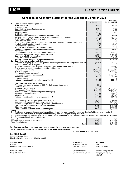### **Consolidated Cash flow statement for the year ended 31 March 2022**

| 31 March 2021<br>Cash flow from operating activities<br>А.<br>Profit before tax<br>561.56<br>1,825.03<br>Adjustments for:<br>163.66<br>Depreciation and amortization expense<br>211.75<br>230.49<br>108.81<br>Interest expense<br>Interest Income<br>(803.28)<br>(668.42)<br>Dividend Income<br>(0.46)<br>35.37<br>Impairment allowance on trade and other receivables (net)<br>920.46<br>Net loss/ (gain) on Investments carried at fair value through profit and loss<br>(95.69)<br>(140.31)<br>(Profit)/loss on sale of investments (net)<br>(60.17)<br>(38.02)<br>Share based expenses<br>43.45<br>17.35<br>(Profit)/loss on sale/discard of property, plant and equipment and intangible assets (net)<br>1.59<br>17.05<br>Unwinding of discount on security deposits<br>(3.50)<br>(1.55)<br>Balances written back(net)<br>(1.16)<br>(0.34)<br>Net gain on derecognition of Right of use Assets<br>(3.21)<br>Operating profit before working capital changes<br>1.380.20<br>940.26<br>Adjustments for:<br>Decrease/(increase) in Trade and other Receivables<br>1,340.99<br>(646.52)<br>4.342.71<br>(Decrease) /increase in Trade and other payables<br>324.61<br>3.045.80<br>Cash generated from operations<br>4.636.45<br>Direct tax paid (net of refunds)<br>(256.77)<br>95.44<br>Net cash from/ (used in) operating activities (A)<br>4.731.89<br>2,789.03<br>В.<br>Cash flow from investing activities<br>Purchase of property, plant and equipement and intangible assets including assets held for<br>(72.44)<br>(369.11)<br>sale and Capital work-in-progress<br>Purchase consideration for acquisition of commodity business (Refer note 54)<br>(318.00)<br>Sale of property, plant and equipment and intangible assets<br>8.33<br>0.90<br>(15, 856.22)<br>Purchase of investments<br>(31,920.38)<br>Sale of investments<br>31,979.91<br>16,346.40<br>Repayment of loans given (net)<br>3.96<br>2.03<br>(Increase)/ decrease in bank deposits<br>(525.76)<br>(1,727.73)<br>Interest received<br>810.95<br>636.71<br>Dividend received<br>0.46<br>(988.34)<br>Net cash from/ (used in) investing activities (B)<br>(11.64)<br>C.<br>Cash flow from financing activities<br>Proceeds from issues of shares on ESOP including securities premium<br>63.62<br>Dividend Paid<br>(147.87)<br>Proceeds from borrowings<br>7.600.00<br>63.745.00<br>Repayments of borrowings<br>(7,600.00)<br>(63,745.00)<br>Increase/ (Decrease) in borrowings from banks (net)<br>(104.06)<br>(494.73)<br>Payment of Lease Liabilities<br>(139.24)<br>(82.03)<br>78.05)<br>Interest paid<br>(168.55)<br>Net cash from/ (used in) financing activities (C)<br>(496.10)<br>(654.81)<br>2,281.29<br>3,088.72<br>Net changes in cash and cash equivalents (A+B+C)<br>Cash and cash equivalents at the beginning of the year<br>6,110.94<br>3,012.27<br>Addition on acquisition of Commodity business (Refer note 54)<br>9.95<br>Cash and cash equivalents at the end of the year<br>8,392.23<br>6.110.94<br>Other bank balances<br>4.140.80<br>3.622.71<br>12,533.03<br>Cash and bank balances at the end of the year<br>9,733.65<br>Notes: |  |               | (Rs Lakhs) |
|--------------------------------------------------------------------------------------------------------------------------------------------------------------------------------------------------------------------------------------------------------------------------------------------------------------------------------------------------------------------------------------------------------------------------------------------------------------------------------------------------------------------------------------------------------------------------------------------------------------------------------------------------------------------------------------------------------------------------------------------------------------------------------------------------------------------------------------------------------------------------------------------------------------------------------------------------------------------------------------------------------------------------------------------------------------------------------------------------------------------------------------------------------------------------------------------------------------------------------------------------------------------------------------------------------------------------------------------------------------------------------------------------------------------------------------------------------------------------------------------------------------------------------------------------------------------------------------------------------------------------------------------------------------------------------------------------------------------------------------------------------------------------------------------------------------------------------------------------------------------------------------------------------------------------------------------------------------------------------------------------------------------------------------------------------------------------------------------------------------------------------------------------------------------------------------------------------------------------------------------------------------------------------------------------------------------------------------------------------------------------------------------------------------------------------------------------------------------------------------------------------------------------------------------------------------------------------------------------------------------------------------------------------------------------------------------------------------------------------------------------------------------------------------------------------------------------------------------------------------------------------------------------------------------------------------------------------------------------------------------------------------------------------------------------------------------------------------------------------------------------------|--|---------------|------------|
|                                                                                                                                                                                                                                                                                                                                                                                                                                                                                                                                                                                                                                                                                                                                                                                                                                                                                                                                                                                                                                                                                                                                                                                                                                                                                                                                                                                                                                                                                                                                                                                                                                                                                                                                                                                                                                                                                                                                                                                                                                                                                                                                                                                                                                                                                                                                                                                                                                                                                                                                                                                                                                                                                                                                                                                                                                                                                                                                                                                                                                                                                                                                |  | 31 March 2022 |            |
|                                                                                                                                                                                                                                                                                                                                                                                                                                                                                                                                                                                                                                                                                                                                                                                                                                                                                                                                                                                                                                                                                                                                                                                                                                                                                                                                                                                                                                                                                                                                                                                                                                                                                                                                                                                                                                                                                                                                                                                                                                                                                                                                                                                                                                                                                                                                                                                                                                                                                                                                                                                                                                                                                                                                                                                                                                                                                                                                                                                                                                                                                                                                |  |               |            |
|                                                                                                                                                                                                                                                                                                                                                                                                                                                                                                                                                                                                                                                                                                                                                                                                                                                                                                                                                                                                                                                                                                                                                                                                                                                                                                                                                                                                                                                                                                                                                                                                                                                                                                                                                                                                                                                                                                                                                                                                                                                                                                                                                                                                                                                                                                                                                                                                                                                                                                                                                                                                                                                                                                                                                                                                                                                                                                                                                                                                                                                                                                                                |  |               |            |
|                                                                                                                                                                                                                                                                                                                                                                                                                                                                                                                                                                                                                                                                                                                                                                                                                                                                                                                                                                                                                                                                                                                                                                                                                                                                                                                                                                                                                                                                                                                                                                                                                                                                                                                                                                                                                                                                                                                                                                                                                                                                                                                                                                                                                                                                                                                                                                                                                                                                                                                                                                                                                                                                                                                                                                                                                                                                                                                                                                                                                                                                                                                                |  |               |            |
|                                                                                                                                                                                                                                                                                                                                                                                                                                                                                                                                                                                                                                                                                                                                                                                                                                                                                                                                                                                                                                                                                                                                                                                                                                                                                                                                                                                                                                                                                                                                                                                                                                                                                                                                                                                                                                                                                                                                                                                                                                                                                                                                                                                                                                                                                                                                                                                                                                                                                                                                                                                                                                                                                                                                                                                                                                                                                                                                                                                                                                                                                                                                |  |               |            |
|                                                                                                                                                                                                                                                                                                                                                                                                                                                                                                                                                                                                                                                                                                                                                                                                                                                                                                                                                                                                                                                                                                                                                                                                                                                                                                                                                                                                                                                                                                                                                                                                                                                                                                                                                                                                                                                                                                                                                                                                                                                                                                                                                                                                                                                                                                                                                                                                                                                                                                                                                                                                                                                                                                                                                                                                                                                                                                                                                                                                                                                                                                                                |  |               |            |
|                                                                                                                                                                                                                                                                                                                                                                                                                                                                                                                                                                                                                                                                                                                                                                                                                                                                                                                                                                                                                                                                                                                                                                                                                                                                                                                                                                                                                                                                                                                                                                                                                                                                                                                                                                                                                                                                                                                                                                                                                                                                                                                                                                                                                                                                                                                                                                                                                                                                                                                                                                                                                                                                                                                                                                                                                                                                                                                                                                                                                                                                                                                                |  |               |            |
|                                                                                                                                                                                                                                                                                                                                                                                                                                                                                                                                                                                                                                                                                                                                                                                                                                                                                                                                                                                                                                                                                                                                                                                                                                                                                                                                                                                                                                                                                                                                                                                                                                                                                                                                                                                                                                                                                                                                                                                                                                                                                                                                                                                                                                                                                                                                                                                                                                                                                                                                                                                                                                                                                                                                                                                                                                                                                                                                                                                                                                                                                                                                |  |               |            |
|                                                                                                                                                                                                                                                                                                                                                                                                                                                                                                                                                                                                                                                                                                                                                                                                                                                                                                                                                                                                                                                                                                                                                                                                                                                                                                                                                                                                                                                                                                                                                                                                                                                                                                                                                                                                                                                                                                                                                                                                                                                                                                                                                                                                                                                                                                                                                                                                                                                                                                                                                                                                                                                                                                                                                                                                                                                                                                                                                                                                                                                                                                                                |  |               |            |
|                                                                                                                                                                                                                                                                                                                                                                                                                                                                                                                                                                                                                                                                                                                                                                                                                                                                                                                                                                                                                                                                                                                                                                                                                                                                                                                                                                                                                                                                                                                                                                                                                                                                                                                                                                                                                                                                                                                                                                                                                                                                                                                                                                                                                                                                                                                                                                                                                                                                                                                                                                                                                                                                                                                                                                                                                                                                                                                                                                                                                                                                                                                                |  |               |            |
|                                                                                                                                                                                                                                                                                                                                                                                                                                                                                                                                                                                                                                                                                                                                                                                                                                                                                                                                                                                                                                                                                                                                                                                                                                                                                                                                                                                                                                                                                                                                                                                                                                                                                                                                                                                                                                                                                                                                                                                                                                                                                                                                                                                                                                                                                                                                                                                                                                                                                                                                                                                                                                                                                                                                                                                                                                                                                                                                                                                                                                                                                                                                |  |               |            |
|                                                                                                                                                                                                                                                                                                                                                                                                                                                                                                                                                                                                                                                                                                                                                                                                                                                                                                                                                                                                                                                                                                                                                                                                                                                                                                                                                                                                                                                                                                                                                                                                                                                                                                                                                                                                                                                                                                                                                                                                                                                                                                                                                                                                                                                                                                                                                                                                                                                                                                                                                                                                                                                                                                                                                                                                                                                                                                                                                                                                                                                                                                                                |  |               |            |
|                                                                                                                                                                                                                                                                                                                                                                                                                                                                                                                                                                                                                                                                                                                                                                                                                                                                                                                                                                                                                                                                                                                                                                                                                                                                                                                                                                                                                                                                                                                                                                                                                                                                                                                                                                                                                                                                                                                                                                                                                                                                                                                                                                                                                                                                                                                                                                                                                                                                                                                                                                                                                                                                                                                                                                                                                                                                                                                                                                                                                                                                                                                                |  |               |            |
|                                                                                                                                                                                                                                                                                                                                                                                                                                                                                                                                                                                                                                                                                                                                                                                                                                                                                                                                                                                                                                                                                                                                                                                                                                                                                                                                                                                                                                                                                                                                                                                                                                                                                                                                                                                                                                                                                                                                                                                                                                                                                                                                                                                                                                                                                                                                                                                                                                                                                                                                                                                                                                                                                                                                                                                                                                                                                                                                                                                                                                                                                                                                |  |               |            |
|                                                                                                                                                                                                                                                                                                                                                                                                                                                                                                                                                                                                                                                                                                                                                                                                                                                                                                                                                                                                                                                                                                                                                                                                                                                                                                                                                                                                                                                                                                                                                                                                                                                                                                                                                                                                                                                                                                                                                                                                                                                                                                                                                                                                                                                                                                                                                                                                                                                                                                                                                                                                                                                                                                                                                                                                                                                                                                                                                                                                                                                                                                                                |  |               |            |
|                                                                                                                                                                                                                                                                                                                                                                                                                                                                                                                                                                                                                                                                                                                                                                                                                                                                                                                                                                                                                                                                                                                                                                                                                                                                                                                                                                                                                                                                                                                                                                                                                                                                                                                                                                                                                                                                                                                                                                                                                                                                                                                                                                                                                                                                                                                                                                                                                                                                                                                                                                                                                                                                                                                                                                                                                                                                                                                                                                                                                                                                                                                                |  |               |            |
|                                                                                                                                                                                                                                                                                                                                                                                                                                                                                                                                                                                                                                                                                                                                                                                                                                                                                                                                                                                                                                                                                                                                                                                                                                                                                                                                                                                                                                                                                                                                                                                                                                                                                                                                                                                                                                                                                                                                                                                                                                                                                                                                                                                                                                                                                                                                                                                                                                                                                                                                                                                                                                                                                                                                                                                                                                                                                                                                                                                                                                                                                                                                |  |               |            |
|                                                                                                                                                                                                                                                                                                                                                                                                                                                                                                                                                                                                                                                                                                                                                                                                                                                                                                                                                                                                                                                                                                                                                                                                                                                                                                                                                                                                                                                                                                                                                                                                                                                                                                                                                                                                                                                                                                                                                                                                                                                                                                                                                                                                                                                                                                                                                                                                                                                                                                                                                                                                                                                                                                                                                                                                                                                                                                                                                                                                                                                                                                                                |  |               |            |
|                                                                                                                                                                                                                                                                                                                                                                                                                                                                                                                                                                                                                                                                                                                                                                                                                                                                                                                                                                                                                                                                                                                                                                                                                                                                                                                                                                                                                                                                                                                                                                                                                                                                                                                                                                                                                                                                                                                                                                                                                                                                                                                                                                                                                                                                                                                                                                                                                                                                                                                                                                                                                                                                                                                                                                                                                                                                                                                                                                                                                                                                                                                                |  |               |            |
|                                                                                                                                                                                                                                                                                                                                                                                                                                                                                                                                                                                                                                                                                                                                                                                                                                                                                                                                                                                                                                                                                                                                                                                                                                                                                                                                                                                                                                                                                                                                                                                                                                                                                                                                                                                                                                                                                                                                                                                                                                                                                                                                                                                                                                                                                                                                                                                                                                                                                                                                                                                                                                                                                                                                                                                                                                                                                                                                                                                                                                                                                                                                |  |               |            |
|                                                                                                                                                                                                                                                                                                                                                                                                                                                                                                                                                                                                                                                                                                                                                                                                                                                                                                                                                                                                                                                                                                                                                                                                                                                                                                                                                                                                                                                                                                                                                                                                                                                                                                                                                                                                                                                                                                                                                                                                                                                                                                                                                                                                                                                                                                                                                                                                                                                                                                                                                                                                                                                                                                                                                                                                                                                                                                                                                                                                                                                                                                                                |  |               |            |
|                                                                                                                                                                                                                                                                                                                                                                                                                                                                                                                                                                                                                                                                                                                                                                                                                                                                                                                                                                                                                                                                                                                                                                                                                                                                                                                                                                                                                                                                                                                                                                                                                                                                                                                                                                                                                                                                                                                                                                                                                                                                                                                                                                                                                                                                                                                                                                                                                                                                                                                                                                                                                                                                                                                                                                                                                                                                                                                                                                                                                                                                                                                                |  |               |            |
|                                                                                                                                                                                                                                                                                                                                                                                                                                                                                                                                                                                                                                                                                                                                                                                                                                                                                                                                                                                                                                                                                                                                                                                                                                                                                                                                                                                                                                                                                                                                                                                                                                                                                                                                                                                                                                                                                                                                                                                                                                                                                                                                                                                                                                                                                                                                                                                                                                                                                                                                                                                                                                                                                                                                                                                                                                                                                                                                                                                                                                                                                                                                |  |               |            |
|                                                                                                                                                                                                                                                                                                                                                                                                                                                                                                                                                                                                                                                                                                                                                                                                                                                                                                                                                                                                                                                                                                                                                                                                                                                                                                                                                                                                                                                                                                                                                                                                                                                                                                                                                                                                                                                                                                                                                                                                                                                                                                                                                                                                                                                                                                                                                                                                                                                                                                                                                                                                                                                                                                                                                                                                                                                                                                                                                                                                                                                                                                                                |  |               |            |
|                                                                                                                                                                                                                                                                                                                                                                                                                                                                                                                                                                                                                                                                                                                                                                                                                                                                                                                                                                                                                                                                                                                                                                                                                                                                                                                                                                                                                                                                                                                                                                                                                                                                                                                                                                                                                                                                                                                                                                                                                                                                                                                                                                                                                                                                                                                                                                                                                                                                                                                                                                                                                                                                                                                                                                                                                                                                                                                                                                                                                                                                                                                                |  |               |            |
|                                                                                                                                                                                                                                                                                                                                                                                                                                                                                                                                                                                                                                                                                                                                                                                                                                                                                                                                                                                                                                                                                                                                                                                                                                                                                                                                                                                                                                                                                                                                                                                                                                                                                                                                                                                                                                                                                                                                                                                                                                                                                                                                                                                                                                                                                                                                                                                                                                                                                                                                                                                                                                                                                                                                                                                                                                                                                                                                                                                                                                                                                                                                |  |               |            |
|                                                                                                                                                                                                                                                                                                                                                                                                                                                                                                                                                                                                                                                                                                                                                                                                                                                                                                                                                                                                                                                                                                                                                                                                                                                                                                                                                                                                                                                                                                                                                                                                                                                                                                                                                                                                                                                                                                                                                                                                                                                                                                                                                                                                                                                                                                                                                                                                                                                                                                                                                                                                                                                                                                                                                                                                                                                                                                                                                                                                                                                                                                                                |  |               |            |
|                                                                                                                                                                                                                                                                                                                                                                                                                                                                                                                                                                                                                                                                                                                                                                                                                                                                                                                                                                                                                                                                                                                                                                                                                                                                                                                                                                                                                                                                                                                                                                                                                                                                                                                                                                                                                                                                                                                                                                                                                                                                                                                                                                                                                                                                                                                                                                                                                                                                                                                                                                                                                                                                                                                                                                                                                                                                                                                                                                                                                                                                                                                                |  |               |            |
|                                                                                                                                                                                                                                                                                                                                                                                                                                                                                                                                                                                                                                                                                                                                                                                                                                                                                                                                                                                                                                                                                                                                                                                                                                                                                                                                                                                                                                                                                                                                                                                                                                                                                                                                                                                                                                                                                                                                                                                                                                                                                                                                                                                                                                                                                                                                                                                                                                                                                                                                                                                                                                                                                                                                                                                                                                                                                                                                                                                                                                                                                                                                |  |               |            |
|                                                                                                                                                                                                                                                                                                                                                                                                                                                                                                                                                                                                                                                                                                                                                                                                                                                                                                                                                                                                                                                                                                                                                                                                                                                                                                                                                                                                                                                                                                                                                                                                                                                                                                                                                                                                                                                                                                                                                                                                                                                                                                                                                                                                                                                                                                                                                                                                                                                                                                                                                                                                                                                                                                                                                                                                                                                                                                                                                                                                                                                                                                                                |  |               |            |
|                                                                                                                                                                                                                                                                                                                                                                                                                                                                                                                                                                                                                                                                                                                                                                                                                                                                                                                                                                                                                                                                                                                                                                                                                                                                                                                                                                                                                                                                                                                                                                                                                                                                                                                                                                                                                                                                                                                                                                                                                                                                                                                                                                                                                                                                                                                                                                                                                                                                                                                                                                                                                                                                                                                                                                                                                                                                                                                                                                                                                                                                                                                                |  |               |            |
|                                                                                                                                                                                                                                                                                                                                                                                                                                                                                                                                                                                                                                                                                                                                                                                                                                                                                                                                                                                                                                                                                                                                                                                                                                                                                                                                                                                                                                                                                                                                                                                                                                                                                                                                                                                                                                                                                                                                                                                                                                                                                                                                                                                                                                                                                                                                                                                                                                                                                                                                                                                                                                                                                                                                                                                                                                                                                                                                                                                                                                                                                                                                |  |               |            |
|                                                                                                                                                                                                                                                                                                                                                                                                                                                                                                                                                                                                                                                                                                                                                                                                                                                                                                                                                                                                                                                                                                                                                                                                                                                                                                                                                                                                                                                                                                                                                                                                                                                                                                                                                                                                                                                                                                                                                                                                                                                                                                                                                                                                                                                                                                                                                                                                                                                                                                                                                                                                                                                                                                                                                                                                                                                                                                                                                                                                                                                                                                                                |  |               |            |
|                                                                                                                                                                                                                                                                                                                                                                                                                                                                                                                                                                                                                                                                                                                                                                                                                                                                                                                                                                                                                                                                                                                                                                                                                                                                                                                                                                                                                                                                                                                                                                                                                                                                                                                                                                                                                                                                                                                                                                                                                                                                                                                                                                                                                                                                                                                                                                                                                                                                                                                                                                                                                                                                                                                                                                                                                                                                                                                                                                                                                                                                                                                                |  |               |            |
|                                                                                                                                                                                                                                                                                                                                                                                                                                                                                                                                                                                                                                                                                                                                                                                                                                                                                                                                                                                                                                                                                                                                                                                                                                                                                                                                                                                                                                                                                                                                                                                                                                                                                                                                                                                                                                                                                                                                                                                                                                                                                                                                                                                                                                                                                                                                                                                                                                                                                                                                                                                                                                                                                                                                                                                                                                                                                                                                                                                                                                                                                                                                |  |               |            |
|                                                                                                                                                                                                                                                                                                                                                                                                                                                                                                                                                                                                                                                                                                                                                                                                                                                                                                                                                                                                                                                                                                                                                                                                                                                                                                                                                                                                                                                                                                                                                                                                                                                                                                                                                                                                                                                                                                                                                                                                                                                                                                                                                                                                                                                                                                                                                                                                                                                                                                                                                                                                                                                                                                                                                                                                                                                                                                                                                                                                                                                                                                                                |  |               |            |
|                                                                                                                                                                                                                                                                                                                                                                                                                                                                                                                                                                                                                                                                                                                                                                                                                                                                                                                                                                                                                                                                                                                                                                                                                                                                                                                                                                                                                                                                                                                                                                                                                                                                                                                                                                                                                                                                                                                                                                                                                                                                                                                                                                                                                                                                                                                                                                                                                                                                                                                                                                                                                                                                                                                                                                                                                                                                                                                                                                                                                                                                                                                                |  |               |            |
|                                                                                                                                                                                                                                                                                                                                                                                                                                                                                                                                                                                                                                                                                                                                                                                                                                                                                                                                                                                                                                                                                                                                                                                                                                                                                                                                                                                                                                                                                                                                                                                                                                                                                                                                                                                                                                                                                                                                                                                                                                                                                                                                                                                                                                                                                                                                                                                                                                                                                                                                                                                                                                                                                                                                                                                                                                                                                                                                                                                                                                                                                                                                |  |               |            |
|                                                                                                                                                                                                                                                                                                                                                                                                                                                                                                                                                                                                                                                                                                                                                                                                                                                                                                                                                                                                                                                                                                                                                                                                                                                                                                                                                                                                                                                                                                                                                                                                                                                                                                                                                                                                                                                                                                                                                                                                                                                                                                                                                                                                                                                                                                                                                                                                                                                                                                                                                                                                                                                                                                                                                                                                                                                                                                                                                                                                                                                                                                                                |  |               |            |
|                                                                                                                                                                                                                                                                                                                                                                                                                                                                                                                                                                                                                                                                                                                                                                                                                                                                                                                                                                                                                                                                                                                                                                                                                                                                                                                                                                                                                                                                                                                                                                                                                                                                                                                                                                                                                                                                                                                                                                                                                                                                                                                                                                                                                                                                                                                                                                                                                                                                                                                                                                                                                                                                                                                                                                                                                                                                                                                                                                                                                                                                                                                                |  |               |            |
|                                                                                                                                                                                                                                                                                                                                                                                                                                                                                                                                                                                                                                                                                                                                                                                                                                                                                                                                                                                                                                                                                                                                                                                                                                                                                                                                                                                                                                                                                                                                                                                                                                                                                                                                                                                                                                                                                                                                                                                                                                                                                                                                                                                                                                                                                                                                                                                                                                                                                                                                                                                                                                                                                                                                                                                                                                                                                                                                                                                                                                                                                                                                |  |               |            |
|                                                                                                                                                                                                                                                                                                                                                                                                                                                                                                                                                                                                                                                                                                                                                                                                                                                                                                                                                                                                                                                                                                                                                                                                                                                                                                                                                                                                                                                                                                                                                                                                                                                                                                                                                                                                                                                                                                                                                                                                                                                                                                                                                                                                                                                                                                                                                                                                                                                                                                                                                                                                                                                                                                                                                                                                                                                                                                                                                                                                                                                                                                                                |  |               |            |
|                                                                                                                                                                                                                                                                                                                                                                                                                                                                                                                                                                                                                                                                                                                                                                                                                                                                                                                                                                                                                                                                                                                                                                                                                                                                                                                                                                                                                                                                                                                                                                                                                                                                                                                                                                                                                                                                                                                                                                                                                                                                                                                                                                                                                                                                                                                                                                                                                                                                                                                                                                                                                                                                                                                                                                                                                                                                                                                                                                                                                                                                                                                                |  |               |            |
|                                                                                                                                                                                                                                                                                                                                                                                                                                                                                                                                                                                                                                                                                                                                                                                                                                                                                                                                                                                                                                                                                                                                                                                                                                                                                                                                                                                                                                                                                                                                                                                                                                                                                                                                                                                                                                                                                                                                                                                                                                                                                                                                                                                                                                                                                                                                                                                                                                                                                                                                                                                                                                                                                                                                                                                                                                                                                                                                                                                                                                                                                                                                |  |               |            |
|                                                                                                                                                                                                                                                                                                                                                                                                                                                                                                                                                                                                                                                                                                                                                                                                                                                                                                                                                                                                                                                                                                                                                                                                                                                                                                                                                                                                                                                                                                                                                                                                                                                                                                                                                                                                                                                                                                                                                                                                                                                                                                                                                                                                                                                                                                                                                                                                                                                                                                                                                                                                                                                                                                                                                                                                                                                                                                                                                                                                                                                                                                                                |  |               |            |
|                                                                                                                                                                                                                                                                                                                                                                                                                                                                                                                                                                                                                                                                                                                                                                                                                                                                                                                                                                                                                                                                                                                                                                                                                                                                                                                                                                                                                                                                                                                                                                                                                                                                                                                                                                                                                                                                                                                                                                                                                                                                                                                                                                                                                                                                                                                                                                                                                                                                                                                                                                                                                                                                                                                                                                                                                                                                                                                                                                                                                                                                                                                                |  |               |            |
|                                                                                                                                                                                                                                                                                                                                                                                                                                                                                                                                                                                                                                                                                                                                                                                                                                                                                                                                                                                                                                                                                                                                                                                                                                                                                                                                                                                                                                                                                                                                                                                                                                                                                                                                                                                                                                                                                                                                                                                                                                                                                                                                                                                                                                                                                                                                                                                                                                                                                                                                                                                                                                                                                                                                                                                                                                                                                                                                                                                                                                                                                                                                |  |               |            |
|                                                                                                                                                                                                                                                                                                                                                                                                                                                                                                                                                                                                                                                                                                                                                                                                                                                                                                                                                                                                                                                                                                                                                                                                                                                                                                                                                                                                                                                                                                                                                                                                                                                                                                                                                                                                                                                                                                                                                                                                                                                                                                                                                                                                                                                                                                                                                                                                                                                                                                                                                                                                                                                                                                                                                                                                                                                                                                                                                                                                                                                                                                                                |  |               |            |
|                                                                                                                                                                                                                                                                                                                                                                                                                                                                                                                                                                                                                                                                                                                                                                                                                                                                                                                                                                                                                                                                                                                                                                                                                                                                                                                                                                                                                                                                                                                                                                                                                                                                                                                                                                                                                                                                                                                                                                                                                                                                                                                                                                                                                                                                                                                                                                                                                                                                                                                                                                                                                                                                                                                                                                                                                                                                                                                                                                                                                                                                                                                                |  |               |            |
|                                                                                                                                                                                                                                                                                                                                                                                                                                                                                                                                                                                                                                                                                                                                                                                                                                                                                                                                                                                                                                                                                                                                                                                                                                                                                                                                                                                                                                                                                                                                                                                                                                                                                                                                                                                                                                                                                                                                                                                                                                                                                                                                                                                                                                                                                                                                                                                                                                                                                                                                                                                                                                                                                                                                                                                                                                                                                                                                                                                                                                                                                                                                |  |               |            |
|                                                                                                                                                                                                                                                                                                                                                                                                                                                                                                                                                                                                                                                                                                                                                                                                                                                                                                                                                                                                                                                                                                                                                                                                                                                                                                                                                                                                                                                                                                                                                                                                                                                                                                                                                                                                                                                                                                                                                                                                                                                                                                                                                                                                                                                                                                                                                                                                                                                                                                                                                                                                                                                                                                                                                                                                                                                                                                                                                                                                                                                                                                                                |  |               |            |
|                                                                                                                                                                                                                                                                                                                                                                                                                                                                                                                                                                                                                                                                                                                                                                                                                                                                                                                                                                                                                                                                                                                                                                                                                                                                                                                                                                                                                                                                                                                                                                                                                                                                                                                                                                                                                                                                                                                                                                                                                                                                                                                                                                                                                                                                                                                                                                                                                                                                                                                                                                                                                                                                                                                                                                                                                                                                                                                                                                                                                                                                                                                                |  |               |            |
|                                                                                                                                                                                                                                                                                                                                                                                                                                                                                                                                                                                                                                                                                                                                                                                                                                                                                                                                                                                                                                                                                                                                                                                                                                                                                                                                                                                                                                                                                                                                                                                                                                                                                                                                                                                                                                                                                                                                                                                                                                                                                                                                                                                                                                                                                                                                                                                                                                                                                                                                                                                                                                                                                                                                                                                                                                                                                                                                                                                                                                                                                                                                |  |               |            |
|                                                                                                                                                                                                                                                                                                                                                                                                                                                                                                                                                                                                                                                                                                                                                                                                                                                                                                                                                                                                                                                                                                                                                                                                                                                                                                                                                                                                                                                                                                                                                                                                                                                                                                                                                                                                                                                                                                                                                                                                                                                                                                                                                                                                                                                                                                                                                                                                                                                                                                                                                                                                                                                                                                                                                                                                                                                                                                                                                                                                                                                                                                                                |  |               |            |

1. The impact of non-cash transactions have not been given in the above cash flow statement details of which are given in note 43<br>
2. The disclosures relating to changes in liabilities arising from financing activities (Re 2. The disclosures relating to changes in liabilities arising from financing activities (Refer Note 43)<br>3. The above statements of the cash flow has been prepared under the "Indirect methods" set out in Ind-As 7 on 'Stat Component of Cash and bank balances

| Cash in Hand                                   |       | 0.41            | --<br>U.57          |
|------------------------------------------------|-------|-----------------|---------------------|
| Balances with bank<br>ี่ - In Current accounts |       | 8,391.82        | <sub>ີ</sub> 110.ວັ |
| Other Bank Balances                            |       | .140.80         | 3,622.7'            |
|                                                | Total | .2.533.03<br>40 | .733.65             |

5. Previous year figures have been regrouped or recast wherever, considered necessary

**The accompanying notes are an integral part of the financials statements**

**For MGB & Co. LLP**

Chartered Accountants Firm Registration Number 101169W/W-100035

**Sanjay Kothari**

Partner Membership Number 048215

Place : Mumbai Date : 29 April 2022 **For and on behalf of the board**

**Pratik Doshi** Managing Director (DIN: 00131122)

**Girish Majrekar** Chief Financial Officer

**S.S Gulati** Director (DIN: 02404230)

**Akshata Vengurlekar** Company Secretary A 50701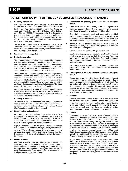#### **1 Company information**

 LKP Securities Limited ("the Company') is domiciled and incorporated in India and its shares are publicly traded on the Bombay Stock Exchange(BSE) in India. The Company's registered office is located at 203, Embassy centre, Nariman point, Mumbai 400021, Maharashtra, India. The Company is engaged as a stock and securities broker and providing other financial service with nationwide network across assets classes equities, debt, structured products, Portfolio Management services and Third party distribution.

 The seperate financial statement (hereinafter referred to as "Financial Statements") of the Group for the year ended 31 March 2022 were authorised for issue by the Board of Directors at the meeting held on 29 April 2022.

#### **2 Significant accounting policies**

#### **(a) Basis of preparation**

 These financial statements have been prepared in accordance with the Indian Accounting Standards (hereinafter referred to as the 'Ind AS') as notified by Ministry of Corporate Affairs pursuant to Section 133 of the Companies Act, 2013 ('Act') read with the Companies (Indian Accounting Standards) Rules, 2015 as amended and other relevant provisions of the Act.

 These financial statements have been prepared and presented under the historical cost convention, on the accrual basis of accounting except for certain financial assets and liabilities defined benefit plan liabilites and share based payments that are measured at fair values at the end of each reporting period, as stated in the accounting policies stated out below. The group presents its Balance sheet in the order of Liquidity.

 Accounting policies have been consistently applied except where newly issued accounting standard is initially adopted or a revision to an existing accounting standard requires a change in the accounting policy hitherto in use.

#### **Rounding of amounts**

 All amounts disclosed in the financial statements and notes have been rounded off to the nearest lakh as per the requirement of schedule III (except per share data), unless otherwise stated. 0 (Zero) denotes amount less than thousand.

#### **(b) Property, plant and equipment**

All property, plant and equipment are stated at cost, less accumulated depreciation and impairment loss, if any. The Cost comprises purchase cost, borrowing costs if capitalisation criteria are met and directly attributable cost of bringing the asset to its working condition for the intended use.

Right to Use Assets ( ROU): The group as a lessee records an ROU asset for each lease with an original term greater than 12 months. ROU assets are included Office premises , with the corresponding lease liabilities disclosed in financial liabilities. Depreciation on ROU asset is being charged on the basis of Lease term

#### **(c) Intangible assets**

Intangible assets acquired or developed are measured on initial recognition at cost and stated at cost less accumulated amortisation and impairment loss, if any. Expenditure incurred on acquisition / development of intangible assets which are not put / ready to use at the reporting date is disclosed under intangible assets under development.

#### **(d) Depreciation on property, plant & equipment/ intangible assets**

i) Depreciable amount for property, plant and equipment / intangible assets is the cost of an asset, or other amount substituted for cost, less its estimated residual value.

Depreciation on property, plant and equipment is provided on straight-line method as per the useful life prescribed in Schedule II to the Companies Act, 2013 except servers which are depreciated on straight line basis over a period of 3 years.

ii) Intangible assets primarily includes software which are amortised on straight line basis over a period of 3 years as estimated by the management.

#### **(e) Capital work-in-progress and Capital advances:**

Capital work-in-progress are property, plant and equipment which are not yet ready for their intended use. Advances given towards acquisition of Property, Plant and equipment outstanding at each reporting date are shown as other nonfinancial assets.

Depreciation is not recorded on capital work-inprogress until construction and installation is completed and assets are ready for its intended use.

#### **(f) Derecognition of property, plant and equipment / intangible assets**

The carrying amount of an item of property, plant and equipment / intangibles is derecognised on disposal or when no future economic benefits are expected from its use or disposal. The gain or loss arising from the derecognition of an item of property, plant and equipment / intangibles is measured as the difference between the net disposal in proceeds and the carrying amount of the item and is recognised in the statement of profit and loss when the item is derecognised.

#### **(g) Goodwill**

 Goodwill represents excess of the cost of acquisition over the net fair value of the identifiable assets and liabilities or recognition at deemed cost on date of transition. No amortisation is charged on the goodwill. Goodwill recognized is tested for impairment annually and when there are indications that the carrying amount may exceed the recoverable amount.

#### **(h) Leases**

 The Group's lease asset primarily consist of leases for Office premises . The Group assesses whether a contract contains a lease, at inception of a contract. A contract is, or contains, a lease if the contract conveys the right to control the use of an identified asset for a period of time in exchange for consideration. To assess whether a contract conveys the right to control the use of an identified asset, the Group assesses whether: (i) the contract involves the use of an identified asset (ii) the Group has substantially all of the economic benefits from use of the asset through the period of the lease and (iii) the Group has the right to direct the use of the asset.

At the date of commencement of the lease, the Group recognizes a right-of-use asset ("ROU") and a corresponding lease liability for all lease arrangements in which it is a lessee, except for leases with a term of twelve months or less (shortterm leases) and low value leases. For these short-term and low value leases, the Group recognizes the lease payments as an operating expense on a straight-line basis over the term of the lease.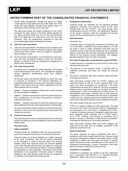Certain lease arrangements includes the options to extend or terminate the lease before the end of the lease term. ROU assets and lease liabilities includes these options when it is reasonably certain that they will be exercised.

The right-of-use assets are initially recognized at cost, which comprises the initial amount of the lease liability adjusted for any lease payments made at or prior to the commencement date of the lease plus any initial direct costs less any lease incentives. They are subsequently measured at cost less accumulated depreciation and impairment losses.

#### **(i) Cash and cash equivalents**

- (i) Cash and cash equivalents in the balance sheet comprise cash at bank and cash on hand and short-term deposit with original maturity upto three months, which are subject to insignificant risk of changes in value.
- (ii) For the purpose of presentation in the statement of cash flows, cash and cash equivalents consists of cash and short-term deposit, as defined as they are considered as integral part of group's cash management.

### **(j) Fair value measurement**

The group has an established control framework with respect to the measurement of fair values. The management regularly reviews significant unobservable inputs and valuation adjustments.

 All financial assets and financial liabilities for which fair value is measured or disclosed in the financial statements are categorised within the fair value hierarchy, described as follows, based on the lowest level input that is significant to the fair value measurement as a whole:

- **Level 1** Quoted (unadjusted) market prices in active markets for identical assets or liabilities;
- **Level 2** Valuation techniques for which the lowest level input that is significant to the fair value measurement is directly or indirectly observable, or
- **Level 3** Valuation techniques for which the lowest level input that is significant to the fair value measurement is unobservable.

The group recognises transfers between levels of the fair value hierarchy at the end of the reporting period during which the change has occurred.

#### **(I) Financial instruments**

 Financial instruments is any contract that gives rise to a financial asset of one entity and a financial liability or equity instrument of another entity.

#### **Financial assets**

### **i Initial recognition**

Financial assets are recognized when the group becomes a party to the contractual provisions of the financial insturment.

 Financial assets and financial liabilities are initially measured at fair value. Transaction costs that are directly attributable to the acquisition or issue of financial assets and financial liabilities (other than financial assets and financial liabilities at fair value through profit and loss) are added to or deducted from the fair value of the financial assets or financial liabilities, as appropriate, on initial recognition. Transaction costs directly attributable to the acquisition of financial assets or financial liabilities at fair value through profit and loss are recognised immediately in the statement of profit and loss.

#### **ii Subsequent measurement**

 Financial assets are classified into the following specified categories: amortised cost, financial assets 'at fair value through profit and loss' (FVTPL), 'Fair value through other comprehensive income' (FVTOCI). The classification depends on the group's business model for managing the financial assets and the contractual terms of cash flows.

#### **Debt Instrument**

### Amortised Cost

 A financial asset is subsequently measured at amortised cost if it is held within a business model whose objective is to hold the asset in order to collect contractual cash flows and the contractual terms of the financial asset give rise on specified dates to cash flows that are solely payments of principal and interest on the principal amount outstanding. This category generally applies to trade and other receivables.

#### **Fair value through other comprehensive income (FVTOCI)**

 A 'debt instrument' is classified as at the FVTOCI if both of the following criteria are met:

- a. The objective of the business model is achieved both by collecting contractual cash flows and selling the financial assets.
- b. The asset's contractual cash flows represent solely payments of principal and interest.

Debt instruments included within the FVTOCI category are measured initially as well as at each reporting date at fair value. Fair value movements are recognized in the other comprehensive income (OCI). However, the group recognizes interest income, impairment losses and reversals and foreign exchange gain or loss in the statement of profit and loss. On derecognition of the asset, cumulative gain or loss previously recognised in OCI is reclassified from the equity to statement of profit and loss. Interest earned whilst holding FVTOCI debt instrument is reported as interest income using the EIR method.

 Fair value through Profit and Loss (FVTPL)

 FVTPL is a residual category for debt instruments. Any debt instrument, which does not meet the criteria for categorization as at amortized cost or as FVTOCI, is classified as at FVTPL. In addition, the group may elect to designate a debt instrument, which otherwise meets amortized cost or FVTOCI criteria, as at FVTPL. However, such election is considered only if doing so reduces or eliminates a measurement or recognition inconsistency (referred to as 'accounting mismatch').

 Debt instruments included within the FVTPL category are measured at fair value with all changes recognized in the statement of profit and loss.

#### **Equity investments**

The group measures its equity investments other than in subsidiary at fair value through profit and loss. However where the group's management makes an irrevocable choice on initial recognition to present fair value gains and losses on specific equity investments in other comprehensive income, there is no subsequent reclassification, on sale or otherwise, of fair value gains and losses to statement of profit and loss.

#### **Investment in subsidiary**

Investment in subsidiary are carried at cost less impairment loss in accordance with IND AS 27 on "Separate Financial Statements". Refer note 6 for list of investments.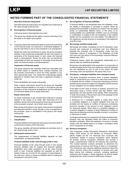#### **Derivative financial instruments**

 Derivative financial instruments are classified and measured at fair value through profit and loss.

#### **iii Derecognition of financial assets**

 A financial asset is derecognised only when

i) The group has transferred the rights to receive cash flows from the asset or the rights have expired.

or

ii) The group retains the contractual rights to receive the cash flows of the financial asset, but assumes a contractual obligation to pay the cash flows to one or more recipients in an arrangement.

Where the entity has transferred an asset, the group evaluates whether it has transferred substantially all risks and rewards of ownership of the financial asset. In such cases, the financial asset is derecognised. Where the entity has not transferred substantially all risks and rewards of ownership of the financial asset, the financial asset is not derecognised.

#### **Impairment of financial assets**

 The group measures the expected credit loss associated with its assets based on historical trend, industry practices and the business enviornment in which the entity operates or any other appropriate basis. The impairment methodology applied depends on whether there has been a significant increase in credit risk.

Financial liabilities and equity instruments

 Debt or equity instruments issued by the group are classified as either financial liabilities or as equity in accordance with the substance of the contractual arrangements and the definitions of a financial liability and an equity instrument.

#### **Equity instruments**

An equity instrument is any contract that evidences a residual interest in the assets of an entity after deducting all of its liabilities. Equity instruments issued by the group are recognised at the proceeds received, net of direct issue costs.

Repurchase of the group's own equity instruments is recognised and deducted directly in equity. No gain or loss is recognised on the purchase, issue or cancellation of the group's own equity instruments.

#### **Financial liabilities**

#### **i Classification**

Financial liabilties are recognized when group becomes party to contractual provisions of the instrument.

 The group classifies all financial liabilities at amortised cost or fair value through profit or loss.

#### **ii Subsequent measurement**

 The measurement of financial liabilities depends on their classification, as described below:

#### **Financial liabilities at fair value through profit or loss**

 Financial liabilities at fair value through profit or loss include financial liabilities held for trading and financial liabilities designated upon initial recognition as at fair value through profit or loss. Financial liabilities are classified as held for trading if they are incurred for the purpose of repurchasing in the near term. Gains or losses on liabilities held for trading are recognised in the profit or loss.

#### **iii De-recognition of financial liabilities**

 A financial liability is de-recognised when the obligation under the liability is discharged or cancelled or expires. When an existing financial liability is replaced by another from the same lender on substantially different terms, or the terms of an existing liability are substantially modified, such an exchange or modification is treated as the de-recognition of the original liability and the recognition of a new liability. The difference in the respective carrying amounts is recognised in the statement of profit or loss.

#### **(k) Borrowings and Borrowing costs**

Borrowings are initially recognised at net of transaction costs incurred and measured at amortised cost. Any difference between the proceeds (net of transaction costs) and the redemption amount is recognised in the Statement of Profit and Loss over the period of the borrowings using the Effective Interest rate ( EIR )

Preference shares, which are mandatorily redeemable on a specific date are classified as liabilities.

Borrowing costs attributable to the acquisition or construction of qualifying assets till the time such assets are ready for intended use are capitalised as part of cost of the assets. All other borrowing costs are expensed in the period they occur.

#### **(l) Provisions, contingent liabilities and contingent assets**

The group recognizes provisions when a present obligation (legal or constructive) as a result of a past event exists and it is probable that an outflow of resources embodying economic benefits will be required to settle such obligation and the amount of such obligation can be reliably estimated.

 If the effect of time value of money is material, provisions are discounted using a current pre-tax rate that reflects, when appropriate, the risks specific to the liability. When discounting is used, the increase in the provision due to the passage of time is recognized as a finance cost.

A disclosure for a contingent liability is made when there is a possible obligation or a present obligation that may, but probably will not require an outflow of resources embodying economic benefits or the amount of such obligation cannot be measured reliably. When there is a possible obligation or a present obligation in respect of which likelihood of outflow of resources embodying economic benefits is remote, no provision or disclosure is made.

 Contingent assets are notrecognised in the financial statements, however they are disclosed where the inflow of economic benefits is probable. When the realisation of income is virtually certain, then the related asset is no longer a contingent asset and is recognised as an asset.

#### **(m) Revenue recognition**

The Companies (Indian Accounting Standards) Amendment Rules, 2018 issued by the Ministry of Corporate Affairs (MCA) notified Ind AS 115 "Revenue from Contracts with Customers" related to revenue recognition which replaces all existing revenue recognition standards and provide a single, comprehensive model for all contracts with customers. The revised standard contains principles to determine the measurement of revenue and timing of when it is recognized. The amendment also requires additional disclosure about the nature, amount, timing and uncertainty of revenue and cash flows arising from customer contracts, including significant judgments and changes in those judgments as well as assets recognized from costs incurred to fulfill these contracts.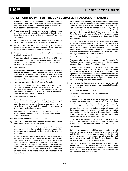- Revenue Revenue is measured at the fair value of consideration received or receivable. Revenue is recognised only when it can be reliably measured and it is probable that future economic benefits will flow to the group.
- a) Group recognizes Brokerage income as per contracted rates on the execution of transactions on behalf of the clients on trade date on the basis of the date of settlement of respective exchanges.
- b) Account maintenance charges (AMC) included in other fees are recognized on time basis over the period of the contract.
- c) Interest income from a financial asset is recognised when it is probable that the economic benefits will flow to the Group and the amount of income can be measured reliably.
- d) Dividend income is recognised when the group's right to receive dividend is established.

Transaction price is accounted net of GST. Since GST is not received by the group on its own account, rather, it is collected by the group on behalf of the government. Accordingly, it is excluded from revenue.

B. Contract Costs

In accordance with Ind AS - 115, incremental costs to obtain a contract are capitalized and amortized over the contract term if the cost are expected to be recoverable. The Group does not capitalize incremental costs to obtain a contract where the contract duration is expected to be one year or less.

C. Arrangements with Multiple Performance Obligations

The Group's contracts with customers may include multiple performance obligations. For such arrangements, the Group allocates revenue to each performance obligation based on its relative standalone selling price, which is generally determined based on the price charged to customers.

D. Contract assets and liabilities

Contract assets relate primarily to the Group's rights to consideration for work completed but not billed at each reporting date. Contract assets are transferred to receivables when the rights become unconditional. This usually occurs when the Group issues an invoice to a customer.

Contract liabilities primarily relate to consideration received in advance from customers, for which the performance obligation is yet to be satisfied.

#### **(n) Retirement and other employee benefits**

(i) The Group operates both defined benefit and defined contribution schemes for its employees.

 For defined contribution schemes the amount charged as expense is equal to the contributions paid or payable when employees have rendered services entitling them to the contributions.

 For defined benefit plans, actuarial valuations are carried out at each balance sheet date using the Projected Unit Credit Method. The Group makes contribution to a scheme administered by the Life Insurance Corporation of India ("LIC") to discharge the gratuity liability to employees. The Group records its gratuity liability based on an actuarial valuation made by an independent actuary as at year end. Contribution made to the LIC fund and provision made for the funded amounts are expensed in the books of accounts.

All expenses represented by current service cost, past service cost, if any, and net interest on the defined benefit liability/ (asset) are recognized in the Statement of Profit and Loss. Remeasurements of the net defined benefit liability/ (asset) comprising actuarial gains and losses (excluding interest on the net defined benefit liability/ (asset)) are recognised in Other Comprehensive Income (OCI). Such remeasurements are not reclassified to the statement of profit and loss, in the subsequent periods.

(ii) Short term employee benefits: All employee benefits payable wholly within twelve months of rendering the service are classified as short term employee benefits and they are recognized in the period in which the employee renders the related service. The Group recognizes the undiscounted amount of short term employee benefits expected to be paid in exchange for services rendered as a liability.

#### **(o) Transactions in foreign currencies**

- (i) The functional currency of the Group is Indian Rupees ("Rs."). Foreign currency transactions are accounted at the exchange rate prevailing on the date of such transactions.
- (ii) Foreign currency monetary items are translated using the exchange rate prevailing at the reporting date. Exchange differences arising on settlement of monetary items or on reporting such monetary items at rates different from those at which they were initially recorded during the period, or reported in previous financial statements are recognised as income or as expenses in the period in which they arise.
- (iii) Non-monetary foreign currency items are carried at historical cost and translated at the exchange rate prevelant at the date of the transaction.

#### **(p) Accounting for taxes on income**

 Tax expense comprises of current and deferred tax.

#### **Current tax**

 Current tax is the amount of income taxes payable in respect of taxable profit for a period. Current tax for current and prior periods is recognized at the amount expected to be paid to or recovered from the tax authorities, using the tax rates and tax laws that have been enacted or substantively enacted at the balance sheet date. Management periodically evaluates positions taken in the tax returns with respect to situations in which applicable tax regulations are subject to interpretation and establishes provisions where appropriate.

 Current tax is recognized in the statement of profit and loss except to the extent that the tax relates to items recognized directly in other comprehensive income or directly in equity.

#### **Deferred tax**

 Deferred tax assets and liabilities are recognized for all temporary differences arising between the tax bases of assets and liabilities and their carrying amounts in the financial statements except when the deferred tax arises from the initial recognition of an asset or liability that effects neither accounting nor taxable profit or loss at the time of transition.

 Deferred tax assets and liabilities are measured using tax rates and tax laws that have been enacted or substantively enacted at the balance sheet date and are expected to apply to taxable income in the years in which those temporary differences are expected to be recovered or settled.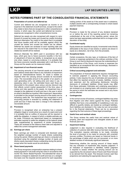#### **Presentation of current and deferred tax**

 Current and deferred tax are recognized as income or an expense in the statement of profit and loss, except to the extent they relate to items that are recognized in other comprehensive income, in which case, the current and deferred tax income / expense are recognised in other comprehensive income.

 Deferred tax assets are also recognised with respect to carry forward of unused tax losses and unused tax credits (including Minimum Alternative Tax credit) to the extent that it is probable that future taxable profit will be available against which the unused tax losses and unused tax credits can be utilised. Deferred tax assets are reviewed at each reporting date and are reduced to the extent that it is no longer probable that the related tax benefit will be realized.

 Minimum Alternate Tax (MAT) paid in accordance with tax laws, which give rise to future economic benefits in the form of adjustment of future tax liability, is recognised as an asset only when, based on convincing evidence, it is probable that the future economic benefits associated with it will flow to the Group and the assets can be measured reliably.

### **(q) Impairment of non-financial assets**

 The carrying amounts of non financial assets are reviewed at each balance sheet date if there is any indication of impairment based on internal/external factors. An asset is treated as impaired when the carrying amount exceeds its recoverable value. The recoverable amount is the greater of an asset's or cash generating unit's, net selling price and value in use. In assessing value in use, the estimated future cash flows are discounted to the present value using a pre-tax discount rate that reflects current market assessment of the time value of money and risks specific to the assets. An impairment loss is charged to the statement of profit and loss in the year in which an asset is identified as impaired.After impairment, depreciation is provided on the revised carrying amount of the asset over its remaining useful life. The impairment loss recognized in prior accounting periods is reversed by crediting the statement of profit and loss if there has been a change in the estimate of recoverable amount.

### **(r) Provisions**

Provision is recognised when an enterprise has a present obligation (legal or constructive) as a result of a past event and it is probable that an outflow of resources will be required to settle the obligation, in respect of which a reliable estimate can be made. Provisions are determined based on management estimates required to settle the obligation at the balance sheet date, supplemented by experience of similar transactions. These are reviewed at the balance sheet date and adjusted to reflect the current management estimates.

#### **(s) Earnings per share**

Basic earnings per share is computed and disclosed using the weighted average number of equity shares outstanding during the period. Dilutive earnings per share is computed and disclosed using the weighted average number of equity and dilutive equity equivalent shares outstanding during the period, except when the results would be anti-dilutive.

#### **(t) Share based payments**

 The Group recognizes compensation expense relating to sharebased payments in net profit using fair-value in accordance with Ind AS 102, Share- Based Payment. The estimated fair value of awards is charged to statement of profit and loss on a straightline basis over the requisite service period for each separately

vesting portion of the award as if the award was in substance, multiple awards with a corresponding increase to share based payment reserves.

#### **(u) Dividend**

Provision is made for the amount of any dividend declared on or before the end of the reporting period but remaining undistributed at the end of the reporting period, where the same has been appropriately authorised and is no longer at the discretion of the entity.

#### **(v) Contributed equity**

 Equity shares are classified as equity. Incremental costs directly attributable to the issue of new shares or options are shown in equity as a deduction, net of tax, from the proceeds.

#### **(w) Exceptional items**

Certain occassions, the size, type, or incidences of the item of income or expenses pertaining to the ordinary activities of the Group is such that its disclosure improves the understanding of the performance of the Group, such income or expenses are classified as an exceptional item and accordingly, disclosed in the financial statements.

#### **Critical accounting judgment and estimates**

 The preparation of financial statements requires management to exercise judgment in applying the Group's accounting policies. It also requires the use of estimates and assumptions that affect the reported amounts of assets, liabilities, income and expenses and the acGrouping disclosures including disclosure of contingent liabilities. Actual results may differ from these estimates. Estimates and underlying assumptions are reviewed on an ongoing basis, with revisions recognised in the period in which the estimates are revised and in any future periods affected.

#### **a Contingencies**

In the normal course of business, contingent liabilities may arise from litigation and other claims against the Group. Potential liabilities that have a low probability of crystallising or are very difficult to quantify reliably, are treated as contingent liabilities. Such liabilities are disclosed in the notes but are not provided for in the financial statements. There can be no assurance regarding the final outcome of these legal proceedings.

#### **b Useful lives and residual values**

The Group reviews the useful lives and residual values of property, plant and equipment and intangible assets at each financial year end.

#### **c Impairment testing**

Judgement is also required in evaluating the likelihood of collection of customer debt after revenue has been recognised. This evaluation requires estimates to be made, including the level of provision to be made for amounts with uncertain recovery profiles. Provisions are based on historical trends in the percentage of debts which are not recovered, or on more detailed reviews of individually significant balances.

Determining whether the carrying amount of these assets has any indication of impairment also requires judgment. If an indication of impairment is identified, further judgment is required to assess whether the carrying amount can be supported by the net present value of future cash flows forecast to be derived from the asset. This forecast involves cash flow projections and selecting the appropriate discount rate.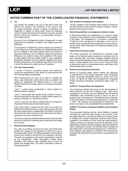#### **d Tax**

 The Group's tax charge is the sum of the total current and deferred tax charges. The calculation of the Group's total tax charge necessarily involves a degree of estimation and judgement in respect of certain items whose tax treatment cannot be finally determined until resolution has been reached with the relevant tax authority or, as appropriate, through a formal legal process.

 Accruals for tax contingencies require management to make judgments and estimates in relation to tax related issues and exposures.

 The recognition of deferred tax assets is based upon whether it is more likely than not that sufficient and suitable taxable profits will be available in the future against which the reversal of temporary differences can be deducted. Where the temporary differences are related to losses, the availability of the losses to offset against forecast taxable profits is also considered. Recognition therefore involves judgment regarding the future financial performance of the particular legal entity or tax Group in which the deferred tax asset has been recognized.

#### **e Fair value measurement**

A number of Group's accounting policies and disclosures require the measurement of fair values, for both financial and non- financial assets and liabilities.

When measuring the fair value of an asset or a liability, the Group uses observable market data as far as possible. Fair values are categorized into different levels in a fair value hierarchy based on the inputs used in the valuation techniques as follows:

 -Level 1: quoted prices (unadjusted) in active markets for identical assets or liabilities.

 -Level 2: inputs other than quoted prices included in Level 1 that are observable for the asset or liability, either directly (i.e. prices) or indirectly (i.e. derived from prices).

 -Level 3: inputs for the asset or liability that are not based on observable market data (unobservable inputs).

If the inputs used to measure the fair value of an asset or a liability fall into different levels of a fair value hierarchy, then the fair value measurement is categorized in its entirety in the same level of the fair value hierarchy as the lowest level input that is significant to the entire measurement.

The Group recognizes transfers between levels of the fair value hierarchy at the end of reporting year during which the change has occurred.

#### **f Defined benefit obligation**

The costs of providing pensions and other post-employment benefits are charged to the Statement of Profit and Loss in accordance with Ind AS 19 'Employee benefits' over the period during which benefit is derived from the employees' services. The costs are assessed on the basis of assumptions selected by the management. These assumptions include salary escalation rate, discount rates, expected rate of return on assets and mortality rates. The same is disclosed in Note 40, 'Employee benefits'.

#### **g Fair valuation of employee share options**

The fair valuation of the employee share options is based on the Black-Scholes model used for valuation of options. Further details are discussed in note 21

#### **h Determining whether an arrangement contains a lease**

In determining whether an arrangement is, or contains a lease is based on the substance of the arrangement at the inception of the lease. The arrangement is, or contains, a lease date if fulfilment of the arrangement is dependent on the use of a specific asset or assets and the arrangement conveys a right to use the asset, even if that right is not explicitly specified in the arrangement

#### **i Impairment of financial assets**

 The Group recognizes loss allowances for expected credit losses on its financial assets measured at amortized cost. At each reporting date, the Group assesses whether financial assets carried at amortized cost are credit- impaired. A financial asset is 'credit impaired' when one or more events that have a detrimental impact on the estimated future cash flows of the financial asset have occurred.

#### **g Recent accounting pronouncements**

 Ministry of Corporate Affairs ("MCA") notifies new standards or amendments to the existing standards under Companies (Indian Accounting Standards) Rules as issued from time to time. On March 23, 2022, MCA amended the Companies (Indian Accounting Standards) Amendment Rules, 2022, as below.

#### **IndAS 16 - Property Plant and equipment-**

 The amendment clarifies that excess of net sale proceeds of items produced over the cost of testing, if any , shall not be recognised in the profit or loss but deducted from the directly attributable costs considered as part of cost of an item of property, plant, and equipment. The effective date for adoption of this amendment is annual periods beginning on or after April 1, 2022. The Company has evaluated the amendment and there is no impact on its consolidated financial statements.

#### **IndAS 37- Provisions, Contingent Liabilities and Contingent Assets-**

 The amendment specifies that the 'cost of fulfilling' a contract comprises the 'costs that relate directly to the contract'. Costs that relate directly to a contract can either be incremental costs of fulfilling that contract (examples would be direct labour, materials) or an allocation of other costs that relate directly to fulfilling contracts (an example would be the allocation of the depreciation charge for an item of property, plant and equipment used in fulfilling the contract). The effective date for adoption of this amendment is annual periods beginning on or after April 1, 2022, although early adoption is permitted. The Company has evaluated the amendment and the impact is not expected to be material.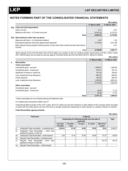|      |                                                                                                       |               | (Rs.Lakhs)    |
|------|-------------------------------------------------------------------------------------------------------|---------------|---------------|
|      |                                                                                                       | 31 March 2022 | 31 March 2021 |
| 3(a) | <b>Cash and Cash Equivalents</b>                                                                      |               |               |
|      | Cash on hand                                                                                          | 0.41          | 0.57          |
|      | Balances with bank - In Current accounts                                                              | 8,391.82      | 6,110.37      |
|      | Total                                                                                                 | 8,392.23      | 6,110.94      |
| 3(b) | Bank balances other than (a) above                                                                    |               |               |
|      | Balances with bank - In Unclaimed dividend                                                            | 4.87          | 1.52          |
|      | Earmarked balances with bank against bank deposits*                                                   | 4,135.93      | 3.611.88      |
|      | Bank deposit having original maturity period of more than three months but less than twelve<br>months |               | 9.31          |
|      | Total                                                                                                 | 4,140.80      | 3.622.71      |

\*Bank deposit of Rs.2,937.89 lakhs (Rs.2,572.62 lakhs) are marked as lien for meeting margin requirements and Rs.1,188.21 lakhs (Rs.1,029.85 lakhs) are provided as security against Overdraft facility and Rs.9.83 lakhs (Rs.9.41 lakhs) for Others. **(Rs.Lakhs)**

| (13.44)                             |       |               |               |  |  |
|-------------------------------------|-------|---------------|---------------|--|--|
|                                     |       | 31 March 2022 | 31 March 2021 |  |  |
| <b>Receivables</b>                  |       |               |               |  |  |
| Trade receivables*                  |       |               |               |  |  |
| Considered good - secured           |       | 1,469.81      | 1,328.69      |  |  |
| Considered good - Unsecured         |       | 570.47        | 407.18        |  |  |
| Significant increase in credit risk |       | 181.35        | 186.38        |  |  |
| Less: Impairment loss Allowance     |       | (88.70)       | (89.94)       |  |  |
| Credit Impaired                     |       | 192.65        | 265.43        |  |  |
| Less: Impairment loss Allowance     |       | (192.65)      | (265.43)      |  |  |
|                                     |       | 2,132.93      | 1,832.30      |  |  |
| <b>Other receivables</b>            |       |               |               |  |  |
| Considered good - secured           |       |               |               |  |  |
| Considered good - Unsecured         |       | 18.20         | 17.13         |  |  |
|                                     |       | 18.20         | 17.13         |  |  |
|                                     | Total | 2,151.12      | 1,849.43      |  |  |

\*Trade receivables are non-interest bearing till settlement date

For related party transactions Refer note 41

Trade Receivables includes of Rs.19.51 Lakhs. (Rs.0.27 Lakhs) are due from directors or other officers of the company either severally or jointly with any other person are due from firms or private companies respectively in which director is a partner, director or member

#### **Trade Receivables ageing schedule**

|       |                                                                                           |                       |                                                    |           |           |                      | (Rs.Lakhs)   |  |
|-------|-------------------------------------------------------------------------------------------|-----------------------|----------------------------------------------------|-----------|-----------|----------------------|--------------|--|
|       | <b>Particulars</b>                                                                        | 31-Mar-22             |                                                    |           |           |                      |              |  |
|       |                                                                                           |                       | Outstanding for following periods from due date of | payment#  |           |                      | <b>Total</b> |  |
|       |                                                                                           | Less than<br>6 months | 6 months -<br>1 year                               | 1-2 years | 2-3 years | More than<br>3 years |              |  |
| (i)   | Undisputed Trade receivables - considered good                                            | 1.832.41              | 61.55                                              | 54.56     | 55.95     | 35.81                | 2,040.27     |  |
| (ii)  | Undisputed Trade Receivables - which have<br>significant increase in credit risk          |                       |                                                    |           |           |                      |              |  |
| (iii) | Undisputed Trade Receivables - credit impaired                                            | 2.63                  | 14.18                                              | 23.50     | 39.96     | 112.37               | 192.65       |  |
| (iv)  | Disputed Trade Receivables-considered good                                                |                       |                                                    |           |           |                      |              |  |
| (v)   | Receivables-<br>which<br>Trade<br>have<br>Disputed<br>significant increase in credit risk |                       |                                                    |           |           | 181.35               | 181.35       |  |
| (vi)  | Disputed Trade Receivables - credit impaired                                              | ۰.                    |                                                    |           |           |                      |              |  |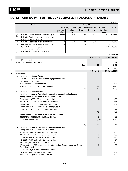|       | <b>Particulars</b>                                                                                  | 31-Mar-21                                                   |                      |           |               |               |                      |                             |
|-------|-----------------------------------------------------------------------------------------------------|-------------------------------------------------------------|----------------------|-----------|---------------|---------------|----------------------|-----------------------------|
|       |                                                                                                     | Outstanding for following periods from due date of payment# |                      |           |               |               |                      | Total                       |
|       |                                                                                                     | Less than<br>6 months                                       | 6 months -<br>1 year | 1-2 years | 2-3 years     |               | More than<br>3 years |                             |
| (i)   | Undisputed Trade receivables - considered good                                                      | 1,540.53                                                    | 76.99                | 78.48     | 13.71         |               | 26.17                | 1,735.88                    |
| (ii)  | Undisputed Trade Receivables - which have<br>significant increase in credit risk                    |                                                             |                      |           |               |               |                      |                             |
| (iii) | Undisputed Trade Receivables - credit impaired                                                      | 7.24                                                        | 6.36                 | 44.40     | 9.34          |               | 198.10               | 265.43                      |
| (iv)  | Disputed Trade Receivables- considered good                                                         |                                                             |                      |           |               |               |                      |                             |
| (v)   | Disputed Trade Receivables - which have<br>significant increase in credit risk                      |                                                             | $\blacksquare$       |           |               |               | 186.38               | 186.38                      |
| (vi)  | Disputed Trade Receivables - credit impaired                                                        |                                                             | ä,                   |           |               |               |                      |                             |
|       |                                                                                                     |                                                             |                      |           | 31 March 2022 |               |                      | (Rs.Lakhs)<br>31 March 2021 |
|       | Loans (Unsecured)                                                                                   |                                                             |                      |           |               |               |                      |                             |
|       | Loans to employees - Considred Good                                                                 |                                                             |                      |           |               | 20.23         |                      | 24.19                       |
|       |                                                                                                     |                                                             |                      | Total     |               | 20.23         |                      | 24.19                       |
|       |                                                                                                     |                                                             |                      |           |               |               |                      | (Rs. Lakhs)                 |
|       |                                                                                                     |                                                             |                      |           | 31 March 2022 |               |                      | 31 March 2021               |
|       | <b>Investments</b>                                                                                  |                                                             |                      |           |               |               |                      |                             |
| A     | <b>Investment in Mutual Funds</b>                                                                   |                                                             |                      |           |               |               |                      |                             |
|       | Investment carried at Fair value through profit and loss<br>face value of Rs 100 each               |                                                             |                      |           |               |               |                      |                             |
|       | 1.024 (2021:0.976) liquidbees of NIP ETF                                                            |                                                             |                      |           |               | 0.01          |                      | 0.01                        |
|       | 1623.742 (2021:1623.742) HDFC Liquid Fund                                                           |                                                             |                      |           |               | 67.41         |                      | 65.24                       |
|       |                                                                                                     |                                                             |                      | (A)       |               | 67.42         |                      | 65.25                       |
| в     | Investment in equity shares                                                                         |                                                             |                      |           |               |               |                      |                             |
| (i)   | Investment carried at Fair value through other comprehensive income                                 |                                                             |                      |           |               |               |                      |                             |
|       | Equity shares of face value of Rs 10 each (quoted)                                                  |                                                             |                      |           |               |               |                      |                             |
|       | 8,900 (2021 : 8,900) of Roopa Industries Limited                                                    |                                                             |                      |           |               | 2.23          |                      | 0.83                        |
|       | 17,440 (2021 : 17,440) of Reliance Power Limited                                                    |                                                             |                      |           |               | 2.35          |                      | 0.76                        |
|       | 74,500 (2021 : 74,500) of Infra Industries Limited                                                  |                                                             |                      |           |               | 5.38          |                      | 4.84                        |
|       | Equity shares of face value of Rs 2 each (quoted)<br>5,000 (2021: 5,000) of TV 18 Broadcast Limited |                                                             |                      |           |               | 3.70          |                      | 1.44                        |
|       |                                                                                                     |                                                             |                      |           |               | 13.66         |                      | 7.87                        |
|       | Equity shares of face value of Rs 10 each (unquoted)                                                |                                                             |                      |           |               |               |                      |                             |
|       | 11,200(2021: 11,200) of Gobind Sugar Limited                                                        |                                                             |                      |           |               | 8.85          |                      | 8.85                        |
|       | Less: Provision for Impairment                                                                      |                                                             |                      |           |               | (8.85)        |                      | (8.85)                      |
|       |                                                                                                     |                                                             |                      |           |               |               |                      |                             |
|       |                                                                                                     |                                                             |                      | (i)       |               | 13.66         |                      | 7.87                        |
| (ii)  | Investment carried at Fair value through profit and loss                                            |                                                             |                      |           |               |               |                      |                             |
|       | Equity shares of face value of Rs 10 each                                                           |                                                             |                      |           |               |               |                      |                             |
|       | 100 (2021:100) of Alacrity Electronics Limited#                                                     |                                                             |                      |           |               |               |                      | 0.01                        |
|       | 41(2021: 41) of Norben Tea & Exports Limited#<br>658 (2021: 658) of Reliance Industries Limited     |                                                             |                      |           |               | 0.00<br>17.33 |                      | 0.00<br>13.18               |
|       | Nil (2021:51) of Simplex Mills Company Limited                                                      |                                                             |                      |           |               |               |                      | 0.01                        |
|       | Nil (2021:1) of Simplex Papers Limited                                                              |                                                             |                      |           |               |               |                      | 0.00                        |
|       | 48,890 (2021 : 48,890) of Ironwood Education Limited (formerly known as Greycells                   |                                                             |                      |           |               | 16.13         |                      | 9.80                        |
|       | Education Limited)                                                                                  |                                                             |                      |           |               |               |                      |                             |
|       | 200 (2021: Nil) Pan India Corporation Limited                                                       |                                                             |                      |           |               | 0.01          |                      |                             |
|       | Nil (2021: 3480) Techindia Nirman Limited                                                           |                                                             |                      |           |               |               |                      | 0.09                        |
|       |                                                                                                     |                                                             |                      |           |               |               |                      |                             |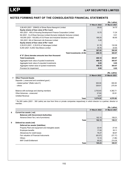|                                                                                |               | (Rs. Lakhs)   |
|--------------------------------------------------------------------------------|---------------|---------------|
|                                                                                | 31 March 2022 | 31 March 2021 |
| 2,08,403 (2021 : 208403) of Shree Rama Newsprint Limited                       | 35.53         | 34.70         |
| Equity shares of face value of Rs 2 each                                       |               |               |
| 450 (2021 : 450) of Housing Development Finance Corporation Limited            | 10.75         | 11.24         |
| Nil (2021: 5) of Dhani Services Limited (formerly Indiabulls Ventures Limited) |               | 0.01          |
| 100,000 (2021: 100,000) of CG Power and Industrial Solutions Limited           | 189.25        | 66.85         |
| 106 (2021: Nil) of Glenmark Life Sciences Limited                              | 0.49          |               |
| Equity shares of face value of Re 1 each                                       |               |               |
| 2,35,610 (2021 : 2,35,610) of Vakrangee Limited                                | 81.76         | 132.06        |
| 8,250 (2021: 8,250) Tata Motors Limited                                        | 35.76         | 24.90         |
| (B)                                                                            | 387.02        | 292.85        |
| Total Investments (A+B)                                                        | 468.10        | 365.97        |
| # "0" (Zero) denotes amounts less than thousand                                |               |               |
| <b>Total Investments</b>                                                       | 468.10        | 365.97        |
| Aggregate book value of quoted investments                                     | 468.10        | 365.97        |
| Aggregate book value of unguoted investments                                   | 8.85          | 8.85          |
| Aggregate market value of quoted investments                                   | 468.10        | 365.97        |
| Provision for impairment                                                       | 8.85          | 8.85          |

| (Rs. Lakhs)                                |               |               |  |  |
|--------------------------------------------|---------------|---------------|--|--|
|                                            | 31 March 2022 | 31 March 2021 |  |  |
| <b>Other Financial Assets</b>              |               |               |  |  |
| Deposits- (unsecured and considered good)  |               |               |  |  |
| - related parties* (Refer note 41)         | 300.00        | 300.00        |  |  |
| - others                                   | 326.81        | 275.04        |  |  |
| Balance with exchange and clearing members | 2,702.63      | 4,382.71      |  |  |
| Other Advances - unsecured                 | 37.80         | 20.91         |  |  |
| <b>Unbilled Revenue</b>                    | 6.97          |               |  |  |
| <b>Total</b>                               | 3,374.22      | 4.978.66      |  |  |

\* Rs.300 Lakhs (2021 : 300 Lakhs) are due from firms or private companies respectively in which director is a partner, director or member.

|   | (Rs. Lakhs)                                        |               |               |  |  |
|---|----------------------------------------------------|---------------|---------------|--|--|
|   |                                                    | 31 March 2022 | 31 March 2021 |  |  |
| 8 | Current tax assets (net)                           |               |               |  |  |
|   | <b>Balances with Government Authorities</b>        |               |               |  |  |
|   | Advance Direct Tax (net of provisions)             | 162.15        | 158.31        |  |  |
|   | <b>Total</b>                                       | 162.15        | 158.31        |  |  |
| 9 | Defered tax assets (net)                           |               |               |  |  |
|   | Deferred tax assets/ (liabilities)                 |               |               |  |  |
|   | Property Plant and equipment and intangible assets | 22.44         | 27.43         |  |  |
|   | Employee benefits                                  | 17.93         | 55.11         |  |  |
|   | Allowances for credit losses                       | 78.27         | 98.87         |  |  |
|   | Fair valuation of Financial Instruments            | (62.07)       | (37.17)       |  |  |
|   | <b>Others</b>                                      | 13.14         | (1.86)        |  |  |
|   | <b>MAT Credit Entitlement</b>                      | 95.52         | 214.54        |  |  |
|   | <b>Total</b>                                       | 165.23        | 356.91        |  |  |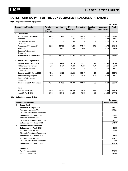#### **10(a) Property, Plant and Equipments**

|    | <b>Description of Assets</b>        | <b>Furniture</b>       | <b>Vehicles</b> | Office           | <b>Computers</b> | <b>Electrical</b> | Leasehold   | <b>Total</b> |
|----|-------------------------------------|------------------------|-----------------|------------------|------------------|-------------------|-------------|--------------|
|    |                                     | and<br><b>Fixtures</b> |                 | <b>Equipment</b> |                  | <b>Fittings</b>   | Improvement |              |
| L. | <b>Gross Block</b>                  |                        |                 |                  |                  |                   |             |              |
|    | At cost as at 1 April 2020          | 77.66                  | 220.06          | 112.27           | 127.78           | 2.13              | 89.53       | 629.43       |
|    | Additions                           | 0.59                   |                 | 4.46             | 13.48            |                   | 25.74       | 44.27        |
|    | Disposals/Adjustment/<br>Deductions |                        |                 | 5.49             | 0.16             |                   | 89.53       | 95.18        |
|    | At cost as at 31 March 21           | 78.25                  | 220.06          | 111.25           | 141.10           | 2.13              | 25.74       | 578.52       |
|    | Additions                           |                        | 26.70           | 3.66             | 28.00            |                   | 9.04        | 67.40        |
|    | Disposals/Adjustment/<br>Deductions |                        |                 |                  |                  |                   |             |              |
|    | At cost as at 31 March 2022         | 78.25                  | 246.76          | 114.91           | 169.10           | 2.13              | 34.77       | 645.92       |
|    | II. Accumulated Depreciation        |                        |                 |                  |                  |                   |             |              |
|    | Balance as at 1 April, 2020         | 38.06                  | 69.62           | 56.74            | 88.37            | 1.24              | 61.45       | 315.48       |
|    | Additions during the year           | 5.26                   | 25.04           | 8.26             | 12.25            | 0.04              | 11.69       | 62.53        |
|    | Disposals/Adjustment/<br>Deductions |                        |                 | 5.00             | 0.15             |                   | 72.06       | 77.21        |
|    | Balance as at 31 March 2021         | 43.32                  | 94.66           | 59.99            | 100.47           | 1.28              | 1.08        | 300.79       |
|    | Additions during the year           | 5.09                   | 24.70           | 8.71             | 11.30            | 0.03              | 5.54        | 55.37        |
|    | Disposals/Adjustment/<br>Deductions |                        |                 |                  |                  |                   |             |              |
|    | Balance as at 31 March 2022         | 48.41                  | 119.36          | 68.70            | 111.76           | 1.30              | 6.62        | 356.16       |
|    | <b>Net block</b>                    |                        |                 |                  |                  |                   |             |              |
|    | As at 31 March 2022                 | 29.84                  | 127.40          | 46.20            | 57.34            | 0.83              | 28.15       | 289.76       |
|    | As at 31 March 2021                 | 34.93                  | 125.40          | 51.26            | 40.63            | 0.85              | 24.66       | 277.72       |

#### **10(b) Right of use assets (ROU)**

|    | (Rs. Lakhs)<br><b>Office Premises</b> |        |  |  |  |
|----|---------------------------------------|--------|--|--|--|
|    | <b>Description of Assets</b>          |        |  |  |  |
| L. | <b>Gross Block</b>                    |        |  |  |  |
|    | At cost as at 1 April 2020            | 110.73 |  |  |  |
|    | Additions (refer note 33)             | 490.24 |  |  |  |
|    | Disposals/Adjustment/Deductions       |        |  |  |  |
|    | Balance as at 31 March 2021           | 600.97 |  |  |  |
|    | Additions (refer note 33)             | 91.95  |  |  |  |
|    | Disposals/Adjustment/Deductions       | 18.17  |  |  |  |
|    | Balance as at 31 March 2022           | 674.76 |  |  |  |
| Ш. | <b>Accumulated Depreciation</b>       |        |  |  |  |
|    | Balance as at 1 April, 2020           | 15.99  |  |  |  |
|    | Additions during the year             | 67.44  |  |  |  |
|    | Disposals/Adjustment/Deductions       |        |  |  |  |
|    | Balance as at 31 March 2021           | 83.44  |  |  |  |
|    | Additions during the year             | 124.17 |  |  |  |
|    | Disposals/Adjustment/Deductions       | 8.50   |  |  |  |
|    | Balance as at 31 March 2022           | 199.10 |  |  |  |
|    | <b>Net block</b>                      |        |  |  |  |
|    | As at 31 March 2022                   | 475.65 |  |  |  |
|    | As at 31 March 2021                   | 517.54 |  |  |  |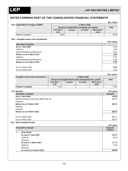|                                           |                     |                                                 |                      |                      | (Rs. Lakhs) |  |
|-------------------------------------------|---------------------|-------------------------------------------------|----------------------|----------------------|-------------|--|
| 10(c) Capital-Work-in Progress (CWIP)     |                     |                                                 | <b>31 March 2022</b> |                      |             |  |
|                                           |                     | Amount in Capital Work in Progress for a period |                      |                      |             |  |
|                                           | Less than 1<br>year | 1-2 years                                       | 2-3 years            | More than 3<br>years |             |  |
| Projects in progress                      | 26.50               |                                                 |                      |                      | 26.50       |  |
| 10(d) Intangible assets under development |                     |                                                 |                      |                      |             |  |

#### **10(d) Intangible assets under development**

|                                 | (Rs. Lakhs) |
|---------------------------------|-------------|
| <b>Description of Assets</b>    |             |
| As on 1 April 2020              | 15.30       |
| Additions                       | 9.92        |
| Disposals/Adjustment/Deductions | 15.30       |
| Balance as at 31 March 2021     | 9.92        |
| Additions                       | 17.00       |
| Disposals/Adjustment/Deductions | 9.92        |
| Balance as at 31 March 2022     | 17.00       |
| As at 31 March 2022             | 17.00       |
| As at 31 March 2021             | 9.92        |

#### **(Rs. Lakhs)**

| Intangible assets under development |                                                            |              |           |                      |       |
|-------------------------------------|------------------------------------------------------------|--------------|-----------|----------------------|-------|
|                                     | Amount in Intangible Assets under development for a period | <b>Total</b> |           |                      |       |
|                                     | Less than 1<br>vear                                        | 1-2 years    | 2-3 years | More than 3<br>vears |       |
| <b>Projects in progress</b>         | 17.00                                                      |              |           |                      | 17.00 |

| Goodwill<br>11(a)                                | Rs Lakhs) |
|--------------------------------------------------|-----------|
| <b>Description of Assets</b>                     | Goodwill  |
| As on 1 April 2020                               | 125.59    |
| Additions arising on acquisition (Refer note 54) | 526.72    |
| <b>Disposals</b>                                 |           |
| Balance as at 31 March 2021                      | 652.31    |
| Additions                                        |           |
| <b>Disposals</b>                                 |           |
| Balance as at 31 March 2022                      | 652.31    |
| As at 31 March 2022                              | 652.31    |
| As at 31 March 2021                              | 652.31    |

#### **11(b) Other Intangible Assets**

|    |                              | Rs Lakhs)                   |
|----|------------------------------|-----------------------------|
|    | <b>Description of Assets</b> | Computer<br><b>Software</b> |
| ь. | <b>Gross Block</b>           |                             |
|    | At cost at 1 April 2020      | 157.27                      |
|    | Additions                    | 20.45                       |
|    | Disposals                    |                             |
|    | At cost at 31 March 2021     | 177.72                      |
|    | Additions                    | 27.94                       |
|    | Disposals                    |                             |
|    | At cost as at 31 March 2022  | 205.66                      |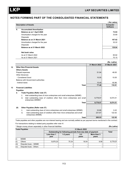|    |                                   | Rs Lakhs)                   |
|----|-----------------------------------|-----------------------------|
|    | <b>Description of Assets</b>      | Computer<br><b>Software</b> |
| Ш. | <b>Accumulated Amortization</b>   |                             |
|    | Balance as on 1 April 2020        | 73.93                       |
|    | Amortization charged for the year | 33.69                       |
|    | <b>Disposals</b>                  |                             |
|    | Balance as on 31 March 2021       | 107.62                      |
|    | Amortization charged for the year | 32.22                       |
|    | Disposals                         |                             |
|    | Balance as at 31 March 2022       | 139.84                      |
|    | Net book value                    |                             |
|    | As at 31 March 2022               | 65.82                       |
|    | As at 31 March 2021               | 70.10                       |

|      | (Rs. Lakhs)           |                                                                                                   |               |               |
|------|-----------------------|---------------------------------------------------------------------------------------------------|---------------|---------------|
|      |                       |                                                                                                   | 31 March 2022 | 31 March 2021 |
| 12   |                       | <b>Other Non-Financial Assets</b>                                                                 |               |               |
|      | <b>Others Assets</b>  |                                                                                                   |               |               |
|      | Prepaid expenses      |                                                                                                   | 51.94         | 48.00         |
|      | <b>Other Advances</b> |                                                                                                   |               |               |
|      |                       | - Considered Good                                                                                 | 10.05         | 10.05         |
|      |                       | Balance with Government authorities                                                               |               |               |
|      | -Indirect taxes       |                                                                                                   | 15.49         | 60.86         |
|      |                       | <b>Total</b>                                                                                      | 77.48         | 118.91        |
| 13   |                       | <b>Financial Liabilities</b>                                                                      |               |               |
|      | <b>Payables</b>       |                                                                                                   |               |               |
| I)   |                       | Trade Payables (Refer note 37)                                                                    |               |               |
|      | i)                    | total outstanding dues of micro enterprises and small enterprises (MSME)                          |               |               |
|      | ii)                   | total outstanding dues of creditors other than micro enterprises and small<br>enterprises (MSME)* | 9,778.57      | 9,074.51      |
|      |                       | Total                                                                                             | 9,778.57      | 9,074.51      |
| (II) |                       | Other Payables (Refer note 37)                                                                    |               |               |
|      | i)                    | total outstanding dues of micro enterprises and small enterprises (MSME)                          | 33.86         | 0.43          |
|      | ii)                   | total outstanding dues of creditors other than micro enterprises and small<br>enterprises (MSME)  | 231.67        | 122.52        |
|      |                       | Total                                                                                             | 265.53        | 122.95        |

Trade payables and other payables are non-interest bearing and are normally settled as per payment terms mentioned in the contract.

For transactions relating to related party payables refer note 41.

\* Margin money shown seperately in other financial liabilities **(Rs.Lakhs) Trade Payables 31 March 2022 Outstanding for following periods from due date of payment Total Less than 1 year 1-2 years 2-3 years More than 3 years** (i) MSME **- - - - -** (ii) Others 9,676.20 75.34 18.04 8.99 9,778.57 (iii) Disputed dues – MSME - - - - - (iv) Disputed dues - Others **- - - - -**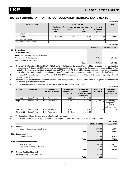|                                        |                                                                              |          |                                                            |      |       | (Rs.Lakhs)   |
|----------------------------------------|------------------------------------------------------------------------------|----------|------------------------------------------------------------|------|-------|--------------|
| <b>Trade Payables</b><br>31 March 2021 |                                                                              |          |                                                            |      |       | <b>Total</b> |
|                                        |                                                                              |          | Outstanding for following periods from due date of payment |      |       |              |
|                                        | More than 3<br>Less than 1<br>1-2 years<br>$2 - 3$<br>year<br>years<br>years |          |                                                            |      |       |              |
| (i)                                    | <b>MSME</b>                                                                  |          |                                                            |      |       |              |
| (ii)                                   | <b>Others</b>                                                                | 9.017.54 | 11.41                                                      | 9.82 | 35.75 | 9,074.51     |
| (iii)                                  | Disputed dues - MSME                                                         |          |                                                            |      |       |              |
| (iv)                                   | Disputed dues - Others                                                       |          |                                                            |      |       |              |

**(Rs.Lakhs)**

|    |                                     | 31 March 2022 | 31 March 2021 |  |  |
|----|-------------------------------------|---------------|---------------|--|--|
| 14 | Borrowings:                         |               |               |  |  |
|    | At amortised cost                   |               |               |  |  |
|    | Loans repayable on demand - Secured |               |               |  |  |
|    | Overdraft facility from Banks       | 911.45        | 1.015.52      |  |  |
|    | (Refer note (a) and (b) below)      |               |               |  |  |
|    | <b>Total</b>                        | 911.45        | 1,015.52      |  |  |

- a. Overdraft facility from Bank of India of Rs.910.45 Lakhs (Rs.1015.52 Lakhs) [Sanctioned Rs.1016.00 Lakhs] is secured by hypothecation of receivables of T+3 days with 50% margin and first pari passu charge on book debts of the Company both present and future. The overdraft facility is further secured by a collateral security of 50% in form of TDR, equitable mortgage of property and corporate guarantee from a related party and personal guarantee from directors . The loan is repayable on demand and carries interest @ 11.90% p.a.
- b. Fund based Overdraft facility from Axis Bank Limited of Rs.1.00 Lakh (Sanctioned Rs.100.00 Lakhs) is secured by pledge of Fixed deposits with bank.
- c. Non Fund based facility from Axis Bank Limited of Rs 2,000 lakhs [Sanctioned Rs.2000 Lakhs] is secured by pledge of fixed deposits and personal guarantee from directors.
- d. The details of quarterly returns filled by the company against security provided is as under

| (Rs.Lakhs)        |               |                                                   |                                       |                                                                     |                               |                                                                |
|-------------------|---------------|---------------------------------------------------|---------------------------------------|---------------------------------------------------------------------|-------------------------------|----------------------------------------------------------------|
| Quarter           | Name of Bank  | <b>Particulars of</b><br><b>Security Provided</b> | Amount as<br>per books of<br>accounts | Amount as<br>reported in<br>quarterly Returns/<br><b>Statements</b> | Amount of<br><b>Diffrence</b> | <b>Reason for</b><br>material<br><b>Discrepencies</b>          |
| June 2021         | Bank of India | <b>Trade Receivables</b>                          | 3,928.35                              | 3,928.35                                                            |                               |                                                                |
| Sept 2021         | Bank of India | <b>Trade Receivables</b>                          | 7.366.16                              | 3,084.43                                                            | (4,281.73)                    | Inadvertently<br>wrong date<br>report filled<br>with the bank. |
| Dec 2021          | Bank of India | <b>Trade Receivables</b>                          | 4,198.47                              | 4,198.47                                                            |                               |                                                                |
| <b>March 2022</b> | Bank of India | <b>Trade Receivables</b>                          | 4.113.32                              | 4.113.32                                                            |                               |                                                                |

- e. The Group has not been declared as a wilfull defaulter by any lender
- f. The Group has used the borrowings from banks for the purpose for which it was taken as at the balance sheet date

|       |                                      |               | (Rs. Lakhs)   |
|-------|--------------------------------------|---------------|---------------|
|       |                                      | 31 March 2022 | 31 March 2021 |
| 15    | <b>Deposits</b>                      |               |               |
|       | Security Deposits from Sub Brokers   | 296.99        | 291.51        |
|       | <b>Total</b>                         | 296.99        | 291.51        |
| 16(a) | <b>Lease Liabilities</b>             |               |               |
|       | Lease Liabilities                    | 522.88        | 524.24        |
|       | <b>Total</b>                         | 522.88        | 524.24        |
| 16(b) | <b>Other Financial Liabilities</b>   |               |               |
|       | Margin money                         | 3,280.19      | 3,716.17      |
|       | Unclaimed dividend (Refer note 45)   | 4.87          | 1.52          |
|       | <b>Total</b>                         | 3,285.06      | 3,717.69      |
| 17    | <b>Current Tax Liabilities (net)</b> |               |               |
|       | Provision for tax (net of advances)  | 41.03         |               |
|       | <b>Total</b>                         | 41.03         |               |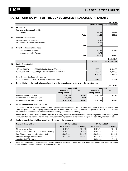|                                                                  |              |               | (Rs. Lakhs)   |
|------------------------------------------------------------------|--------------|---------------|---------------|
|                                                                  |              | 31 March 2022 | 31 March 2021 |
| <b>Provisions</b>                                                |              |               |               |
| Provision for Employee Benefits                                  |              |               |               |
| Gratuity                                                         |              | 64.45         | 198.08        |
|                                                                  | <b>Total</b> | 64.45         | 198.08        |
| <b>Deferred Tax Liabilities</b>                                  |              |               |               |
| Property Plant and equipment                                     |              | 0.41          |               |
| Fair valuation of Financial Instruments                          |              | 0.77          |               |
|                                                                  | <b>Total</b> | 1.18          |               |
| <b>Other Non-Financial Liabilities</b>                           |              |               |               |
| Statutory dues payable                                           |              | 207.45        | 169.42        |
| Income received in Advance                                       |              | 0.72          |               |
|                                                                  | <b>Total</b> | 208.17        | 169.42        |
|                                                                  |              |               | (Rs. Lakhs)   |
|                                                                  |              | 31 March 2022 | 31 March 2021 |
| <b>Equity Share Capital</b>                                      |              |               |               |
| <b>Authorised</b>                                                |              |               |               |
| 125,000,000 (2021: 125,000,000) Equity shares of Rs.2/- each     |              | 2,500.00      | 2,500.00      |
| 10,000,000(2021: 10,000,000) Unclassified shares of Rs 10/- each |              | 1,000.00      | 1,000.00      |
|                                                                  |              | 3,500.00      | 3,500.00      |
| Issued, subscribed and fully paid up                             |              |               |               |

**a) Reconciliation of the equity shares outstanding at the beginning and at the end of the reporting year**

|                                    |                      |          |                      | (Rs. Lakhs) |  |
|------------------------------------|----------------------|----------|----------------------|-------------|--|
|                                    | <b>31 March 2022</b> |          | 31 March 2021        |             |  |
|                                    | Number of<br>Rs.     |          | Number of            | Rs.         |  |
|                                    | <b>Equity shares</b> |          | <b>Equity shares</b> |             |  |
| At the beginning of the year       | 7,39,34,736          | 1,478.69 | 7,39,34,736          | 1,478.69    |  |
| Add: Share issued during the year  | 9,08,840             | 18.18    |                      |             |  |
| Outstanding at the end of the year | 7,48,43,576          | 1,496.87 | 7,39,34,736          | 1,478.69    |  |

74,843,576 (2021: 73,934,736) Equity shares of Rs.2/- each **1,496.87** 1,496.87 **1,478.69** 

#### **b) Terms/rights attached to equity shares**

The Company has issued only one class of equity shares having a par value of Rs.2 per share. Each holder of equity shares is entitled to one vote per share. The Company declares and pays dividend in Indian rupees. The final dividend proposed by the Board of Directors is subject to the approval of the shareholders in the ensuing Annual General Meeting.

In the event of liquidation of the company, the holders of equity shares will be entitled to receive remaining assets of the company, after distribution of all preferential amounts. The distribution will be in proportion to the number of equity shares held by the shareholders.

#### **c) Details of shareholders holding more than 5% shares in the company:**

| Name of shareholders                           | 31 March 2022 |           | 31 March 2021 |           |  |
|------------------------------------------------|---------------|-----------|---------------|-----------|--|
|                                                | No. of shares | % Holding | No. of shares | % Holding |  |
| Mr Mahendra V Doshi                            | 81,61,700     | 10.91%    | 91,61,700     | 12.39%    |  |
| Mr Mahendra V Doshi- Partner in M/s L K Panday | 1,31,67,854   | 17.59%    | 1,31,67,854   | 17.81%    |  |
| Sea Glimpse Investments Private Limited        | 1,59,40,090   | 21.30%    | 1,59,40,090   | 21.56%    |  |
| Bhavana Holdings Private Limited               | 87,22,030     | 11.65%    | 87,22,030     | 11.80%    |  |
| Agrud Capital PTE Limited                      |               |           | 43,64,934     | 5.90%     |  |

**d)** Aggregate number of bonus shares issued, shares issued for consideration other than cash and shares bought back during the period of five years immediately preceding the reporting date: NIL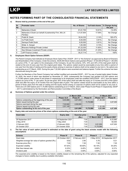#### **e) Shares held by promoters at the end of the year**

| Sr.<br><b>No</b> | <b>Promoter name</b>                                                | No. of Shares | % of total shares | % Change during<br>the year |
|------------------|---------------------------------------------------------------------|---------------|-------------------|-----------------------------|
|                  | Mahendra.V.Doshi                                                    | 81,61,700     | 10.91%            | $-12.25%$                   |
| 2                | Mahendra. V.Doshi (on behalf of pratnership Firm, M/s LK<br>Panday) | 1,31,67,854   | 17.59%            | No Change                   |
| 3                | Pratik.M. Doshi                                                     | 16,04,332     | 2.14%             | 165.47%                     |
| 4                | Ira Pratik Doshi                                                    | 6,00,000      | 0.81%             | No Change                   |
| 5                | Samaya Pratik Doshi                                                 | 6,00,000      | 0.81%             | No Change                   |
| 6                | Shital A. Sonpal                                                    | 1,00,350      | 0.13%             | No Change                   |
|                  | Bhavana Holdings Private Limited                                    | 87,22,030     | 11.65%            | No Change                   |
| 8                | Sea Glimpse Investment Private Limited                              | 1,59,40,090   | 21.30%            | No Change                   |
| 9                | <b>LKP Finance Limited</b>                                          | 35,27,714     | 4.71%             | 100%                        |

#### **f) Employees Stock Option Scheme (ESOP)**

The Parent Company had instituted an Employee Stock Option Plan ("ESOP - 2017 or "the Scheme") as approved by Board of Directors and Shareholders of the Company. Under the scheme, 38,85,000 Stock Options were granted (Phase I: 37,00,000 & Phase II: 1,85,000) at a price of Rs. 7/- per option to the employees of the Company. As per the scheme, 33%, 33% and 34% of the total grant shall be vested at the end of every year from the original grant dates. The options vested would be exercisable at any time within a period of one year from the date of vesting and the equity shares arising on exercise of options shall not be subject to any lock in. No options are outstanding as at 31 March, 2022. During the year 7,02,840 options were excersied and balance lapsed. Further the scheme has been discontinued duing the year.

 Further the Members of the Parent Company had verified modified and amended ESOP – 2017 by way of postal ballot dated October 16, 2020, the result of which was declared on November 27, 2020, subsequently the Company has granted 4,67,000 options and 11,75,580 options under phase III and phase IV respectively to its employees under the modified LKPS ESOP – 2017, from the lapsed options at a price of Rs. 7/- per option. As per the grant, 50% of the option shall vest after the expiry of 12 months and 50% of the option shall vest after the expiry of 24 months from the original date of grant. The options vested would be exercisable at any time within a period of three years from the date of vesting and the equity shares arising on exercise of options shall not be subject to any lock in. There are 2,61,000 Options and 11,75,580 Options outstanding as at 31 March, 2022 under Phase III and Phase IV respectively. ESOP – 2017 is administered by the Nomination and Remuneration Committee of the Board.

#### **g) Summary of Options granted under the scheme**

|                                                  | 31 March 2022 |           | 31 March 2021   |              |                  |
|--------------------------------------------------|---------------|-----------|-----------------|--------------|------------------|
|                                                  | Phase   & II  | Phase III | <b>Phase IV</b> | Phase I & II | <b>Phase III</b> |
| Options outstanding at the beginning of the year | 9,93,980      | 4.67.000  |                 | 21.86.960    |                  |
| Option issued during the year                    |               |           | 11.75.580       |              | 4.67.000         |
| Options exercised during the year                | 7.02.840      | 2,06,000  |                 |              |                  |
| Options lapsed during the year                   | 2.91.140      |           |                 | 11.92.980    |                  |
| Option outstanding at the end of the year        |               | 2,61,000  | 11,75,580       | 9,93,980     | 4,67,000         |

#### **h) Expiry date and exercise prices of the share options outstanding at the end of the year:**

| <b>Grant date</b> | Expiry date       | <b>Exercise price</b> | <b>Share options</b> |               |
|-------------------|-------------------|-----------------------|----------------------|---------------|
|                   |                   | (Rs.)                 | 31 March 2022        | 31 March 2021 |
| 29 September 2017 | 28 September 2021 | 7.00 l                |                      | 9,33,980      |
| 2 May 2019        | 1 May 2023        | 7.00                  |                      | 60,000        |
| 3 February 2021   | 2 February 2024   | 7.00                  | 2,61,000             | 4,67,000      |
| 25 October 2021   | 25 October 2025   | 7.00                  | 11,75,580            |               |

#### **i) The fair value of each option granted is estimated on the date of grant using the black scholes model with the following assumptions**

| <b>Scheme</b>                                        | <b>Phase IV</b> | <b>Phase III</b> | Phase II   | <b>Phase I</b>    |
|------------------------------------------------------|-----------------|------------------|------------|-------------------|
| Grant date                                           | 25 October 2021 | 3 February 2021  | 2 May 2019 | 29 September 2017 |
| Weighted average fair value of options granted (Rs.) | 8.82            | 2.90             | 5.76       | 8.21              |
| Exercise price (Rs.)                                 | 7.00            | 7.00             | 7.00       | 7.00              |
| <b>Expected volatility</b>                           | 67.52%          | 65.60%           | 62.15%     | 54.20%            |
| Risk free interest rate                              | 6.23%           | 6.45%            | 6.90%      | 6.31%             |
| Dividend yield                                       | $0.00\%$        | $0.00\%$         | $0.00\%$   | $0.00\%$          |

The expected price volatility is based on the historic volatility (based on the remaining life of the options), adjusted for any expected changes to future volatility due to publicly available information.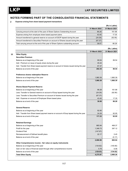### **j) Expense arising from share based payment transactions**

|                                                                                             | 31 March 2022 | (Rs in Lakhs)<br>31 March 2021 |
|---------------------------------------------------------------------------------------------|---------------|--------------------------------|
|                                                                                             |               |                                |
| Carrying amount at the start of the year of Share Options Outstanding Account               | 86.28         | 161.88                         |
| Expense arising from employee share based payment plans                                     | 43.45         | 17.35                          |
| Amount transferred to general reserve on account of ESOP lapsed during the year             | (24.29)       | (92.95)                        |
| Amount transferred to Securities Premiuim on account of Shares issued during the year       | (67.37)       |                                |
| Total carrying amount at the end of the year of Share Options outstanding account           | 38.07         | 86.28                          |
|                                                                                             |               | (Rs. Lakhs)                    |
|                                                                                             | 31 March 2022 | 31 March 2021                  |
| <b>Other Equity</b>                                                                         |               |                                |
| <b>Securities Premium</b>                                                                   |               |                                |
| Balance as at beginning of the year                                                         | 89.54         | 89.54                          |
| Add : Premium on issue of equity share during the year                                      | 45.44         |                                |
| Add : Transfer from Share based payment reserve on account of shares issued during the year | 67.37         |                                |
| Balance as at end of the year                                                               | 202.35        | 89.54                          |
| Preference shares redemption Reserve                                                        |               |                                |
| Balance as at beginning of the year                                                         | 1,960.39      | 1,960.39                       |
| Balance as at end of the year                                                               | 1,960.39      | 1,960.39                       |
| <b>Shares Based Payment Reserve</b>                                                         |               |                                |
| Balance as at beginning of the year                                                         | 86.28         | 161.88                         |
| Less: Transfer to General reserve on account of Esop lapsed during the year                 | (24.29)       | (92.95)                        |
| Less: Transfer to Securities Premium on account of shares issued during the year            | (67.37)       |                                |
| Add: Expense on account of Employee Share based plans                                       | 43.45         | 17.35                          |
| Balance as at end of the year                                                               | 38.08         | 86.28                          |
| <b>General Reserve</b>                                                                      |               |                                |
| Balance as at beginning of the year                                                         | 92.95         |                                |
| Add: Transfer from Share based payment reserve on account of Esop lapsed during the year    | 24.29         | 92.95                          |
| Balance as at end of the year                                                               | 117.23        | 92.95                          |
| <b>Retained Earnings</b>                                                                    |               |                                |
| Balance as at beginning of the year                                                         | 865.94        | 468.37                         |
| Profit for the year                                                                         | 1,346.73      | 397.12                         |
| <b>Dividend Paid</b>                                                                        | (147.87)      |                                |
| Remeasurement of Defined benefit plans                                                      | 22.17         | 0.45                           |
| Balance as at end of the year                                                               |               | (0.17)                         |
|                                                                                             | 2,086.96      | 865.94                         |
| Other Comprehensive income - fair value on equity instruments                               |               |                                |
| Balance as at beginning of the year                                                         | (134.82)      | (140.90)                       |
| Gain on fair value of financial asset through other comprehensive income                    | 5.79          | 6.08                           |
| Balance as at end of the year                                                               | (129.03)      | (134.82)                       |
| <b>Total Other Equity</b>                                                                   | 4,275.97      | 2,960.26                       |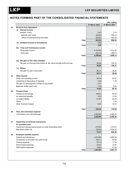|    |                                                                         |              |               | (Rs. Lakhs)   |
|----|-------------------------------------------------------------------------|--------------|---------------|---------------|
|    |                                                                         |              | 31 March 2022 | 31 March 2021 |
| 23 | <b>Revenue from Operations</b>                                          |              |               |               |
|    | <b>Interest Income</b><br>(i)                                           |              |               |               |
|    | Interest-Loans                                                          |              | 0.03          | 0.70          |
|    | -deposits with banks                                                    |              | 249.63        | 206.14        |
|    | - others (including broking activities)                                 |              | 553.62        | 461.58        |
|    |                                                                         | <b>Total</b> | 803.28        | 668.42        |
|    | <b>Dividend Income on Investments</b><br>(ii)                           |              | 0.46          |               |
|    |                                                                         | <b>Total</b> | 0.46          |               |
|    | <b>Fees and Commission Income</b><br>(iii)                              |              |               |               |
|    | Brokerage Income                                                        |              | 8,155.68      | 7,312.42      |
|    | Other fees                                                              |              | 243.16        | 293.73        |
|    |                                                                         | <b>Total</b> | 8,398.84      | 7,606.15      |
|    |                                                                         |              |               |               |
|    | (iv) Net gain on fair value changes                                     |              |               |               |
|    | Net gain on financial instruments at fair value through profit and loss |              | 95.69         | 140.31        |
|    |                                                                         | <b>Total</b> | 95.69         | 140.31        |
|    | (v) Others                                                              |              |               |               |
|    | Net gain on sale of securities                                          |              | 60.17         | 38.02         |
|    |                                                                         | <b>Total</b> | 60.17         | 38.02         |
| 24 | <b>Other Income</b>                                                     |              |               |               |
|    | Other non operating income                                              |              | 68.18         | 63.27         |
|    | Unwinding of discounting of deposits                                    |              | 3.50          | 1.55          |
|    | Net gain on derecognition of Right of use Assets                        |              | 3.21          |               |
|    | Balances written back (net)                                             |              | 1.16          | 0.34          |
|    |                                                                         | <b>Total</b> | 76.05         | 65.16         |
| 25 | <b>Finance Costs</b>                                                    |              |               |               |
|    | Interest on borrowings                                                  |              | 159.23        | 53.32         |
|    | on retirement benefits                                                  |              | 9.32          | 13.38         |
|    | on leased liability                                                     |              | 61.94         | 38.94         |
|    | others                                                                  |              |               | 3.18          |
|    |                                                                         |              | 9.93          | 10.02         |
|    | Other financial charges                                                 |              |               |               |
|    |                                                                         |              |               | 118.84        |
|    |                                                                         | <b>Total</b> | 240.42        |               |
| 26 | Fees and commision expense                                              |              |               |               |
|    | Commission and sub-brokerage                                            |              | 2,825.66      | 2,566.44      |
|    |                                                                         |              | 2,825.66      | 2,566.44      |
|    |                                                                         |              |               |               |
| 27 | Impairment on financial instruments                                     |              |               |               |
|    | At amortised cost                                                       |              |               |               |
|    | Impairment allowances/(reversal) on trade receivables (Net)             |              | (74.03)       | (114.47)      |
|    | Bad debts written off                                                   |              | 109.40        | 1,034.93      |
|    |                                                                         |              | 35.37         | 920.46        |
| 28 | <b>Employee benefits expense</b>                                        |              |               |               |
|    | Salaries and allowances                                                 |              | 3,016.66      | 2,899.29      |
|    | Contribution to provident and other funds                               |              | 100.71        | 96.58         |
|    | Gratuity expense                                                        |              | 63.19         | 17.35         |
|    | Share based expenses                                                    |              | 43.45         | 12.65         |
|    | Staff welfare expenses                                                  |              | 19.64         | 57.92         |
|    |                                                                         | <b>Total</b> | 3,243.65      | 3,083.78      |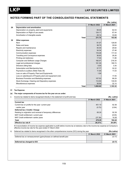|    |                                                            |               | (Rs. Lakhs)   |
|----|------------------------------------------------------------|---------------|---------------|
|    |                                                            | 31 March 2022 | 31 March 2021 |
| 29 | Depreciation and amortisation                              |               |               |
|    | Depreciation on property, plant and equipments             | 58.45         | 62.53         |
|    | Depreciation on Right of use assets                        | 124.17        | 67.44         |
|    | Amortisation of intangible assets                          | 29.14         | 33.69         |
|    | <b>Total</b>                                               | 211.75        | 163.66        |
| 30 | <b>Other expenses</b>                                      |               |               |
|    | Rent                                                       | 81.07         | 126.65        |
|    | Rates and taxes                                            | 38.75         | 30.64         |
|    | Repairs and maintenance                                    | 40.30         | 29.82         |
|    | Electricity expenses                                       | 34.34         | 2746          |
|    | Communication expenses                                     | 116.48        | 117.43        |
|    | Travelling and Conveyance expenses                         | 36.83         | 28.26         |
|    | Printing and stationery                                    | 17.04         | 11.86         |
|    | Computer and Software usage Charges                        | 182.07        | 216.35        |
|    | Legal and professional charges                             | 191.35        | 189.74        |
|    | Directors sitting fees                                     | 5.00          | 3.35          |
|    | Subscription and Membership fees                           | 37.77         | 32.22         |
|    | Payments to auditors (Refer Note 36)                       | 11.00         | 11.03         |
|    | Loss on sale of Property, Plant and Equipments             | 1.59          |               |
|    | Loss on sale/discard of Property plant and equipment (net) |               | 17.05         |
|    | <b>Business Promotion and Marketing expenses</b>           | 107.53        | 99.29         |
|    | Stock Exchange, Clearing and Depository expenses           | 112.50        | 130.05        |
|    | Miscellaneous expenses                                     | 38.99         | 32.14         |
|    | <b>Total</b>                                               | 1,052.62      | 1,103.32      |

#### **31 Tax Expense**

#### **(a) The major components of income tax for the year are as under:**

| Income tax related to items recognised directly in the statement of profit and loss |               | (Rs. Lakhs)   |
|-------------------------------------------------------------------------------------|---------------|---------------|
|                                                                                     | 31 March 2022 | 31 March 2021 |
| <b>Current tax</b>                                                                  |               |               |
| Current tax on profits for the year- current year                                   | 451.10        | 62.36         |
| - earlier year                                                                      | (0.72)        | (0.84)        |
| Deferred tax ( Credit) / Charge                                                     |               |               |
| Relating to origination and reversal of temporary differences                       | 65.30         | 92.39         |
| MAT Credit entitlement- current year                                                |               | (8.05)        |
| MAT Credit entitlement- earlier years                                               | (37.39)       | 18.58         |
| <b>Total</b>                                                                        | 478.29        | 164.44        |
| Effective tax rate #                                                                | 26.21%        | 29.28%        |

 # A reconciliation of income tax expense applicable to profit before income tax at statutory rate to the income tax expense at Company's effective income tax rate for the year ended 31 March 2022

| ii) | Deferred tax related to items recognised in the other comprehensive income (OCI) during the year |               | (Rs.Lakhs)    |
|-----|--------------------------------------------------------------------------------------------------|---------------|---------------|
|     |                                                                                                  | 31 March 2022 | 31 March 2021 |
|     | Deferred tax on remeasurement (gains)/losses on defined benefit plan                             |               | (0.17)        |
|     | Deferred tax charged to OCI                                                                      |               | (0.17)        |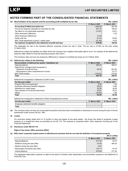| Reconciliation of tax expense and the accounting profit multiplied by tax rate: |               | (Rs. Lakhs)   |
|---------------------------------------------------------------------------------|---------------|---------------|
|                                                                                 | 31 March 2022 | 31 March 2021 |
| <b>Accounting Profit/(Loss) before tax</b>                                      | 1.825.02      | 561.56        |
| Income tax expense calculated at corporate tax rate                             | 507.72        | 156.23        |
| Tax effect on non-deductible expenses                                           | (12.97)       | (5.81)        |
| Other permanent difference                                                      |               | 4.32          |
| Other temporary differences                                                     | 21.65         |               |
| Earlier year tax                                                                | (0.72)        | (0.84)        |
| MAT Credit adjustment (current + earlier year)                                  | (37.39)       | 10.54         |
| Tax expense recognized in the statement of profit and loss                      | 478.29        | 164.44        |

 The applicable tax rate is the standard effective corporate income tax rate in India. The tax rate is 27.82% for the year ended 31 March 2022.

 Deferred tax assets and liabilities are offset where the Company has a legally enforceable right to do so. For analysis of the deferred tax balances (after offset) for financial reporting purposes refer note 9.

 The Company does not have any temporary differences in respect of unutilized tax losses as at 31 March 2022.

| (c) | Deferred tax relates to the following:                     |               | (Rs. Lakhs)   |
|-----|------------------------------------------------------------|---------------|---------------|
|     | Reconciliation of deferred tax assets / (liabilities) net: | 31 March 2022 | 31 March 2021 |
|     | Opening balance                                            | 356.91        | 460.01        |
|     | Deferred tax (charge)/credit recognised in                 |               |               |
|     | - Statement of profit and loss                             | 65.30         | (92.39)       |
|     | - Recognised in other comprehensive income                 |               | (0.17)        |
|     | <b>MAT Credit availed</b>                                  | (119.02)      | (10.54)       |
|     | Total                                                      | 303.19        | 356.91        |

Deferred tax recognized in statement of profit or loss **(Rs. Lakhs)**

| For the year ended                      | 31 March 2022 | 31 March 2021 |
|-----------------------------------------|---------------|---------------|
| Property Plant and equipment            | 5.40          | 1.04          |
| Employee retirement benefits obligation | 28.64         | 14.85         |
| Allowance for credit losses             | 20.59         | 34.90         |
| Fare valuation of Financial Instruments | 25.67         | 39.73         |
| Others                                  | (15.00)       | 1.86          |
| <b>Total</b>                            | 65.30         | 92.39         |

| Deferred tax recognized in statement of Other Comprehensive Income |               | (Rs. Lakhs)   |
|--------------------------------------------------------------------|---------------|---------------|
| For the year ended                                                 | 31 March 2022 | 31 March 2021 |
| Employee retirement benefits obligation                            |               |               |
| Total                                                              |               |               |

**(d)** The Company does not have any unrecorded transactions that have been surrenderred or disclosed as income during the year in the tax assessment under Income Tax Act, 1961.

#### **32 Leases**

For short-term leases (lease term of 12 months or less) and leases of low-value assets , the Group has opted to recognise a lease expense on a straight-line basis as permitted by Ind AS 116. This expense is presented within 'other expenses' forming part of the Financial Statements.

#### **33 Disclosure under IND AS 116**

#### **Right of Use Asset- Office premises (ROU)**

#### **(a) ROU asset' comprises leased assets of office/branch premises that do not meet the definition of investment property.**

|                                    |                      | (Rs in Lakhs) |
|------------------------------------|----------------------|---------------|
|                                    | <b>31 March 2022</b> | 31 March 2021 |
| Opening Balance                    | 517.54               | 94.74         |
| Additions during the year (Net)    | 91.95                | 490.24        |
| Deletion during the year (Net)     | 9.67                 |               |
| Depreciation during the year (Net) | 124.17               | 67.44         |
| Closing Balance                    | 475.65               | 517.54        |

 The aggregate depreciation expense on right-of-use asset is included under depreciation and amortisation expense in the Statement of Profit and Loss.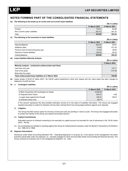**(Rs in Lakhs)**

### **NOTES FORMING PART OF THE CONSOLIDATED FINANCIAL STATEMENTS**

#### **(b) The following is the break-up of current and non-current lease liabilities**

| . .                           |               | (Rs in Lakhs) |
|-------------------------------|---------------|---------------|
|                               | 31 March 2022 | 31 March 2021 |
| Current                       | 115.41        | 82.66         |
| Non Current Lease Liabilities | 407.47        | 441.57        |
| Total                         | 522.88        | 524.24        |

#### **(c) The following is the movement in lease liabilities**

|                                       |               | (Rs in Lakhs) |
|---------------------------------------|---------------|---------------|
|                                       |               |               |
|                                       | 31 March 2022 | 31 March 2021 |
| <b>Opening Balance</b>                | 524.24        | 95.81         |
| Additions (Net)                       | 75.95         | 471.53        |
| Finance Cost incurred during the year | 61.94         | 38.94         |
| Payment of lease liabilities          | 139.24        | 82.03         |
| <b>Closing Balance</b>                | 522.88        | 524.24        |

#### **(d) Lease liabilities Maturity Analysis**

|                                                         | (Rs in Lakhs) |  |
|---------------------------------------------------------|---------------|--|
|                                                         | 31 March 2022 |  |
| Maturity analysis - contractual undiscounted cash flows |               |  |
| Less than one year                                      | 137.11        |  |
| One to five years                                       | 617.84        |  |
| More than five years                                    |               |  |
| Total undiscounted lease liabilities at 31 March 2022   | 754.95        |  |

#### **(e)** Lease rentals of Rs.81.07 lakhs (2021- Rs.126.65 Lakhs) pertaining to short term leases and low value asset has been charged to statement of profit and loss

#### **34** (i) **Contingent Liabilities**

|                                            | 31 March 2022 | 31 March 2021 |
|--------------------------------------------|---------------|---------------|
| a) Bank Guarantee with exchanges as margin | 2,000.00      |               |
| b) Disputed Direct Taxes                   | 225.61        | 6.82          |
| c) Legal cases against the Group#          | 148.31        | 126.51        |
| d) Disputed stamp duty                     | 50.71         |               |

# The amount represents the best possible estimates arrived at on the basis of available information. The Group has engaged reputed advocates to protect its interests and has been advised that it has strong legal positions against such disputes.

#### (ii) **Litigation**

The Group has filed various cases for recovery of dues and suits are pending in various courts. The Group has engaged advocates to protect the interest of the Group and expects favourable decision.

#### (iii) **Capital Commitments**

Estimated amount of contracts remaining to be executed on capital account not provided for (net of advances) is Rs. 55.00 Lakhs (2021 : Rs.Nil)

(iv) No proceedings are initiated or pending against the Group for holding benami property under the Benami Transactions (Prohibition) Act, 1988 (45 of 1988)

#### **35 Segment Informations**

 Disclosure under Indian Accounting Standard 108 – 'Operating Segments' is not given as, in the opinion of the management, the entire business activity falls under one segment, viz. ,primarily engaged as stock and securities broker and providing the financial services. The Group conducts its business only in one Geographical Segment, viz., India.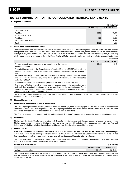**(Rs.Lakhs)**

### **NOTES FORMING PART OF THE CONSOLIDATED FINANCIAL STATEMENTS**

#### **36 Payment to Auditors**

|                           |               | (Rs in Lakhs) |
|---------------------------|---------------|---------------|
|                           | 31 March 2022 | 31 March 2021 |
| <b>Parent Company</b>     |               |               |
| Audit fees                | 10.00         | 10.00         |
| <b>Subsidiary Company</b> |               |               |
| Audit fees                | 1.00          | 0.83          |
| Tax Audit & Other matters |               | 0.20          |
| <b>Total</b>              | 11.00         | 11.03         |

#### **37 Micro, small and medium enterprises**

Trade payables and other payables includes amount payable to Micro, Small and Medium Enterprises. Under the Micro, Small and Medium Enterprises Development Act, 2006, (MSMEDA) which came into force from 02 October, 2006, certain disclosures are required to be made relating to Micro, Small and Medium enterprises. On the basis of the information and records available with the management, the following disclosures are made for the amounts due to the Micro, Small and Medium enterprises, who have registered with the competent authorities.

|                                                                                                                                                                                                                                                                                                                                        | 31 March 2022 | 31 March 2021 |
|----------------------------------------------------------------------------------------------------------------------------------------------------------------------------------------------------------------------------------------------------------------------------------------------------------------------------------------|---------------|---------------|
| Principal amount remaining unpaid to any supplier as at the year end                                                                                                                                                                                                                                                                   | 33.86         | 0.43          |
| Interest due thereon                                                                                                                                                                                                                                                                                                                   |               |               |
| Amount of interest paid by the Group in terms of section 16 of the MSMEDA, along with the<br>amount of the payment made to the supplier beyond the appointed day during the accounting<br>year                                                                                                                                         |               |               |
| Amount of interest due and payable for the year of delay in making payment (which have been<br>paid but beyond the appointed day during the year) but without adding the interest specified<br>under the MSMEDA                                                                                                                        |               |               |
| Amount of interest accrued and remaining unpaid at the end of the accounting year                                                                                                                                                                                                                                                      |               |               |
| The amount of further interest remaining due and payable even in the succeeding years,<br>until such date when the interest dues above are actually paid to the small enterprise, for the<br>purpose of disallowance of a deductible expenditure under section 23 of the Micro, Small and<br>Medium Enterprises Development Act, 2006. |               |               |

The Group has compiled the relevent information from its suppliers about their coverage under the Mico, Small and Medium Enterperises Development Act, 2006 (MSMED Act).

#### **38 Financial Instruments**

#### **i) Financial risk management objective and policies**

The Group's principal financial liabilities, comprise loans and borrowings, trade and other payables. The main purpose of these financial liabilities is to finance the Group's operations. The Group's principal financial assets include investments, loans, trade receivables, other receivables, and cash and bank balances that derive directly from its operations.

 The Group is exposed to market risk, credit risk and liquidity risk. The Group's management oversees the management of these risks.

#### **a) Market risk:**

 Market risk is the risk that the fair value of future cash flows of a financial instrument will fluctuate because of changes in market prices. Market risk comprises three types of risk: interest rate risk, foreign currency risk and other price risk such as equity price risk. Financial instruments affected by market risk include loans and borrowings, deposits, other financial instruments.

#### **1) Interest rate risk:**

 Interest rate risk can be either fair value interest rate risk or cash flow interest rate risk. Fair value interest rate risk is the risk of changes in fair value of fixed interest bearing investments because of fluctuations in the interest rates. Cash flow interest rate risk is the risk that future cash flows of floating interest bearing investments will vary because of fluctuations in interest rates.

 The Group's exposure to the risk of changes in market interest rates relates primarily to the Group's short-term loan from banks. hence is not considered for calculation of interest rate sensitivity of the Group.

#### **Interest rate risk exposure (Rs. Lakhs)**

|                          |               | $1.01 - 1.01$ |
|--------------------------|---------------|---------------|
|                          | 31 March 2022 | 31 March 2021 |
| Variable rate borrowings | 911.45        | .015.52       |

The following table demonstrates the sensitivity to a reasonably possible change in interest rates on that portion of loans and borrowings affected. With all other variables held constant, the Group's profit before tax is affected through the impact of change in interest rate of borrowings, as follows: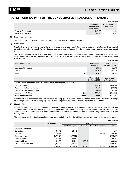|                     |                                           | (Rs. Lakhs)                           |
|---------------------|-------------------------------------------|---------------------------------------|
|                     | Increase /<br>decrease in<br>basis points | <b>Effect on Profit</b><br>before tax |
| As on 31 March 2022 | $+50/ -50$                                | 4.56                                  |
| As on 31 March 2021 | $+50/ -50$                                | 5.08                                  |

#### **2) Foreign currency risk:**

The Group does not have any foreign currency risk. Hence no sensitivity analysis is required

#### **3) Credit Risk:**

 Credit risk is the risk of financial loss to the Group if a customer or counterparty to a financial instrument fails to meet its contractual obligations, and arises principally from the Group's receivables from customers, deposits and loans given, investments and balances at bank.

 The Group measures the expected credit loss of trade receivables based on historical trend, industry practices and the business environment in which the entity operates. Expected Credit Loss is based on actual credit loss experienced and past trends based on the historical data. **(Rs. Lakhs)**

|                          |                             | $(100 - 100)$               |
|--------------------------|-----------------------------|-----------------------------|
| <b>Trade Receivables</b> | Year ended<br>31 March 2022 | Year ended<br>31 March 2021 |
| More than Six months     | 570.59                      | 639.92                      |
| <b>Others</b>            | 1.835.04                    | 1.547.76                    |
| (A)<br>Total             | 2,414.27                    | 2,187.68                    |

|                                                                                   |         | Year ended<br>31 March 2022 | Year ended<br>31 March 2021 |
|-----------------------------------------------------------------------------------|---------|-----------------------------|-----------------------------|
| Movement in allowance for credit/Impairment loss during the year was as follows : |         |                             |                             |
| <b>Opening Balance</b>                                                            |         | (355.37)                    | (469.84)                    |
| Add :- Provided during the year                                                   |         | (67.01)                     | (67.01)                     |
| Less :- Reversal during the year                                                  |         | 141.04                      | 181.48                      |
| Balance as at 31 March                                                            | (B)     | (281.35)                    | (355.37)                    |
| Net Trade receivable                                                              | (A)+(B) | 2,132.93                    | 1,832.31                    |

 Credit risk on cash and cash equivalents is limited as the Group generally invest in deposits with banks and financial institutions with high credit ratings assigned by credit rating agencies. Investments primarily include investment in equity shares and bonds.

#### **b) Liquidity Risk:**

 Liquidity risk refers to the risk that the Group cannot meet its financial obligations. The Group's principal source of liquidity are cash and cash equivalents and the cash flow i.e. generated from operations. The Group consistently generated strong cash flows from operations which together with the available cash and cash equivalents and current investment provides adequate liquidity in short terms as well in the long term.

 The table below provides details regarding the contractual maturities of financial liabilities including estimated interest payments as at:

|                               |                        |                  |           |                   | (Rs. Lakhs)  |
|-------------------------------|------------------------|------------------|-----------|-------------------|--------------|
|                               | <b>Carrying Amount</b> | 31 March 2022    |           |                   |              |
|                               |                        | Less than 1 year | 2-5 years | More than 5 years | <b>Total</b> |
| <b>Financial Liabilities:</b> |                        |                  |           |                   |              |
| <b>Borrowings</b>             | 911.45                 | 911.45           |           |                   | 911.45       |
| Deposits *                    | 296.99                 |                  |           | 296.99            | 296.99       |
| Trade payables                | 9,778.57               | 9,778.57         |           |                   | 9,778.57     |
| Other payables                | 265.53                 | 265.53           |           |                   | 265.53       |
| Lease Liabilities             | 522.88                 | 115.41           | 407.47    |                   | 522.88       |
| Other financial liabilities   | 3,285.06               | 3,285.06         |           |                   | 3,285.06     |
|                               | 15,060.48              | 14,356.02        | 407.47    | 296.99            | 15,060.48    |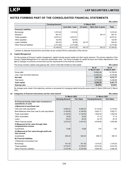|                               |                        |                  |           |                          | (Rs.Lakhs)   |  |
|-------------------------------|------------------------|------------------|-----------|--------------------------|--------------|--|
|                               | <b>Carrying Amount</b> | 31 March 2021    |           |                          |              |  |
|                               |                        | Less than 1 year | 2-5 years | More than 5 years        | <b>Total</b> |  |
| <b>Financial Liabilities:</b> |                        |                  |           |                          |              |  |
| <b>Borrowings</b>             | 1,015.52               | 1,015.52         |           |                          | 1,015.52     |  |
| Deposits *                    | 291.51                 |                  |           | 291.51                   | 291.51       |  |
| Trade payables                | 9,074.51               | 9,074.51         |           | -                        | 9,074.51     |  |
| Other payables                | 122.95                 | 122.95           |           | $\overline{\phantom{0}}$ | 122.95       |  |
| Lease Liabilities             | 524.24                 | 82.66            | 441.57    |                          | 524.24       |  |
| Other financial liabilities   | 3,717.69               | 3,717.69         |           | ۰                        | 3,717.69     |  |
|                               | 14.746.42              | 14,013.33        | 441.57    | 291.51                   | 14.746.42    |  |

\* pertains to deposits received from sub-broker as per contract till the continuation of the service.

#### **ii) Capital Management**

For the purpose of Groups's capital management, capital includes issued capital and other equity reserves. The primary objective of the Group's Capital Management is to maximize shareholder value. The Group manages its capital structure and makes adjustments in the light of changes in economic environment and the requirements of the financial covenants.

| The Group monitors capital using gearing ratio, which is Net debt divided by total capital. |                        | (Rs.Lakhs)             |
|---------------------------------------------------------------------------------------------|------------------------|------------------------|
|                                                                                             | As at<br>31 March 2021 | As at<br>31 March 2021 |
| Gross debt                                                                                  | 15,060.48              | 14,746.42              |
| Less: Cash and bank balances                                                                | 12,533.03              | 9,733.65               |
| Net debt                                                                                    | 2,527.45               | 5,012.77               |
| Total equity                                                                                | 5,772.84               | 4,438.98               |
| <b>Total capital</b>                                                                        | 8,300.29               | 9,451.75               |
| Gearing ratio                                                                               | 30.45%                 | 53.04%                 |

No changes were made in the objectives, policies or processes for managing capital during the years ended 31 March 2022 and 31 March 2021.

#### **iii) Categories of financial instruments and fair value thereof (Rs.Lakhs)**

|                                                                         |                        | 31 March 2022     | 31 March 2021          |                   |  |
|-------------------------------------------------------------------------|------------------------|-------------------|------------------------|-------------------|--|
|                                                                         | <b>Carrying Amount</b> | <b>Fair Value</b> | <b>Carrying Amount</b> | <b>Fair Value</b> |  |
| A) Financial Assets (other than investment in<br>subsidiaries at cost): |                        |                   |                        |                   |  |
| i) Measured at amortised cost                                           |                        |                   |                        |                   |  |
| Cash and cash equivalents                                               | 8,392.23               | 8,392.23          | 6,110.94               | 6,110.94          |  |
| Bank Balances other than cash & cash equivalents                        | 4,140.80               | 4,140.80          | 3,622.71               | 3,622.71          |  |
| Trade receivables                                                       | 2,132.93               | 2,132.93          | 1,832.30               | 1,832.30          |  |
| Other receivables                                                       | 18.20                  | 18.20             | 17.13                  | 17.13             |  |
| Loans                                                                   | 20.23                  | 20.23             | 24.19                  | 24.19             |  |
| Other Financial assets                                                  | 3,374.22               | 3,374.22          | 4,978.66               | 4,978.66          |  |
| ii) Measured at Fair value through other<br>comprehensive income        |                        |                   |                        |                   |  |
| Investments                                                             | 13.66                  | 13.66             | 7.87                   | 7.87              |  |
| iii) Measured at Fair value through profit and<br>loss account          |                        |                   |                        |                   |  |
| Investments                                                             | 454.44                 | 454.44            | 358.10                 | 358.10            |  |
| <b>B) Financial liabilities</b>                                         |                        |                   |                        |                   |  |
| i) Measured at amortised cost                                           |                        |                   |                        |                   |  |
| <b>Borrowings</b>                                                       | 911.45                 | 911.45            | 1,015.52               | 1,015.52          |  |
| Trade payables                                                          | 9,778.57               | 9,778.57          | 9,074.50               | 9,074.50          |  |
| <b>Other Financial Liabilities</b>                                      | 4,370.46               | 4,370.46          | 4,656.39               | 4,656.39          |  |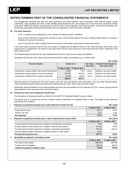The management assessed that cash and cash equivalents and bank balances, trade receivables, other financial assets, certain investments, trade payables and other current liabilities approximate their fair value largely due to the short-term maturities of these instruments. Difference between carrying amount and fair value of bank deposits, other financial assets, other financial liabilities and borrowings subsequently measured at amortised cost is not significant in each of the year presented.

#### **39 Fair Value Hierarchy :**

- Level 1: quoted prices (unadjusted) in active markets for identical assets or liabilities.
- Level 2: inputs other than quoted prices included in Level 1 that are observable for the asset or liability, either directly (i.e. prices) or indirectly (i.e. derived from prices).
- Level 3: inputs for the asset or liability that are not based on observable market data (unobservable inputs).

 If the inputs used to measure the fair value of an asset or a liability fall into different levels of a fair value hierarchy, then the fair value measurement is categorized in its entirety in the same level of the fair value hierarchy as the lowest level input that is significant to the entire measurement.

The Following table provides the fair value measurement hierarchy of the Group's assets and liabilities.

Quantitative disclosures of fair value measurement hierarchy for assets and liabilities as at 31 March 2022

**(Rs. Lakhs)**

| <b>Financial Assets</b>                               | Assets as at  |               |         |                            | <b>Fair Value</b><br>Hierarchy | Valuation technique(s) &<br>key inputs used |
|-------------------------------------------------------|---------------|---------------|---------|----------------------------|--------------------------------|---------------------------------------------|
|                                                       | 31 March 2022 | 31 March 2021 |         |                            |                                |                                             |
| Investments in equity shares- Non-current Investments | 13.66         | 7.87          | Level 1 | Quoted in an active market |                                |                                             |
| Investments in equity shares- Current Investments     | 387.02        | 292.85        | Level 1 | Quoted in an active market |                                |                                             |
| Investments in Mutual Fund- Current Investments       | 67.42         | 65.25         | Level 1 | Quoted in an active market |                                |                                             |
|                                                       | 468.10        | 365.97        |         |                            |                                |                                             |

 Financial assets not measured at fair value includes cash and cash equivalents, trade receivables, loans and other financial assets. These are financial assets whose carrying amounts approximate fair value, due to their short-term nature.

 Additionally, financial liabilities such as trade payables and other financial liabilities are not measured at FVTPL, whose carrying amounts approximate fair value, because of their short-term nature.

#### **40 Gratuity and other post employment benefit plans**

The disclosures of employee benefits as defined in the Ind AS 19 "Employee Benefits" are given below:

The gratuity plan is a funded plan and the company makes contributions to recognised funds in india. The details of post retirement gratuity plan are as follows:

| I. | Expenses recognised during the year in the statement of profit and loss  |               | (Rs Lakhs)    |
|----|--------------------------------------------------------------------------|---------------|---------------|
|    |                                                                          | 31 March 2022 | 31 March 2021 |
|    | Current service cost                                                     | 63.19         | 57.92         |
|    | Interest cost (net)                                                      | 9.32          | 13.38         |
|    | Net expenses                                                             | 72.51         | 71.30         |
| Ш  | Expenses recognised during the year in other comprehensive income (OCI)  |               | (Rs Lakhs)    |
|    |                                                                          | 31 March 2022 | 31 March 2021 |
|    | Actuarial (gains) losses arising from changes in demographic assumptions | 0.63          | 5.85          |
|    | Actuarial (gains)/ losses arising from changes in financial assumptions  | (21.82)       | 42.96         |
|    | Actuarial (gains)/ losses arising from changes in experience assumptions | (25.50)       | (49.43)       |
|    | Actuarial (gains)/ losses arising from changes in Return on Plan assets  | 15.97         |               |
|    | Recognised during the year                                               | (30.71)       | (0.62)        |
| Ш  | Net liability recognised in the balance sheet                            |               | (Rs Lakhs)    |
|    |                                                                          | 31 March 2022 | 31 March 2021 |
|    | Fair value of plan assets                                                | (485.32)      | (367.68)      |
|    | Present value of obligation                                              | 549.76        | 565.76        |
|    | Liability recognized in balance sheet                                    | 64.45         | 198.08        |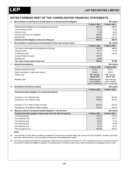| Reconciliation of opening and closing balances of defined benefit obligation |                                          | (Rs Lakhs)                        |
|------------------------------------------------------------------------------|------------------------------------------|-----------------------------------|
|                                                                              | 31 March 2022                            | 31 March 2021                     |
| Defined benefit obligation as at the beginning of the year                   | 565.76                                   | 498.87                            |
| <b>Current Service Costs</b>                                                 | 63.19                                    | 57.92                             |
| <b>Interest Costs</b>                                                        | 31.49                                    | 28.80                             |
| Actuarial (gain)/ loss on obligation                                         | (46.68)                                  | (0.62)                            |
| Benefits paid                                                                | (64.00)                                  | (19.21)                           |
| Defined benefit obligation at the end of the year                            | 549.76                                   | 565.76                            |
| Reconciliation of opening and closing balance of fair value of plan assets   |                                          | (Rs Lakhs)                        |
|                                                                              | 31 March 2022                            | 31 March 2021                     |
| Fair value of plan assets at the beginning of the year                       | 367.68                                   | 246.80                            |
| Interest income                                                              | 22.17                                    | 15.43                             |
| Contributions paid                                                           | 114.12                                   | 105.45                            |
| Actuarial Gains/ (Losses)                                                    | (15.97)                                  |                                   |
| Benefits paid                                                                | (2.68)                                   |                                   |
| Fair value of plan assets at year end                                        | 485.32                                   | 367.68                            |
| <b>Actuarial Assumptions</b>                                                 |                                          | (Rs Lakhs)                        |
|                                                                              | 31 March 2022                            | 31 March 2021                     |
| Discount rate (Per annum)                                                    | 6.45%                                    | 6.03%                             |
| Rate of escalation in salary (per annum)                                     | 10.00%                                   | 10.00%                            |
| Attrition rate                                                               | <b>PS: 0 to 42:</b><br>35% & 10%         | PS: 0 to 42:<br>36% & 10%         |
| <b>Mortality Table</b>                                                       | <b>Indian Assured</b><br>Lives mortality | Indian Assured<br>Lives mortality |
|                                                                              | (2012-14)Ultimate                        | (2012-14)Ultimate                 |
| <b>Quantitative Sensitivity Analysis</b>                                     |                                          | (Rs Lakhs)                        |
|                                                                              | 31 March 2022                            | 31 March 2021                     |
| Projected benefit obligation on current assumptions                          |                                          |                                   |
| Increase by 1% in Discount rate                                              | 530.20                                   | 545.64                            |
| Decrease by 1% in Discount rate                                              | 570.68                                   | 587.29                            |
|                                                                              |                                          |                                   |
| Increase by 1% in Rate of salary increase                                    | 562.81                                   | 579.19                            |
| Decrease by 1% in Rate of salary increase                                    | 538.20                                   | 553.87                            |
| Maturity analysis of projected benefit obligation : from the fund            |                                          | (Rs Lakhs)                        |
| Projected benefits payable in future years from the date of reporting        | 31 March 2022                            | 31 March 2021                     |
| 1st Following Year                                                           | 152.20                                   | 154.78                            |
| 2nd Following Year                                                           | 100.42                                   | 103.77                            |
| 3rd Following Year                                                           | 82.64                                    | 79.33                             |
| 4th Following Year                                                           | 63.07                                    | 65.89                             |
| 5th Following Year                                                           | 48.73                                    | 52.70                             |
| Sum of years 6 to 10                                                         | 168.56                                   | 165.72                            |

#### **Notes:**

(a) The estimate of future salary increases considered in the actuarial valuation takes into account the rate of inflation, seniority, promotion and other relevant factors, such as supply and demand in the employment market.

(b) The Group provided for gratuity for employees in India as per the payment of Gratuity Act, 1972. employees who are in continues service for peroid of 5 years are eligible for gratuity. The gratuity plan is funded and the Group make contribution to recognised funds in India.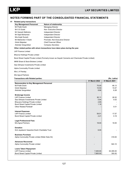### **41 Related party transactions**

| <b>INGIALGA DAILY LIBILISAULIUIIS</b>                                |                                                                                                       |               |               |
|----------------------------------------------------------------------|-------------------------------------------------------------------------------------------------------|---------------|---------------|
| <b>Key Management Personnel</b>                                      | Nature of relationship                                                                                |               |               |
| Mr Pratik Doshi                                                      | <b>Managing Director</b>                                                                              |               |               |
| Mr S S Gulati                                                        | Non-Executive Director                                                                                |               |               |
| Mr Ganesh Malhotra                                                   | Independent Director                                                                                  |               |               |
| Mr Sajid Mohamed                                                     | Independent Director                                                                                  |               |               |
| Mrs Anjali Suresh                                                    | Independent Director                                                                                  |               |               |
| Mr Mahendra V Doshi                                                  | Promoter, Non-Executive Director                                                                      |               |               |
| Girish Majrekar                                                      | <b>Chief Financial Officer</b>                                                                        |               |               |
| Akshata Vengurlekar                                                  | <b>Company Secretary</b>                                                                              |               |               |
|                                                                      | Other related parties with whom transactions have taken place during the year.                        |               |               |
| <b>LKP Finance Limited</b>                                           |                                                                                                       |               |               |
| Bhavna Holdings Private Limited                                      |                                                                                                       |               |               |
|                                                                      | Bond Street Capital Private Limited (Formerly known as Gayatri Cements and Chemicals Private Limited) |               |               |
| MKM Share & Stock Brokers Limited                                    |                                                                                                       |               |               |
| Sea Glimpse Investments Private Limited                              |                                                                                                       |               |               |
| Alpha Commodity Private Limited                                      |                                                                                                       |               |               |
| M/s L K Panday                                                       |                                                                                                       |               |               |
| M/s Agrud Partners                                                   |                                                                                                       |               |               |
| Transactions with Related parties:                                   |                                                                                                       |               | (Rs. Lakhs)   |
|                                                                      |                                                                                                       | 31 March 2022 | 31 March 2021 |
| <b>Remuneration to Key Management Personnel</b>                      |                                                                                                       |               |               |
| Mr.Pratik Doshi                                                      |                                                                                                       | 75.00         | 66.13         |
| Girish Majrekar                                                      |                                                                                                       | 15.50         | 15.57         |
| Akshata Vengurlekar                                                  |                                                                                                       | 8.86          | 6.28          |
| <b>Brokerage Income</b>                                              |                                                                                                       |               |               |
| <b>LKP Finance Limited</b>                                           |                                                                                                       | 82.11         | 26.52         |
| Sea Glimpse Investments Private Limited                              |                                                                                                       | 0.94          | 0.02          |
| Bhavana Holdings Private Limited                                     |                                                                                                       | 2.85          |               |
| <b>Bond Street Capital Private Limited</b><br>Other Related Parties# |                                                                                                       | 1.18          | 0.01          |
|                                                                      |                                                                                                       |               |               |
| <b>Interest Expenses</b>                                             |                                                                                                       |               |               |
| <b>LKP Finance Limited</b>                                           |                                                                                                       | 59.51         | 17.57         |
| <b>Bond Street Capital Private Limited</b>                           |                                                                                                       | 2.21          | 0.19          |
| <b>Legal Professional Fees</b>                                       |                                                                                                       |               |               |
| M/s Agrud Partners                                                   |                                                                                                       | 18.00         | 18.00         |
| <b>Donation</b>                                                      |                                                                                                       |               |               |
| Smt Jayalaxmi Vasantrai Doshi Charitable Trust                       |                                                                                                       | 6.00          |               |
|                                                                      |                                                                                                       |               |               |
| <b>Business Purchase</b>                                             |                                                                                                       |               |               |
| Alpha Commodity Private Limited (Refer Note 54)                      |                                                                                                       |               | 318.00        |
| <b>Advances Recovered</b>                                            |                                                                                                       |               |               |
| Alpha Commodity Private Limited                                      |                                                                                                       |               | 924.10        |
| Loans Taken/ Repayment                                               |                                                                                                       |               |               |
| <b>LKP Finance Limited</b>                                           |                                                                                                       | 7,400.00      | 63,395.00     |
| <b>Bond Street Capital Private Limited</b>                           |                                                                                                       | 7,800.00      | 350.00        |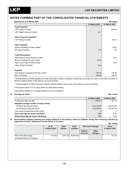### **NOTES FORMING PART OF THE CONSOLIDATED FINANCIAL STATEMENTS**

|               | (Rs Lakhs)    |
|---------------|---------------|
| 31 March 2022 | 31 March 2021 |
|               |               |
| -             | 284.39        |
| 4.01          |               |
|               |               |
|               | 80.14         |
|               |               |
| -             | 74.55         |
| 1.39          | 1.39          |
|               |               |

| Trade Receivables*                      |        |        |
|-----------------------------------------|--------|--------|
| MKM Share & Stock Brokers Limited       | -      | 0.27   |
| Bhavna Holdings Private Limited         | 19.49  |        |
| Alpha Commodity Private Limited         | -      | 0.25   |
| Other Related Parties#                  | 0.02   |        |
|                                         |        |        |
| <b>Deposits</b>                         |        |        |
| Sea Glimpse Investments Private Limited | 140.00 | 140.00 |

\* Closing balance of trade payable and trade receivable includes transaction pertaining to purchase and sale of securities as broker on behalf of related parties in the ordinary course of business

M/s L K Panday 160.00 160.00 160.00 160.00 160.00 160.00 160.00 160.00 160.00 160.00 160.00 160.00 160.00 160

 \*\* Closing balance of Other Financial Liabilities includes Margin money held in the ordinary course of business

 # Transaction below 10% in value shown as other related parties

 Transactions effected on exchange platforms are not considered

**42 Earnings per share (Rs. Lakhs)**

|                                          | 31 March 2022 | 31 March 2021 |
|------------------------------------------|---------------|---------------|
| Profit/(Loss) after tax (Rs.)            | 1.346.73      | 397.12        |
| Weighted average number of equity shares |               |               |
| - for Basic Earnings per share           | 7,43,73,205   | 7,39,34,736   |
| - for Diluted Earnings per share         | 7,45,53,021   | 7,39,34,736   |
| Face value of equity share (Rs/ share)   | 2             |               |
| Basic earnings per share (Rs/share)      | 1.81          | 0.54          |
| Diluted Earnings per share (Rs/share)    | 1.81          | 0.54          |

**43 Reconciliation between opening and closing balances in the balance sheet for liabilities arising from financing activities as required by Ind AS 7 "Statement of Cash Flows" is as under: (Rs. Lakhs)**

|                                 |                        |                        |                  |                                   |                         | (109.4001)             |
|---------------------------------|------------------------|------------------------|------------------|-----------------------------------|-------------------------|------------------------|
|                                 | As at<br>31 March 2021 | Cash<br><b>Inflows</b> | Cash<br>outflows | <b>Non Cash Changes</b>           |                         | As at<br>31 March 2022 |
|                                 |                        |                        |                  | <b>Interest</b><br><b>Accrued</b> | Other<br><b>Charges</b> |                        |
| <b>Short Term Borrowings</b>    | 1,015.52               | 8,511.45               | (8,615.52)       |                                   |                         | 911.45                 |
| (Overdraft facility from banks) |                        |                        |                  |                                   |                         |                        |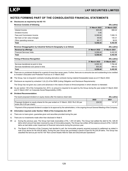#### **44 Disclosures as required by Ind AS 115**

|  | <b>Revenue Consists of following</b> |
|--|--------------------------------------|
|  |                                      |

| <b>Revenue Consists of following</b>                                    |               | (Rs.Lakhs)    |
|-------------------------------------------------------------------------|---------------|---------------|
|                                                                         | 31 March 2022 | 31 March 2021 |
| Interest Income                                                         | 803.28        | 668.42        |
| Dividend Income                                                         | 0.46          |               |
| Fees and Commission Income                                              | 8,398.84      | 7,606.15      |
| Net Gain on fair value changes                                          | 95.69         | 140.31        |
| Other operating revenue                                                 | 60.17         | 38.02         |
| <b>Total</b>                                                            | 9,358.44      | 8,452.90      |
| Revenue Disaggregation by Industrial Vertical & Geography is as follows |               | (Rs.Lakhs)    |

| <b>Revenue by offerings</b> | 31 March 2022 | 31 March 2021 |
|-----------------------------|---------------|---------------|
| Financial Services/ India   | 9.358.44      | 8.452.90      |
| <b>Total</b>                | 9.358.44      | 8.452.90      |

| <b>Timing of Revenue Recognition</b>     |               | (Rs.Lakhs)    |
|------------------------------------------|---------------|---------------|
|                                          | 31 March 2022 | 31 March 2021 |
| Services transferred at point in time    | 8.555.16      | 7.784.48      |
| Services transferred over period in time | 803.28        | 668.42        |
| <b>Total</b>                             | 9,358.44      | 8.452.90      |

**45** There are no unclaimed dividend for a period of more than seven years. Further, there are no amounts due and outstanding to be credited to Investor's Education and Protection Fund as on 31 March 2022

**46** The Group, has no long-term contracts including derivative contracts having material foreseeable losses as at 31 March 2022.

**47** Disclosure as required by schedule V (A) (2) of the SEBI (Listing Obligation and Disclosure Requirements)

 The Group has not given any Loans and advances in the nature of loans to firms/companies in which director is interested.

**48** As per section 135 of the Companies Act, 2013, no amount is required to be spent by the Group during the year ended 31 March 2022 and 31 March 2021 on Corporate Social Responsibility (CSR).

#### **49 Dividend Recommendation:**

| The board proposed dividend on equity shares and the balance sheet date               |        | ,,,,,,,,,,,,,, |
|---------------------------------------------------------------------------------------|--------|----------------|
|                                                                                       | 2022   | 2021           |
| Proposed dividend on equity shares for the year ended on 31 March, 2022: Rs.0.30/-per | 224.53 | 147.87         |
| share (Rs.0.20/-per share)                                                            |        |                |

The board proposed dividend on equity shares after the balance sheet date **(Rs.Lakhs)**

\* Payment of the proposed dividend is subject to its approval by the sahreholders, in the ongoing Annual General Meeting of the Company.

#### **50 Information required under Section 186(4) of the Companies Act, 2013**

- a) There are no loans given, guarantee given and securities provided during the year
- b) There are no investments made other than disclosed in Note 6.
- **51** a) During the previous year, The Group had trade receivables of Rs. 1,451.23 lakhs. The Group had settled the debt for Rs. 426.40 lakhs which amount has been received by way of immovable property. The Group has written off the balance amount of Rs.1,024.83 lakhs as bad debts under impairment of financial instruments during the previous year.
	- b) The Board of Directors of the Company had decided to sell, the Immovable property acquired pursuant to settlement as stated in note 51(a) above for Rs.439.26 lakhs, During the year Group has purchased a parcel of land for Rs.230.28 lakhs. The Group has classified the land as per Ind AS 105 "Non-current Assets Held for Sale and Discontinued Operations".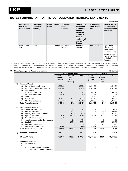|                                                             |                                              |                                |                                              |                                                                                                                                                       |                                             | (Rs.Lakhs)                                                                                                                          |
|-------------------------------------------------------------|----------------------------------------------|--------------------------------|----------------------------------------------|-------------------------------------------------------------------------------------------------------------------------------------------------------|---------------------------------------------|-------------------------------------------------------------------------------------------------------------------------------------|
| <b>Relevant line</b><br>item in the<br><b>Balance sheet</b> | <b>Description</b><br>of item of<br>property | <b>Gross carrying</b><br>value | <b>Title deeds</b><br>held in the<br>name of | <b>Whether title</b><br>deed holder<br>is promoter,<br>director or<br>relative of<br>promoter/<br>director or<br>employee of<br>promoter/<br>director | <b>Property held</b><br>since which<br>date | <b>Reason for not</b><br>being held in<br>the name of the<br>company                                                                |
| Asset held for<br>sale                                      | Land                                         | 669.54                         | Mr.Mahendra<br>Doshi                         | Promoter/<br><b>Director</b>                                                                                                                          | 2021 and 2022                               | Agricultural<br>land cannot<br>transfered in<br>the name of the<br>company, hence<br>held as nominee<br>on behalf of the<br>Company |

**52** Due to the lockdown on account of COVID-19, although the capital market were impacted and volatility has increased in the stock market; the Group being a SEBI registered intermediary and considered among essential services, continued to operate during the lockdown in India and there was no major impact on our business as the capital markets remained open and functioned normally.

#### **53 Maturity Analysis of Assets and Liabilities (Rs.Lakhs)**

|     |                                                                                                                                                                                                                                                                                                                                                                                           | As at 31 Mar 2022                 |                                                                              |                                                                                                | As at 31 Mar 2021                |                                                                                       |                                                                                       |
|-----|-------------------------------------------------------------------------------------------------------------------------------------------------------------------------------------------------------------------------------------------------------------------------------------------------------------------------------------------------------------------------------------------|-----------------------------------|------------------------------------------------------------------------------|------------------------------------------------------------------------------------------------|----------------------------------|---------------------------------------------------------------------------------------|---------------------------------------------------------------------------------------|
|     |                                                                                                                                                                                                                                                                                                                                                                                           | Within 12<br>months<br>(Current)  | After 12<br><b>Months</b><br>(Non-<br>Current)                               | Total                                                                                          | Within 12<br>months<br>(Current) | After 12<br><b>Months</b><br>(Non-<br>Current)                                        | Total                                                                                 |
| (1) | <b>Financial Assets</b>                                                                                                                                                                                                                                                                                                                                                                   |                                   |                                                                              |                                                                                                |                                  |                                                                                       |                                                                                       |
|     | Cash and cash equivalents<br>(a)                                                                                                                                                                                                                                                                                                                                                          | 8,392.23                          |                                                                              | 8,392.23                                                                                       | 6,110.94                         |                                                                                       | 6,110.94                                                                              |
|     | (b)<br>Bank balance other than (a) above                                                                                                                                                                                                                                                                                                                                                  | 4,140.80                          |                                                                              | 4,140.80                                                                                       | 3,622.71                         |                                                                                       | 3,622.71                                                                              |
|     | Receivables<br>(c)                                                                                                                                                                                                                                                                                                                                                                        |                                   |                                                                              |                                                                                                |                                  |                                                                                       |                                                                                       |
|     | (i) Trade receivables                                                                                                                                                                                                                                                                                                                                                                     | 2,132.93                          |                                                                              | 2,132.93                                                                                       | 1,832.31                         |                                                                                       | 1,832.31                                                                              |
|     | (ii) Other receivables                                                                                                                                                                                                                                                                                                                                                                    | 18.20                             |                                                                              | 18.20                                                                                          | 17.13                            |                                                                                       | 17.13                                                                                 |
|     | (d)<br>Loans                                                                                                                                                                                                                                                                                                                                                                              | 20.23                             |                                                                              | 20.23                                                                                          | 24.19                            |                                                                                       | 24.19                                                                                 |
|     | Investments<br>(e)                                                                                                                                                                                                                                                                                                                                                                        | 454.44                            | 13.66                                                                        | 468.10                                                                                         | 358.10                           | 7.87                                                                                  | 365.97                                                                                |
|     | Other financial assets<br>(f)                                                                                                                                                                                                                                                                                                                                                             | 3,296.85                          | 77.36                                                                        | 3,374.22                                                                                       | 4,922.00                         | 56.66                                                                                 | 4,978.66                                                                              |
|     | <b>Total Financial Assets</b>                                                                                                                                                                                                                                                                                                                                                             | 18,455.69                         | 91.02                                                                        | 18,546.71                                                                                      | 16,887.38                        | 64.53                                                                                 | 16,951.91                                                                             |
| (2) | <b>Non-Financial Assets</b><br>Current tax assets (net)<br>(a)<br>Deferred tax Assets<br>(b)<br>Property, plant and Equipments<br>(c)<br><b>Right to Use Asset</b><br>(d)<br>Capital Work-in-progress<br>(e)<br>Intangible assets under development<br>(f)<br>Goodwill<br>(g)<br>Other Intangible Assets<br>(h)<br>Other non-financial assets<br>(i)<br><b>Total Non-Financial Assets</b> | 25.46<br>26.50<br>77.48<br>129.44 | 162.15<br>165.23<br>289.76<br>450.19<br>17.00<br>652.31<br>65.82<br>1,802.47 | 162.15<br>165.23<br>289.76<br>475.65<br>26.50<br>17.00<br>652.31<br>65.82<br>77.48<br>1,931.90 | 25.46<br>118.91<br>144.37        | 158.31<br>356.91<br>277.72<br>492.08<br>9.92<br>652.31<br>70.10<br>(0.00)<br>2,017.35 | 158.31<br>356.91<br>277.72<br>517.54<br>9.92<br>652.31<br>70.10<br>118.91<br>2,161.72 |
|     |                                                                                                                                                                                                                                                                                                                                                                                           |                                   |                                                                              |                                                                                                |                                  |                                                                                       |                                                                                       |
| (3) | <b>Assets Held for Sale</b>                                                                                                                                                                                                                                                                                                                                                               | 669.54                            |                                                                              | 669.54                                                                                         | 439.26                           |                                                                                       | 439.26                                                                                |
|     | <b>TOTAL ASSETS</b>                                                                                                                                                                                                                                                                                                                                                                       | 19,254.66                         | 1,893.49                                                                     | 21,148.16                                                                                      | 17,471.02                        | 2,081.87                                                                              | 19,552.89                                                                             |
| (1) | <b>Financial Liabilities</b><br>Trade payables<br>(a)<br>(1)<br>total outstanding dues of micro<br>(i)<br>enterprises and small enterprises                                                                                                                                                                                                                                               |                                   |                                                                              |                                                                                                |                                  |                                                                                       |                                                                                       |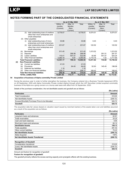|                                             |           | As at 31 Mar 2022        |           |           | As at 31 Mar 2021 |           |
|---------------------------------------------|-----------|--------------------------|-----------|-----------|-------------------|-----------|
|                                             | Within 12 | After 12                 | Total     | Within 12 | After 12          | Total     |
|                                             | months    | <b>Months</b>            |           | months    | <b>Months</b>     |           |
|                                             | (Current) | (Non-                    |           | (Current) | (Non-             |           |
|                                             |           | Current)                 |           |           | Current)          |           |
| total outstanding dues of creditors<br>(ii) | 9,778.57  | $\overline{\phantom{a}}$ | 9,778.57  | 9,074.51  |                   | 9,074.51  |
| other than micro enterprises and            |           |                          |           |           |                   |           |
| small enterprises                           |           |                          |           |           |                   |           |
| Other payables<br>(II)                      |           |                          |           |           |                   |           |
| total outstanding dues of micro<br>(i)      | 33.86     |                          | 33.86     | 0.43      |                   | 0.43      |
| enterprises and small enterprises           |           |                          |           |           |                   |           |
| total outstanding dues of creditors<br>(ii) | 231.67    | $\overline{\phantom{a}}$ | 231.67    | 122.52    |                   | 122.52    |
| other than micro enterprises and            |           |                          |           |           |                   |           |
| small enterprises                           |           |                          |           |           |                   |           |
| (b)<br><b>Borrowings</b>                    | 911.45    |                          | 911.45    | 1,015.52  |                   | 1,015.52  |
| (c)<br>Deposits                             |           | 296.99                   | 296.99    |           | 291.51            | 291.51    |
| Lease Liabilities<br>(d)                    | 115.41    | 407.47                   | 522.88    | 82.66     | 441.57            | 524.24    |
| Other financial liabilities<br>(e)          | 3,280.19  | 4.87                     | 3,285.06  | 3,716.18  | 1.52              | 3,717.69  |
| <b>Total Financial Liabilities</b>          | 14,351.17 | 709.33                   | 15,060.50 | 14,011.82 | 734.60            | 14,746.42 |
| <b>Non-Financial Liabilities</b><br>(2)     |           |                          |           |           |                   |           |
| Current tax liabilities<br>(a)              | 41.03     |                          | 41.03     |           |                   |           |
| (b)<br>Provisions                           |           | 64.45                    | 64.45     | 52.63     | 145.45            | 198.08    |
| Deferred tax liabilities<br>(c)             | 1.18      |                          | 1.18      |           |                   |           |
| Other non-financial liabilities<br>(d)      | 208.17    |                          | 208.17    | 169.42    |                   | 169.42    |
| <b>Total Non-financial liabilities</b>      | 250.38    | 64.45                    | 314.83    | 222.05    | 145.45            | 367.50    |
| <b>TOTAL LIABILITIES</b>                    | 14,601.55 | 773.77                   | 15,375.32 | 14,233.88 | 880.05            | 15,113.92 |

#### **54 Acquisition of business of Alpha commidity Private Limited**

During the previous year In order to further strengthen the business, the Company entered into a Business Transfer Agreement (BTA) on 26 September, 2020 with Alpha Commodity Private Limited (Alpha) through which the LKP Securities Limited acquired commodity business of the Alpha as a going concern on a slump sale basis with effect from 30 September, 2020.

#### Details of the purchase consideration, the net identifiable assets and goodwill are as follows:

|                                                   | (Rs.Lakhs) |
|---------------------------------------------------|------------|
| <b>Particulars</b>                                | Amount     |
| <b>Total Consideration</b>                        | 318.00     |
| Net Identifiable Assets                           | (208.72)   |
| Excess/(Shortfall) Purchase Price to be Allocated | 526.72     |
| Goodwill                                          | 526.72     |

The acquisition date fair values (based on valuation report issued by merchant banker) of the assets taken over and liabilities assumed as a result of the acquisition are as follows:

| <b>Particulars</b>                  | <b>Amount</b> |
|-------------------------------------|---------------|
| Long-term loans and advances        | 62.81         |
| Trade receivables                   | 25.25         |
| Cash and bank balances              | 9.95          |
| Short-term loans and advances       | 60.12         |
| <b>Identifiable Assets</b>          | 158.13        |
| Trade payables                      | 291.42        |
| Other current liabilities           | 75.43         |
| <b>Net Identifiable Assets</b>      | (208.72)      |
| <b>Stake Acquired</b>               | 100%          |
| Net Identifiable Assets Transferred | (208.72)      |
| <b>Recognition of Goodwill</b>      |               |
| Consideration transferred           | 318.00        |
| (Less): Net Identifiable Assets     | (208.72)      |
| Goodwill                            | 526.72        |

Amount and factors for recognition of goodwill

#### **Factors for recognition of goodwill:**

The goodwill primarily reflects the excess earning capacity and synergistic effects with the existing business.

**(Rs.Lakhs)**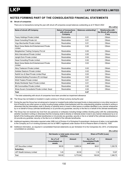**(Rs.Lakhs)**

### **NOTES FORMING PART OF THE CONSOLIDATED FINANCIAL STATEMENTS**

#### **55 Struck of companies**

 There are no transactions during the year with struck off companies except balances outstanding as at 31 March 2022

|                                                                |                                                             |                       | (Rs.Lakhs)                                                    |
|----------------------------------------------------------------|-------------------------------------------------------------|-----------------------|---------------------------------------------------------------|
| Name of struck off Company                                     | <b>Nature of transactions</b><br>with struck-off<br>Company | Balances outstanding* | <b>Relationship with</b><br>the Struck off company,<br>if any |
| <b>Tiwary Holdings Private Limited</b>                         | Receivables                                                 | 0.01                  | Others                                                        |
| Desai Consulting Private Ltd                                   | Receivables                                                 | 0.01                  | <b>Others</b>                                                 |
| Virgo Merchantile Private Limited                              | Receivables                                                 | 0.01                  | <b>Others</b>                                                 |
| <b>Black Horse Media And Entertainment Private</b><br>Limited  | Receivables                                                 | 0.02                  | Others                                                        |
| Margdarshan Trading Company Pvt.Ltd                            | Receivables                                                 | 0.00                  | Others                                                        |
| Mmb International Private Limited.                             | Receivables                                                 | 0.00                  | <b>Others</b>                                                 |
| Upright Exim Private Limited.                                  | Receivables                                                 | 0.02                  | <b>Others</b>                                                 |
| Desai Consulting Private Limited.                              | Receivables                                                 | 0.02                  | <b>Others</b>                                                 |
| <b>Black Horse Media And Entertainment Private</b><br>Limited. | Receivables                                                 | 0.02                  | Others                                                        |
| Glory Tradecom Private Limited.                                | Receivables                                                 | 0.02                  | <b>Others</b>                                                 |
| Goldstar Dealcom Private Limited.                              | Receivables                                                 | 0.02                  | Others                                                        |
| Redhill Iron & Steel Private Limited Rispl                     | Receivables                                                 | 0.02                  | <b>Others</b>                                                 |
| Abhishek Building Promoters (P) Ltd Abppl                      | Receivables                                                 | 0.02                  | <b>Others</b>                                                 |
| Dhlriti Traders Private Limited.                               | Receivables                                                 | 0.01                  | Others                                                        |
| Bhatia Worldwide Team Private Limited.                         | Receivables                                                 | 0.01                  | <b>Others</b>                                                 |
| Mili Commodities Private Limited.                              | Receivables                                                 | 0.02                  | <b>Others</b>                                                 |
| Shree Suvarn Consultants Private Limited. Sscpl                | Receivables                                                 | 0.02                  | <b>Others</b>                                                 |
| Total                                                          |                                                             | 0.27                  |                                                               |

\* The total outstanding with struck of companies have been provdied as impairment allowance

56 The Group has not traded or invested in crypto currency or Virtual currency during the year

- 57 During the year the Group has not advanced or loaned or invested funds (either borrowed funds or share premium or any other sources or kind of funds) to any other person or entity incuding foreign entities (intermediaries) with the understanding (whether recorded in writing or otherwise) that the intermediary shall (i) directly or indirectly lend or invest in other person or entities identified in any manner whatsoever by or on behalf of Group (ultimate beneficaries) or (ii) provide any guarantee, security or the like to or behalf of the ultimate beneficaries.
- 58 The Group has not received any fund from any person(s) or entity(ies) including foreign entities (funding party) with the understanding (ehether recorded in writing or otherwise) that the Compnay shall (i) directly or indirectly lendor invest in any manner whatsoever by or on behalf of the funding party (ultimate beneficaries) or (ii) provide any gurantee, security or the to or behalf of the (ultimate beneficaries) or (iii) provide any gurantee, security or the like to or on behlaf of the ultimate beneficaries.
- 59 Additional regulatory information required under (WB) (xvi) of Division III of Schedule III amendment, disclosure of ratios, is not applicable to the Company as it is in broking business and not an NBFC registered under Section 45-IA of Reserve Bank of India Act, 1934.
- 60 Additional information, as required in consolidated financial statements as per Schedule III to the Companies Act, 2013, of enterprises consolidated as subsidiary.

|                               | liabilities                                      | Net Assets i.e total asets minus total | Share of Profit/ (Loss)                             |          |  |
|-------------------------------|--------------------------------------------------|----------------------------------------|-----------------------------------------------------|----------|--|
|                               | As a $%$ of<br><b>Consolidated net</b><br>assets | Amount                                 | As a % of<br><b>Consolidated Profit</b><br>and Loss | Amount   |  |
| <b>LKP Securities Limited</b> | 98.55                                            | 5,689.34                               | 98.81                                               | 1,330.76 |  |
| <b>Subsidiary</b>             |                                                  |                                        |                                                     |          |  |
| LKP Wealth Advisory Limited   | 1.45                                             | 83.50                                  | 1.19                                                | 15.97    |  |
| Total                         | 100.00                                           | 5,772.84                               | 100.00                                              | 1,346.73 |  |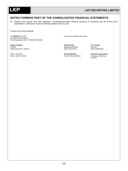

61 Previous year's figures have been regrouped / reclassified/rearranged wherever necessary to correspond with the current year's classifications / disclosures. Figures in brackets pertain to previous year

In terms of our report attached

For **MGB & Co. LLP** Chartered Accountants Firm Registration No. 101169W/W-100035

**Sanjay Kothari** Partner Membership No. 048215

Place : Mumbai Date : April 29, 2022 For and on behalf of the board

**Pratik Doshi**  Managing Director (DIN: 00131122)

**Girish Majrekar**  Chief Financial Officer **S. S. Gulati**  Director (DIN: 02404230)

**Akshata Vengurlekar** Company Secretary A 50701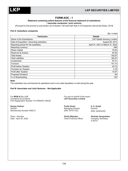### **FORM AOC - 1**

**Statement containing salient features of the financial statement of subsidiaries** 

**/ associate companies / joint ventures** 

*[Pursuant to first proviso to sub-section (3) of Section 129 read with Rule 5 of Companies (Accounts) Rules, 2014]*

#### **Part A: Subsidiary companies**

|                                           | (Rs. in lakh)                      |
|-------------------------------------------|------------------------------------|
| <b>Particulars</b>                        | <b>Details</b>                     |
| Name of the Subsidiaries                  | <b>LKP Wealth Advisory Limited</b> |
| Date of Acquisition / becoming subsidiary | August 08, 2014                    |
| Reporting period for the subsidiary       | April 01, 2021 to March 31, 2022   |
| Reporting currency                        | <b>INR</b>                         |
| Share Capital                             | 76.00                              |
| Reserves & Surplus                        | 83.50                              |
| <b>Total Assets</b>                       | 182.87                             |
| <b>Total Liabilities</b>                  | 182.87                             |
| Investments                               | 67.41                              |
| Turnover                                  | 141.14                             |
| <b>Profit before Taxation</b>             | 20.72                              |
| Provision for Taxation                    | 4.75                               |
| <b>Profit after Taxation</b>              | 15.97                              |
| <b>Proposed Dividend</b>                  | Nil                                |
| % of Shareholding                         | 100                                |

#### **Note:**

The subsidiary has commenced its operations and is not under liquidation or sold during the year.

#### **Part B: Associates and Joint Ventures – Not Applicable**

For **MGB & Co. LLP** Chartered Accountants Firm Registration Number 101169W/W-100035

**Sanjay Kothari** Partner Membership Number 048215

Place : Mumbai Date : April 29, 2022 For and on behalf of the board **LKP Securities Limited**

**Pratik Doshi**  Managing Director (DIN: 00131122)

**Girish Majrekar**  Chief Financial Officer

**S. S. Gulati Director** (DIN: 02404230)

**Akshata Vengurlekar** Company Secretary A 50701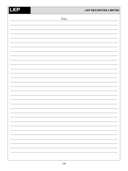# **LKP**

## **LKP SECURITIES LIMITED**

| Notes |    |  |  |
|-------|----|--|--|
|       |    |  |  |
|       |    |  |  |
|       |    |  |  |
|       |    |  |  |
|       |    |  |  |
|       |    |  |  |
|       |    |  |  |
|       |    |  |  |
|       |    |  |  |
|       |    |  |  |
|       |    |  |  |
|       |    |  |  |
|       |    |  |  |
|       |    |  |  |
|       |    |  |  |
|       |    |  |  |
|       |    |  |  |
|       |    |  |  |
|       |    |  |  |
|       |    |  |  |
|       |    |  |  |
|       | ۰  |  |  |
|       |    |  |  |
|       | ÷. |  |  |
|       |    |  |  |
|       | Ξ. |  |  |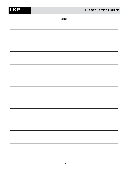| <b>LKP</b> |       | <b>LKP SECURITIES LIMITED</b>  |
|------------|-------|--------------------------------|
|            | Notes |                                |
|            |       |                                |
|            |       |                                |
|            |       |                                |
|            |       |                                |
|            |       |                                |
|            |       |                                |
|            |       |                                |
|            |       |                                |
|            |       |                                |
|            |       |                                |
|            |       |                                |
|            |       |                                |
|            |       |                                |
|            |       | $\overline{\phantom{0}}$       |
|            |       |                                |
|            |       |                                |
|            |       | $\overline{\phantom{0}}$<br>Ξ. |
|            |       |                                |
|            |       |                                |
|            |       |                                |
|            |       |                                |